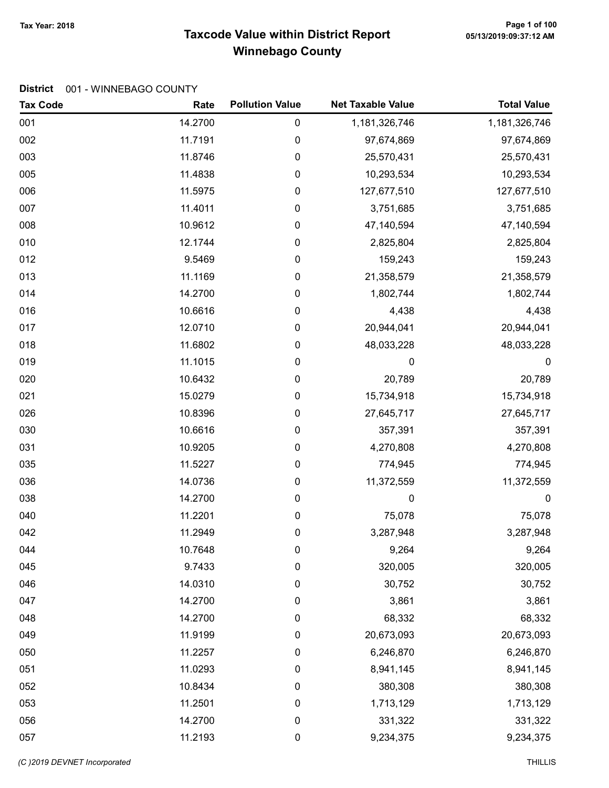# Taxcode Value within District Report Tax Year: 2018 Page 1 of 100 Winnebago County

### District 001 - WINNEBAGO COUNTY

| <b>Tax Code</b> | Rate    | <b>Pollution Value</b> | <b>Net Taxable Value</b> | <b>Total Value</b> |
|-----------------|---------|------------------------|--------------------------|--------------------|
| 001             | 14.2700 | 0                      | 1,181,326,746            | 1,181,326,746      |
| 002             | 11.7191 | 0                      | 97,674,869               | 97,674,869         |
| 003             | 11.8746 | 0                      | 25,570,431               | 25,570,431         |
| 005             | 11.4838 | 0                      | 10,293,534               | 10,293,534         |
| 006             | 11.5975 | 0                      | 127,677,510              | 127,677,510        |
| 007             | 11.4011 | 0                      | 3,751,685                | 3,751,685          |
| 008             | 10.9612 | 0                      | 47,140,594               | 47,140,594         |
| 010             | 12.1744 | 0                      | 2,825,804                | 2,825,804          |
| 012             | 9.5469  | 0                      | 159,243                  | 159,243            |
| 013             | 11.1169 | 0                      | 21,358,579               | 21,358,579         |
| 014             | 14.2700 | 0                      | 1,802,744                | 1,802,744          |
| 016             | 10.6616 | 0                      | 4,438                    | 4,438              |
| 017             | 12.0710 | 0                      | 20,944,041               | 20,944,041         |
| 018             | 11.6802 | 0                      | 48,033,228               | 48,033,228         |
| 019             | 11.1015 | 0                      | 0                        | $\boldsymbol{0}$   |
| 020             | 10.6432 | 0                      | 20,789                   | 20,789             |
| 021             | 15.0279 | 0                      | 15,734,918               | 15,734,918         |
| 026             | 10.8396 | 0                      | 27,645,717               | 27,645,717         |
| 030             | 10.6616 | 0                      | 357,391                  | 357,391            |
| 031             | 10.9205 | 0                      | 4,270,808                | 4,270,808          |
| 035             | 11.5227 | 0                      | 774,945                  | 774,945            |
| 036             | 14.0736 | $\pmb{0}$              | 11,372,559               | 11,372,559         |
| 038             | 14.2700 | 0                      | 0                        | $\boldsymbol{0}$   |
| 040             | 11.2201 | $\pmb{0}$              | 75,078                   | 75,078             |
| 042             | 11.2949 | 0                      | 3,287,948                | 3,287,948          |
| 044             | 10.7648 | 0                      | 9,264                    | 9,264              |
| 045             | 9.7433  | 0                      | 320,005                  | 320,005            |
| 046             | 14.0310 | 0                      | 30,752                   | 30,752             |
| 047             | 14.2700 | 0                      | 3,861                    | 3,861              |
| 048             | 14.2700 | 0                      | 68,332                   | 68,332             |
| 049             | 11.9199 | $\boldsymbol{0}$       | 20,673,093               | 20,673,093         |
| 050             | 11.2257 | 0                      | 6,246,870                | 6,246,870          |
| 051             | 11.0293 | 0                      | 8,941,145                | 8,941,145          |
| 052             | 10.8434 | 0                      | 380,308                  | 380,308            |
| 053             | 11.2501 | 0                      | 1,713,129                | 1,713,129          |
| 056             | 14.2700 | $\pmb{0}$              | 331,322                  | 331,322            |
| 057             | 11.2193 | $\pmb{0}$              | 9,234,375                | 9,234,375          |

(C)2019 DEVNET incorporated THILLIS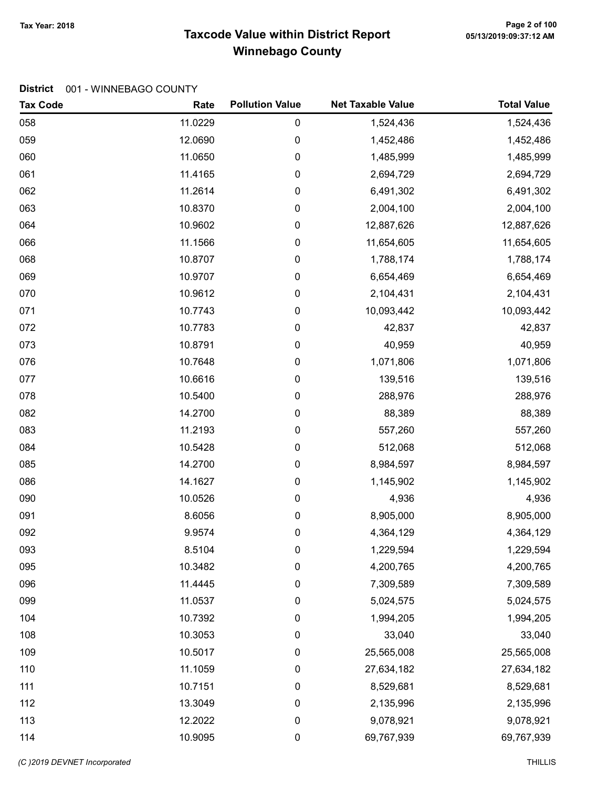# Taxcode Value within District Report Tax Year: 2018 Page 2 of 100 Winnebago County

| <b>Tax Code</b> | Rate    | <b>Pollution Value</b> | <b>Net Taxable Value</b> | <b>Total Value</b> |
|-----------------|---------|------------------------|--------------------------|--------------------|
| 058             | 11.0229 | 0                      | 1,524,436                | 1,524,436          |
| 059             | 12.0690 | 0                      | 1,452,486                | 1,452,486          |
| 060             | 11.0650 | 0                      | 1,485,999                | 1,485,999          |
| 061             | 11.4165 | 0                      | 2,694,729                | 2,694,729          |
| 062             | 11.2614 | 0                      | 6,491,302                | 6,491,302          |
| 063             | 10.8370 | 0                      | 2,004,100                | 2,004,100          |
| 064             | 10.9602 | 0                      | 12,887,626               | 12,887,626         |
| 066             | 11.1566 | 0                      | 11,654,605               | 11,654,605         |
| 068             | 10.8707 | 0                      | 1,788,174                | 1,788,174          |
| 069             | 10.9707 | 0                      | 6,654,469                | 6,654,469          |
| 070             | 10.9612 | 0                      | 2,104,431                | 2,104,431          |
| 071             | 10.7743 | 0                      | 10,093,442               | 10,093,442         |
| 072             | 10.7783 | 0                      | 42,837                   | 42,837             |
| 073             | 10.8791 | 0                      | 40,959                   | 40,959             |
| 076             | 10.7648 | 0                      | 1,071,806                | 1,071,806          |
| 077             | 10.6616 | 0                      | 139,516                  | 139,516            |
| 078             | 10.5400 | 0                      | 288,976                  | 288,976            |
| 082             | 14.2700 | 0                      | 88,389                   | 88,389             |
| 083             | 11.2193 | 0                      | 557,260                  | 557,260            |
| 084             | 10.5428 | 0                      | 512,068                  | 512,068            |
| 085             | 14.2700 | 0                      | 8,984,597                | 8,984,597          |
| 086             | 14.1627 | 0                      | 1,145,902                | 1,145,902          |
| 090             | 10.0526 | 0                      | 4,936                    | 4,936              |
| 091             | 8.6056  | 0                      | 8,905,000                | 8,905,000          |
| 092             | 9.9574  | 0                      | 4,364,129                | 4,364,129          |
| 093             | 8.5104  | 0                      | 1,229,594                | 1,229,594          |
| 095             | 10.3482 | 0                      | 4,200,765                | 4,200,765          |
| 096             | 11.4445 | 0                      | 7,309,589                | 7,309,589          |
| 099             | 11.0537 | 0                      | 5,024,575                | 5,024,575          |
| 104             | 10.7392 | 0                      | 1,994,205                | 1,994,205          |
| 108             | 10.3053 | 0                      | 33,040                   | 33,040             |
| 109             | 10.5017 | 0                      | 25,565,008               | 25,565,008         |
| 110             | 11.1059 | 0                      | 27,634,182               | 27,634,182         |
| 111             | 10.7151 | 0                      | 8,529,681                | 8,529,681          |
| 112             | 13.3049 | 0                      | 2,135,996                | 2,135,996          |
| 113             | 12.2022 | 0                      | 9,078,921                | 9,078,921          |
| 114             | 10.9095 | 0                      | 69,767,939               | 69,767,939         |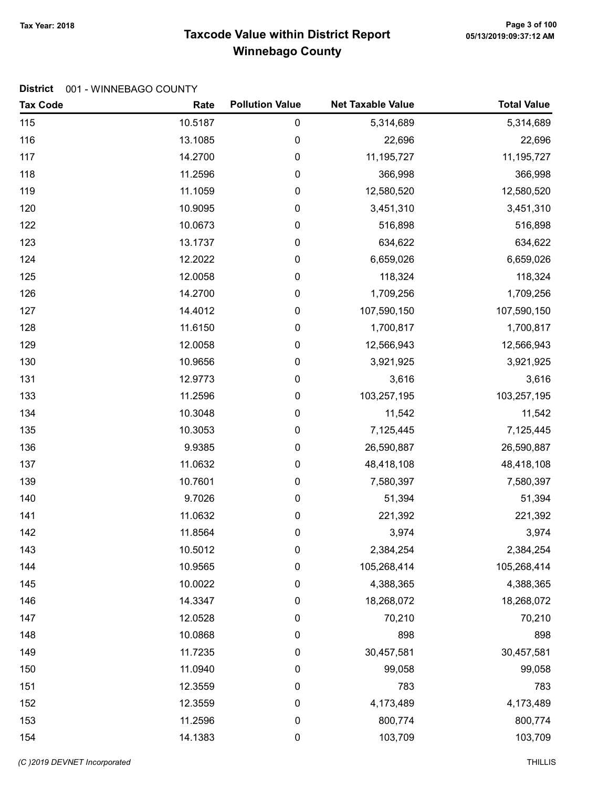# Taxcode Value within District Report Tax Year: 2018 Page 3 of 100 Winnebago County

| <b>Tax Code</b> | Rate    | <b>Pollution Value</b> | <b>Net Taxable Value</b> | <b>Total Value</b> |
|-----------------|---------|------------------------|--------------------------|--------------------|
| 115             | 10.5187 | 0                      | 5,314,689                | 5,314,689          |
| 116             | 13.1085 | 0                      | 22,696                   | 22,696             |
| 117             | 14.2700 | 0                      | 11,195,727               | 11, 195, 727       |
| 118             | 11.2596 | 0                      | 366,998                  | 366,998            |
| 119             | 11.1059 | 0                      | 12,580,520               | 12,580,520         |
| 120             | 10.9095 | 0                      | 3,451,310                | 3,451,310          |
| 122             | 10.0673 | 0                      | 516,898                  | 516,898            |
| 123             | 13.1737 | 0                      | 634,622                  | 634,622            |
| 124             | 12.2022 | 0                      | 6,659,026                | 6,659,026          |
| 125             | 12.0058 | 0                      | 118,324                  | 118,324            |
| 126             | 14.2700 | 0                      | 1,709,256                | 1,709,256          |
| 127             | 14.4012 | 0                      | 107,590,150              | 107,590,150        |
| 128             | 11.6150 | 0                      | 1,700,817                | 1,700,817          |
| 129             | 12.0058 | 0                      | 12,566,943               | 12,566,943         |
| 130             | 10.9656 | 0                      | 3,921,925                | 3,921,925          |
| 131             | 12.9773 | 0                      | 3,616                    | 3,616              |
| 133             | 11.2596 | 0                      | 103,257,195              | 103,257,195        |
| 134             | 10.3048 | 0                      | 11,542                   | 11,542             |
| 135             | 10.3053 | 0                      | 7,125,445                | 7,125,445          |
| 136             | 9.9385  | 0                      | 26,590,887               | 26,590,887         |
| 137             | 11.0632 | $\pmb{0}$              | 48,418,108               | 48,418,108         |
| 139             | 10.7601 | 0                      | 7,580,397                | 7,580,397          |
| 140             | 9.7026  | 0                      | 51,394                   | 51,394             |
| 141             | 11.0632 | 0                      | 221,392                  | 221,392            |
| 142             | 11.8564 | 0                      | 3,974                    | 3,974              |
| 143             | 10.5012 | 0                      | 2,384,254                | 2,384,254          |
| 144             | 10.9565 | 0                      | 105,268,414              | 105,268,414        |
| 145             | 10.0022 | 0                      | 4,388,365                | 4,388,365          |
| 146             | 14.3347 | 0                      | 18,268,072               | 18,268,072         |
| 147             | 12.0528 | 0                      | 70,210                   | 70,210             |
| 148             | 10.0868 | 0                      | 898                      | 898                |
| 149             | 11.7235 | 0                      | 30,457,581               | 30,457,581         |
| 150             | 11.0940 | 0                      | 99,058                   | 99,058             |
| 151             | 12.3559 | 0                      | 783                      | 783                |
| 152             | 12.3559 | 0                      | 4,173,489                | 4,173,489          |
| 153             | 11.2596 | 0                      | 800,774                  | 800,774            |
| 154             | 14.1383 | $\pmb{0}$              | 103,709                  | 103,709            |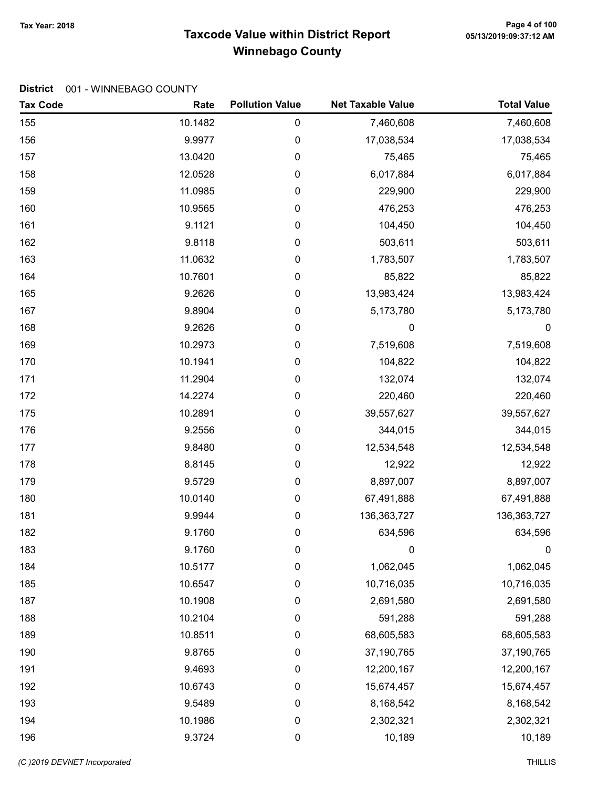# Taxcode Value within District Report Tax Year: 2018 Page 4 of 100 Winnebago County

| <b>Tax Code</b> | Rate    | <b>Pollution Value</b> | <b>Net Taxable Value</b> | <b>Total Value</b> |
|-----------------|---------|------------------------|--------------------------|--------------------|
| 155             | 10.1482 | $\pmb{0}$              | 7,460,608                | 7,460,608          |
| 156             | 9.9977  | 0                      | 17,038,534               | 17,038,534         |
| 157             | 13.0420 | $\pmb{0}$              | 75,465                   | 75,465             |
| 158             | 12.0528 | 0                      | 6,017,884                | 6,017,884          |
| 159             | 11.0985 | 0                      | 229,900                  | 229,900            |
| 160             | 10.9565 | $\pmb{0}$              | 476,253                  | 476,253            |
| 161             | 9.1121  | $\pmb{0}$              | 104,450                  | 104,450            |
| 162             | 9.8118  | $\pmb{0}$              | 503,611                  | 503,611            |
| 163             | 11.0632 | 0                      | 1,783,507                | 1,783,507          |
| 164             | 10.7601 | $\pmb{0}$              | 85,822                   | 85,822             |
| 165             | 9.2626  | $\pmb{0}$              | 13,983,424               | 13,983,424         |
| 167             | 9.8904  | 0                      | 5,173,780                | 5,173,780          |
| 168             | 9.2626  | $\pmb{0}$              | 0                        | $\boldsymbol{0}$   |
| 169             | 10.2973 | $\pmb{0}$              | 7,519,608                | 7,519,608          |
| 170             | 10.1941 | $\pmb{0}$              | 104,822                  | 104,822            |
| 171             | 11.2904 | 0                      | 132,074                  | 132,074            |
| 172             | 14.2274 | $\pmb{0}$              | 220,460                  | 220,460            |
| 175             | 10.2891 | $\pmb{0}$              | 39,557,627               | 39,557,627         |
| 176             | 9.2556  | 0                      | 344,015                  | 344,015            |
| 177             | 9.8480  | $\pmb{0}$              | 12,534,548               | 12,534,548         |
| 178             | 8.8145  | $\pmb{0}$              | 12,922                   | 12,922             |
| 179             | 9.5729  | $\pmb{0}$              | 8,897,007                | 8,897,007          |
| 180             | 10.0140 | 0                      | 67,491,888               | 67,491,888         |
| 181             | 9.9944  | $\pmb{0}$              | 136, 363, 727            | 136,363,727        |
| 182             | 9.1760  | 0                      | 634,596                  | 634,596            |
| 183             | 9.1760  | 0                      | 0                        | $\pmb{0}$          |
| 184             | 10.5177 | 0                      | 1,062,045                | 1,062,045          |
| 185             | 10.6547 | $\pmb{0}$              | 10,716,035               | 10,716,035         |
| 187             | 10.1908 | 0                      | 2,691,580                | 2,691,580          |
| 188             | 10.2104 | $\mathbf 0$            | 591,288                  | 591,288            |
| 189             | 10.8511 | $\boldsymbol{0}$       | 68,605,583               | 68,605,583         |
| 190             | 9.8765  | $\pmb{0}$              | 37,190,765               | 37,190,765         |
| 191             | 9.4693  | $\pmb{0}$              | 12,200,167               | 12,200,167         |
| 192             | 10.6743 | 0                      | 15,674,457               | 15,674,457         |
| 193             | 9.5489  | $\boldsymbol{0}$       | 8,168,542                | 8,168,542          |
| 194             | 10.1986 | $\mathbf 0$            | 2,302,321                | 2,302,321          |
| 196             | 9.3724  | $\pmb{0}$              | 10,189                   | 10,189             |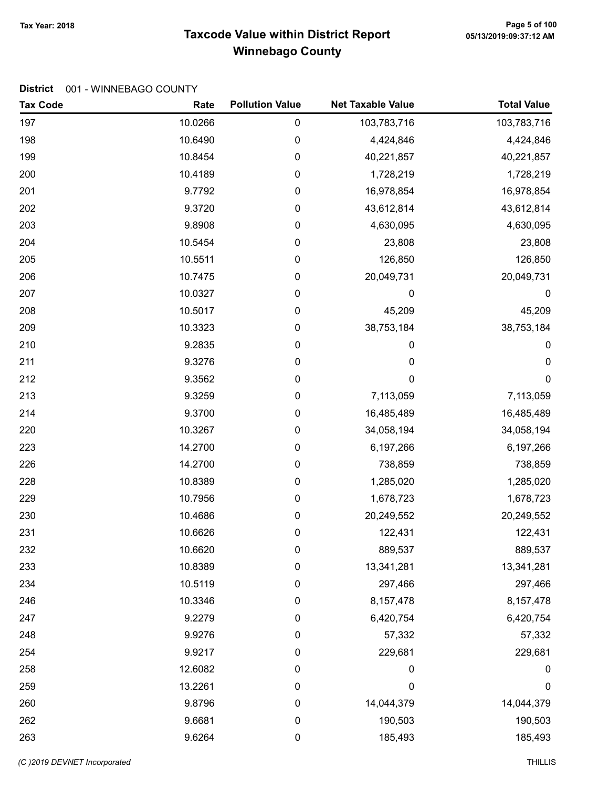# Taxcode Value within District Report Tax Year: 2018 Page 5 of 100 Winnebago County

| <b>Tax Code</b> | Rate    | <b>Pollution Value</b> | <b>Net Taxable Value</b> | <b>Total Value</b> |
|-----------------|---------|------------------------|--------------------------|--------------------|
| 197             | 10.0266 | $\pmb{0}$              | 103,783,716              | 103,783,716        |
| 198             | 10.6490 | 0                      | 4,424,846                | 4,424,846          |
| 199             | 10.8454 | $\pmb{0}$              | 40,221,857               | 40,221,857         |
| 200             | 10.4189 | 0                      | 1,728,219                | 1,728,219          |
| 201             | 9.7792  | 0                      | 16,978,854               | 16,978,854         |
| 202             | 9.3720  | $\pmb{0}$              | 43,612,814               | 43,612,814         |
| 203             | 9.8908  | 0                      | 4,630,095                | 4,630,095          |
| 204             | 10.5454 | $\pmb{0}$              | 23,808                   | 23,808             |
| 205             | 10.5511 | 0                      | 126,850                  | 126,850            |
| 206             | 10.7475 | $\pmb{0}$              | 20,049,731               | 20,049,731         |
| 207             | 10.0327 | 0                      | 0                        | 0                  |
| 208             | 10.5017 | 0                      | 45,209                   | 45,209             |
| 209             | 10.3323 | $\boldsymbol{0}$       | 38,753,184               | 38,753,184         |
| 210             | 9.2835  | 0                      | 0                        | 0                  |
| 211             | 9.3276  | $\pmb{0}$              | $\mathbf 0$              | 0                  |
| 212             | 9.3562  | 0                      | 0                        | 0                  |
| 213             | 9.3259  | $\pmb{0}$              | 7,113,059                | 7,113,059          |
| 214             | 9.3700  | 0                      | 16,485,489               | 16,485,489         |
| 220             | 10.3267 | 0                      | 34,058,194               | 34,058,194         |
| 223             | 14.2700 | 0                      | 6,197,266                | 6,197,266          |
| 226             | 14.2700 | 0                      | 738,859                  | 738,859            |
| 228             | 10.8389 | $\pmb{0}$              | 1,285,020                | 1,285,020          |
| 229             | 10.7956 | 0                      | 1,678,723                | 1,678,723          |
| 230             | 10.4686 | $\pmb{0}$              | 20,249,552               | 20,249,552         |
| 231             | 10.6626 | 0                      | 122,431                  | 122,431            |
| 232             | 10.6620 | 0                      | 889,537                  | 889,537            |
| 233             | 10.8389 | 0                      | 13,341,281               | 13,341,281         |
| 234             | 10.5119 | $\pmb{0}$              | 297,466                  | 297,466            |
| 246             | 10.3346 | 0                      | 8,157,478                | 8, 157, 478        |
| 247             | 9.2279  | 0                      | 6,420,754                | 6,420,754          |
| 248             | 9.9276  | $\boldsymbol{0}$       | 57,332                   | 57,332             |
| 254             | 9.9217  | 0                      | 229,681                  | 229,681            |
| 258             | 12.6082 | $\pmb{0}$              | 0                        | $\boldsymbol{0}$   |
| 259             | 13.2261 | 0                      | 0                        | $\mathbf 0$        |
| 260             | 9.8796  | $\boldsymbol{0}$       | 14,044,379               | 14,044,379         |
| 262             | 9.6681  | $\pmb{0}$              | 190,503                  | 190,503            |
| 263             | 9.6264  | $\pmb{0}$              | 185,493                  | 185,493            |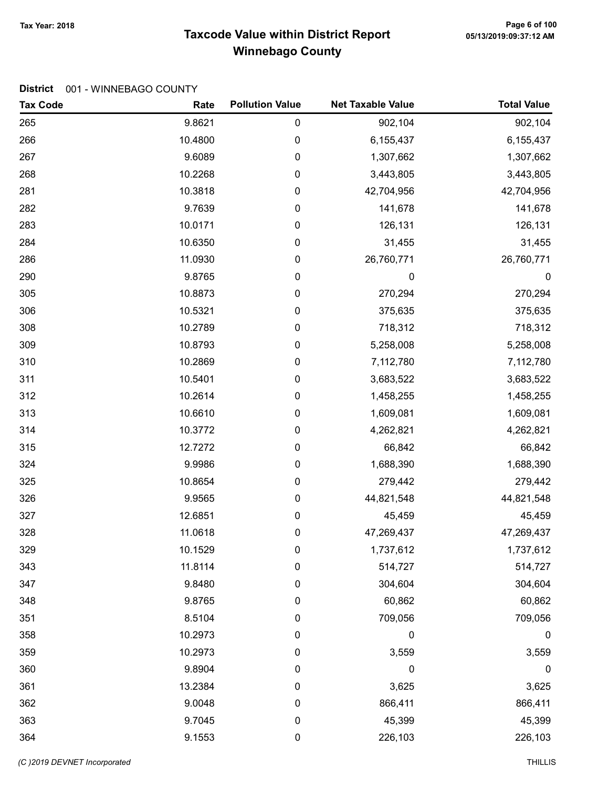# Tax Year: 2018 Page 6 of 100<br>Taxcode Value within District Report وDistrict Report وTaxcode Value within District Report Winnebago County

| <b>Tax Code</b> | Rate    | <b>Pollution Value</b> | <b>Net Taxable Value</b> | <b>Total Value</b> |
|-----------------|---------|------------------------|--------------------------|--------------------|
| 265             | 9.8621  | 0                      | 902,104                  | 902,104            |
| 266             | 10.4800 | 0                      | 6,155,437                | 6,155,437          |
| 267             | 9.6089  | 0                      | 1,307,662                | 1,307,662          |
| 268             | 10.2268 | 0                      | 3,443,805                | 3,443,805          |
| 281             | 10.3818 | 0                      | 42,704,956               | 42,704,956         |
| 282             | 9.7639  | 0                      | 141,678                  | 141,678            |
| 283             | 10.0171 | 0                      | 126,131                  | 126,131            |
| 284             | 10.6350 | 0                      | 31,455                   | 31,455             |
| 286             | 11.0930 | 0                      | 26,760,771               | 26,760,771         |
| 290             | 9.8765  | 0                      | 0                        | $\pmb{0}$          |
| 305             | 10.8873 | 0                      | 270,294                  | 270,294            |
| 306             | 10.5321 | 0                      | 375,635                  | 375,635            |
| 308             | 10.2789 | 0                      | 718,312                  | 718,312            |
| 309             | 10.8793 | 0                      | 5,258,008                | 5,258,008          |
| 310             | 10.2869 | 0                      | 7,112,780                | 7,112,780          |
| 311             | 10.5401 | 0                      | 3,683,522                | 3,683,522          |
| 312             | 10.2614 | 0                      | 1,458,255                | 1,458,255          |
| 313             | 10.6610 | 0                      | 1,609,081                | 1,609,081          |
| 314             | 10.3772 | 0                      | 4,262,821                | 4,262,821          |
| 315             | 12.7272 | 0                      | 66,842                   | 66,842             |
| 324             | 9.9986  | 0                      | 1,688,390                | 1,688,390          |
| 325             | 10.8654 | 0                      | 279,442                  | 279,442            |
| 326             | 9.9565  | 0                      | 44,821,548               | 44,821,548         |
| 327             | 12.6851 | 0                      | 45,459                   | 45,459             |
| 328             | 11.0618 | 0                      | 47,269,437               | 47,269,437         |
| 329             | 10.1529 | 0                      | 1,737,612                | 1,737,612          |
| 343             | 11.8114 | 0                      | 514,727                  | 514,727            |
| 347             | 9.8480  | 0                      | 304,604                  | 304,604            |
| 348             | 9.8765  | 0                      | 60,862                   | 60,862             |
| 351             | 8.5104  | 0                      | 709,056                  | 709,056            |
| 358             | 10.2973 | 0                      | 0                        | $\mathbf 0$        |
| 359             | 10.2973 | 0                      | 3,559                    | 3,559              |
| 360             | 9.8904  | 0                      | $\mathbf 0$              | 0                  |
| 361             | 13.2384 | 0                      | 3,625                    | 3,625              |
| 362             | 9.0048  | 0                      | 866,411                  | 866,411            |
| 363             | 9.7045  | 0                      | 45,399                   | 45,399             |
| 364             | 9.1553  | $\pmb{0}$              | 226,103                  | 226,103            |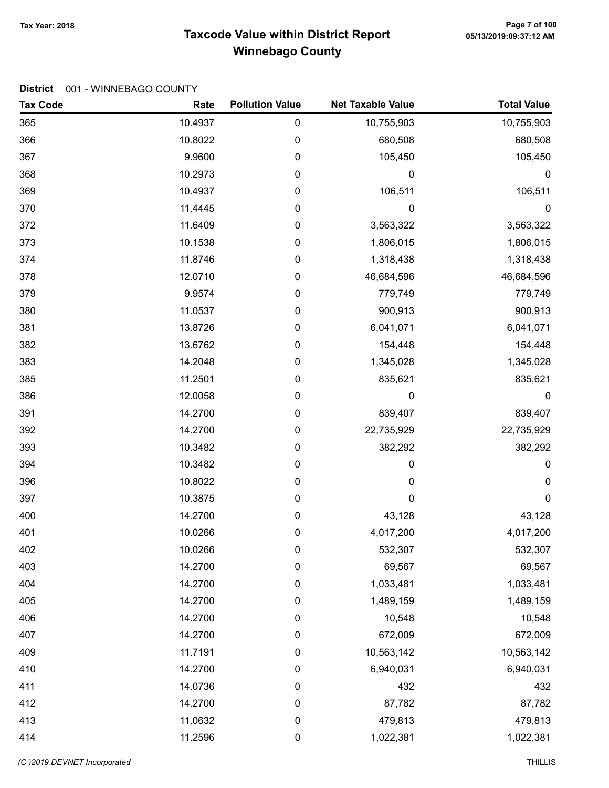# Tax Year: 2018 Page 7 of 100<br>Taxcode Value within District Report وDistrict Report وTaxcode Value within District Report Winnebago County

| <b>Tax Code</b> | Rate    | <b>Pollution Value</b> | <b>Net Taxable Value</b> | <b>Total Value</b> |
|-----------------|---------|------------------------|--------------------------|--------------------|
| 365             | 10.4937 | 0                      | 10,755,903               | 10,755,903         |
| 366             | 10.8022 | 0                      | 680,508                  | 680,508            |
| 367             | 9.9600  | 0                      | 105,450                  | 105,450            |
| 368             | 10.2973 | 0                      | 0                        | $\mathbf 0$        |
| 369             | 10.4937 | 0                      | 106,511                  | 106,511            |
| 370             | 11.4445 | 0                      | 0                        | $\pmb{0}$          |
| 372             | 11.6409 | 0                      | 3,563,322                | 3,563,322          |
| 373             | 10.1538 | 0                      | 1,806,015                | 1,806,015          |
| 374             | 11.8746 | 0                      | 1,318,438                | 1,318,438          |
| 378             | 12.0710 | 0                      | 46,684,596               | 46,684,596         |
| 379             | 9.9574  | 0                      | 779,749                  | 779,749            |
| 380             | 11.0537 | 0                      | 900,913                  | 900,913            |
| 381             | 13.8726 | 0                      | 6,041,071                | 6,041,071          |
| 382             | 13.6762 | 0                      | 154,448                  | 154,448            |
| 383             | 14.2048 | 0                      | 1,345,028                | 1,345,028          |
| 385             | 11.2501 | 0                      | 835,621                  | 835,621            |
| 386             | 12.0058 | 0                      | 0                        | $\mathbf 0$        |
| 391             | 14.2700 | 0                      | 839,407                  | 839,407            |
| 392             | 14.2700 | 0                      | 22,735,929               | 22,735,929         |
| 393             | 10.3482 | 0                      | 382,292                  | 382,292            |
| 394             | 10.3482 | 0                      | 0                        | 0                  |
| 396             | 10.8022 | 0                      | 0                        | $\boldsymbol{0}$   |
| 397             | 10.3875 | 0                      | 0                        | $\mathbf 0$        |
| 400             | 14.2700 | 0                      | 43,128                   | 43,128             |
| 401             | 10.0266 | 0                      | 4,017,200                | 4,017,200          |
| 402             | 10.0266 | 0                      | 532,307                  | 532,307            |
| 403             | 14.2700 | 0                      | 69,567                   | 69,567             |
| 404             | 14.2700 | $\pmb{0}$              | 1,033,481                | 1,033,481          |
| 405             | 14.2700 | $\boldsymbol{0}$       | 1,489,159                | 1,489,159          |
| 406             | 14.2700 | $\boldsymbol{0}$       | 10,548                   | 10,548             |
| 407             | 14.2700 | $\pmb{0}$              | 672,009                  | 672,009            |
| 409             | 11.7191 | $\pmb{0}$              | 10,563,142               | 10,563,142         |
| 410             | 14.2700 | 0                      | 6,940,031                | 6,940,031          |
| 411             | 14.0736 | 0                      | 432                      | 432                |
| 412             | 14.2700 | $\pmb{0}$              | 87,782                   | 87,782             |
| 413             | 11.0632 | $\pmb{0}$              | 479,813                  | 479,813            |
| 414             | 11.2596 | 0                      | 1,022,381                | 1,022,381          |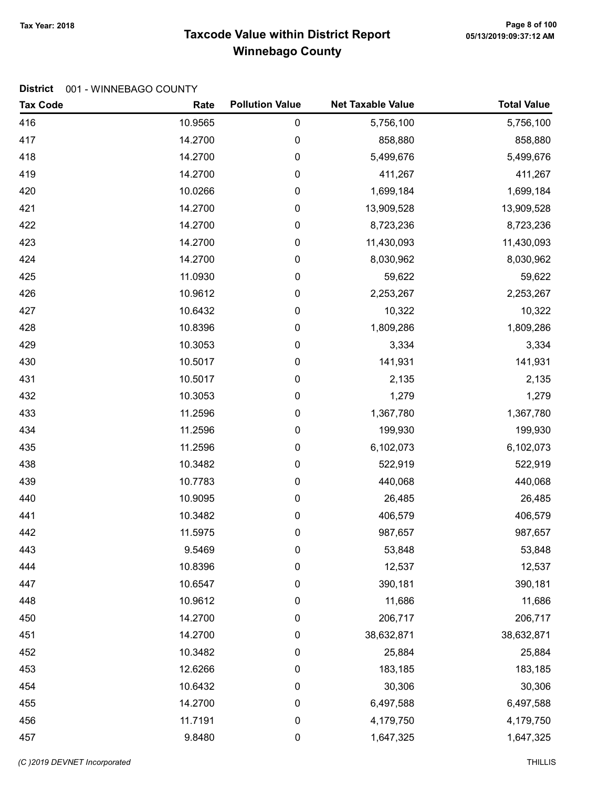# Taxcode Value within District Report Tax Year: 2018 Page 8 of 100 Winnebago County

| <b>Tax Code</b> | Rate    | <b>Pollution Value</b> | <b>Net Taxable Value</b> | <b>Total Value</b> |
|-----------------|---------|------------------------|--------------------------|--------------------|
| 416             | 10.9565 | 0                      | 5,756,100                | 5,756,100          |
| 417             | 14.2700 | 0                      | 858,880                  | 858,880            |
| 418             | 14.2700 | 0                      | 5,499,676                | 5,499,676          |
| 419             | 14.2700 | 0                      | 411,267                  | 411,267            |
| 420             | 10.0266 | 0                      | 1,699,184                | 1,699,184          |
| 421             | 14.2700 | 0                      | 13,909,528               | 13,909,528         |
| 422             | 14.2700 | 0                      | 8,723,236                | 8,723,236          |
| 423             | 14.2700 | 0                      | 11,430,093               | 11,430,093         |
| 424             | 14.2700 | 0                      | 8,030,962                | 8,030,962          |
| 425             | 11.0930 | 0                      | 59,622                   | 59,622             |
| 426             | 10.9612 | 0                      | 2,253,267                | 2,253,267          |
| 427             | 10.6432 | 0                      | 10,322                   | 10,322             |
| 428             | 10.8396 | 0                      | 1,809,286                | 1,809,286          |
| 429             | 10.3053 | 0                      | 3,334                    | 3,334              |
| 430             | 10.5017 | 0                      | 141,931                  | 141,931            |
| 431             | 10.5017 | 0                      | 2,135                    | 2,135              |
| 432             | 10.3053 | 0                      | 1,279                    | 1,279              |
| 433             | 11.2596 | 0                      | 1,367,780                | 1,367,780          |
| 434             | 11.2596 | 0                      | 199,930                  | 199,930            |
| 435             | 11.2596 | 0                      | 6,102,073                | 6,102,073          |
| 438             | 10.3482 | 0                      | 522,919                  | 522,919            |
| 439             | 10.7783 | 0                      | 440,068                  | 440,068            |
| 440             | 10.9095 | 0                      | 26,485                   | 26,485             |
| 441             | 10.3482 | 0                      | 406,579                  | 406,579            |
| 442             | 11.5975 | 0                      | 987,657                  | 987,657            |
| 443             | 9.5469  | 0                      | 53,848                   | 53,848             |
| 444             | 10.8396 | 0                      | 12,537                   | 12,537             |
| 447             | 10.6547 | 0                      | 390,181                  | 390,181            |
| 448             | 10.9612 | 0                      | 11,686                   | 11,686             |
| 450             | 14.2700 | 0                      | 206,717                  | 206,717            |
| 451             | 14.2700 | $\pmb{0}$              | 38,632,871               | 38,632,871         |
| 452             | 10.3482 | 0                      | 25,884                   | 25,884             |
| 453             | 12.6266 | 0                      | 183,185                  | 183,185            |
| 454             | 10.6432 | 0                      | 30,306                   | 30,306             |
| 455             | 14.2700 | 0                      | 6,497,588                | 6,497,588          |
| 456             | 11.7191 | 0                      | 4,179,750                | 4,179,750          |
| 457             | 9.8480  | 0                      | 1,647,325                | 1,647,325          |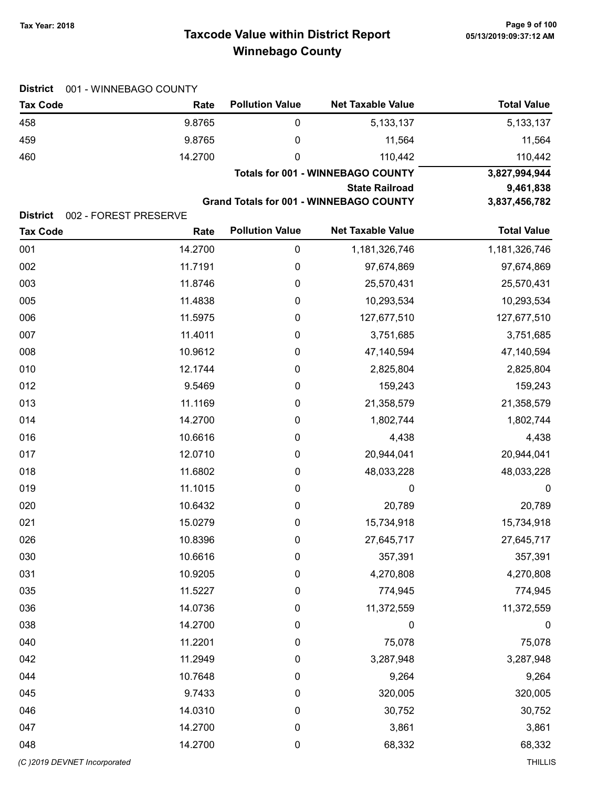# Taxcode Value within District Report Tax Year: 2018 Page 9 of 100 Winnebago County

| <b>District</b>                          | 001 - WINNEBAGO COUNTY |                        |                                                |                    |
|------------------------------------------|------------------------|------------------------|------------------------------------------------|--------------------|
| <b>Tax Code</b>                          | Rate                   | <b>Pollution Value</b> | <b>Net Taxable Value</b>                       | <b>Total Value</b> |
| 458                                      | 9.8765                 | 0                      | 5,133,137                                      | 5, 133, 137        |
| 459                                      | 9.8765                 | 0                      | 11,564                                         | 11,564             |
| 460                                      | 14.2700                | 0                      | 110,442                                        | 110,442            |
|                                          |                        |                        | <b>Totals for 001 - WINNEBAGO COUNTY</b>       | 3,827,994,944      |
|                                          |                        | 9,461,838              |                                                |                    |
| <b>District</b><br>002 - FOREST PRESERVE |                        |                        | <b>Grand Totals for 001 - WINNEBAGO COUNTY</b> | 3,837,456,782      |
| <b>Tax Code</b>                          | Rate                   | <b>Pollution Value</b> | <b>Net Taxable Value</b>                       | <b>Total Value</b> |
| 001                                      | 14.2700                | $\pmb{0}$              | 1,181,326,746                                  | 1,181,326,746      |
| 002                                      | 11.7191                | 0                      | 97,674,869                                     | 97,674,869         |
| 003                                      | 11.8746                | 0                      | 25,570,431                                     | 25,570,431         |
| 005                                      | 11.4838                | 0                      | 10,293,534                                     | 10,293,534         |
| 006                                      | 11.5975                | 0                      | 127,677,510                                    | 127,677,510        |
| 007                                      | 11.4011                | 0                      | 3,751,685                                      | 3,751,685          |
| 008                                      | 10.9612                | 0                      | 47,140,594                                     | 47,140,594         |
| 010                                      | 12.1744                | 0                      | 2,825,804                                      | 2,825,804          |
| 012                                      | 9.5469                 | 0                      | 159,243                                        | 159,243            |
| 013                                      | 11.1169                | 0                      | 21,358,579                                     | 21,358,579         |
| 014                                      | 14.2700                | 0                      | 1,802,744                                      | 1,802,744          |
| 016                                      | 10.6616                | 0                      | 4,438                                          | 4,438              |
| 017                                      | 12.0710                | 0                      | 20,944,041                                     | 20,944,041         |
| 018                                      | 11.6802                | 0                      | 48,033,228                                     | 48,033,228         |
| 019                                      | 11.1015                | 0                      | 0                                              | $\boldsymbol{0}$   |
| 020                                      | 10.6432                | 0                      | 20,789                                         | 20,789             |
| 021                                      | 15.0279                | 0                      | 15,734,918                                     | 15,734,918         |
| 026                                      | 10.8396                | 0                      | 27,645,717                                     | 27,645,717         |
| 030                                      | 10.6616                | 0                      | 357,391                                        | 357,391            |
| 031                                      | 10.9205                | 0                      | 4,270,808                                      | 4,270,808          |
| 035                                      | 11.5227                | 0                      | 774,945                                        | 774,945            |
| 036                                      | 14.0736                | 0                      | 11,372,559                                     | 11,372,559         |
| 038                                      | 14.2700                | 0                      | 0                                              | $\boldsymbol{0}$   |
| 040                                      | 11.2201                | 0                      | 75,078                                         | 75,078             |
| 042                                      | 11.2949                | 0                      | 3,287,948                                      | 3,287,948          |
| 044                                      | 10.7648                | 0                      | 9,264                                          | 9,264              |
| 045                                      | 9.7433                 | 0                      | 320,005                                        | 320,005            |
| 046                                      | 14.0310                | 0                      | 30,752                                         | 30,752             |
| 047                                      | 14.2700                | 0                      | 3,861                                          | 3,861              |
| 048                                      | 14.2700                | 0                      | 68,332                                         | 68,332             |
| (C)2019 DEVNET Incorporated              |                        |                        |                                                | <b>THILLIS</b>     |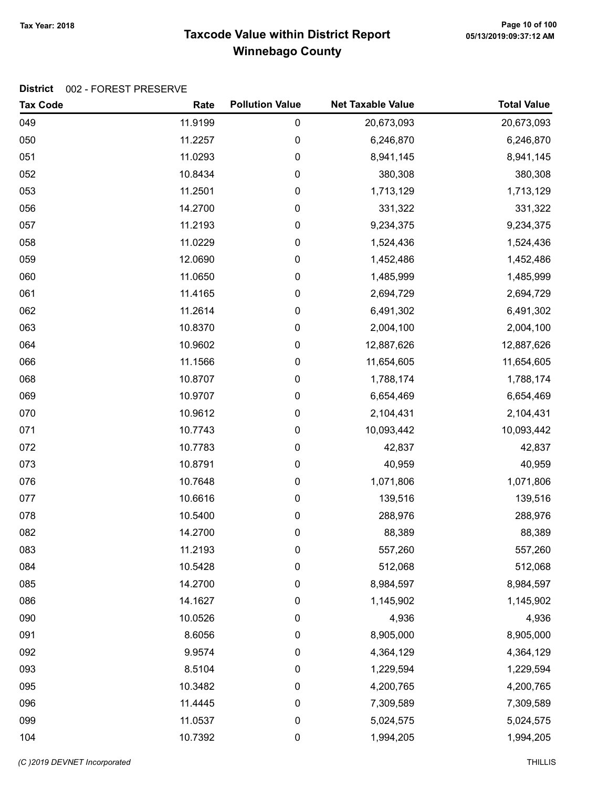# Taxcode Value within District Report Tax Year: 2018 Page 10 of 100 Winnebago County

| <b>Tax Code</b> | Rate    | <b>Pollution Value</b> | <b>Net Taxable Value</b> | <b>Total Value</b> |
|-----------------|---------|------------------------|--------------------------|--------------------|
| 049             | 11.9199 | 0                      | 20,673,093               | 20,673,093         |
| 050             | 11.2257 | 0                      | 6,246,870                | 6,246,870          |
| 051             | 11.0293 | 0                      | 8,941,145                | 8,941,145          |
| 052             | 10.8434 | 0                      | 380,308                  | 380,308            |
| 053             | 11.2501 | 0                      | 1,713,129                | 1,713,129          |
| 056             | 14.2700 | 0                      | 331,322                  | 331,322            |
| 057             | 11.2193 | 0                      | 9,234,375                | 9,234,375          |
| 058             | 11.0229 | 0                      | 1,524,436                | 1,524,436          |
| 059             | 12.0690 | 0                      | 1,452,486                | 1,452,486          |
| 060             | 11.0650 | 0                      | 1,485,999                | 1,485,999          |
| 061             | 11.4165 | 0                      | 2,694,729                | 2,694,729          |
| 062             | 11.2614 | 0                      | 6,491,302                | 6,491,302          |
| 063             | 10.8370 | 0                      | 2,004,100                | 2,004,100          |
| 064             | 10.9602 | 0                      | 12,887,626               | 12,887,626         |
| 066             | 11.1566 | 0                      | 11,654,605               | 11,654,605         |
| 068             | 10.8707 | 0                      | 1,788,174                | 1,788,174          |
| 069             | 10.9707 | 0                      | 6,654,469                | 6,654,469          |
| 070             | 10.9612 | 0                      | 2,104,431                | 2,104,431          |
| 071             | 10.7743 | 0                      | 10,093,442               | 10,093,442         |
| 072             | 10.7783 | 0                      | 42,837                   | 42,837             |
| 073             | 10.8791 | 0                      | 40,959                   | 40,959             |
| 076             | 10.7648 | 0                      | 1,071,806                | 1,071,806          |
| 077             | 10.6616 | 0                      | 139,516                  | 139,516            |
| 078             | 10.5400 | 0                      | 288,976                  | 288,976            |
| 082             | 14.2700 | 0                      | 88,389                   | 88,389             |
| 083             | 11.2193 | 0                      | 557,260                  | 557,260            |
| 084             | 10.5428 | 0                      | 512,068                  | 512,068            |
| 085             | 14.2700 | 0                      | 8,984,597                | 8,984,597          |
| 086             | 14.1627 | 0                      | 1,145,902                | 1,145,902          |
| 090             | 10.0526 | 0                      | 4,936                    | 4,936              |
| 091             | 8.6056  | 0                      | 8,905,000                | 8,905,000          |
| 092             | 9.9574  | 0                      | 4,364,129                | 4,364,129          |
| 093             | 8.5104  | 0                      | 1,229,594                | 1,229,594          |
| 095             | 10.3482 | 0                      | 4,200,765                | 4,200,765          |
| 096             | 11.4445 | 0                      | 7,309,589                | 7,309,589          |
| 099             | 11.0537 | 0                      | 5,024,575                | 5,024,575          |
| 104             | 10.7392 | 0                      | 1,994,205                | 1,994,205          |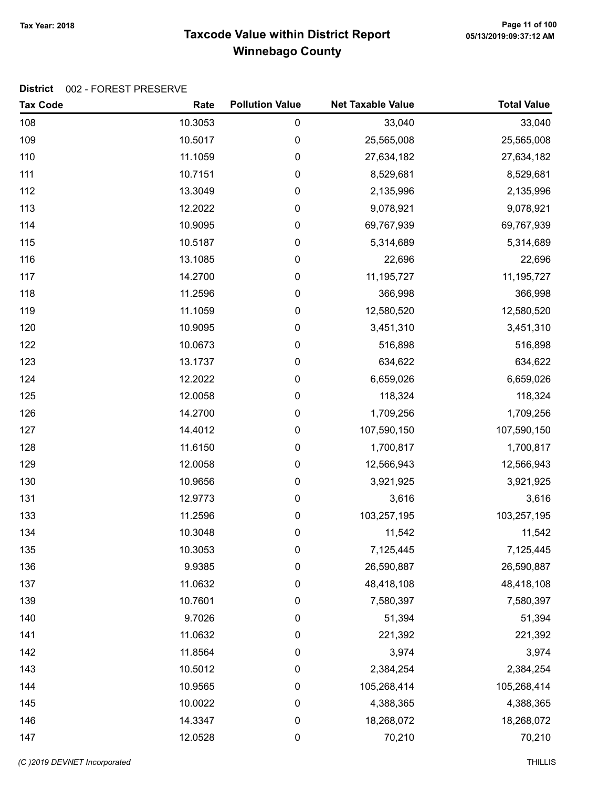# Taxcode Value within District Report Tax Year: 2018 Page 11 of 100 Winnebago County

| <b>Tax Code</b> | Rate    | <b>Pollution Value</b> | <b>Net Taxable Value</b> | <b>Total Value</b> |
|-----------------|---------|------------------------|--------------------------|--------------------|
| 108             | 10.3053 | 0                      | 33,040                   | 33,040             |
| 109             | 10.5017 | 0                      | 25,565,008               | 25,565,008         |
| 110             | 11.1059 | 0                      | 27,634,182               | 27,634,182         |
| 111             | 10.7151 | 0                      | 8,529,681                | 8,529,681          |
| 112             | 13.3049 | 0                      | 2,135,996                | 2,135,996          |
| 113             | 12.2022 | $\boldsymbol{0}$       | 9,078,921                | 9,078,921          |
| 114             | 10.9095 | $\pmb{0}$              | 69,767,939               | 69,767,939         |
| 115             | 10.5187 | $\boldsymbol{0}$       | 5,314,689                | 5,314,689          |
| 116             | 13.1085 | 0                      | 22,696                   | 22,696             |
| 117             | 14.2700 | 0                      | 11,195,727               | 11,195,727         |
| 118             | 11.2596 | 0                      | 366,998                  | 366,998            |
| 119             | 11.1059 | 0                      | 12,580,520               | 12,580,520         |
| 120             | 10.9095 | $\boldsymbol{0}$       | 3,451,310                | 3,451,310          |
| 122             | 10.0673 | $\boldsymbol{0}$       | 516,898                  | 516,898            |
| 123             | 13.1737 | $\boldsymbol{0}$       | 634,622                  | 634,622            |
| 124             | 12.2022 | 0                      | 6,659,026                | 6,659,026          |
| 125             | 12.0058 | 0                      | 118,324                  | 118,324            |
| 126             | 14.2700 | 0                      | 1,709,256                | 1,709,256          |
| 127             | 14.4012 | 0                      | 107,590,150              | 107,590,150        |
| 128             | 11.6150 | 0                      | 1,700,817                | 1,700,817          |
| 129             | 12.0058 | $\boldsymbol{0}$       | 12,566,943               | 12,566,943         |
| 130             | 10.9656 | $\boldsymbol{0}$       | 3,921,925                | 3,921,925          |
| 131             | 12.9773 | 0                      | 3,616                    | 3,616              |
| 133             | 11.2596 | $\pmb{0}$              | 103,257,195              | 103,257,195        |
| 134             | 10.3048 | 0                      | 11,542                   | 11,542             |
| 135             | 10.3053 | 0                      | 7,125,445                | 7,125,445          |
| 136             | 9.9385  | 0                      | 26,590,887               | 26,590,887         |
| 137             | 11.0632 | $\boldsymbol{0}$       | 48,418,108               | 48,418,108         |
| 139             | 10.7601 | 0                      | 7,580,397                | 7,580,397          |
| 140             | 9.7026  | 0                      | 51,394                   | 51,394             |
| 141             | 11.0632 | 0                      | 221,392                  | 221,392            |
| 142             | 11.8564 | 0                      | 3,974                    | 3,974              |
| 143             | 10.5012 | 0                      | 2,384,254                | 2,384,254          |
| 144             | 10.9565 | 0                      | 105,268,414              | 105,268,414        |
| 145             | 10.0022 | 0                      | 4,388,365                | 4,388,365          |
| 146             | 14.3347 | $\boldsymbol{0}$       | 18,268,072               | 18,268,072         |
| 147             | 12.0528 | $\pmb{0}$              | 70,210                   | 70,210             |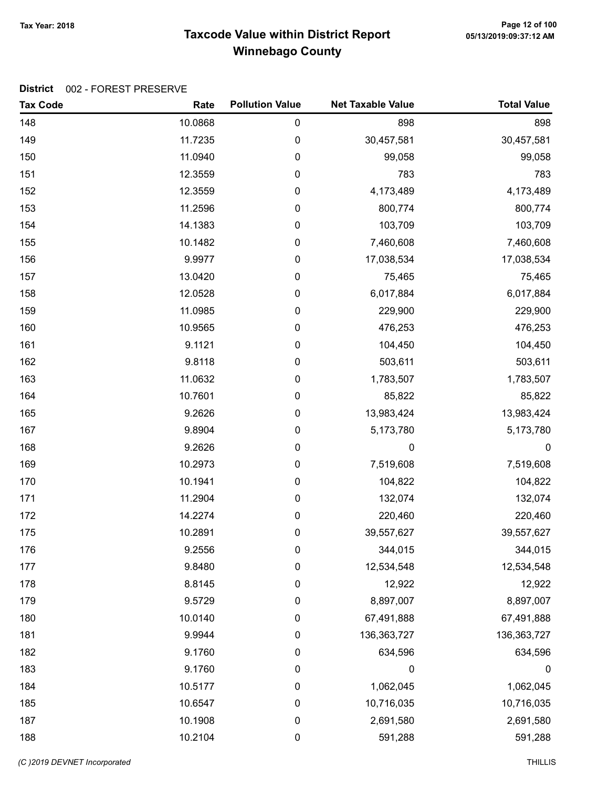# Taxcode Value within District Report Tax Year: 2018 Page 12 of 100 Winnebago County

| <b>Tax Code</b> | Rate    | <b>Pollution Value</b> | <b>Net Taxable Value</b> | <b>Total Value</b> |
|-----------------|---------|------------------------|--------------------------|--------------------|
| 148             | 10.0868 | $\pmb{0}$              | 898                      | 898                |
| 149             | 11.7235 | 0                      | 30,457,581               | 30,457,581         |
| 150             | 11.0940 | $\pmb{0}$              | 99,058                   | 99,058             |
| 151             | 12.3559 | $\pmb{0}$              | 783                      | 783                |
| 152             | 12.3559 | 0                      | 4,173,489                | 4,173,489          |
| 153             | 11.2596 | $\pmb{0}$              | 800,774                  | 800,774            |
| 154             | 14.1383 | $\pmb{0}$              | 103,709                  | 103,709            |
| 155             | 10.1482 | $\pmb{0}$              | 7,460,608                | 7,460,608          |
| 156             | 9.9977  | 0                      | 17,038,534               | 17,038,534         |
| 157             | 13.0420 | $\pmb{0}$              | 75,465                   | 75,465             |
| 158             | 12.0528 | $\pmb{0}$              | 6,017,884                | 6,017,884          |
| 159             | 11.0985 | 0                      | 229,900                  | 229,900            |
| 160             | 10.9565 | $\pmb{0}$              | 476,253                  | 476,253            |
| 161             | 9.1121  | $\pmb{0}$              | 104,450                  | 104,450            |
| 162             | 9.8118  | $\pmb{0}$              | 503,611                  | 503,611            |
| 163             | 11.0632 | 0                      | 1,783,507                | 1,783,507          |
| 164             | 10.7601 | $\pmb{0}$              | 85,822                   | 85,822             |
| 165             | 9.2626  | $\pmb{0}$              | 13,983,424               | 13,983,424         |
| 167             | 9.8904  | 0                      | 5,173,780                | 5,173,780          |
| 168             | 9.2626  | $\pmb{0}$              | $\mathbf 0$              | $\boldsymbol{0}$   |
| 169             | 10.2973 | $\pmb{0}$              | 7,519,608                | 7,519,608          |
| 170             | 10.1941 | $\pmb{0}$              | 104,822                  | 104,822            |
| 171             | 11.2904 | $\pmb{0}$              | 132,074                  | 132,074            |
| 172             | 14.2274 | $\pmb{0}$              | 220,460                  | 220,460            |
| 175             | 10.2891 | $\pmb{0}$              | 39,557,627               | 39,557,627         |
| 176             | 9.2556  | 0                      | 344,015                  | 344,015            |
| 177             | 9.8480  | $\pmb{0}$              | 12,534,548               | 12,534,548         |
| 178             | 8.8145  | $\pmb{0}$              | 12,922                   | 12,922             |
| 179             | 9.5729  | $\boldsymbol{0}$       | 8,897,007                | 8,897,007          |
| 180             | 10.0140 | $\mathbf 0$            | 67,491,888               | 67,491,888         |
| 181             | 9.9944  | $\boldsymbol{0}$       | 136, 363, 727            | 136, 363, 727      |
| 182             | 9.1760  | $\pmb{0}$              | 634,596                  | 634,596            |
| 183             | 9.1760  | $\pmb{0}$              | 0                        | $\boldsymbol{0}$   |
| 184             | 10.5177 | $\boldsymbol{0}$       | 1,062,045                | 1,062,045          |
| 185             | 10.6547 | $\boldsymbol{0}$       | 10,716,035               | 10,716,035         |
| 187             | 10.1908 | $\pmb{0}$              | 2,691,580                | 2,691,580          |
| 188             | 10.2104 | $\pmb{0}$              | 591,288                  | 591,288            |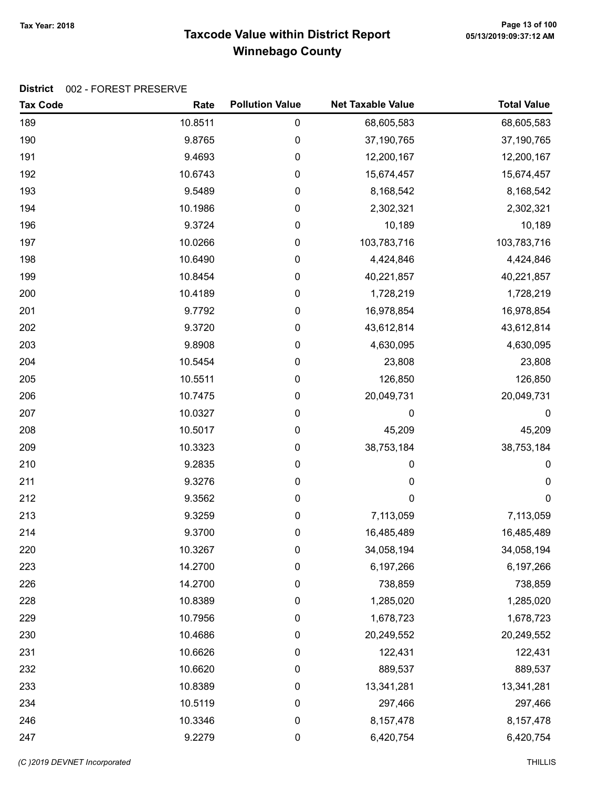# Taxcode Value within District Report Tax Year: 2018 Page 13 of 100 Winnebago County

| <b>Tax Code</b> | Rate    | <b>Pollution Value</b> | <b>Net Taxable Value</b> | <b>Total Value</b> |
|-----------------|---------|------------------------|--------------------------|--------------------|
| 189             | 10.8511 | $\pmb{0}$              | 68,605,583               | 68,605,583         |
| 190             | 9.8765  | 0                      | 37,190,765               | 37,190,765         |
| 191             | 9.4693  | $\pmb{0}$              | 12,200,167               | 12,200,167         |
| 192             | 10.6743 | 0                      | 15,674,457               | 15,674,457         |
| 193             | 9.5489  | 0                      | 8,168,542                | 8,168,542          |
| 194             | 10.1986 | $\pmb{0}$              | 2,302,321                | 2,302,321          |
| 196             | 9.3724  | 0                      | 10,189                   | 10,189             |
| 197             | 10.0266 | $\pmb{0}$              | 103,783,716              | 103,783,716        |
| 198             | 10.6490 | 0                      | 4,424,846                | 4,424,846          |
| 199             | 10.8454 | $\pmb{0}$              | 40,221,857               | 40,221,857         |
| 200             | 10.4189 | 0                      | 1,728,219                | 1,728,219          |
| 201             | 9.7792  | 0                      | 16,978,854               | 16,978,854         |
| 202             | 9.3720  | $\pmb{0}$              | 43,612,814               | 43,612,814         |
| 203             | 9.8908  | 0                      | 4,630,095                | 4,630,095          |
| 204             | 10.5454 | $\pmb{0}$              | 23,808                   | 23,808             |
| 205             | 10.5511 | 0                      | 126,850                  | 126,850            |
| 206             | 10.7475 | $\pmb{0}$              | 20,049,731               | 20,049,731         |
| 207             | 10.0327 | 0                      | 0                        | 0                  |
| 208             | 10.5017 | 0                      | 45,209                   | 45,209             |
| 209             | 10.3323 | 0                      | 38,753,184               | 38,753,184         |
| 210             | 9.2835  | 0                      | 0                        | 0                  |
| 211             | 9.3276  | $\pmb{0}$              | 0                        | 0                  |
| 212             | 9.3562  | 0                      | 0                        | $\boldsymbol{0}$   |
| 213             | 9.3259  | $\pmb{0}$              | 7,113,059                | 7,113,059          |
| 214             | 9.3700  | 0                      | 16,485,489               | 16,485,489         |
| 220             | 10.3267 | 0                      | 34,058,194               | 34,058,194         |
| 223             | 14.2700 | 0                      | 6,197,266                | 6,197,266          |
| 226             | 14.2700 | $\pmb{0}$              | 738,859                  | 738,859            |
| 228             | 10.8389 | 0                      | 1,285,020                | 1,285,020          |
| 229             | 10.7956 | $\mathbf 0$            | 1,678,723                | 1,678,723          |
| 230             | 10.4686 | $\boldsymbol{0}$       | 20,249,552               | 20,249,552         |
| 231             | 10.6626 | $\pmb{0}$              | 122,431                  | 122,431            |
| 232             | 10.6620 | $\pmb{0}$              | 889,537                  | 889,537            |
| 233             | 10.8389 | 0                      | 13,341,281               | 13,341,281         |
| 234             | 10.5119 | $\boldsymbol{0}$       | 297,466                  | 297,466            |
| 246             | 10.3346 | $\boldsymbol{0}$       | 8,157,478                | 8, 157, 478        |
| 247             | 9.2279  | $\pmb{0}$              | 6,420,754                | 6,420,754          |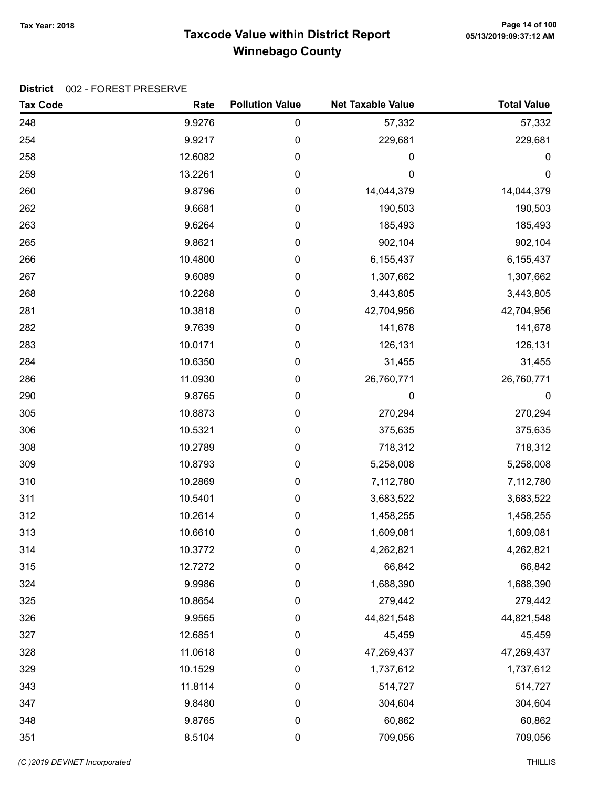# Taxcode Value within District Report Tax Year: 2018 Page 14 of 100 Winnebago County

| <b>Tax Code</b> | Rate    | <b>Pollution Value</b> | <b>Net Taxable Value</b> | <b>Total Value</b> |
|-----------------|---------|------------------------|--------------------------|--------------------|
| 248             | 9.9276  | 0                      | 57,332                   | 57,332             |
| 254             | 9.9217  | 0                      | 229,681                  | 229,681            |
| 258             | 12.6082 | 0                      | 0                        | 0                  |
| 259             | 13.2261 | 0                      | 0                        | $\mathbf 0$        |
| 260             | 9.8796  | 0                      | 14,044,379               | 14,044,379         |
| 262             | 9.6681  | 0                      | 190,503                  | 190,503            |
| 263             | 9.6264  | 0                      | 185,493                  | 185,493            |
| 265             | 9.8621  | 0                      | 902,104                  | 902,104            |
| 266             | 10.4800 | 0                      | 6,155,437                | 6,155,437          |
| 267             | 9.6089  | 0                      | 1,307,662                | 1,307,662          |
| 268             | 10.2268 | 0                      | 3,443,805                | 3,443,805          |
| 281             | 10.3818 | 0                      | 42,704,956               | 42,704,956         |
| 282             | 9.7639  | 0                      | 141,678                  | 141,678            |
| 283             | 10.0171 | 0                      | 126,131                  | 126,131            |
| 284             | 10.6350 | 0                      | 31,455                   | 31,455             |
| 286             | 11.0930 | 0                      | 26,760,771               | 26,760,771         |
| 290             | 9.8765  | 0                      | 0                        | $\pmb{0}$          |
| 305             | 10.8873 | 0                      | 270,294                  | 270,294            |
| 306             | 10.5321 | 0                      | 375,635                  | 375,635            |
| 308             | 10.2789 | 0                      | 718,312                  | 718,312            |
| 309             | 10.8793 | 0                      | 5,258,008                | 5,258,008          |
| 310             | 10.2869 | 0                      | 7,112,780                | 7,112,780          |
| 311             | 10.5401 | 0                      | 3,683,522                | 3,683,522          |
| 312             | 10.2614 | 0                      | 1,458,255                | 1,458,255          |
| 313             | 10.6610 | 0                      | 1,609,081                | 1,609,081          |
| 314             | 10.3772 | 0                      | 4,262,821                | 4,262,821          |
| 315             | 12.7272 | 0                      | 66,842                   | 66,842             |
| 324             | 9.9986  | 0                      | 1,688,390                | 1,688,390          |
| 325             | 10.8654 | 0                      | 279,442                  | 279,442            |
| 326             | 9.9565  | 0                      | 44,821,548               | 44,821,548         |
| 327             | 12.6851 | $\pmb{0}$              | 45,459                   | 45,459             |
| 328             | 11.0618 | $\pmb{0}$              | 47,269,437               | 47,269,437         |
| 329             | 10.1529 | 0                      | 1,737,612                | 1,737,612          |
| 343             | 11.8114 | 0                      | 514,727                  | 514,727            |
| 347             | 9.8480  | $\boldsymbol{0}$       | 304,604                  | 304,604            |
| 348             | 9.8765  | $\pmb{0}$              | 60,862                   | 60,862             |
| 351             | 8.5104  | 0                      | 709,056                  | 709,056            |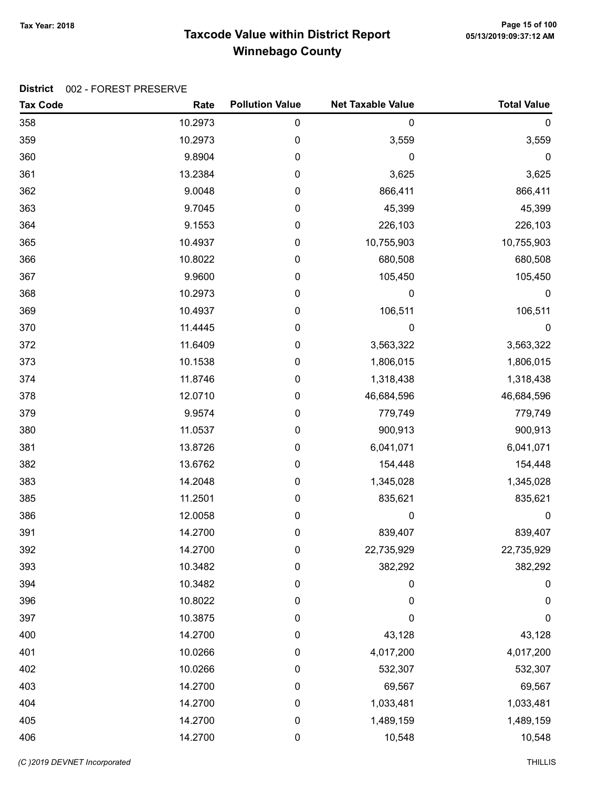# Taxcode Value within District Report Tax Year: 2018 Page 15 of 100 Winnebago County

| <b>Tax Code</b> | Rate    | <b>Pollution Value</b> | <b>Net Taxable Value</b> | <b>Total Value</b> |
|-----------------|---------|------------------------|--------------------------|--------------------|
| 358             | 10.2973 | 0                      | 0                        | $\boldsymbol{0}$   |
| 359             | 10.2973 | 0                      | 3,559                    | 3,559              |
| 360             | 9.8904  | 0                      | 0                        | $\pmb{0}$          |
| 361             | 13.2384 | 0                      | 3,625                    | 3,625              |
| 362             | 9.0048  | 0                      | 866,411                  | 866,411            |
| 363             | 9.7045  | 0                      | 45,399                   | 45,399             |
| 364             | 9.1553  | 0                      | 226,103                  | 226,103            |
| 365             | 10.4937 | 0                      | 10,755,903               | 10,755,903         |
| 366             | 10.8022 | 0                      | 680,508                  | 680,508            |
| 367             | 9.9600  | 0                      | 105,450                  | 105,450            |
| 368             | 10.2973 | 0                      | 0                        | $\boldsymbol{0}$   |
| 369             | 10.4937 | 0                      | 106,511                  | 106,511            |
| 370             | 11.4445 | 0                      | $\mathbf 0$              | $\boldsymbol{0}$   |
| 372             | 11.6409 | 0                      | 3,563,322                | 3,563,322          |
| 373             | 10.1538 | 0                      | 1,806,015                | 1,806,015          |
| 374             | 11.8746 | 0                      | 1,318,438                | 1,318,438          |
| 378             | 12.0710 | 0                      | 46,684,596               | 46,684,596         |
| 379             | 9.9574  | 0                      | 779,749                  | 779,749            |
| 380             | 11.0537 | 0                      | 900,913                  | 900,913            |
| 381             | 13.8726 | 0                      | 6,041,071                | 6,041,071          |
| 382             | 13.6762 | 0                      | 154,448                  | 154,448            |
| 383             | 14.2048 | 0                      | 1,345,028                | 1,345,028          |
| 385             | 11.2501 | 0                      | 835,621                  | 835,621            |
| 386             | 12.0058 | 0                      | $\mathbf 0$              | $\mathbf 0$        |
| 391             | 14.2700 | 0                      | 839,407                  | 839,407            |
| 392             | 14.2700 | 0                      | 22,735,929               | 22,735,929         |
| 393             | 10.3482 | 0                      | 382,292                  | 382,292            |
| 394             | 10.3482 | 0                      | 0                        | $\boldsymbol{0}$   |
| 396             | 10.8022 | 0                      | 0                        | 0                  |
| 397             | 10.3875 | 0                      | 0                        | $\mathbf 0$        |
| 400             | 14.2700 | $\boldsymbol{0}$       | 43,128                   | 43,128             |
| 401             | 10.0266 | 0                      | 4,017,200                | 4,017,200          |
| 402             | 10.0266 | 0                      | 532,307                  | 532,307            |
| 403             | 14.2700 | 0                      | 69,567                   | 69,567             |
| 404             | 14.2700 | 0                      | 1,033,481                | 1,033,481          |
| 405             | 14.2700 | $\pmb{0}$              | 1,489,159                | 1,489,159          |
| 406             | 14.2700 | 0                      | 10,548                   | 10,548             |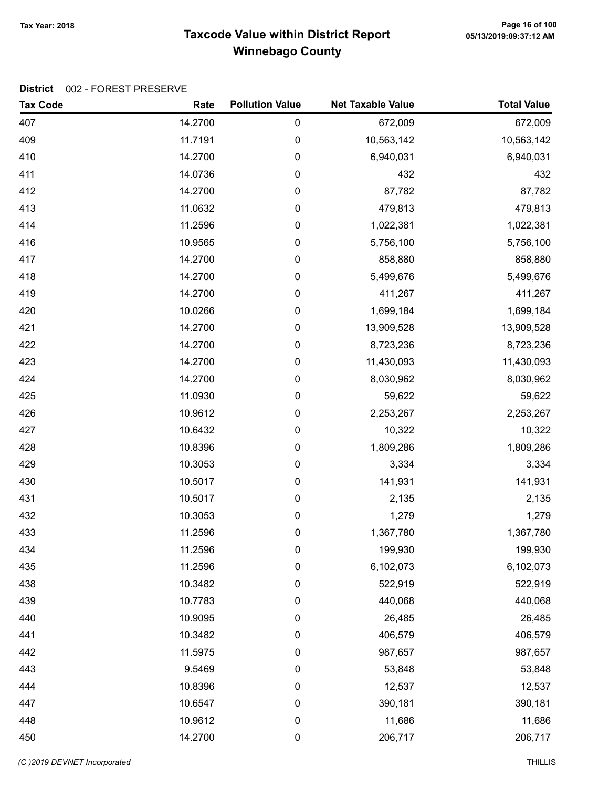# Taxcode Value within District Report Tax Year: 2018 Page 16 of 100 Winnebago County

| <b>Tax Code</b> | Rate    | <b>Pollution Value</b> | <b>Net Taxable Value</b> | <b>Total Value</b> |
|-----------------|---------|------------------------|--------------------------|--------------------|
| 407             | 14.2700 | 0                      | 672,009                  | 672,009            |
| 409             | 11.7191 | 0                      | 10,563,142               | 10,563,142         |
| 410             | 14.2700 | $\pmb{0}$              | 6,940,031                | 6,940,031          |
| 411             | 14.0736 | 0                      | 432                      | 432                |
| 412             | 14.2700 | 0                      | 87,782                   | 87,782             |
| 413             | 11.0632 | 0                      | 479,813                  | 479,813            |
| 414             | 11.2596 | 0                      | 1,022,381                | 1,022,381          |
| 416             | 10.9565 | 0                      | 5,756,100                | 5,756,100          |
| 417             | 14.2700 | 0                      | 858,880                  | 858,880            |
| 418             | 14.2700 | $\pmb{0}$              | 5,499,676                | 5,499,676          |
| 419             | 14.2700 | 0                      | 411,267                  | 411,267            |
| 420             | 10.0266 | 0                      | 1,699,184                | 1,699,184          |
| 421             | 14.2700 | 0                      | 13,909,528               | 13,909,528         |
| 422             | 14.2700 | 0                      | 8,723,236                | 8,723,236          |
| 423             | 14.2700 | 0                      | 11,430,093               | 11,430,093         |
| 424             | 14.2700 | 0                      | 8,030,962                | 8,030,962          |
| 425             | 11.0930 | $\pmb{0}$              | 59,622                   | 59,622             |
| 426             | 10.9612 | 0                      | 2,253,267                | 2,253,267          |
| 427             | 10.6432 | 0                      | 10,322                   | 10,322             |
| 428             | 10.8396 | 0                      | 1,809,286                | 1,809,286          |
| 429             | 10.3053 | $\pmb{0}$              | 3,334                    | 3,334              |
| 430             | 10.5017 | 0                      | 141,931                  | 141,931            |
| 431             | 10.5017 | 0                      | 2,135                    | 2,135              |
| 432             | 10.3053 | 0                      | 1,279                    | 1,279              |
| 433             | 11.2596 | 0                      | 1,367,780                | 1,367,780          |
| 434             | 11.2596 | 0                      | 199,930                  | 199,930            |
| 435             | 11.2596 | 0                      | 6,102,073                | 6,102,073          |
| 438             | 10.3482 | 0                      | 522,919                  | 522,919            |
| 439             | 10.7783 | 0                      | 440,068                  | 440,068            |
| 440             | 10.9095 | 0                      | 26,485                   | 26,485             |
| 441             | 10.3482 | 0                      | 406,579                  | 406,579            |
| 442             | 11.5975 | 0                      | 987,657                  | 987,657            |
| 443             | 9.5469  | 0                      | 53,848                   | 53,848             |
| 444             | 10.8396 | 0                      | 12,537                   | 12,537             |
| 447             | 10.6547 | 0                      | 390,181                  | 390,181            |
| 448             | 10.9612 | 0                      | 11,686                   | 11,686             |
| 450             | 14.2700 | 0                      | 206,717                  | 206,717            |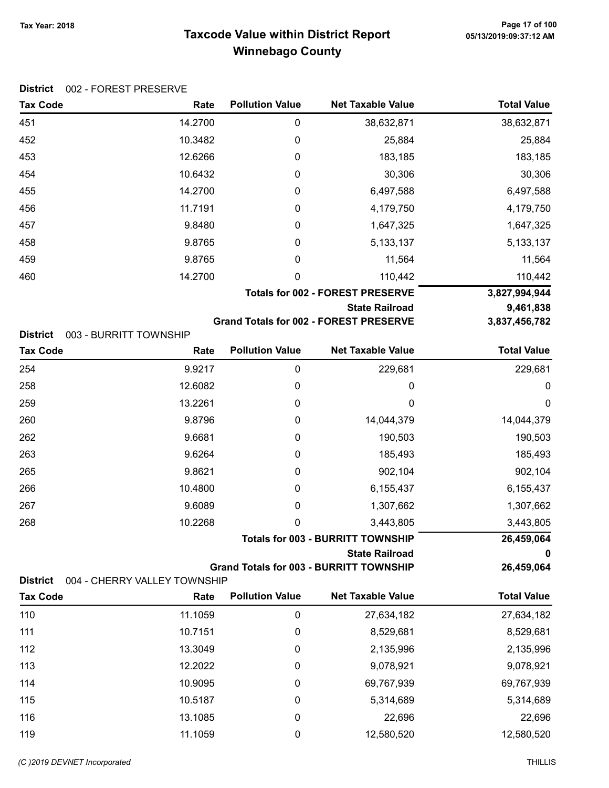### Taxcode Value within District Report Tax Year: 2018 Page 17 of 100 Winnebago County

| <b>Tax Code</b> | Rate                   | <b>Pollution Value</b> | <b>Net Taxable Value</b>                      | <b>Total Value</b> |
|-----------------|------------------------|------------------------|-----------------------------------------------|--------------------|
| 451             | 14.2700                | 0                      | 38,632,871                                    | 38,632,871         |
| 452             | 10.3482                | 0                      | 25,884                                        | 25,884             |
| 453             | 12.6266                | 0                      | 183,185                                       | 183,185            |
| 454             | 10.6432                | 0                      | 30,306                                        | 30,306             |
| 455             | 14.2700                | 0                      | 6,497,588                                     | 6,497,588          |
| 456             | 11.7191                | 0                      | 4,179,750                                     | 4,179,750          |
| 457             | 9.8480                 | 0                      | 1,647,325                                     | 1,647,325          |
| 458             | 9.8765                 | 0                      | 5,133,137                                     | 5, 133, 137        |
| 459             | 9.8765                 | 0                      | 11,564                                        | 11,564             |
| 460             | 14.2700                | 0                      | 110,442                                       | 110,442            |
|                 |                        |                        | <b>Totals for 002 - FOREST PRESERVE</b>       | 3,827,994,944      |
|                 |                        |                        | <b>State Railroad</b>                         | 9,461,838          |
|                 |                        |                        | <b>Grand Totals for 002 - FOREST PRESERVE</b> | 3,837,456,782      |
| <b>District</b> | 003 - BURRITT TOWNSHIP |                        |                                               |                    |

| <b>Tax Code</b> | Rate                         | <b>Pollution Value</b> | <b>Net Taxable Value</b>                       | <b>Total Value</b> |
|-----------------|------------------------------|------------------------|------------------------------------------------|--------------------|
| 254             | 9.9217                       | 0                      | 229,681                                        | 229,681            |
| 258             | 12.6082                      | 0                      | 0                                              | 0                  |
| 259             | 13.2261                      | 0                      | 0                                              | 0                  |
| 260             | 9.8796                       | 0                      | 14,044,379                                     | 14,044,379         |
| 262             | 9.6681                       | $\mathbf 0$            | 190,503                                        | 190,503            |
| 263             | 9.6264                       | 0                      | 185,493                                        | 185,493            |
| 265             | 9.8621                       | $\mathbf 0$            | 902,104                                        | 902,104            |
| 266             | 10.4800                      | $\mathbf 0$            | 6,155,437                                      | 6,155,437          |
| 267             | 9.6089                       | 0                      | 1,307,662                                      | 1,307,662          |
| 268             | 10.2268                      | 0                      | 3,443,805                                      | 3,443,805          |
|                 |                              |                        | <b>Totals for 003 - BURRITT TOWNSHIP</b>       | 26,459,064         |
|                 |                              |                        | <b>State Railroad</b>                          | 0                  |
| <b>District</b> | 004 - CHERRY VALLEY TOWNSHIP |                        | <b>Grand Totals for 003 - BURRITT TOWNSHIP</b> | 26,459,064         |
| <b>Tax Code</b> | Rate                         | <b>Pollution Value</b> | <b>Net Taxable Value</b>                       | <b>Total Value</b> |
| 110             | 11.1059                      |                        |                                                |                    |
|                 |                              | 0                      | 27,634,182                                     | 27,634,182         |
| 111             | 10.7151                      | 0                      | 8,529,681                                      | 8,529,681          |
| 112             | 13.3049                      | 0                      | 2,135,996                                      | 2,135,996          |
| 113             | 12.2022                      | 0                      | 9,078,921                                      | 9,078,921          |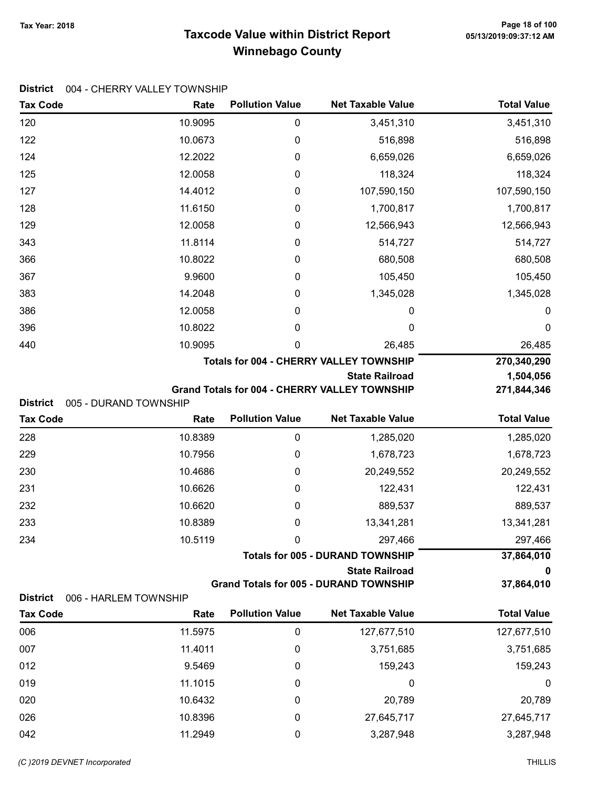### Taxcode Value within District Report Tax Year: 2018 Page 18 of 100 Winnebago County

### District 004 - CHERRY VALLEY TOWNSHIP

| <b>Tax Code</b> | Rate                  | <b>Pollution Value</b>                         | <b>Net Taxable Value</b>                             | <b>Total Value</b> |  |  |
|-----------------|-----------------------|------------------------------------------------|------------------------------------------------------|--------------------|--|--|
| 120             | 10.9095               | 0                                              | 3,451,310                                            | 3,451,310          |  |  |
| 122             | 10.0673               | 0                                              | 516,898                                              | 516,898            |  |  |
| 124             | 12.2022               | 0                                              | 6,659,026                                            | 6,659,026          |  |  |
| 125             | 12.0058               | 0                                              | 118,324                                              | 118,324            |  |  |
| 127             | 14.4012               | 0                                              | 107,590,150                                          | 107,590,150        |  |  |
| 128             | 11.6150               | 0                                              | 1,700,817                                            | 1,700,817          |  |  |
| 129             | 12.0058               | 0                                              | 12,566,943                                           | 12,566,943         |  |  |
| 343             | 11.8114               | 0                                              | 514,727                                              | 514,727            |  |  |
| 366             | 10.8022               | 0                                              | 680,508                                              | 680,508            |  |  |
| 367             | 9.9600                | 0                                              | 105,450                                              | 105,450            |  |  |
| 383             | 14.2048               | 0                                              | 1,345,028                                            | 1,345,028          |  |  |
| 386             | 12.0058               | 0                                              | 0                                                    | 0                  |  |  |
| 396             | 10.8022               | 0                                              | 0                                                    | $\boldsymbol{0}$   |  |  |
| 440             | 10.9095               | 0                                              | 26,485                                               | 26,485             |  |  |
|                 |                       | <b>Totals for 004 - CHERRY VALLEY TOWNSHIP</b> |                                                      |                    |  |  |
|                 | 1,504,056             |                                                |                                                      |                    |  |  |
| <b>District</b> | 005 - DURAND TOWNSHIP |                                                | <b>Grand Totals for 004 - CHERRY VALLEY TOWNSHIP</b> | 271,844,346        |  |  |
| <b>Tax Code</b> | Rate                  | <b>Pollution Value</b>                         | <b>Net Taxable Value</b>                             | <b>Total Value</b> |  |  |
| 228             | 10.8389               | $\pmb{0}$                                      | 1,285,020                                            | 1,285,020          |  |  |
| 229             | 10.7956               | 0                                              | 1,678,723                                            | 1,678,723          |  |  |
| 230             | 10.4686               | 0                                              | 20,249,552                                           | 20,249,552         |  |  |
| 231             | 10.6626               | 0                                              | 122,431                                              | 122,431            |  |  |
| 232             | 10.6620               | 0                                              | 889,537                                              | 889,537            |  |  |
| 233             | 10.8389               | 0                                              | 13,341,281                                           | 13,341,281         |  |  |
| 234             | 10.5119               | 0                                              | 297,466                                              | 297,466            |  |  |
|                 |                       |                                                | <b>Totals for 005 - DURAND TOWNSHIP</b>              | 37,864,010         |  |  |
|                 |                       |                                                | <b>State Railroad</b>                                | 0                  |  |  |
|                 |                       |                                                | <b>Grand Totals for 005 - DURAND TOWNSHIP</b>        | 37,864,010         |  |  |
| <b>District</b> | 006 - HARLEM TOWNSHIP | <b>Pollution Value</b>                         | <b>Net Taxable Value</b>                             | <b>Total Value</b> |  |  |
| <b>Tax Code</b> | Rate                  |                                                |                                                      |                    |  |  |
| 006             | 11.5975               | 0                                              | 127,677,510                                          | 127,677,510        |  |  |
| 007             | 11.4011               | 0                                              | 3,751,685                                            | 3,751,685          |  |  |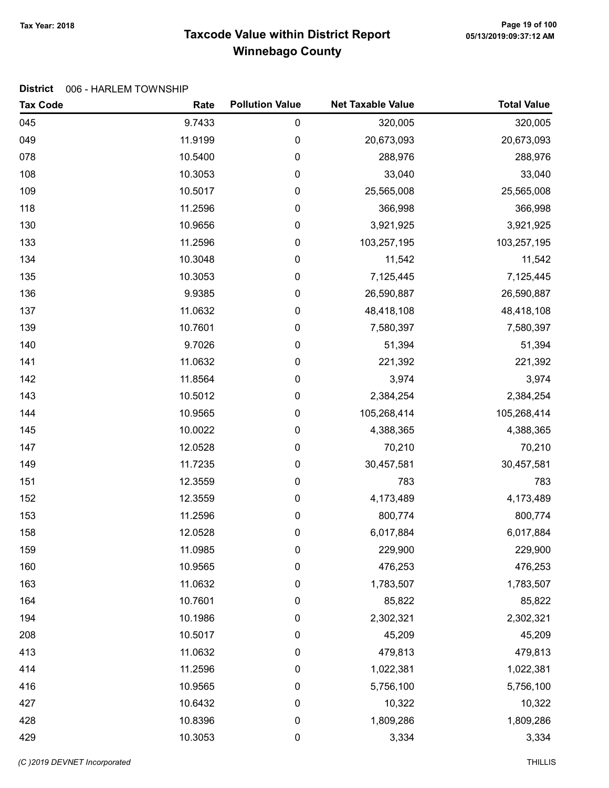# Taxcode Value within District Report Tax Year: 2018 Page 19 of 100 Winnebago County

#### District 006 - HARLEM TOWNSHIP

| <b>Tax Code</b> | Rate    | <b>Pollution Value</b> | <b>Net Taxable Value</b> | <b>Total Value</b> |
|-----------------|---------|------------------------|--------------------------|--------------------|
| 045             | 9.7433  | 0                      | 320,005                  | 320,005            |
| 049             | 11.9199 | 0                      | 20,673,093               | 20,673,093         |
| 078             | 10.5400 | 0                      | 288,976                  | 288,976            |
| 108             | 10.3053 | 0                      | 33,040                   | 33,040             |
| 109             | 10.5017 | 0                      | 25,565,008               | 25,565,008         |
| 118             | 11.2596 | $\boldsymbol{0}$       | 366,998                  | 366,998            |
| 130             | 10.9656 | 0                      | 3,921,925                | 3,921,925          |
| 133             | 11.2596 | $\boldsymbol{0}$       | 103,257,195              | 103,257,195        |
| 134             | 10.3048 | 0                      | 11,542                   | 11,542             |
| 135             | 10.3053 | 0                      | 7,125,445                | 7,125,445          |
| 136             | 9.9385  | 0                      | 26,590,887               | 26,590,887         |
| 137             | 11.0632 | 0                      | 48,418,108               | 48,418,108         |
| 139             | 10.7601 | 0                      | 7,580,397                | 7,580,397          |
| 140             | 9.7026  | 0                      | 51,394                   | 51,394             |
| 141             | 11.0632 | $\boldsymbol{0}$       | 221,392                  | 221,392            |
| 142             | 11.8564 | 0                      | 3,974                    | 3,974              |
| 143             | 10.5012 | 0                      | 2,384,254                | 2,384,254          |
| 144             | 10.9565 | 0                      | 105,268,414              | 105,268,414        |
| 145             | 10.0022 | 0                      | 4,388,365                | 4,388,365          |
| 147             | 12.0528 | 0                      | 70,210                   | 70,210             |
| 149             | 11.7235 | $\boldsymbol{0}$       | 30,457,581               | 30,457,581         |
| 151             | 12.3559 | $\boldsymbol{0}$       | 783                      | 783                |
| 152             | 12.3559 | 0                      | 4,173,489                | 4,173,489          |
| 153             | 11.2596 | $\pmb{0}$              | 800,774                  | 800,774            |
| 158             | 12.0528 | 0                      | 6,017,884                | 6,017,884          |
| 159             | 11.0985 | 0                      | 229,900                  | 229,900            |
| 160             | 10.9565 | 0                      | 476,253                  | 476,253            |
| 163             | 11.0632 | $\boldsymbol{0}$       | 1,783,507                | 1,783,507          |
| 164             | 10.7601 | 0                      | 85,822                   | 85,822             |
| 194             | 10.1986 | 0                      | 2,302,321                | 2,302,321          |
| 208             | 10.5017 | 0                      | 45,209                   | 45,209             |
| 413             | 11.0632 | $\pmb{0}$              | 479,813                  | 479,813            |
| 414             | 11.2596 | 0                      | 1,022,381                | 1,022,381          |
| 416             | 10.9565 | 0                      | 5,756,100                | 5,756,100          |
| 427             | 10.6432 | 0                      | 10,322                   | 10,322             |
| 428             | 10.8396 | $\boldsymbol{0}$       | 1,809,286                | 1,809,286          |
| 429             | 10.3053 | $\boldsymbol{0}$       | 3,334                    | 3,334              |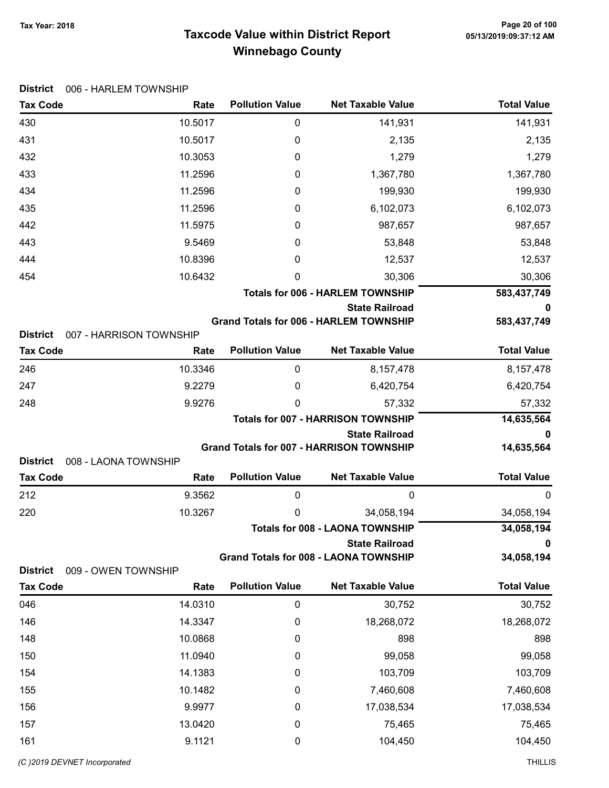# Taxcode Value within District Report Tax Year: 2018 Page 20 of 100 Winnebago County

Tax Code **Rate Pollution Value** Net Taxable Value Total Value

| $\mathbf 0$<br>430<br>10.5017<br>141,931                                                                                    | 141,931              |
|-----------------------------------------------------------------------------------------------------------------------------|----------------------|
| 10.5017<br>431<br>0<br>2,135                                                                                                | 2,135                |
| 10.3053<br>432<br>0<br>1,279                                                                                                | 1,279                |
| 11.2596<br>1,367,780<br>433<br>0                                                                                            | 1,367,780            |
| 434<br>11.2596<br>199,930<br>0                                                                                              | 199,930              |
| 435<br>11.2596<br>6,102,073<br>0                                                                                            | 6,102,073            |
| 442<br>11.5975<br>987,657<br>0                                                                                              | 987,657              |
| 443<br>9.5469<br>53,848<br>0                                                                                                | 53,848               |
| 10.8396<br>0<br>12,537<br>444                                                                                               | 12,537               |
| 10.6432<br>454<br>30,306<br>0                                                                                               | 30,306               |
| <b>Totals for 006 - HARLEM TOWNSHIP</b>                                                                                     | 583,437,749          |
| <b>State Railroad</b>                                                                                                       | 0                    |
| <b>Grand Totals for 006 - HARLEM TOWNSHIP</b>                                                                               | 583,437,749          |
| <b>District</b><br>007 - HARRISON TOWNSHIP<br><b>Pollution Value</b><br><b>Net Taxable Value</b><br><b>Tax Code</b><br>Rate | <b>Total Value</b>   |
| 10.3346<br>0                                                                                                                |                      |
| 246<br>8,157,478<br>247<br>9.2279                                                                                           | 8,157,478            |
| 0<br>6,420,754<br>248<br>9.9276<br>0                                                                                        | 6,420,754            |
| 57,332<br><b>Totals for 007 - HARRISON TOWNSHIP</b>                                                                         | 57,332<br>14,635,564 |
| <b>State Railroad</b>                                                                                                       | 0                    |
| <b>Grand Totals for 007 - HARRISON TOWNSHIP</b>                                                                             | 14,635,564           |
| <b>District</b><br>008 - LAONA TOWNSHIP                                                                                     |                      |
| <b>Pollution Value</b><br><b>Net Taxable Value</b><br><b>Tax Code</b><br>Rate                                               | <b>Total Value</b>   |
| 212<br>9.3562<br>0<br>0                                                                                                     | 0                    |
| 10.3267<br>220<br>34,058,194<br>0                                                                                           | 34,058,194           |
| <b>Totals for 008 - LAONA TOWNSHIP</b>                                                                                      | 34,058,194           |
| <b>State Railroad</b>                                                                                                       | 0                    |
| <b>Grand Totals for 008 - LAONA TOWNSHIP</b><br><b>District</b><br>009 - OWEN TOWNSHIP                                      | 34,058,194           |
| <b>Pollution Value</b><br><b>Net Taxable Value</b><br><b>Tax Code</b><br>Rate                                               | <b>Total Value</b>   |
| 14.0310<br>046<br>$\pmb{0}$<br>30,752                                                                                       | 30,752               |
| 146<br>14.3347<br>$\boldsymbol{0}$<br>18,268,072                                                                            | 18,268,072           |
| 10.0868<br>148<br>898<br>0                                                                                                  | 898                  |
| 150<br>11.0940<br>99,058<br>0                                                                                               | 99,058               |
| 154<br>14.1383<br>103,709<br>0                                                                                              | 103,709              |
|                                                                                                                             | 7,460,608            |
| 0                                                                                                                           |                      |
| 155<br>10.1482<br>7,460,608<br>156<br>9.9977<br>0                                                                           |                      |
| 17,038,534<br>157<br>13.0420<br>0<br>75,465                                                                                 | 17,038,534<br>75,465 |

#### District 006 - HARLEM TOWNSHIP

(C)2019 DEVNET incorporated THILLIS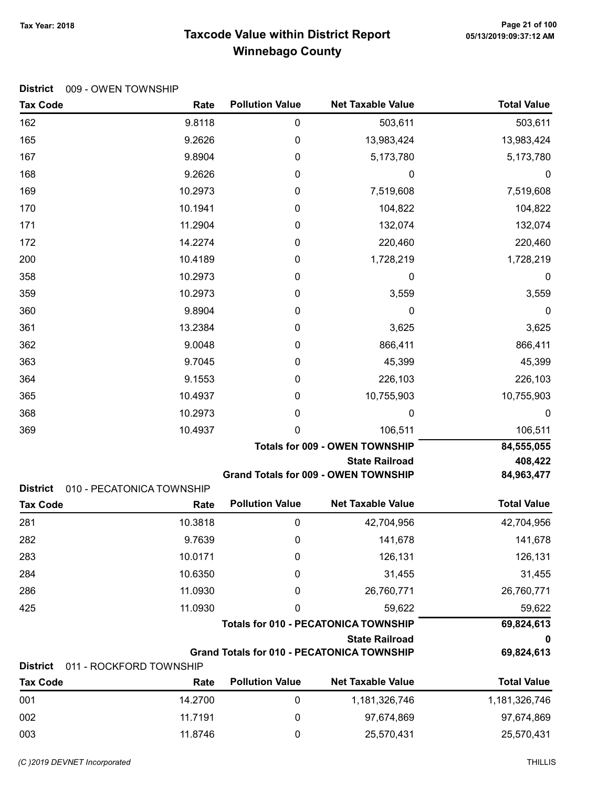# Taxcode Value within District Report Tax Year: 2018 Page 21 of 100 Winnebago County

|  |  | District 009 - OWEN TOWNSHIP |
|--|--|------------------------------|
|--|--|------------------------------|

| <b>Tax Code</b> | Rate                      | <b>Pollution Value</b> | <b>Net Taxable Value</b>                          | <b>Total Value</b> |
|-----------------|---------------------------|------------------------|---------------------------------------------------|--------------------|
| 162             | 9.8118                    | 0                      | 503,611                                           | 503,611            |
| 165             | 9.2626                    | 0                      | 13,983,424                                        | 13,983,424         |
| 167             | 9.8904                    | 0                      | 5,173,780                                         | 5,173,780          |
| 168             | 9.2626                    | 0                      | 0                                                 | 0                  |
| 169             | 10.2973                   | 0                      | 7,519,608                                         | 7,519,608          |
| 170             | 10.1941                   | 0                      | 104,822                                           | 104,822            |
| 171             | 11.2904                   | 0                      | 132,074                                           | 132,074            |
| 172             | 14.2274                   | $\boldsymbol{0}$       | 220,460                                           | 220,460            |
| 200             | 10.4189                   | 0                      | 1,728,219                                         | 1,728,219          |
| 358             | 10.2973                   | 0                      | 0                                                 | 0                  |
| 359             | 10.2973                   | 0                      | 3,559                                             | 3,559              |
| 360             | 9.8904                    | 0                      | 0                                                 | 0                  |
| 361             | 13.2384                   | 0                      | 3,625                                             | 3,625              |
| 362             | 9.0048                    | 0                      | 866,411                                           | 866,411            |
| 363             | 9.7045                    | 0                      | 45,399                                            | 45,399             |
| 364             | 9.1553                    | 0                      | 226,103                                           | 226,103            |
| 365             | 10.4937                   | 0                      | 10,755,903                                        | 10,755,903         |
| 368             | 10.2973                   | 0                      | 0                                                 | 0                  |
| 369             | 10.4937                   | 0                      | 106,511                                           | 106,511            |
|                 |                           |                        | <b>Totals for 009 - OWEN TOWNSHIP</b>             | 84,555,055         |
|                 |                           |                        | <b>State Railroad</b>                             | 408,422            |
| <b>District</b> | 010 - PECATONICA TOWNSHIP |                        | <b>Grand Totals for 009 - OWEN TOWNSHIP</b>       | 84,963,477         |
| <b>Tax Code</b> | Rate                      | <b>Pollution Value</b> | <b>Net Taxable Value</b>                          | <b>Total Value</b> |
| 281             | 10.3818                   | $\boldsymbol{0}$       | 42,704,956                                        | 42,704,956         |
| 282             | 9.7639                    | 0                      | 141,678                                           | 141,678            |
| 283             | 10.0171                   | 0                      | 126,131                                           | 126,131            |
| 284             | 10.6350                   | 0                      | 31,455                                            | 31,455             |
| 286             | 11.0930                   | 0                      | 26,760,771                                        | 26,760,771         |
| 425             | 11.0930                   | 0                      | 59,622                                            | 59,622             |
|                 |                           |                        | <b>Totals for 010 - PECATONICA TOWNSHIP</b>       | 69,824,613         |
|                 |                           |                        | <b>State Railroad</b>                             | 0                  |
|                 |                           |                        | <b>Grand Totals for 010 - PECATONICA TOWNSHIP</b> | 69,824,613         |
| <b>District</b> | 011 - ROCKFORD TOWNSHIP   | <b>Pollution Value</b> | <b>Net Taxable Value</b>                          | <b>Total Value</b> |
| <b>Tax Code</b> | Rate                      |                        |                                                   |                    |
| 001             | 14.2700                   | 0                      | 1,181,326,746                                     | 1,181,326,746      |
| 002             | 11.7191                   | 0                      | 97,674,869                                        | 97,674,869         |

003 11.8746 0 25,570,431 25,570,431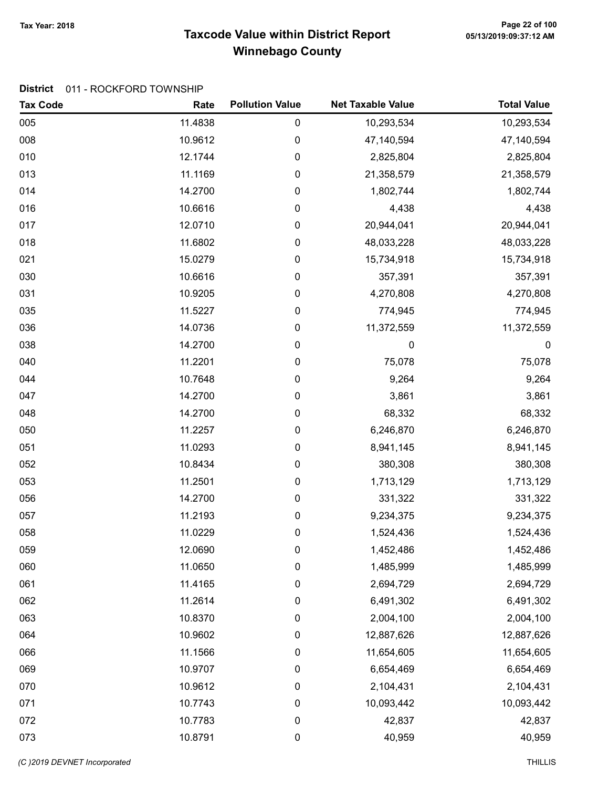# Taxcode Value within District Report Tax Year: 2018 Page 22 of 100 Winnebago County

### District 011 - ROCKFORD TOWNSHIP

| <b>Tax Code</b> | Rate    | <b>Pollution Value</b> | <b>Net Taxable Value</b> | <b>Total Value</b> |
|-----------------|---------|------------------------|--------------------------|--------------------|
| 005             | 11.4838 | 0                      | 10,293,534               | 10,293,534         |
| 008             | 10.9612 | 0                      | 47,140,594               | 47,140,594         |
| 010             | 12.1744 | 0                      | 2,825,804                | 2,825,804          |
| 013             | 11.1169 | 0                      | 21,358,579               | 21,358,579         |
| 014             | 14.2700 | 0                      | 1,802,744                | 1,802,744          |
| 016             | 10.6616 | 0                      | 4,438                    | 4,438              |
| 017             | 12.0710 | 0                      | 20,944,041               | 20,944,041         |
| 018             | 11.6802 | 0                      | 48,033,228               | 48,033,228         |
| 021             | 15.0279 | 0                      | 15,734,918               | 15,734,918         |
| 030             | 10.6616 | 0                      | 357,391                  | 357,391            |
| 031             | 10.9205 | 0                      | 4,270,808                | 4,270,808          |
| 035             | 11.5227 | 0                      | 774,945                  | 774,945            |
| 036             | 14.0736 | 0                      | 11,372,559               | 11,372,559         |
| 038             | 14.2700 | 0                      | 0                        | 0                  |
| 040             | 11.2201 | 0                      | 75,078                   | 75,078             |
| 044             | 10.7648 | 0                      | 9,264                    | 9,264              |
| 047             | 14.2700 | 0                      | 3,861                    | 3,861              |
| 048             | 14.2700 | 0                      | 68,332                   | 68,332             |
| 050             | 11.2257 | 0                      | 6,246,870                | 6,246,870          |
| 051             | 11.0293 | 0                      | 8,941,145                | 8,941,145          |
| 052             | 10.8434 | 0                      | 380,308                  | 380,308            |
| 053             | 11.2501 | 0                      | 1,713,129                | 1,713,129          |
| 056             | 14.2700 | 0                      | 331,322                  | 331,322            |
| 057             | 11.2193 | 0                      | 9,234,375                | 9,234,375          |
| 058             | 11.0229 | 0                      | 1,524,436                | 1,524,436          |
| 059             | 12.0690 | 0                      | 1,452,486                | 1,452,486          |
| 060             | 11.0650 | 0                      | 1,485,999                | 1,485,999          |
| 061             | 11.4165 | 0                      | 2,694,729                | 2,694,729          |
| 062             | 11.2614 | 0                      | 6,491,302                | 6,491,302          |
| 063             | 10.8370 | 0                      | 2,004,100                | 2,004,100          |
| 064             | 10.9602 | 0                      | 12,887,626               | 12,887,626         |
| 066             | 11.1566 | 0                      | 11,654,605               | 11,654,605         |
| 069             | 10.9707 | 0                      | 6,654,469                | 6,654,469          |
| 070             | 10.9612 | 0                      | 2,104,431                | 2,104,431          |
| 071             | 10.7743 | 0                      | 10,093,442               | 10,093,442         |
| 072             | 10.7783 | 0                      | 42,837                   | 42,837             |
| 073             | 10.8791 | 0                      | 40,959                   | 40,959             |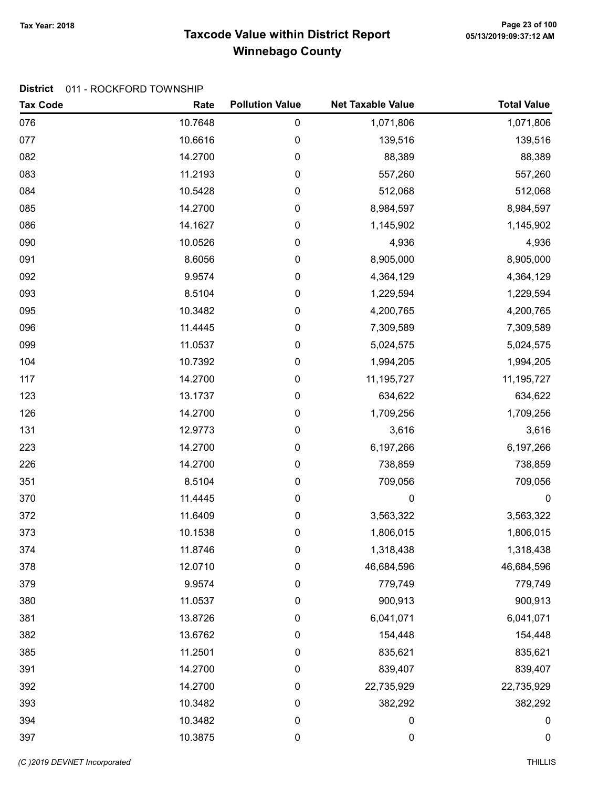# Taxcode Value within District Report Tax Year: 2018 Page 23 of 100 Winnebago County

### District 011 - ROCKFORD TOWNSHIP

| <b>Tax Code</b> | Rate    | <b>Pollution Value</b> | <b>Net Taxable Value</b> | <b>Total Value</b> |
|-----------------|---------|------------------------|--------------------------|--------------------|
| 076             | 10.7648 | 0                      | 1,071,806                | 1,071,806          |
| 077             | 10.6616 | 0                      | 139,516                  | 139,516            |
| 082             | 14.2700 | 0                      | 88,389                   | 88,389             |
| 083             | 11.2193 | 0                      | 557,260                  | 557,260            |
| 084             | 10.5428 | 0                      | 512,068                  | 512,068            |
| 085             | 14.2700 | 0                      | 8,984,597                | 8,984,597          |
| 086             | 14.1627 | 0                      | 1,145,902                | 1,145,902          |
| 090             | 10.0526 | 0                      | 4,936                    | 4,936              |
| 091             | 8.6056  | 0                      | 8,905,000                | 8,905,000          |
| 092             | 9.9574  | 0                      | 4,364,129                | 4,364,129          |
| 093             | 8.5104  | 0                      | 1,229,594                | 1,229,594          |
| 095             | 10.3482 | 0                      | 4,200,765                | 4,200,765          |
| 096             | 11.4445 | 0                      | 7,309,589                | 7,309,589          |
| 099             | 11.0537 | 0                      | 5,024,575                | 5,024,575          |
| 104             | 10.7392 | 0                      | 1,994,205                | 1,994,205          |
| 117             | 14.2700 | 0                      | 11,195,727               | 11,195,727         |
| 123             | 13.1737 | 0                      | 634,622                  | 634,622            |
| 126             | 14.2700 | 0                      | 1,709,256                | 1,709,256          |
| 131             | 12.9773 | 0                      | 3,616                    | 3,616              |
| 223             | 14.2700 | 0                      | 6,197,266                | 6,197,266          |
| 226             | 14.2700 | 0                      | 738,859                  | 738,859            |
| 351             | 8.5104  | 0                      | 709,056                  | 709,056            |
| 370             | 11.4445 | 0                      | 0                        | $\boldsymbol{0}$   |
| 372             | 11.6409 | 0                      | 3,563,322                | 3,563,322          |
| 373             | 10.1538 | 0                      | 1,806,015                | 1,806,015          |
| 374             | 11.8746 | 0                      | 1,318,438                | 1,318,438          |
| 378             | 12.0710 | 0                      | 46,684,596               | 46,684,596         |
| 379             | 9.9574  | 0                      | 779,749                  | 779,749            |
| 380             | 11.0537 | 0                      | 900,913                  | 900,913            |
| 381             | 13.8726 | 0                      | 6,041,071                | 6,041,071          |
| 382             | 13.6762 | 0                      | 154,448                  | 154,448            |
| 385             | 11.2501 | 0                      | 835,621                  | 835,621            |
| 391             | 14.2700 | 0                      | 839,407                  | 839,407            |
| 392             | 14.2700 | 0                      | 22,735,929               | 22,735,929         |
| 393             | 10.3482 | 0                      | 382,292                  | 382,292            |
| 394             | 10.3482 | $\pmb{0}$              | 0                        | 0                  |
| 397             | 10.3875 | $\pmb{0}$              | $\mathbf 0$              | $\mathbf 0$        |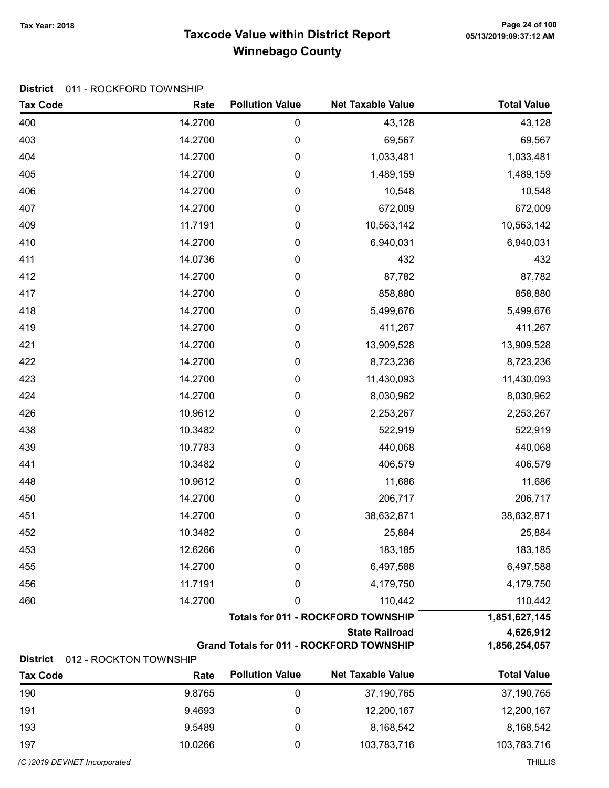# Taxcode Value within District Report Tax Year: 2018 Page 24 of 100 Winnebago County

#### District 011 - ROCKFORD TOWNSHIP

| <b>Tax Code</b> | Rate                                      | <b>Pollution Value</b> | <b>Net Taxable Value</b>                                                 | <b>Total Value</b>         |
|-----------------|-------------------------------------------|------------------------|--------------------------------------------------------------------------|----------------------------|
| 400             | 14.2700                                   | 0                      | 43,128                                                                   | 43,128                     |
| 403             | 14.2700                                   | 0                      | 69,567                                                                   | 69,567                     |
| 404             | 14.2700                                   | 0                      | 1,033,481                                                                | 1,033,481                  |
| 405             | 14.2700                                   | 0                      | 1,489,159                                                                | 1,489,159                  |
| 406             | 14.2700                                   | 0                      | 10,548                                                                   | 10,548                     |
| 407             | 14.2700                                   | 0                      | 672,009                                                                  | 672,009                    |
| 409             | 11.7191                                   | 0                      | 10,563,142                                                               | 10,563,142                 |
| 410             | 14.2700                                   | 0                      | 6,940,031                                                                | 6,940,031                  |
| 411             | 14.0736                                   | 0                      | 432                                                                      | 432                        |
| 412             | 14.2700                                   | 0                      | 87,782                                                                   | 87,782                     |
| 417             | 14.2700                                   | 0                      | 858,880                                                                  | 858,880                    |
| 418             | 14.2700                                   | 0                      | 5,499,676                                                                | 5,499,676                  |
| 419             | 14.2700                                   | 0                      | 411,267                                                                  | 411,267                    |
| 421             | 14.2700                                   | 0                      | 13,909,528                                                               | 13,909,528                 |
| 422             | 14.2700                                   | 0                      | 8,723,236                                                                | 8,723,236                  |
| 423             | 14.2700                                   | 0                      | 11,430,093                                                               | 11,430,093                 |
| 424             | 14.2700                                   | 0                      | 8,030,962                                                                | 8,030,962                  |
| 426             | 10.9612                                   | 0                      | 2,253,267                                                                | 2,253,267                  |
| 438             | 10.3482                                   | 0                      | 522,919                                                                  | 522,919                    |
| 439             | 10.7783                                   | 0                      | 440,068                                                                  | 440,068                    |
| 441             | 10.3482                                   | 0                      | 406,579                                                                  | 406,579                    |
| 448             | 10.9612                                   | 0                      | 11,686                                                                   | 11,686                     |
| 450             | 14.2700                                   | 0                      | 206,717                                                                  | 206,717                    |
| 451             | 14.2700                                   | 0                      | 38,632,871                                                               | 38,632,871                 |
| 452             | 10.3482                                   | 0                      | 25,884                                                                   | 25,884                     |
| 453             | 12.6266                                   | 0                      | 183,185                                                                  | 183,185                    |
| 455             | 14.2700                                   | 0                      | 6,497,588                                                                | 6,497,588                  |
| 456             | 11.7191                                   | 0                      | 4,179,750                                                                | 4,179,750                  |
| 460             | 14.2700                                   | 0                      | 110,442                                                                  | 110,442                    |
|                 | <b>Totals for 011 - ROCKFORD TOWNSHIP</b> |                        |                                                                          | 1,851,627,145              |
|                 |                                           |                        | <b>State Railroad</b><br><b>Grand Totals for 011 - ROCKFORD TOWNSHIP</b> | 4,626,912<br>1,856,254,057 |
| <b>District</b> | 012 - ROCKTON TOWNSHIP                    |                        |                                                                          |                            |
| <b>Tax Code</b> | Rate                                      | <b>Pollution Value</b> | <b>Net Taxable Value</b>                                                 | <b>Total Value</b>         |

| 190                         | 9.8765  | 37,190,765  | 37,190,765     |
|-----------------------------|---------|-------------|----------------|
| 191                         | 9.4693  | 12,200,167  | 12,200,167     |
| 193                         | 9.5489  | 8,168,542   | 8,168,542      |
| 197                         | 10.0266 | 103,783,716 | 103,783,716    |
| (C)2019 DEVNET Incorporated |         |             | <b>THILLIS</b> |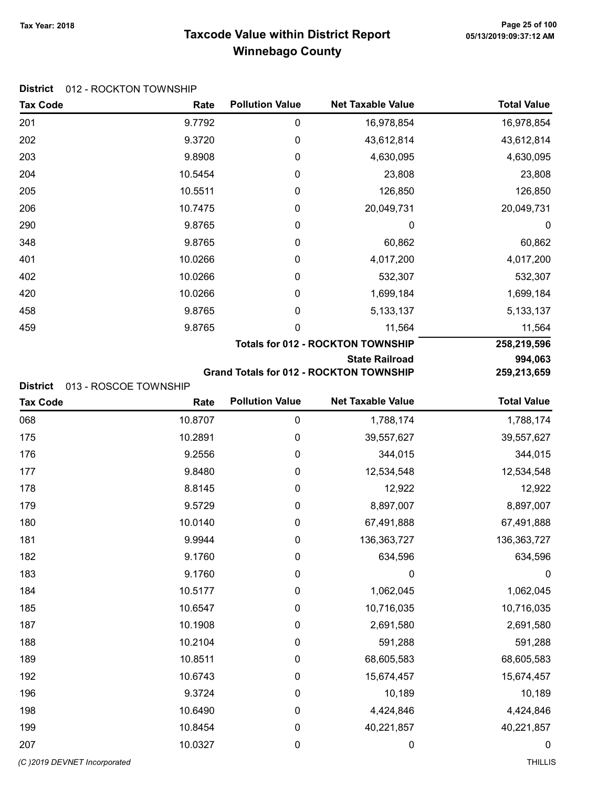# Taxcode Value within District Report Tax Year: 2018 Page 25 of 100 Winnebago County

Tax Code **Rate Pollution Value** Net Taxable Value Total Value

| <b>District</b> 012 - ROCKTON TOWNSHIP |
|----------------------------------------|
|----------------------------------------|

| 201                         | 9.7792                | 0                      | 16,978,854                                     | 16,978,854         |
|-----------------------------|-----------------------|------------------------|------------------------------------------------|--------------------|
| 202                         | 9.3720                | 0                      | 43,612,814                                     | 43,612,814         |
| 203                         | 9.8908                | 0                      | 4,630,095                                      | 4,630,095          |
| 204                         | 10.5454               | 0                      | 23,808                                         | 23,808             |
| 205                         | 10.5511               | 0                      | 126,850                                        | 126,850            |
| 206                         | 10.7475               | 0                      | 20,049,731                                     | 20,049,731         |
| 290                         | 9.8765                | 0                      | 0                                              | $\boldsymbol{0}$   |
| 348                         | 9.8765                | 0                      | 60,862                                         | 60,862             |
| 401                         | 10.0266               | 0                      | 4,017,200                                      | 4,017,200          |
| 402                         | 10.0266               | 0                      | 532,307                                        | 532,307            |
| 420                         | 10.0266               | 0                      | 1,699,184                                      | 1,699,184          |
| 458                         | 9.8765                | 0                      | 5, 133, 137                                    | 5, 133, 137        |
| 459                         | 9.8765                | 0                      | 11,564                                         | 11,564             |
|                             |                       |                        | <b>Totals for 012 - ROCKTON TOWNSHIP</b>       | 258,219,596        |
|                             |                       |                        | <b>State Railroad</b>                          | 994,063            |
| <b>District</b>             | 013 - ROSCOE TOWNSHIP |                        | <b>Grand Totals for 012 - ROCKTON TOWNSHIP</b> | 259,213,659        |
| <b>Tax Code</b>             | Rate                  | <b>Pollution Value</b> | <b>Net Taxable Value</b>                       | <b>Total Value</b> |
| 068                         | 10.8707               | 0                      | 1,788,174                                      | 1,788,174          |
| 175                         | 10.2891               | 0                      | 39,557,627                                     | 39,557,627         |
| 176                         | 9.2556                | 0                      | 344,015                                        | 344,015            |
| 177                         | 9.8480                | 0                      | 12,534,548                                     | 12,534,548         |
| 178                         | 8.8145                | $\boldsymbol{0}$       | 12,922                                         | 12,922             |
| 179                         | 9.5729                | 0                      | 8,897,007                                      | 8,897,007          |
| 180                         | 10.0140               | 0                      | 67,491,888                                     | 67,491,888         |
| 181                         | 9.9944                | 0                      | 136, 363, 727                                  | 136,363,727        |
| 182                         | 9.1760                | 0                      | 634,596                                        | 634,596            |
| 183                         | 9.1760                | $\boldsymbol{0}$       | $\mathbf 0$                                    | $\pmb{0}$          |
| 184                         | 10.5177               | $\pmb{0}$              | 1,062,045                                      | 1,062,045          |
| 185                         | 10.6547               | 0                      | 10,716,035                                     | 10,716,035         |
| 187                         | 10.1908               | 0                      | 2,691,580                                      | 2,691,580          |
| 188                         | 10.2104               | 0                      | 591,288                                        | 591,288            |
| 189                         | 10.8511               | 0                      | 68,605,583                                     | 68,605,583         |
| 192                         | 10.6743               | 0                      | 15,674,457                                     | 15,674,457         |
| 196                         | 9.3724                | 0                      | 10,189                                         | 10,189             |
| 198                         | 10.6490               | 0                      | 4,424,846                                      | 4,424,846          |
| 199                         | 10.8454               | 0                      | 40,221,857                                     | 40,221,857         |
| 207                         | 10.0327               | 0                      | $\boldsymbol{0}$                               | $\boldsymbol{0}$   |
| (C)2019 DEVNET Incorporated |                       |                        |                                                | <b>THILLIS</b>     |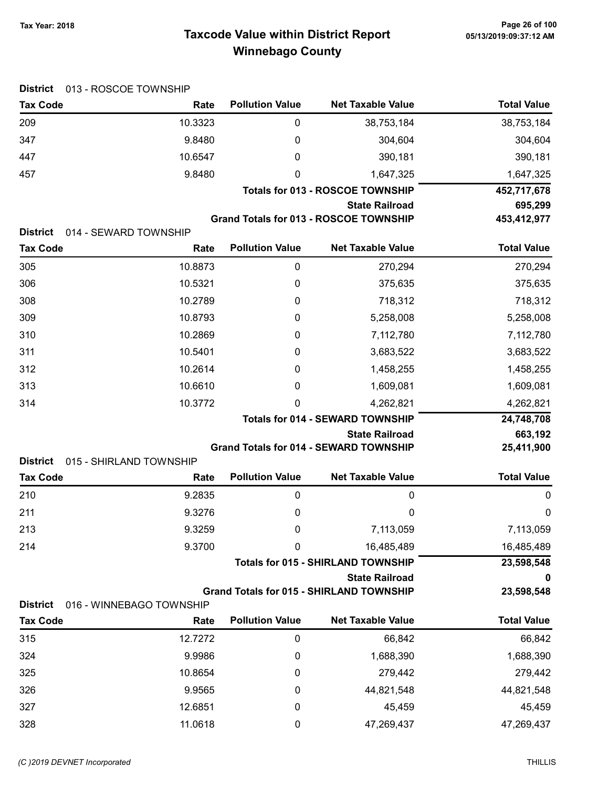# Taxcode Value within District Report Tax Year: 2018 Page 26 of 100 Winnebago County

| <b>District</b>                    | 013 - ROSCOE TOWNSHIP         |                        |                                                 |                    |
|------------------------------------|-------------------------------|------------------------|-------------------------------------------------|--------------------|
| <b>Tax Code</b>                    | Rate                          | <b>Pollution Value</b> | <b>Net Taxable Value</b>                        | <b>Total Value</b> |
| 209                                | 10.3323                       | 0                      | 38,753,184                                      | 38,753,184         |
| 347                                | 9.8480                        | 0                      | 304,604                                         | 304,604            |
| 447                                | 10.6547                       | 0                      | 390,181                                         | 390,181            |
| 457                                | 9.8480                        | 0                      | 1,647,325                                       | 1,647,325          |
|                                    |                               |                        | <b>Totals for 013 - ROSCOE TOWNSHIP</b>         | 452,717,678        |
|                                    |                               |                        | <b>State Railroad</b>                           | 695,299            |
|                                    |                               |                        | <b>Grand Totals for 013 - ROSCOE TOWNSHIP</b>   | 453,412,977        |
| <b>District</b><br><b>Tax Code</b> | 014 - SEWARD TOWNSHIP<br>Rate | <b>Pollution Value</b> | <b>Net Taxable Value</b>                        | <b>Total Value</b> |
| 305                                | 10.8873                       | 0                      | 270,294                                         | 270,294            |
| 306                                | 10.5321                       | 0                      | 375,635                                         | 375,635            |
| 308                                | 10.2789                       | 0                      | 718,312                                         | 718,312            |
| 309                                | 10.8793                       | 0                      | 5,258,008                                       | 5,258,008          |
| 310                                | 10.2869                       | 0                      | 7,112,780                                       | 7,112,780          |
| 311                                | 10.5401                       | 0                      | 3,683,522                                       | 3,683,522          |
| 312                                | 10.2614                       | 0                      | 1,458,255                                       | 1,458,255          |
| 313                                | 10.6610                       | 0                      | 1,609,081                                       | 1,609,081          |
|                                    | 10.3772                       | 0                      | 4,262,821                                       | 4,262,821          |
| 314                                |                               |                        | <b>Totals for 014 - SEWARD TOWNSHIP</b>         | 24,748,708         |
|                                    |                               |                        | <b>State Railroad</b>                           | 663,192            |
|                                    |                               |                        | <b>Grand Totals for 014 - SEWARD TOWNSHIP</b>   | 25,411,900         |
| <b>District</b>                    | 015 - SHIRLAND TOWNSHIP       |                        |                                                 |                    |
| <b>Tax Code</b>                    | Rate                          | <b>Pollution Value</b> | <b>Net Taxable Value</b>                        | <b>Total Value</b> |
| 210                                | 9.2835                        | 0                      | 0                                               | 0                  |
| 211                                | 9.3276                        | 0                      | 0                                               | 0                  |
| 213                                | 9.3259                        | 0                      | 7,113,059                                       | 7,113,059          |
| 214                                | 9.3700                        | 0                      | 16,485,489                                      | 16,485,489         |
|                                    |                               |                        | <b>Totals for 015 - SHIRLAND TOWNSHIP</b>       | 23,598,548         |
|                                    |                               |                        | <b>State Railroad</b>                           |                    |
| <b>District</b>                    | 016 - WINNEBAGO TOWNSHIP      |                        | <b>Grand Totals for 015 - SHIRLAND TOWNSHIP</b> | 23,598,548         |
| <b>Tax Code</b>                    | Rate                          | <b>Pollution Value</b> | <b>Net Taxable Value</b>                        | <b>Total Value</b> |
| 315                                | 12.7272                       | 0                      | 66,842                                          | 66,842             |
| 324                                | 9.9986                        | 0                      | 1,688,390                                       | 1,688,390          |
| 325                                | 10.8654                       | 0                      | 279,442                                         | 279,442            |
| 326                                | 9.9565                        | 0                      | 44,821,548                                      | 44,821,548         |
| 327                                | 12.6851                       | 0                      | 45,459                                          | 45,459             |
| 328                                | 11.0618                       | 0                      | 47,269,437                                      | 47,269,437         |
|                                    |                               |                        |                                                 |                    |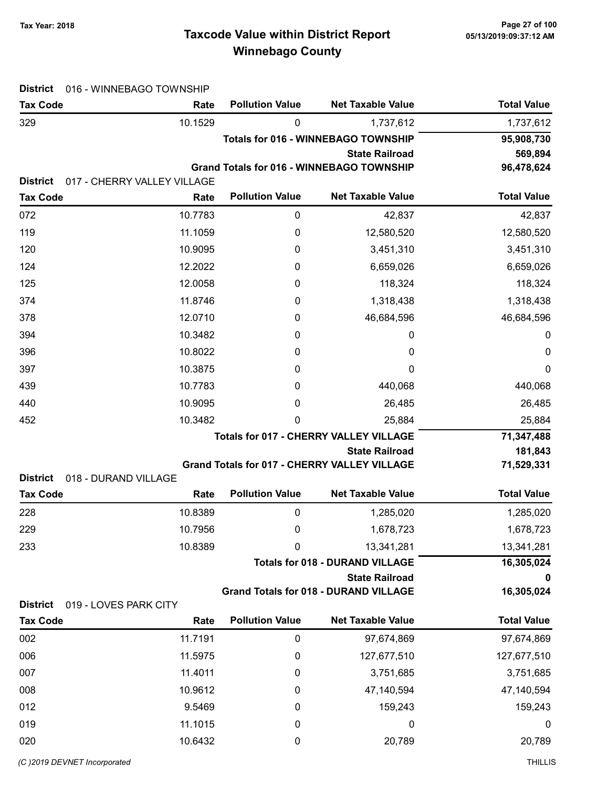# Taxcode Value within District Report Tax Year: 2018 Page 27 of 100 Winnebago County

| <b>Tax Code</b>                          | Rate                        | <b>Pollution Value</b>                        | <b>Net Taxable Value</b>                            | <b>Total Value</b> |
|------------------------------------------|-----------------------------|-----------------------------------------------|-----------------------------------------------------|--------------------|
| 329                                      | 10.1529                     | 0                                             | 1,737,612                                           | 1,737,612          |
|                                          |                             |                                               | <b>Totals for 016 - WINNEBAGO TOWNSHIP</b>          | 95,908,730         |
|                                          |                             |                                               | <b>State Railroad</b>                               | 569,894            |
|                                          |                             |                                               | <b>Grand Totals for 016 - WINNEBAGO TOWNSHIP</b>    | 96,478,624         |
| <b>District</b>                          | 017 - CHERRY VALLEY VILLAGE | <b>Pollution Value</b>                        | <b>Net Taxable Value</b>                            | <b>Total Value</b> |
| <b>Tax Code</b>                          | Rate                        |                                               |                                                     |                    |
| 072                                      | 10.7783                     | 0                                             | 42,837                                              | 42,837             |
| 119                                      | 11.1059                     | 0                                             | 12,580,520                                          | 12,580,520         |
| 120                                      | 10.9095                     | 0                                             | 3,451,310                                           | 3,451,310          |
| 124                                      | 12.2022                     | 0                                             | 6,659,026                                           | 6,659,026          |
| 125                                      | 12.0058                     | 0                                             | 118,324                                             | 118,324            |
| 374                                      | 11.8746                     | 0                                             | 1,318,438                                           | 1,318,438          |
| 378                                      | 12.0710                     | 0                                             | 46,684,596                                          | 46,684,596         |
| 394                                      | 10.3482                     | 0                                             | 0                                                   | 0                  |
| 396                                      | 10.8022                     | 0                                             | 0                                                   | 0                  |
| 397                                      | 10.3875                     | 0                                             | 0                                                   | 0                  |
| 439                                      | 10.7783                     | 0                                             | 440,068                                             | 440,068            |
| 440                                      | 10.9095                     | 0                                             | 26,485                                              | 26,485             |
| 452                                      | 10.3482                     | 0                                             | 25,884                                              | 25,884             |
|                                          |                             | <b>Totals for 017 - CHERRY VALLEY VILLAGE</b> | 71,347,488                                          |                    |
|                                          |                             |                                               | <b>State Railroad</b>                               | 181,843            |
| <b>District</b><br>018 - DURAND VILLAGE  |                             |                                               | <b>Grand Totals for 017 - CHERRY VALLEY VILLAGE</b> | 71,529,331         |
| <b>Tax Code</b>                          | Rate                        | <b>Pollution Value</b>                        | <b>Net Taxable Value</b>                            | <b>Total Value</b> |
| 228                                      | 10.8389                     | 0                                             | 1,285,020                                           | 1,285,020          |
| 229                                      | 10.7956                     | 0                                             | 1,678,723                                           | 1,678,723          |
| 233                                      | 10.8389                     | 0                                             | 13,341,281                                          | 13,341,281         |
|                                          |                             |                                               | <b>Totals for 018 - DURAND VILLAGE</b>              | 16,305,024         |
|                                          |                             |                                               | <b>State Railroad</b>                               |                    |
|                                          |                             |                                               | <b>Grand Totals for 018 - DURAND VILLAGE</b>        | 16,305,024         |
| <b>District</b><br>019 - LOVES PARK CITY |                             |                                               |                                                     |                    |
| <b>Tax Code</b>                          | Rate                        | <b>Pollution Value</b>                        | <b>Net Taxable Value</b>                            | <b>Total Value</b> |
| 002                                      | 11.7191                     | 0                                             | 97,674,869                                          | 97,674,869         |
| 006                                      | 11.5975                     | 0                                             | 127,677,510                                         | 127,677,510        |
| 007                                      | 11.4011                     | 0                                             | 3,751,685                                           | 3,751,685          |
| 008                                      | 10.9612                     | 0                                             | 47,140,594                                          | 47,140,594         |
| 012                                      | 9.5469                      | 0                                             | 159,243                                             | 159,243            |
| 019                                      | 11.1015                     | 0                                             | 0                                                   | 0                  |
| 020                                      | 10.6432                     | 0                                             | 20,789                                              | 20,789             |

(C)2019 DEVNET incorporated THILLIS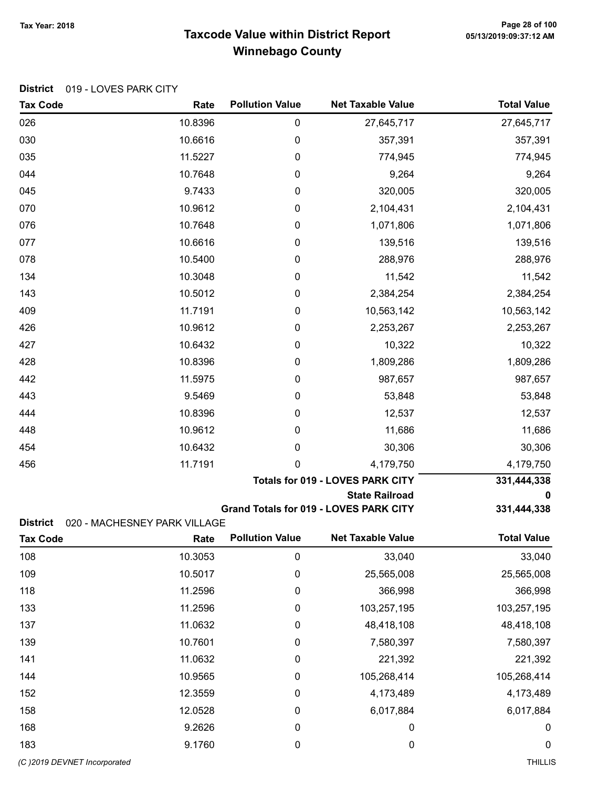# Taxcode Value within District Report Tax Year: 2018 Page 28 of 100 Winnebago County

Tax Code **Rate Pollution Value** Net Taxable Value Total Value

| 026                                | 10.8396                              | $\mathbf 0$            | 27,645,717                                    | 27,645,717         |
|------------------------------------|--------------------------------------|------------------------|-----------------------------------------------|--------------------|
| 030                                | 10.6616                              | $\boldsymbol{0}$       | 357,391                                       | 357,391            |
| 035                                | 11.5227                              | 0                      | 774,945                                       | 774,945            |
| 044                                | 10.7648                              | 0                      | 9,264                                         | 9,264              |
| 045                                | 9.7433                               | 0                      | 320,005                                       | 320,005            |
| 070                                | 10.9612                              | 0                      | 2,104,431                                     | 2,104,431          |
| 076                                | 10.7648                              | 0                      | 1,071,806                                     | 1,071,806          |
| 077                                | 10.6616                              | 0                      | 139,516                                       | 139,516            |
| 078                                | 10.5400                              | 0                      | 288,976                                       | 288,976            |
| 134                                | 10.3048                              | 0                      | 11,542                                        | 11,542             |
| 143                                | 10.5012                              | $\mathbf 0$            | 2,384,254                                     | 2,384,254          |
| 409                                | 11.7191                              | 0                      | 10,563,142                                    | 10,563,142         |
| 426                                | 10.9612                              | 0                      | 2,253,267                                     | 2,253,267          |
| 427                                | 10.6432                              | 0                      | 10,322                                        | 10,322             |
| 428                                | 10.8396                              | 0                      | 1,809,286                                     | 1,809,286          |
| 442                                | 11.5975                              | 0                      | 987,657                                       | 987,657            |
| 443                                | 9.5469                               | 0                      | 53,848                                        | 53,848             |
| 444                                | 10.8396                              | 0                      | 12,537                                        | 12,537             |
| 448                                | 10.9612                              | 0                      | 11,686                                        | 11,686             |
| 454                                | 10.6432                              | 0                      | 30,306                                        | 30,306             |
| 456                                | 11.7191                              | 0                      | 4,179,750                                     | 4,179,750          |
|                                    |                                      |                        | Totals for 019 - LOVES PARK CITY              | 331,444,338        |
|                                    |                                      |                        | <b>State Railroad</b>                         | 0                  |
|                                    |                                      |                        | <b>Grand Totals for 019 - LOVES PARK CITY</b> | 331,444,338        |
| <b>District</b><br><b>Tax Code</b> | 020 - MACHESNEY PARK VILLAGE<br>Rate | <b>Pollution Value</b> | <b>Net Taxable Value</b>                      | <b>Total Value</b> |
|                                    |                                      |                        |                                               |                    |
| 108                                | 10.3053                              | 0                      | 33,040                                        | 33,040             |
| 109                                | 10.5017                              | $\mathbf 0$            | 25,565,008                                    | 25,565,008         |
| 118                                | 11.2596                              | $\mathbf 0$            | 366,998                                       | 366,998            |
| 133                                | 11.2596                              | 0                      | 103,257,195                                   | 103,257,195        |
| 137                                | 11.0632                              | 0                      | 48,418,108                                    | 48,418,108         |
| 139                                | 10.7601                              | 0                      | 7,580,397                                     | 7,580,397          |
| 141                                | 11.0632                              | 0                      | 221,392                                       | 221,392            |
| 144                                | 10.9565                              | $\mathbf 0$            | 105,268,414                                   | 105,268,414        |
| 152                                | 12.3559                              | $\mathbf 0$            | 4,173,489                                     | 4,173,489          |
| 158                                | 12.0528                              | 0                      | 6,017,884                                     | 6,017,884          |
| 168                                | 9.2626                               | 0                      | 0                                             | 0                  |
| 183                                | 9.1760                               | 0                      | $\boldsymbol{0}$                              | 0                  |
| (C) 2019 DEVNET Incorporated       |                                      |                        |                                               | <b>THILLIS</b>     |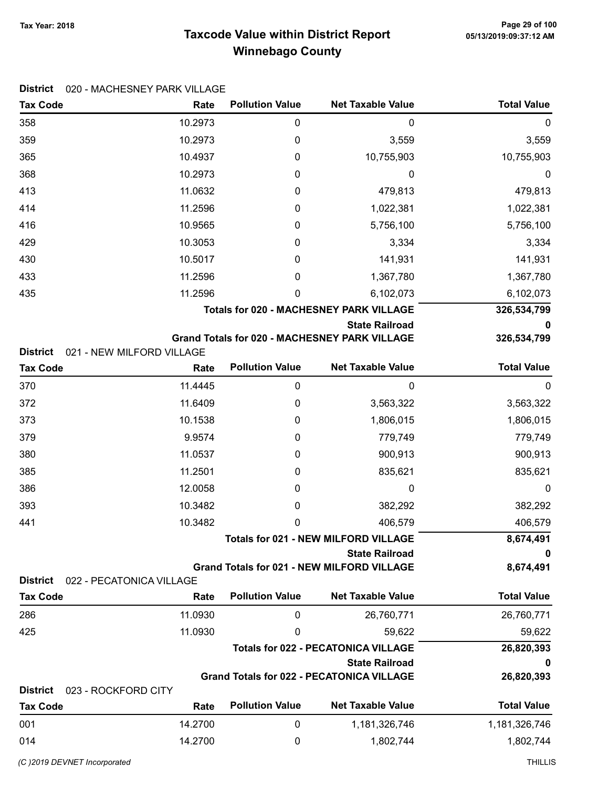District 020 - MACHESNEY PARK VILLAGE

### Taxcode Value within District Report Winnebago County

Tax Code **Rate Pollution Value** Net Taxable Value Total Value

### 358 10.2973 0 0 0  $3,559$  3,559 3,559 365 10.4937 0 10,755,903 10,755,903 368 10.2973 0 0 0 413 11.0632 0 479,813 479,813 414 11.2596 0 1,022,381 1,022,381 416 10.9565 0 5,756,100 5,756,100 429 10.3053 0 3,334 3,334 430 10.5017 0 141,931 141,931 433 11.2596 0 1,367,780 1,367,780 435 11.2596 0 6,102,073 6,102,073 Totals for 020 - MACHESNEY PARK VILLAGE 326,534,799 State Railroad 0 Grand Totals for 020 - MACHESNEY PARK VILLAGE 326,534,799 District 021 - NEW MILFORD VILLAGE Tax Code **Rate Pollution Value** Net Taxable Value Total Value 370 11.4445 0 0 0 372 11.6409 0 3,563,322 3,563,322 373 10.1538 0 1,806,015 1,806,015 379 9.9574 0 779,749 779,749 abo 11.0537 0 900,913 900,913 385 11.2501 0 835,621 835,621 386 12.0058 0 0 0 393 10.3482 0 382,292 382,292 441 10.3482 0 406,579 406,579 Totals for 021 - NEW MILFORD VILLAGE 8,674,491 State Railroad 0 Grand Totals for 021 - NEW MILFORD VILLAGE 674.491 District 022 - PECATONICA VILLAGE Tax Code **Rate Pollution Value** Net Taxable Value Total Value 286 11.0930 0 26,760,771 26,760,771 425 **11.0930** 0 59,622 59,622 Totals for 022 - PECATONICA VILLAGE 26.820.393 State Railroad 0 Grand Totals for 022 - PECATONICA VILLAGE 26,820,393 District 023 - ROCKFORD CITY Tax Code **Rate Pollution Value** Net Taxable Value Total Value 001 14.2700 0 1,181,326,746 1,181,326,746 0 14 14.2700 0 1,802,744 1,802,744

(C )2019 DEVNET Incorporated THILLIS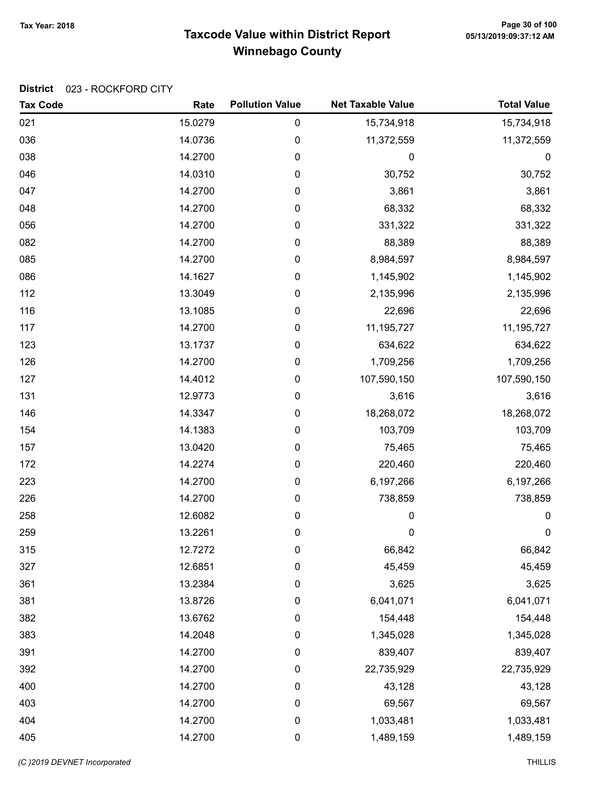# Taxcode Value within District Report Tax Year: 2018 Page 30 of 100 Winnebago County

### District 023 - ROCKFORD CITY

| <b>Tax Code</b> | Rate    | <b>Pollution Value</b> | <b>Net Taxable Value</b> | <b>Total Value</b> |
|-----------------|---------|------------------------|--------------------------|--------------------|
| 021             | 15.0279 | 0                      | 15,734,918               | 15,734,918         |
| 036             | 14.0736 | 0                      | 11,372,559               | 11,372,559         |
| 038             | 14.2700 | $\pmb{0}$              | 0                        | $\boldsymbol{0}$   |
| 046             | 14.0310 | 0                      | 30,752                   | 30,752             |
| 047             | 14.2700 | 0                      | 3,861                    | 3,861              |
| 048             | 14.2700 | $\pmb{0}$              | 68,332                   | 68,332             |
| 056             | 14.2700 | 0                      | 331,322                  | 331,322            |
| 082             | 14.2700 | 0                      | 88,389                   | 88,389             |
| 085             | 14.2700 | 0                      | 8,984,597                | 8,984,597          |
| 086             | 14.1627 | 0                      | 1,145,902                | 1,145,902          |
| 112             | 13.3049 | 0                      | 2,135,996                | 2,135,996          |
| 116             | 13.1085 | 0                      | 22,696                   | 22,696             |
| 117             | 14.2700 | 0                      | 11,195,727               | 11,195,727         |
| 123             | 13.1737 | 0                      | 634,622                  | 634,622            |
| 126             | 14.2700 | 0                      | 1,709,256                | 1,709,256          |
| 127             | 14.4012 | 0                      | 107,590,150              | 107,590,150        |
| 131             | 12.9773 | $\pmb{0}$              | 3,616                    | 3,616              |
| 146             | 14.3347 | 0                      | 18,268,072               | 18,268,072         |
| 154             | 14.1383 | 0                      | 103,709                  | 103,709            |
| 157             | 13.0420 | 0                      | 75,465                   | 75,465             |
| 172             | 14.2274 | 0                      | 220,460                  | 220,460            |
| 223             | 14.2700 | 0                      | 6,197,266                | 6,197,266          |
| 226             | 14.2700 | 0                      | 738,859                  | 738,859            |
| 258             | 12.6082 | $\pmb{0}$              | 0                        | $\pmb{0}$          |
| 259             | 13.2261 | 0                      | $\mathbf 0$              | $\pmb{0}$          |
| 315             | 12.7272 | 0                      | 66,842                   | 66,842             |
| 327             | 12.6851 | 0                      | 45,459                   | 45,459             |
| 361             | 13.2384 | $\pmb{0}$              | 3,625                    | 3,625              |
| 381             | 13.8726 | $\boldsymbol{0}$       | 6,041,071                | 6,041,071          |
| 382             | 13.6762 | $\boldsymbol{0}$       | 154,448                  | 154,448            |
| 383             | 14.2048 | $\pmb{0}$              | 1,345,028                | 1,345,028          |
| 391             | 14.2700 | $\pmb{0}$              | 839,407                  | 839,407            |
| 392             | 14.2700 | $\pmb{0}$              | 22,735,929               | 22,735,929         |
| 400             | 14.2700 | 0                      | 43,128                   | 43,128             |
| 403             | 14.2700 | $\pmb{0}$              | 69,567                   | 69,567             |
| 404             | 14.2700 | $\pmb{0}$              | 1,033,481                | 1,033,481          |
| 405             | 14.2700 | 0                      | 1,489,159                | 1,489,159          |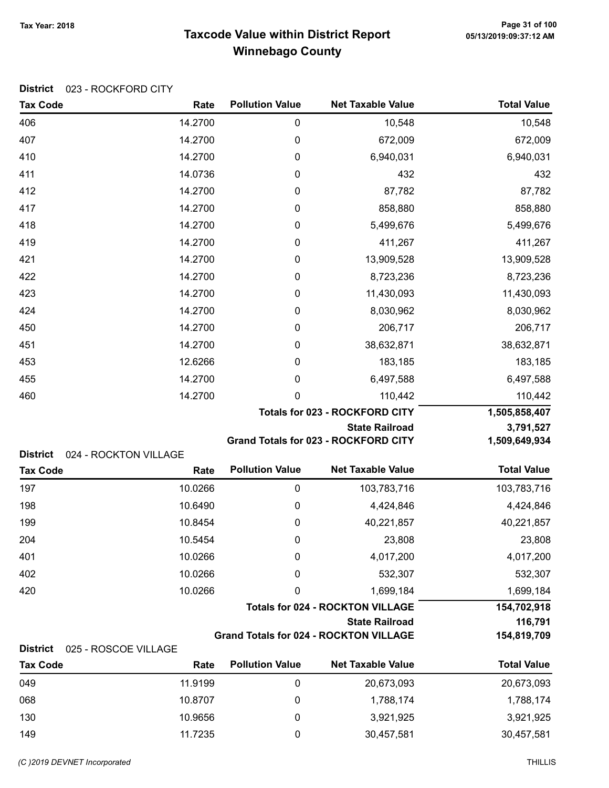# Taxcode Value within District Report Tax Year: 2018 Page 31 of 100 Winnebago County

| <b>District</b><br>023 - ROCKFORD CITY  |                               |                                       |                                                                  |                        |
|-----------------------------------------|-------------------------------|---------------------------------------|------------------------------------------------------------------|------------------------|
| <b>Tax Code</b>                         | Rate                          | <b>Pollution Value</b>                | <b>Net Taxable Value</b>                                         | <b>Total Value</b>     |
| 406                                     | 14.2700                       | $\pmb{0}$                             | 10,548                                                           | 10,548                 |
| 407                                     | 14.2700                       | 0                                     | 672,009                                                          | 672,009                |
| 410                                     | 14.2700                       | 0                                     | 6,940,031                                                        | 6,940,031              |
| 411                                     | 14.0736                       | 0                                     | 432                                                              | 432                    |
| 412                                     | 14.2700                       | 0                                     | 87,782                                                           | 87,782                 |
| 417                                     | 14.2700                       | 0                                     | 858,880                                                          | 858,880                |
| 418                                     | 14.2700                       | 0                                     | 5,499,676                                                        | 5,499,676              |
| 419                                     | 14.2700                       | 0                                     | 411,267                                                          | 411,267                |
| 421                                     | 14.2700                       | 0                                     | 13,909,528                                                       | 13,909,528             |
| 422                                     | 14.2700                       | 0                                     | 8,723,236                                                        | 8,723,236              |
| 423                                     | 14.2700                       | 0                                     | 11,430,093                                                       | 11,430,093             |
| 424                                     | 14.2700                       | 0                                     | 8,030,962                                                        | 8,030,962              |
| 450                                     | 14.2700                       | 0                                     | 206,717                                                          | 206,717                |
| 451                                     | 14.2700                       | 0                                     | 38,632,871                                                       | 38,632,871             |
| 453                                     | 12.6266                       | 0                                     | 183,185                                                          | 183,185                |
| 455                                     | 14.2700                       | 0                                     | 6,497,588                                                        | 6,497,588              |
| 460                                     | 14.2700                       | 0                                     | 110,442                                                          | 110,442                |
|                                         |                               | <b>Totals for 023 - ROCKFORD CITY</b> | 1,505,858,407                                                    |                        |
|                                         |                               |                                       | <b>State Railroad</b>                                            | 3,791,527              |
|                                         |                               |                                       | Grand Totals for 023 - ROCKFORD CITY                             | 1,509,649,934          |
| <b>District</b><br><b>Tax Code</b>      | 024 - ROCKTON VILLAGE<br>Rate | <b>Pollution Value</b>                | <b>Net Taxable Value</b>                                         | <b>Total Value</b>     |
|                                         |                               |                                       |                                                                  |                        |
| 197                                     | 10.0266                       | 0                                     | 103,783,716                                                      | 103,783,716            |
| 198                                     | 10.6490                       | 0                                     | 4,424,846                                                        | 4,424,846              |
| 199                                     | 10.8454                       | 0                                     | 40,221,857                                                       | 40,221,857             |
| 204                                     | 10.5454                       | 0                                     | 23,808                                                           | 23,808                 |
| 401                                     | 10.0266                       | 0                                     | 4,017,200                                                        | 4,017,200              |
| 402                                     | 10.0266                       | 0                                     | 532,307                                                          | 532,307                |
| 420                                     | 10.0266                       | 0                                     | 1,699,184                                                        | 1,699,184              |
|                                         |                               |                                       | <b>Totals for 024 - ROCKTON VILLAGE</b><br><b>State Railroad</b> | 154,702,918<br>116,791 |
|                                         |                               |                                       | <b>Grand Totals for 024 - ROCKTON VILLAGE</b>                    | 154,819,709            |
| <b>District</b><br>025 - ROSCOE VILLAGE |                               |                                       |                                                                  |                        |
| <b>Tax Code</b>                         | Rate                          | <b>Pollution Value</b>                | <b>Net Taxable Value</b>                                         | <b>Total Value</b>     |
| 049                                     | 11.9199                       | 0                                     | 20,673,093                                                       | 20,673,093             |
| 068                                     | 10.8707                       | 0                                     | 1,788,174                                                        | 1,788,174              |
| 130                                     | 10.9656                       | 0                                     | 3,921,925                                                        | 3,921,925              |

149 11.7235 0 30,457,581 30,457,581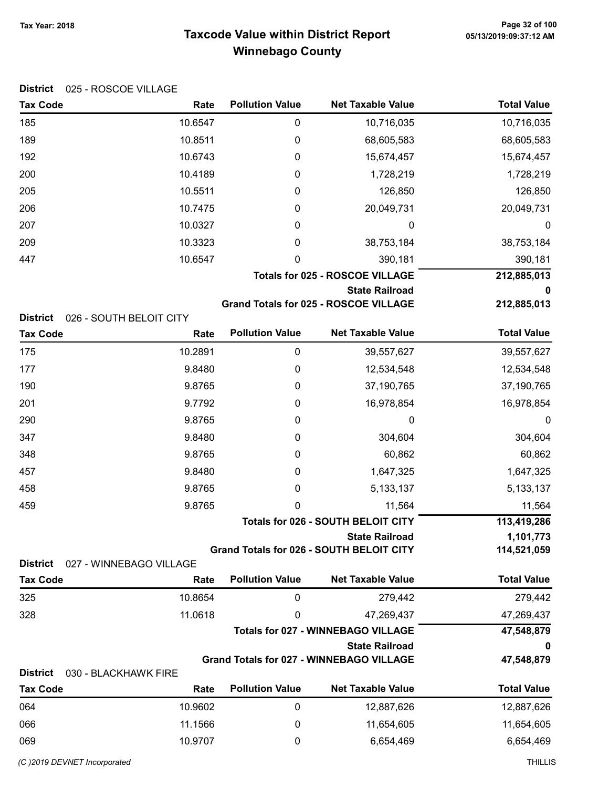# Taxcode Value within District Report Tax Year: 2018 Page 32 of 100 Winnebago County

| <b>District</b><br>025 - ROSCOE VILLAGE |                         |                        |                                                 |                    |
|-----------------------------------------|-------------------------|------------------------|-------------------------------------------------|--------------------|
| <b>Tax Code</b>                         | Rate                    | <b>Pollution Value</b> | <b>Net Taxable Value</b>                        | <b>Total Value</b> |
| 185                                     | 10.6547                 | 0                      | 10,716,035                                      | 10,716,035         |
| 189                                     | 10.8511                 | 0                      | 68,605,583                                      | 68,605,583         |
| 192                                     | 10.6743                 | 0                      | 15,674,457                                      | 15,674,457         |
| 200                                     | 10.4189                 | 0                      | 1,728,219                                       | 1,728,219          |
| 205                                     | 10.5511                 | 0                      | 126,850                                         | 126,850            |
| 206                                     | 10.7475                 | 0                      | 20,049,731                                      | 20,049,731         |
| 207                                     | 10.0327                 | 0                      | 0                                               | 0                  |
| 209                                     | 10.3323                 | 0                      | 38,753,184                                      | 38,753,184         |
| 447                                     | 10.6547                 | 0                      | 390,181                                         | 390,181            |
|                                         |                         |                        | <b>Totals for 025 - ROSCOE VILLAGE</b>          | 212,885,013        |
|                                         |                         |                        | <b>State Railroad</b>                           | 0                  |
|                                         |                         |                        | <b>Grand Totals for 025 - ROSCOE VILLAGE</b>    | 212,885,013        |
| <b>District</b>                         | 026 - SOUTH BELOIT CITY | <b>Pollution Value</b> | <b>Net Taxable Value</b>                        | <b>Total Value</b> |
| <b>Tax Code</b>                         | Rate                    |                        |                                                 |                    |
| 175                                     | 10.2891                 | 0                      | 39,557,627                                      | 39,557,627         |
| 177                                     | 9.8480                  | 0                      | 12,534,548                                      | 12,534,548         |
| 190                                     | 9.8765                  | 0                      | 37,190,765                                      | 37,190,765         |
| 201                                     | 9.7792                  | 0                      | 16,978,854                                      | 16,978,854         |
| 290                                     | 9.8765                  | 0                      | 0                                               | 0                  |
| 347                                     | 9.8480                  | 0                      | 304,604                                         | 304,604            |
| 348                                     | 9.8765                  | 0                      | 60,862                                          | 60,862             |
| 457                                     | 9.8480                  | 0                      | 1,647,325                                       | 1,647,325          |
| 458                                     | 9.8765                  | 0                      | 5, 133, 137                                     | 5, 133, 137        |
| 459                                     | 9.8765                  | 0                      | 11,564                                          | 11,564             |
|                                         |                         |                        | <b>Totals for 026 - SOUTH BELOIT CITY</b>       | 113,419,286        |
|                                         |                         |                        | <b>State Railroad</b>                           | 1,101,773          |
| <b>District</b>                         | 027 - WINNEBAGO VILLAGE |                        | <b>Grand Totals for 026 - SOUTH BELOIT CITY</b> | 114,521,059        |
| <b>Tax Code</b>                         | Rate                    | <b>Pollution Value</b> | <b>Net Taxable Value</b>                        | <b>Total Value</b> |
| 325                                     | 10.8654                 | 0                      | 279,442                                         | 279,442            |
| 328                                     | 11.0618                 | 0                      | 47,269,437                                      | 47,269,437         |
|                                         |                         |                        | <b>Totals for 027 - WINNEBAGO VILLAGE</b>       | 47,548,879         |
|                                         |                         |                        | <b>State Railroad</b>                           | 0                  |
|                                         |                         |                        | <b>Grand Totals for 027 - WINNEBAGO VILLAGE</b> | 47,548,879         |
| <b>District</b>                         | 030 - BLACKHAWK FIRE    |                        |                                                 |                    |
| <b>Tax Code</b>                         | Rate                    | <b>Pollution Value</b> | <b>Net Taxable Value</b>                        | <b>Total Value</b> |
| 064                                     | 10.9602                 | 0                      | 12,887,626                                      | 12,887,626         |
| 066                                     | 11.1566                 | 0                      | 11,654,605                                      | 11,654,605         |
| 069                                     | 10.9707                 | 0                      | 6,654,469                                       | 6,654,469          |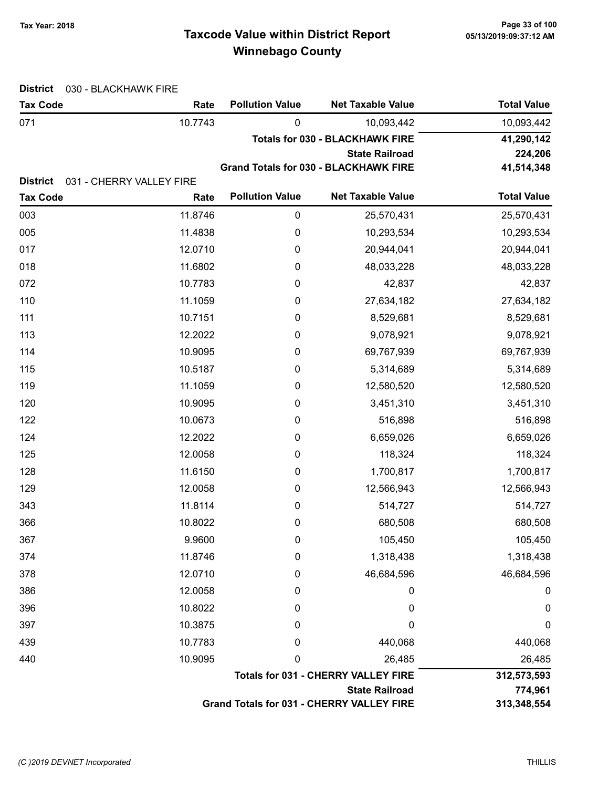# Taxcode Value within District Report Tax Year: 2018 Page 33 of 100 Winnebago County

| <b>District</b> | 030 - BLACKHAWK FIRE                       |                                        |                                              |                    |
|-----------------|--------------------------------------------|----------------------------------------|----------------------------------------------|--------------------|
| <b>Tax Code</b> | Rate                                       | <b>Pollution Value</b>                 | <b>Net Taxable Value</b>                     | <b>Total Value</b> |
| 071             | 10.7743                                    | $\pmb{0}$                              | 10,093,442                                   | 10,093,442         |
|                 |                                            | <b>Totals for 030 - BLACKHAWK FIRE</b> | 41,290,142                                   |                    |
|                 |                                            |                                        | <b>State Railroad</b>                        | 224,206            |
| <b>District</b> | 031 - CHERRY VALLEY FIRE                   |                                        | <b>Grand Totals for 030 - BLACKHAWK FIRE</b> | 41,514,348         |
| <b>Tax Code</b> | Rate                                       | <b>Pollution Value</b>                 | <b>Net Taxable Value</b>                     | <b>Total Value</b> |
| 003             | 11.8746                                    | $\pmb{0}$                              | 25,570,431                                   | 25,570,431         |
| 005             | 11.4838                                    | 0                                      | 10,293,534                                   | 10,293,534         |
| 017             | 12.0710                                    | $\pmb{0}$                              | 20,944,041                                   | 20,944,041         |
| 018             | 11.6802                                    | 0                                      | 48,033,228                                   | 48,033,228         |
| 072             | 10.7783                                    | 0                                      | 42,837                                       | 42,837             |
| 110             | 11.1059                                    | 0                                      | 27,634,182                                   | 27,634,182         |
| 111             | 10.7151                                    | 0                                      | 8,529,681                                    | 8,529,681          |
| 113             | 12.2022                                    | 0                                      | 9,078,921                                    | 9,078,921          |
| 114             | 10.9095                                    | 0                                      | 69,767,939                                   | 69,767,939         |
| 115             | 10.5187                                    | 0                                      | 5,314,689                                    | 5,314,689          |
| 119             | 11.1059                                    | 0                                      | 12,580,520                                   | 12,580,520         |
| 120             | 10.9095                                    | 0                                      | 3,451,310                                    | 3,451,310          |
| 122             | 10.0673                                    | 0                                      | 516,898                                      | 516,898            |
| 124             | 12.2022                                    | 0                                      | 6,659,026                                    | 6,659,026          |
| 125             | 12.0058                                    | $\boldsymbol{0}$                       | 118,324                                      | 118,324            |
| 128             | 11.6150                                    | 0                                      | 1,700,817                                    | 1,700,817          |
| 129             | 12.0058                                    | 0                                      | 12,566,943                                   | 12,566,943         |
| 343             | 11.8114                                    | $\boldsymbol{0}$                       | 514,727                                      | 514,727            |
| 366             | 10.8022                                    | 0                                      | 680,508                                      | 680,508            |
| 367             | 9.9600                                     | 0                                      | 105,450                                      | 105,450            |
| 374             | 11.8746                                    | 0                                      | 1,318,438                                    | 1,318,438          |
| 378             | 12.0710                                    | 0                                      | 46,684,596                                   | 46,684,596         |
| 386             | 12.0058                                    | 0                                      | 0                                            | $\boldsymbol{0}$   |
| 396             | 10.8022                                    | 0                                      | 0                                            | $\boldsymbol{0}$   |
| 397             | 10.3875                                    | 0                                      | 0                                            | $\mathbf 0$        |
| 439             | 10.7783                                    | 0                                      | 440,068                                      | 440,068            |
| 440             | 10.9095                                    | 0                                      | 26,485                                       | 26,485             |
|                 | <b>Totals for 031 - CHERRY VALLEY FIRE</b> |                                        |                                              | 312,573,593        |
|                 |                                            |                                        | <b>State Railroad</b>                        | 774,961            |
|                 |                                            |                                        | Grand Totals for 031 - CHERRY VALLEY FIRE    | 313,348,554        |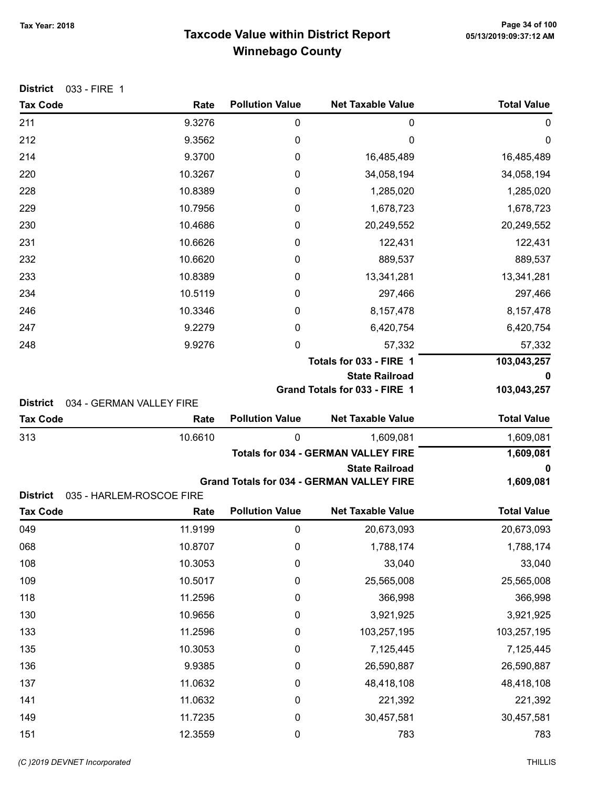# Taxcode Value within District Report Tax Year: 2018 Page 34 of 100 Winnebago County

| District | 033 - FIRE 1 |  |
|----------|--------------|--|
|----------|--------------|--|

| <b>Tax Code</b>                    | Rate                             | <b>Pollution Value</b> | <b>Net Taxable Value</b>                         | <b>Total Value</b> |
|------------------------------------|----------------------------------|------------------------|--------------------------------------------------|--------------------|
| 211                                | 9.3276                           | $\mathbf 0$            | 0                                                | 0                  |
| 212                                | 9.3562                           | 0                      | 0                                                | 0                  |
| 214                                | 9.3700                           | 0                      | 16,485,489                                       | 16,485,489         |
| 220                                | 10.3267                          | 0                      | 34,058,194                                       | 34,058,194         |
| 228                                | 10.8389                          | 0                      | 1,285,020                                        | 1,285,020          |
| 229                                | 10.7956                          | 0                      | 1,678,723                                        | 1,678,723          |
| 230                                | 10.4686                          | 0                      | 20,249,552                                       | 20,249,552         |
| 231                                | 10.6626                          | 0                      | 122,431                                          | 122,431            |
| 232                                | 10.6620                          | 0                      | 889,537                                          | 889,537            |
| 233                                | 10.8389                          | 0                      | 13,341,281                                       | 13,341,281         |
| 234                                | 10.5119                          | 0                      | 297,466                                          | 297,466            |
| 246                                | 10.3346                          | 0                      | 8,157,478                                        | 8,157,478          |
| 247                                | 9.2279                           | 0                      | 6,420,754                                        | 6,420,754          |
| 248                                | 9.9276                           | 0                      | 57,332                                           | 57,332             |
|                                    |                                  |                        | Totals for 033 - FIRE 1                          | 103,043,257        |
|                                    |                                  |                        | <b>State Railroad</b>                            | 0                  |
|                                    |                                  |                        | Grand Totals for 033 - FIRE 1                    | 103,043,257        |
| <b>District</b><br><b>Tax Code</b> | 034 - GERMAN VALLEY FIRE<br>Rate | <b>Pollution Value</b> | <b>Net Taxable Value</b>                         | <b>Total Value</b> |
| 313                                | 10.6610                          | 0                      | 1,609,081                                        | 1,609,081          |
|                                    |                                  |                        | <b>Totals for 034 - GERMAN VALLEY FIRE</b>       | 1,609,081          |
|                                    |                                  |                        | <b>State Railroad</b>                            | 0                  |
|                                    |                                  |                        | <b>Grand Totals for 034 - GERMAN VALLEY FIRE</b> | 1,609,081          |
| <b>District</b>                    | 035 - HARLEM-ROSCOE FIRE         |                        |                                                  |                    |
| <b>Tax Code</b>                    | Rate                             | <b>Pollution Value</b> | <b>Net Taxable Value</b>                         | <b>Total Value</b> |
| 049                                | 11.9199                          | 0                      | 20,673,093                                       | 20,673,093         |
| 068                                | 10.8707                          | 0                      | 1,788,174                                        | 1,788,174          |
| 108                                | 10.3053                          | $\mathbf 0$            | 33,040                                           | 33,040             |
| 109                                | 10.5017                          | $\mathbf 0$            | 25,565,008                                       | 25,565,008         |
| 118                                | 11.2596                          | $\mathbf 0$            | 366,998                                          | 366,998            |
| 130                                | 10.9656                          | $\mathbf 0$            | 3,921,925                                        | 3,921,925          |
| 133                                | 11.2596                          | 0                      | 103,257,195                                      | 103,257,195        |
| 135                                | 10.3053                          | 0                      | 7,125,445                                        | 7,125,445          |
| 136                                | 9.9385                           | $\mathbf 0$            | 26,590,887                                       | 26,590,887         |
| 137                                | 11.0632                          | 0                      | 48,418,108                                       | 48,418,108         |
| 141                                | 11.0632                          | $\mathbf 0$            | 221,392                                          | 221,392            |
| 149                                | 11.7235                          | $\boldsymbol{0}$       | 30,457,581                                       | 30,457,581         |
| 151                                | 12.3559                          | $\pmb{0}$              | 783                                              | 783                |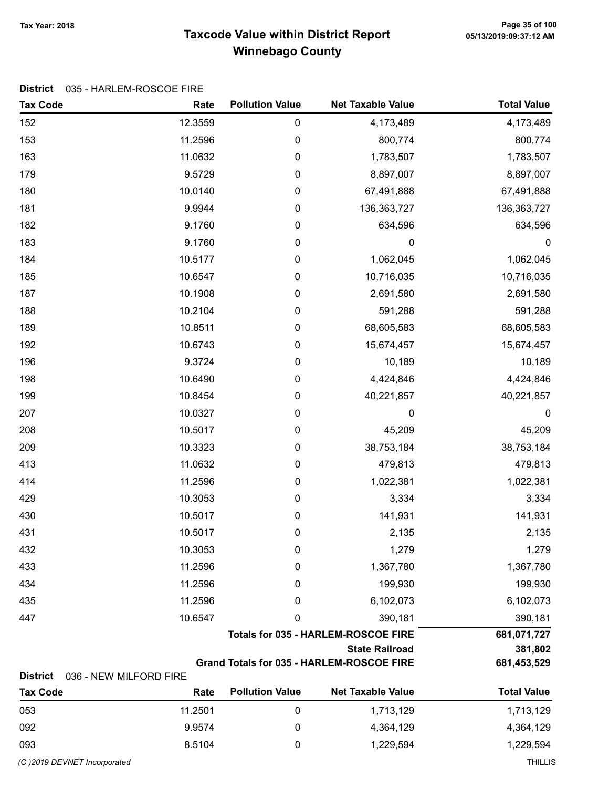# Taxcode Value within District Report Tax Year: 2018 Page 35 of 100 Winnebago County

### District 035 - HARLEM-ROSCOE FIRE

| <b>Tax Code</b>                    | Rate                   | <b>Pollution Value</b> | <b>Net Taxable Value</b>                         | <b>Total Value</b> |
|------------------------------------|------------------------|------------------------|--------------------------------------------------|--------------------|
| 152                                | 12.3559                | $\pmb{0}$              | 4,173,489                                        | 4,173,489          |
| 153                                | 11.2596                | 0                      | 800,774                                          | 800,774            |
| 163                                | 11.0632                | 0                      | 1,783,507                                        | 1,783,507          |
| 179                                | 9.5729                 | 0                      | 8,897,007                                        | 8,897,007          |
| 180                                | 10.0140                | 0                      | 67,491,888                                       | 67,491,888         |
| 181                                | 9.9944                 | $\pmb{0}$              | 136, 363, 727                                    | 136,363,727        |
| 182                                | 9.1760                 | 0                      | 634,596                                          | 634,596            |
| 183                                | 9.1760                 | $\pmb{0}$              | 0                                                | $\boldsymbol{0}$   |
| 184                                | 10.5177                | $\boldsymbol{0}$       | 1,062,045                                        | 1,062,045          |
| 185                                | 10.6547                | $\boldsymbol{0}$       | 10,716,035                                       | 10,716,035         |
| 187                                | 10.1908                | 0                      | 2,691,580                                        | 2,691,580          |
| 188                                | 10.2104                | 0                      | 591,288                                          | 591,288            |
| 189                                | 10.8511                | $\pmb{0}$              | 68,605,583                                       | 68,605,583         |
| 192                                | 10.6743                | 0                      | 15,674,457                                       | 15,674,457         |
| 196                                | 9.3724                 | $\pmb{0}$              | 10,189                                           | 10,189             |
| 198                                | 10.6490                | $\pmb{0}$              | 4,424,846                                        | 4,424,846          |
| 199                                | 10.8454                | $\pmb{0}$              | 40,221,857                                       | 40,221,857         |
| 207                                | 10.0327                | 0                      | 0                                                | $\boldsymbol{0}$   |
| 208                                | 10.5017                | 0                      | 45,209                                           | 45,209             |
| 209                                | 10.3323                | 0                      | 38,753,184                                       | 38,753,184         |
| 413                                | 11.0632                | 0                      | 479,813                                          | 479,813            |
| 414                                | 11.2596                | $\pmb{0}$              | 1,022,381                                        | 1,022,381          |
| 429                                | 10.3053                | $\pmb{0}$              | 3,334                                            | 3,334              |
| 430                                | 10.5017                | $\pmb{0}$              | 141,931                                          | 141,931            |
| 431                                | 10.5017                | 0                      | 2,135                                            | 2,135              |
| 432                                | 10.3053                | 0                      | 1,279                                            | 1,279              |
| 433                                | 11.2596                | 0                      | 1,367,780                                        | 1,367,780          |
| 434                                | 11.2596                | 0                      | 199,930                                          | 199,930            |
| 435                                | 11.2596                | 0                      | 6,102,073                                        | 6,102,073          |
| 447                                | 10.6547                | 0                      | 390,181                                          | 390,181            |
|                                    |                        |                        | <b>Totals for 035 - HARLEM-ROSCOE FIRE</b>       | 681,071,727        |
|                                    | <b>State Railroad</b>  |                        |                                                  | 381,802            |
|                                    |                        |                        | <b>Grand Totals for 035 - HARLEM-ROSCOE FIRE</b> | 681,453,529        |
| <b>District</b><br><b>Tax Code</b> | 036 - NEW MILFORD FIRE | <b>Pollution Value</b> | <b>Net Taxable Value</b>                         | <b>Total Value</b> |
|                                    | Rate                   |                        |                                                  |                    |

| <b>Tax Code</b> | Rate    | <b>Pollution Value</b> | <b>Net Taxable Value</b> | <b>Total Value</b> |
|-----------------|---------|------------------------|--------------------------|--------------------|
| 053             | 11.2501 |                        | 1,713,129                | 1,713,129          |
| 092             | 9.9574  |                        | 4,364,129                | 4,364,129          |
| 093             | 8.5104  |                        | 1.229.594                | 1,229,594          |

(C)2019 DEVNET incorporated THILLIS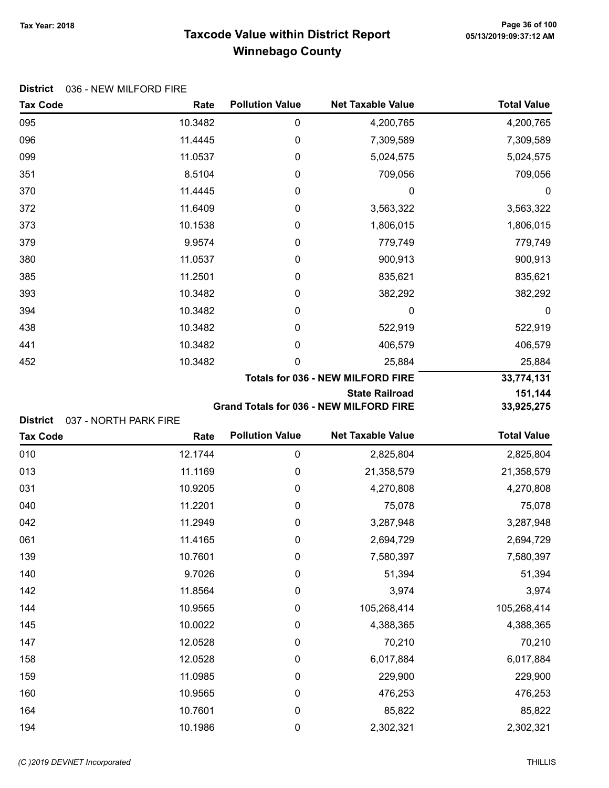# Taxcode Value within District Report Tax Year: 2018 Page 36 of 100 Winnebago County

#### District 036 - NEW MILFORD FIRE

| <b>Tax Code</b> | Rate                                     | <b>Pollution Value</b> | <b>Net Taxable Value</b> | <b>Total Value</b> |
|-----------------|------------------------------------------|------------------------|--------------------------|--------------------|
| 095             | 10.3482                                  | 0                      | 4,200,765                | 4,200,765          |
| 096             | 11.4445                                  | 0                      | 7,309,589                | 7,309,589          |
| 099             | 11.0537                                  | 0                      | 5,024,575                | 5,024,575          |
| 351             | 8.5104                                   | 0                      | 709,056                  | 709,056            |
| 370             | 11.4445                                  | 0                      | 0                        | 0                  |
| 372             | 11.6409                                  | 0                      | 3,563,322                | 3,563,322          |
| 373             | 10.1538                                  | 0                      | 1,806,015                | 1,806,015          |
| 379             | 9.9574                                   | 0                      | 779,749                  | 779,749            |
| 380             | 11.0537                                  | 0                      | 900,913                  | 900,913            |
| 385             | 11.2501                                  | 0                      | 835,621                  | 835,621            |
| 393             | 10.3482                                  | 0                      | 382,292                  | 382,292            |
| 394             | 10.3482                                  | 0                      | 0                        | $\mathbf 0$        |
| 438             | 10.3482                                  | 0                      | 522,919                  | 522,919            |
| 441             | 10.3482                                  | 0                      | 406,579                  | 406,579            |
| 452             | 10.3482                                  | 0                      | 25,884                   | 25,884             |
|                 | <b>Totals for 036 - NEW MILFORD FIRE</b> |                        |                          | 33,774,131         |
|                 |                                          |                        | <b>State Railroad</b>    | 151,144            |

Grand Totals for 036 - NEW MILFORD FIRE 33,925,275

|  | District 037 - NORTH PARK FIRE |
|--|--------------------------------|
|  |                                |

| <b>Tax Code</b> | Rate    | <b>Pollution Value</b> | <b>Net Taxable Value</b> | <b>Total Value</b> |
|-----------------|---------|------------------------|--------------------------|--------------------|
| 010             | 12.1744 | $\boldsymbol{0}$       | 2,825,804                | 2,825,804          |
| 013             | 11.1169 | $\boldsymbol{0}$       | 21,358,579               | 21,358,579         |
| 031             | 10.9205 | $\boldsymbol{0}$       | 4,270,808                | 4,270,808          |
| 040             | 11.2201 | 0                      | 75,078                   | 75,078             |
| 042             | 11.2949 | $\boldsymbol{0}$       | 3,287,948                | 3,287,948          |
| 061             | 11.4165 | $\boldsymbol{0}$       | 2,694,729                | 2,694,729          |
| 139             | 10.7601 | $\boldsymbol{0}$       | 7,580,397                | 7,580,397          |
| 140             | 9.7026  | $\boldsymbol{0}$       | 51,394                   | 51,394             |
| 142             | 11.8564 | $\boldsymbol{0}$       | 3,974                    | 3,974              |
| 144             | 10.9565 | 0                      | 105,268,414              | 105,268,414        |
| 145             | 10.0022 | 0                      | 4,388,365                | 4,388,365          |
| 147             | 12.0528 | 0                      | 70,210                   | 70,210             |
| 158             | 12.0528 | 0                      | 6,017,884                | 6,017,884          |
| 159             | 11.0985 | $\boldsymbol{0}$       | 229,900                  | 229,900            |
| 160             | 10.9565 | 0                      | 476,253                  | 476,253            |
| 164             | 10.7601 | 0                      | 85,822                   | 85,822             |
| 194             | 10.1986 | $\mathbf 0$            | 2,302,321                | 2,302,321          |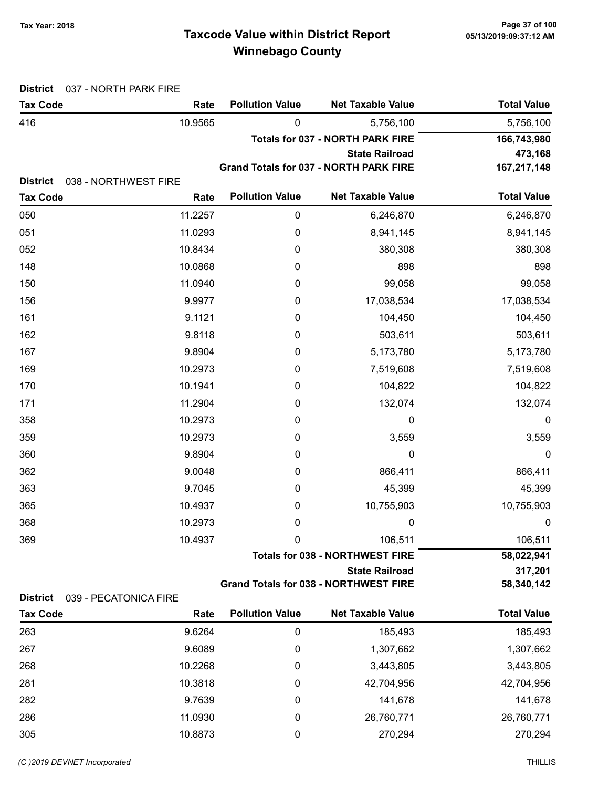# Taxcode Value within District Report Tax Year: 2018 Page 37 of 100 Winnebago County

| <b>Total Value</b> | <b>Net Taxable Value</b>                | <b>Pollution Value</b>                 | Rate                 | <b>Tax Code</b>                    |
|--------------------|-----------------------------------------|----------------------------------------|----------------------|------------------------------------|
| 5,756,100          | 5,756,100                               | $\mathbf{0}$                           | 10.9565              | 416                                |
| 166,743,980        | <b>Totals for 037 - NORTH PARK FIRE</b> |                                        |                      |                                    |
| 473,168            | <b>State Railroad</b>                   |                                        |                      |                                    |
| 167,217,148        |                                         | Grand Totals for 037 - NORTH PARK FIRE |                      |                                    |
| <b>Total Value</b> | <b>Net Taxable Value</b>                | <b>Pollution Value</b>                 | 038 - NORTHWEST FIRE | <b>District</b><br><b>Tax Code</b> |
|                    |                                         |                                        | Rate                 |                                    |
| 6,246,870          | 6,246,870                               | 0                                      | 11.2257              | 050                                |
| 8,941,145          | 8,941,145                               | $\mathbf 0$                            | 11.0293              | 051                                |
| 380,308            | 380,308                                 | 0                                      | 10.8434              | 052                                |
| 898                | 898                                     | 0                                      | 10.0868              | 148                                |
| 99,058             | 99,058                                  | 0                                      | 11.0940              | 150                                |
| 17,038,534         | 17,038,534                              | 0                                      | 9.9977               | 156                                |
| 104,450            | 104,450                                 | 0                                      | 9.1121               | 161                                |
| 503,611            | 503,611                                 | 0                                      | 9.8118               | 162                                |
| 5,173,780          | 5,173,780                               | 0                                      | 9.8904               | 167                                |
| 7,519,608          | 7,519,608                               | 0                                      | 10.2973              | 169                                |
| 104,822            | 104,822                                 | 0                                      | 10.1941              | 170                                |
| 132,074            | 132,074                                 | 0                                      | 11.2904              | 171                                |
| $\boldsymbol{0}$   | 0                                       | 0                                      | 10.2973              | 358                                |
| 3,559              | 3,559                                   | 0                                      | 10.2973              | 359                                |
| 0                  | $\mathbf 0$                             | 0                                      | 9.8904               | 360                                |
| 866,411            | 866,411                                 | 0                                      | 9.0048               | 362                                |
| 45,399             | 45,399                                  | 0                                      | 9.7045               | 363                                |
| 10,755,903         | 10,755,903                              | 0                                      | 10.4937              | 365                                |
| 0                  | 0                                       | 0                                      | 10.2973              | 368                                |
| 106,511            | 106,511                                 | 0                                      | 10.4937              | 369                                |
| 58,022,941         | <b>Totals for 038 - NORTHWEST FIRE</b>  |                                        |                      |                                    |
| 317,201            | <b>State Railroad</b>                   |                                        |                      |                                    |

| <b>Tax Code</b> | Rate    | <b>Pollution Value</b> | <b>Net Taxable Value</b> | <b>Total Value</b> |
|-----------------|---------|------------------------|--------------------------|--------------------|
| 263             | 9.6264  | 0                      | 185,493                  | 185,493            |
| 267             | 9.6089  | 0                      | 1,307,662                | 1,307,662          |
| 268             | 10.2268 | 0                      | 3,443,805                | 3,443,805          |
| 281             | 10.3818 | 0                      | 42,704,956               | 42,704,956         |
| 282             | 9.7639  | 0                      | 141,678                  | 141,678            |
| 286             | 11.0930 | 0                      | 26,760,771               | 26,760,771         |
| 305             | 10.8873 | 0                      | 270,294                  | 270,294            |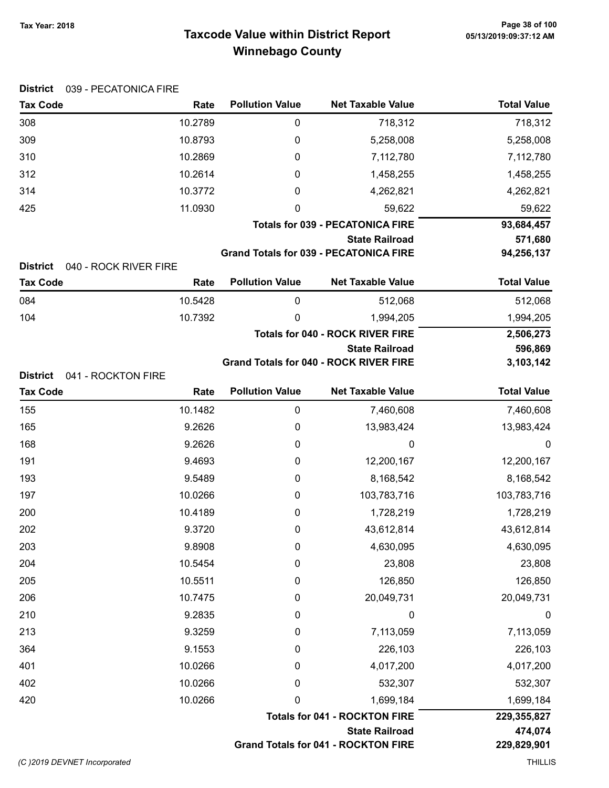# Taxcode Value within District Report Tax Year: 2018 Page 38 of 100 Winnebago County

| <b>District</b><br>039 - PECATONICA FIRE |         |                        |                                                                        |                       |
|------------------------------------------|---------|------------------------|------------------------------------------------------------------------|-----------------------|
| <b>Tax Code</b>                          | Rate    | <b>Pollution Value</b> | <b>Net Taxable Value</b>                                               | <b>Total Value</b>    |
| 308                                      | 10.2789 | 0                      | 718,312                                                                | 718,312               |
| 309                                      | 10.8793 | $\mathbf 0$            | 5,258,008                                                              | 5,258,008             |
| 310                                      | 10.2869 | 0                      | 7,112,780                                                              | 7,112,780             |
| 312                                      | 10.2614 | 0                      | 1,458,255                                                              | 1,458,255             |
| 314                                      | 10.3772 | 0                      | 4,262,821                                                              | 4,262,821             |
| 425                                      | 11.0930 | 0                      | 59,622                                                                 | 59,622                |
|                                          |         |                        | <b>Totals for 039 - PECATONICA FIRE</b>                                | 93,684,457            |
|                                          |         |                        | <b>State Railroad</b><br><b>Grand Totals for 039 - PECATONICA FIRE</b> | 571,680<br>94,256,137 |
| <b>District</b><br>040 - ROCK RIVER FIRE |         |                        |                                                                        |                       |
| <b>Tax Code</b>                          | Rate    | <b>Pollution Value</b> | <b>Net Taxable Value</b>                                               | <b>Total Value</b>    |
| 084                                      | 10.5428 | 0                      | 512,068                                                                | 512,068               |
| 104                                      | 10.7392 | 0                      | 1,994,205                                                              | 1,994,205             |
|                                          |         |                        | <b>Totals for 040 - ROCK RIVER FIRE</b>                                | 2,506,273             |
|                                          |         |                        | <b>State Railroad</b><br><b>Grand Totals for 040 - ROCK RIVER FIRE</b> | 596,869<br>3,103,142  |
| <b>District</b><br>041 - ROCKTON FIRE    |         |                        |                                                                        |                       |
| <b>Tax Code</b>                          | Rate    | <b>Pollution Value</b> | <b>Net Taxable Value</b>                                               | <b>Total Value</b>    |
| 155                                      | 10.1482 | $\boldsymbol{0}$       | 7,460,608                                                              | 7,460,608             |
| 165                                      | 9.2626  | 0                      | 13,983,424                                                             | 13,983,424            |
| 168                                      | 9.2626  | 0                      | 0                                                                      | $\mathbf 0$           |
| 191                                      | 9.4693  | 0                      | 12,200,167                                                             | 12,200,167            |
| 193                                      | 9.5489  | 0                      | 8,168,542                                                              | 8,168,542             |
| 197                                      | 10.0266 | 0                      | 103,783,716                                                            | 103,783,716           |
| 200                                      | 10.4189 | 0                      | 1,728,219                                                              | 1,728,219             |
| 202                                      | 9.3720  | 0                      | 43,612,814                                                             | 43,612,814            |
| 203                                      | 9.8908  | 0                      | 4,630,095                                                              | 4,630,095             |
| 204                                      | 10.5454 | $\mathbf 0$            | 23,808                                                                 | 23,808                |
| 205                                      | 10.5511 | 0                      | 126,850                                                                | 126,850               |
| 206                                      | 10.7475 | 0                      | 20,049,731                                                             | 20,049,731            |
| 210                                      | 9.2835  | 0                      | 0                                                                      | 0                     |
| 213                                      | 9.3259  | 0                      | 7,113,059                                                              | 7,113,059             |
| 364                                      | 9.1553  | 0                      | 226,103                                                                | 226,103               |
| 401                                      | 10.0266 | 0                      | 4,017,200                                                              | 4,017,200             |
| 402                                      | 10.0266 | 0                      | 532,307                                                                | 532,307               |
| 420                                      | 10.0266 | $\mathbf 0$            | 1,699,184                                                              | 1,699,184             |
|                                          |         |                        | <b>Totals for 041 - ROCKTON FIRE</b>                                   | 229,355,827           |
|                                          |         |                        | <b>State Railroad</b>                                                  | 474,074               |
|                                          |         |                        | <b>Grand Totals for 041 - ROCKTON FIRE</b>                             | 229,829,901           |
| (C) 2019 DEVNET Incorporated             |         |                        |                                                                        | <b>THILLIS</b>        |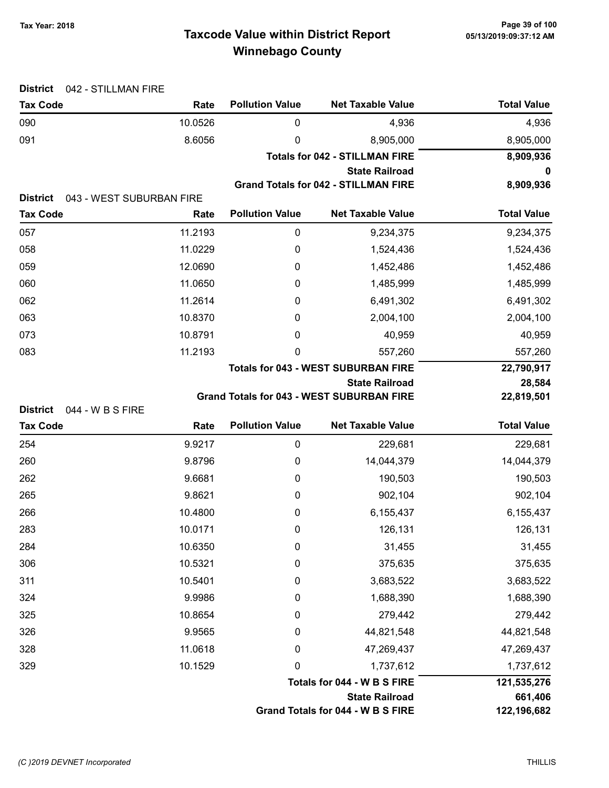# Taxcode Value within District Report Tax Year: 2018 Page 39 of 100 Winnebago County

| <b>District</b><br>042 - STILLMAN FIRE |                                  |                        |                                                                           |                      |
|----------------------------------------|----------------------------------|------------------------|---------------------------------------------------------------------------|----------------------|
| <b>Tax Code</b>                        | Rate                             | <b>Pollution Value</b> | <b>Net Taxable Value</b>                                                  | <b>Total Value</b>   |
| 090                                    | 10.0526                          | 0                      | 4,936                                                                     | 4,936                |
| 091                                    | 8.6056                           | 0                      | 8,905,000                                                                 | 8,905,000            |
|                                        |                                  |                        | <b>Totals for 042 - STILLMAN FIRE</b>                                     | 8,909,936            |
|                                        |                                  |                        | <b>State Railroad</b>                                                     | 0                    |
|                                        |                                  |                        | <b>Grand Totals for 042 - STILLMAN FIRE</b>                               | 8,909,936            |
| <b>District</b><br><b>Tax Code</b>     | 043 - WEST SUBURBAN FIRE<br>Rate | <b>Pollution Value</b> | <b>Net Taxable Value</b>                                                  | <b>Total Value</b>   |
| 057                                    | 11.2193                          | 0                      | 9,234,375                                                                 |                      |
|                                        |                                  |                        |                                                                           | 9,234,375            |
| 058                                    | 11.0229                          | 0                      | 1,524,436                                                                 | 1,524,436            |
| 059                                    | 12.0690                          | 0                      | 1,452,486                                                                 | 1,452,486            |
| 060                                    | 11.0650                          | 0                      | 1,485,999                                                                 | 1,485,999            |
| 062                                    | 11.2614                          | 0                      | 6,491,302                                                                 | 6,491,302            |
| 063                                    | 10.8370                          | 0                      | 2,004,100                                                                 | 2,004,100            |
| 073                                    | 10.8791                          | 0                      | 40,959                                                                    | 40,959               |
| 083                                    | 11.2193                          | 0                      | 557,260                                                                   | 557,260              |
|                                        |                                  |                        | <b>Totals for 043 - WEST SUBURBAN FIRE</b>                                | 22,790,917           |
|                                        |                                  |                        | <b>State Railroad</b><br><b>Grand Totals for 043 - WEST SUBURBAN FIRE</b> | 28,584<br>22,819,501 |
| <b>District</b><br>044 - W B S FIRE    |                                  |                        |                                                                           |                      |
| <b>Tax Code</b>                        | Rate                             | <b>Pollution Value</b> | <b>Net Taxable Value</b>                                                  | <b>Total Value</b>   |
| 254                                    | 9.9217                           | 0                      | 229,681                                                                   | 229,681              |
| 260                                    | 9.8796                           | 0                      | 14,044,379                                                                | 14,044,379           |
| 262                                    | 9.6681                           | 0                      | 190,503                                                                   | 190,503              |
| 265                                    | 9.8621                           | 0                      | 902,104                                                                   | 902,104              |
| 266                                    | 10.4800                          | 0                      | 6,155,437                                                                 | 6,155,437            |
| 283                                    | 10.0171                          | 0                      | 126,131                                                                   | 126,131              |
| 284                                    | 10.6350                          | 0                      | 31,455                                                                    | 31,455               |
| 306                                    | 10.5321                          | 0                      | 375,635                                                                   | 375,635              |
| 311                                    | 10.5401                          | 0                      | 3,683,522                                                                 | 3,683,522            |
| 324                                    | 9.9986                           | 0                      | 1,688,390                                                                 | 1,688,390            |
| 325                                    | 10.8654                          | 0                      | 279,442                                                                   | 279,442              |
| 326                                    | 9.9565                           | 0                      | 44,821,548                                                                | 44,821,548           |
| 328                                    | 11.0618                          | 0                      | 47,269,437                                                                | 47,269,437           |
| 329                                    | 10.1529                          | $\mathbf 0$            | 1,737,612                                                                 | 1,737,612            |
|                                        |                                  |                        | Totals for 044 - W B S FIRE                                               | 121,535,276          |
|                                        |                                  |                        | <b>State Railroad</b>                                                     | 661,406              |
|                                        |                                  |                        | Grand Totals for 044 - W B S FIRE                                         | 122,196,682          |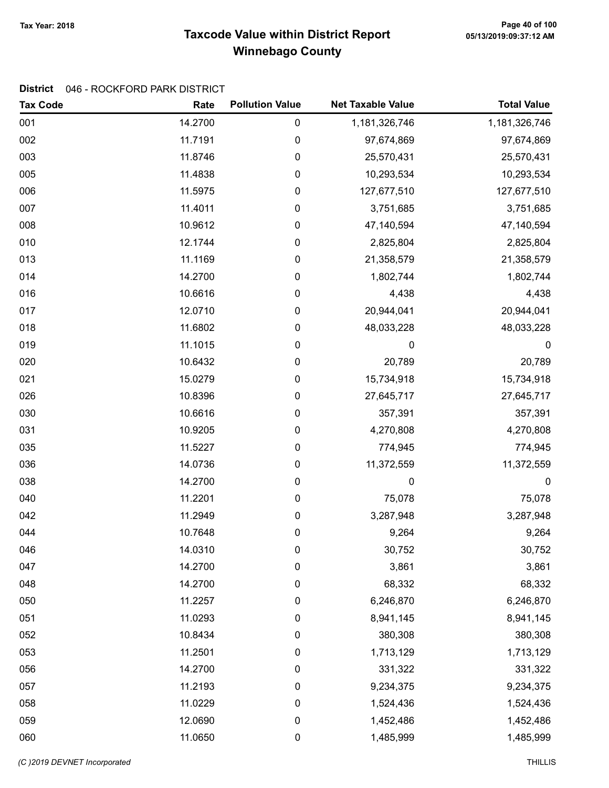# Taxcode Value within District Report Tax Year: 2018 Page 40 of 100 Winnebago County

### District 046 - ROCKFORD PARK DISTRICT

| <b>Tax Code</b> | Rate    | <b>Pollution Value</b> | <b>Net Taxable Value</b> | <b>Total Value</b> |
|-----------------|---------|------------------------|--------------------------|--------------------|
| 001             | 14.2700 | 0                      | 1,181,326,746            | 1,181,326,746      |
| 002             | 11.7191 | 0                      | 97,674,869               | 97,674,869         |
| 003             | 11.8746 | 0                      | 25,570,431               | 25,570,431         |
| 005             | 11.4838 | 0                      | 10,293,534               | 10,293,534         |
| 006             | 11.5975 | 0                      | 127,677,510              | 127,677,510        |
| 007             | 11.4011 | 0                      | 3,751,685                | 3,751,685          |
| 008             | 10.9612 | 0                      | 47,140,594               | 47,140,594         |
| 010             | 12.1744 | 0                      | 2,825,804                | 2,825,804          |
| 013             | 11.1169 | 0                      | 21,358,579               | 21,358,579         |
| 014             | 14.2700 | 0                      | 1,802,744                | 1,802,744          |
| 016             | 10.6616 | 0                      | 4,438                    | 4,438              |
| 017             | 12.0710 | 0                      | 20,944,041               | 20,944,041         |
| 018             | 11.6802 | 0                      | 48,033,228               | 48,033,228         |
| 019             | 11.1015 | 0                      | 0                        | 0                  |
| 020             | 10.6432 | $\pmb{0}$              | 20,789                   | 20,789             |
| 021             | 15.0279 | 0                      | 15,734,918               | 15,734,918         |
| 026             | 10.8396 | 0                      | 27,645,717               | 27,645,717         |
| 030             | 10.6616 | 0                      | 357,391                  | 357,391            |
| 031             | 10.9205 | 0                      | 4,270,808                | 4,270,808          |
| 035             | 11.5227 | 0                      | 774,945                  | 774,945            |
| 036             | 14.0736 | 0                      | 11,372,559               | 11,372,559         |
| 038             | 14.2700 | $\pmb{0}$              | 0                        | $\boldsymbol{0}$   |
| 040             | 11.2201 | $\pmb{0}$              | 75,078                   | 75,078             |
| 042             | 11.2949 | $\pmb{0}$              | 3,287,948                | 3,287,948          |
| 044             | 10.7648 | 0                      | 9,264                    | 9,264              |
| 046             | 14.0310 | 0                      | 30,752                   | 30,752             |
| 047             | 14.2700 | 0                      | 3,861                    | 3,861              |
| 048             | 14.2700 | 0                      | 68,332                   | 68,332             |
| 050             | 11.2257 | 0                      | 6,246,870                | 6,246,870          |
| 051             | 11.0293 | 0                      | 8,941,145                | 8,941,145          |
| 052             | 10.8434 | $\pmb{0}$              | 380,308                  | 380,308            |
| 053             | 11.2501 | 0                      | 1,713,129                | 1,713,129          |
| 056             | 14.2700 | 0                      | 331,322                  | 331,322            |
| 057             | 11.2193 | 0                      | 9,234,375                | 9,234,375          |
| 058             | 11.0229 | 0                      | 1,524,436                | 1,524,436          |
| 059             | 12.0690 | $\pmb{0}$              | 1,452,486                | 1,452,486          |
| 060             | 11.0650 | 0                      | 1,485,999                | 1,485,999          |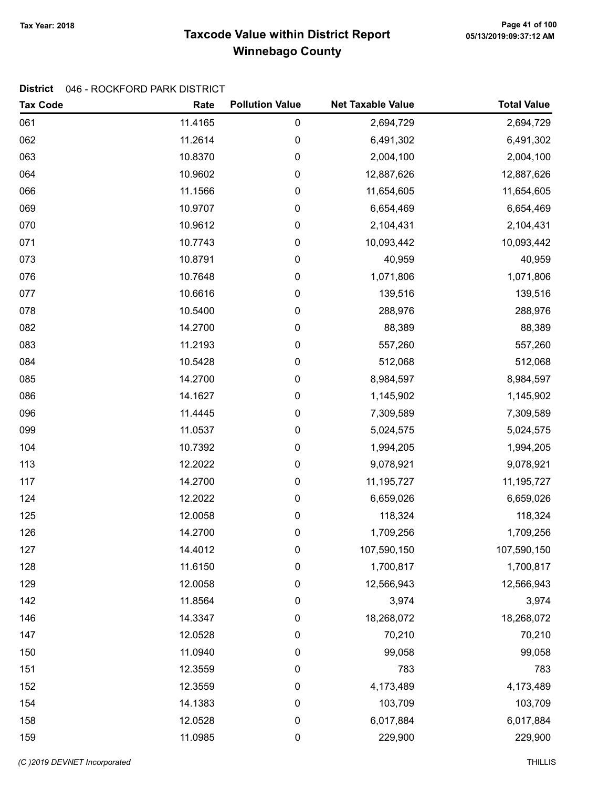# Taxcode Value within District Report Tax Year: 2018 Page 41 of 100 Winnebago County

### District 046 - ROCKFORD PARK DISTRICT

| <b>Tax Code</b> | Rate    | <b>Pollution Value</b> | <b>Net Taxable Value</b> | <b>Total Value</b> |
|-----------------|---------|------------------------|--------------------------|--------------------|
| 061             | 11.4165 | 0                      | 2,694,729                | 2,694,729          |
| 062             | 11.2614 | 0                      | 6,491,302                | 6,491,302          |
| 063             | 10.8370 | 0                      | 2,004,100                | 2,004,100          |
| 064             | 10.9602 | 0                      | 12,887,626               | 12,887,626         |
| 066             | 11.1566 | 0                      | 11,654,605               | 11,654,605         |
| 069             | 10.9707 | 0                      | 6,654,469                | 6,654,469          |
| 070             | 10.9612 | 0                      | 2,104,431                | 2,104,431          |
| 071             | 10.7743 | 0                      | 10,093,442               | 10,093,442         |
| 073             | 10.8791 | 0                      | 40,959                   | 40,959             |
| 076             | 10.7648 | 0                      | 1,071,806                | 1,071,806          |
| 077             | 10.6616 | 0                      | 139,516                  | 139,516            |
| 078             | 10.5400 | 0                      | 288,976                  | 288,976            |
| 082             | 14.2700 | 0                      | 88,389                   | 88,389             |
| 083             | 11.2193 | 0                      | 557,260                  | 557,260            |
| 084             | 10.5428 | 0                      | 512,068                  | 512,068            |
| 085             | 14.2700 | 0                      | 8,984,597                | 8,984,597          |
| 086             | 14.1627 | 0                      | 1,145,902                | 1,145,902          |
| 096             | 11.4445 | 0                      | 7,309,589                | 7,309,589          |
| 099             | 11.0537 | 0                      | 5,024,575                | 5,024,575          |
| 104             | 10.7392 | 0                      | 1,994,205                | 1,994,205          |
| 113             | 12.2022 | 0                      | 9,078,921                | 9,078,921          |
| 117             | 14.2700 | 0                      | 11,195,727               | 11, 195, 727       |
| 124             | 12.2022 | 0                      | 6,659,026                | 6,659,026          |
| 125             | 12.0058 | 0                      | 118,324                  | 118,324            |
| 126             | 14.2700 | 0                      | 1,709,256                | 1,709,256          |
| 127             | 14.4012 | 0                      | 107,590,150              | 107,590,150        |
| 128             | 11.6150 | 0                      | 1,700,817                | 1,700,817          |
| 129             | 12.0058 | 0                      | 12,566,943               | 12,566,943         |
| 142             | 11.8564 | 0                      | 3,974                    | 3,974              |
| 146             | 14.3347 | 0                      | 18,268,072               | 18,268,072         |
| 147             | 12.0528 | 0                      | 70,210                   | 70,210             |
| 150             | 11.0940 | $\pmb{0}$              | 99,058                   | 99,058             |
| 151             | 12.3559 | 0                      | 783                      | 783                |
| 152             | 12.3559 | 0                      | 4,173,489                | 4,173,489          |
| 154             | 14.1383 | 0                      | 103,709                  | 103,709            |
| 158             | 12.0528 | 0                      | 6,017,884                | 6,017,884          |
| 159             | 11.0985 | $\pmb{0}$              | 229,900                  | 229,900            |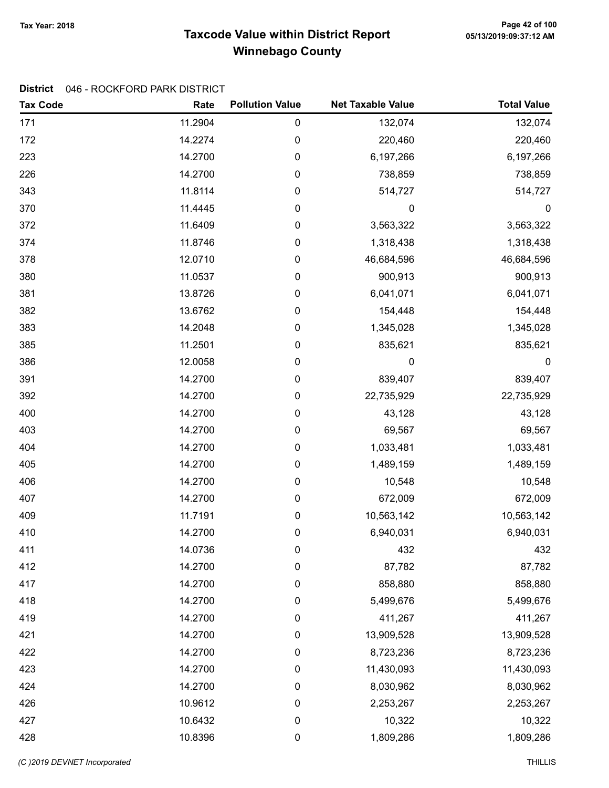# Taxcode Value within District Report Tax Year: 2018 Page 42 of 100 Winnebago County

### District 046 - ROCKFORD PARK DISTRICT

| <b>Tax Code</b> | Rate    | <b>Pollution Value</b> | <b>Net Taxable Value</b> | <b>Total Value</b> |
|-----------------|---------|------------------------|--------------------------|--------------------|
| 171             | 11.2904 | 0                      | 132,074                  | 132,074            |
| 172             | 14.2274 | 0                      | 220,460                  | 220,460            |
| 223             | 14.2700 | 0                      | 6,197,266                | 6,197,266          |
| 226             | 14.2700 | 0                      | 738,859                  | 738,859            |
| 343             | 11.8114 | 0                      | 514,727                  | 514,727            |
| 370             | 11.4445 | 0                      | 0                        | $\boldsymbol{0}$   |
| 372             | 11.6409 | 0                      | 3,563,322                | 3,563,322          |
| 374             | 11.8746 | 0                      | 1,318,438                | 1,318,438          |
| 378             | 12.0710 | 0                      | 46,684,596               | 46,684,596         |
| 380             | 11.0537 | 0                      | 900,913                  | 900,913            |
| 381             | 13.8726 | 0                      | 6,041,071                | 6,041,071          |
| 382             | 13.6762 | 0                      | 154,448                  | 154,448            |
| 383             | 14.2048 | 0                      | 1,345,028                | 1,345,028          |
| 385             | 11.2501 | 0                      | 835,621                  | 835,621            |
| 386             | 12.0058 | 0                      | 0                        | $\mathbf 0$        |
| 391             | 14.2700 | 0                      | 839,407                  | 839,407            |
| 392             | 14.2700 | 0                      | 22,735,929               | 22,735,929         |
| 400             | 14.2700 | 0                      | 43,128                   | 43,128             |
| 403             | 14.2700 | 0                      | 69,567                   | 69,567             |
| 404             | 14.2700 | 0                      | 1,033,481                | 1,033,481          |
| 405             | 14.2700 | 0                      | 1,489,159                | 1,489,159          |
| 406             | 14.2700 | $\pmb{0}$              | 10,548                   | 10,548             |
| 407             | 14.2700 | 0                      | 672,009                  | 672,009            |
| 409             | 11.7191 | 0                      | 10,563,142               | 10,563,142         |
| 410             | 14.2700 | 0                      | 6,940,031                | 6,940,031          |
| 411             | 14.0736 | 0                      | 432                      | 432                |
| 412             | 14.2700 | 0                      | 87,782                   | 87,782             |
| 417             | 14.2700 | $\pmb{0}$              | 858,880                  | 858,880            |
| 418             | 14.2700 | 0                      | 5,499,676                | 5,499,676          |
| 419             | 14.2700 | 0                      | 411,267                  | 411,267            |
| 421             | 14.2700 | $\boldsymbol{0}$       | 13,909,528               | 13,909,528         |
| 422             | 14.2700 | 0                      | 8,723,236                | 8,723,236          |
| 423             | 14.2700 | 0                      | 11,430,093               | 11,430,093         |
| 424             | 14.2700 | 0                      | 8,030,962                | 8,030,962          |
| 426             | 10.9612 | $\boldsymbol{0}$       | 2,253,267                | 2,253,267          |
| 427             | 10.6432 | $\pmb{0}$              | 10,322                   | 10,322             |
| 428             | 10.8396 | $\pmb{0}$              | 1,809,286                | 1,809,286          |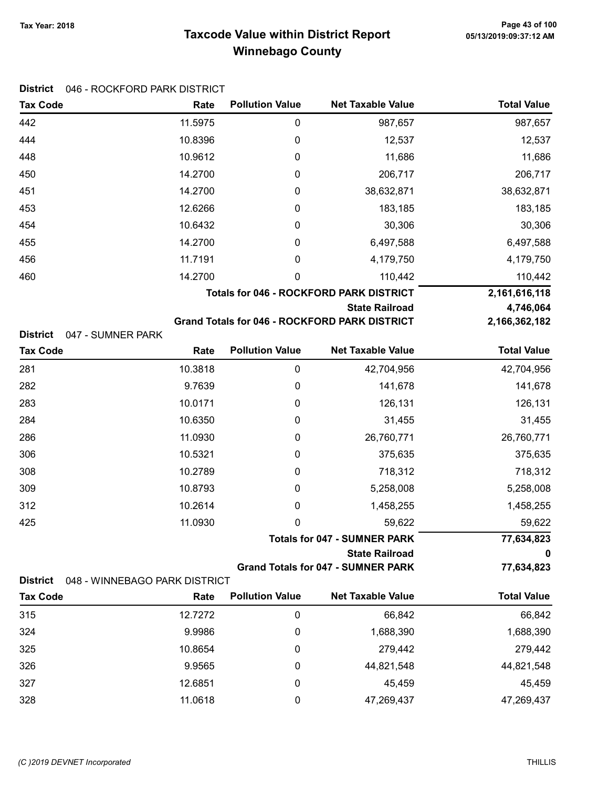# Taxcode Value within District Report Tax Year: 2018 Page 43 of 100 Winnebago County

### District 046 - ROCKFORD PARK DISTRICT

| <b>Tax Code</b>                      | Rate    | <b>Pollution Value</b> | <b>Net Taxable Value</b>                                                      | <b>Total Value</b>         |
|--------------------------------------|---------|------------------------|-------------------------------------------------------------------------------|----------------------------|
| 442                                  | 11.5975 | 0                      | 987,657                                                                       | 987,657                    |
| 444                                  | 10.8396 | 0                      | 12,537                                                                        | 12,537                     |
| 448                                  | 10.9612 | 0                      | 11,686                                                                        | 11,686                     |
| 450                                  | 14.2700 | 0                      | 206,717                                                                       | 206,717                    |
| 451                                  | 14.2700 | 0                      | 38,632,871                                                                    | 38,632,871                 |
| 453                                  | 12.6266 | 0                      | 183,185                                                                       | 183,185                    |
| 454                                  | 10.6432 | 0                      | 30,306                                                                        | 30,306                     |
| 455                                  | 14.2700 | 0                      | 6,497,588                                                                     | 6,497,588                  |
| 456                                  | 11.7191 | 0                      | 4,179,750                                                                     | 4,179,750                  |
| 460                                  | 14.2700 | 0                      | 110,442                                                                       | 110,442                    |
|                                      |         |                        | <b>Totals for 046 - ROCKFORD PARK DISTRICT</b>                                | 2,161,616,118              |
|                                      |         |                        | <b>State Railroad</b><br><b>Grand Totals for 046 - ROCKFORD PARK DISTRICT</b> | 4,746,064<br>2,166,362,182 |
| <b>District</b><br>047 - SUMNER PARK |         |                        |                                                                               |                            |
| <b>Tax Code</b>                      | Rate    | <b>Pollution Value</b> | <b>Net Taxable Value</b>                                                      | <b>Total Value</b>         |
| 281                                  | 10.3818 | 0                      | 42,704,956                                                                    | 42,704,956                 |
| 282                                  | 9.7639  | 0                      | 141,678                                                                       | 141,678                    |
| 283                                  | 10.0171 | 0                      | 126,131                                                                       | 126,131                    |
| 284                                  | 10.6350 | 0                      | 31,455                                                                        | 31,455                     |
| 286                                  | 11.0930 | 0                      | 26,760,771                                                                    | 26,760,771                 |
| 306                                  | 10.5321 | 0                      | 375,635                                                                       | 375,635                    |

|     |         | <b>State Railroad</b>               | 0          |
|-----|---------|-------------------------------------|------------|
|     |         | <b>Totals for 047 - SUMNER PARK</b> | 77,634,823 |
| 425 | 11.0930 | 59.622                              | 59,622     |
| 312 | 10.2614 | 1,458,255                           | 1,458,255  |
| 309 | 10.8793 | 5,258,008                           | 5,258,008  |
| 308 | 10.2789 | 718,312                             | 718,312    |
| 306 | 10.5321 | 375,635                             | 375,635    |

Grand Totals for 047 - SUMNER PARK 77,634,823

| District 048 - WINNEBAGO PARK DISTRICT |  |
|----------------------------------------|--|
|                                        |  |

| <b>Tax Code</b> | Rate    | <b>Pollution Value</b> | <b>Net Taxable Value</b> | <b>Total Value</b> |
|-----------------|---------|------------------------|--------------------------|--------------------|
| 315             | 12.7272 |                        | 66.842                   | 66,842             |
| 324             | 9.9986  | 0                      | 1,688,390                | 1,688,390          |
| 325             | 10.8654 |                        | 279,442                  | 279,442            |
| 326             | 9.9565  | 0                      | 44,821,548               | 44,821,548         |
| 327             | 12.6851 | 0                      | 45,459                   | 45,459             |
| 328             | 11.0618 |                        | 47,269,437               | 47,269,437         |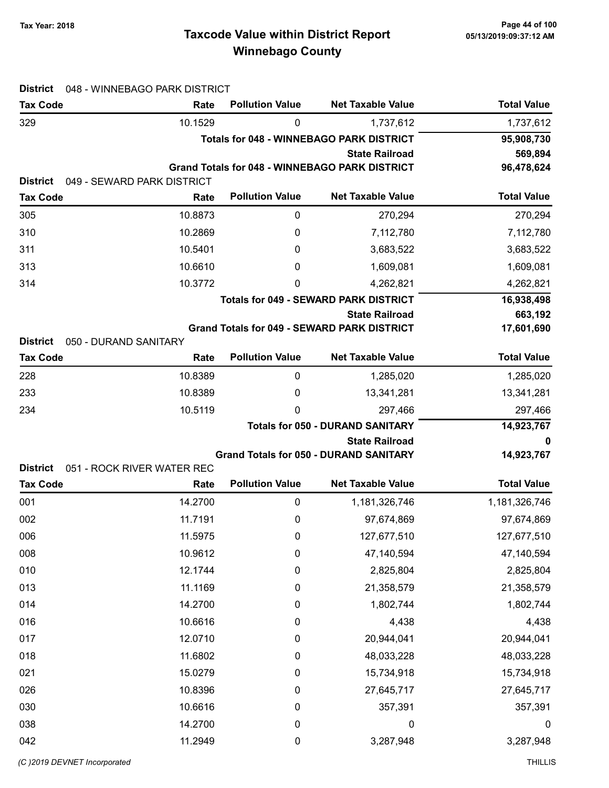# Taxcode Value within District Report Tax Year: 2018 Page 44 of 100 Winnebago County

| <b>District</b><br>048 - WINNEBAGO PARK DISTRICT |                                    |                               |                                                       |                               |
|--------------------------------------------------|------------------------------------|-------------------------------|-------------------------------------------------------|-------------------------------|
| <b>Tax Code</b>                                  | Rate                               | <b>Pollution Value</b>        | <b>Net Taxable Value</b>                              | <b>Total Value</b>            |
| 329                                              | 10.1529                            | 0                             | 1,737,612                                             | 1,737,612                     |
|                                                  |                                    |                               | <b>Totals for 048 - WINNEBAGO PARK DISTRICT</b>       | 95,908,730                    |
|                                                  |                                    |                               | <b>State Railroad</b>                                 | 569,894                       |
|                                                  |                                    |                               | <b>Grand Totals for 048 - WINNEBAGO PARK DISTRICT</b> | 96,478,624                    |
| <b>District</b>                                  | 049 - SEWARD PARK DISTRICT<br>Rate | <b>Pollution Value</b>        | <b>Net Taxable Value</b>                              | <b>Total Value</b>            |
| <b>Tax Code</b>                                  |                                    |                               |                                                       |                               |
| 305                                              | 10.8873                            | $\boldsymbol{0}$              | 270,294                                               | 270,294                       |
| 310                                              | 10.2869                            | 0                             | 7,112,780                                             | 7,112,780                     |
| 311                                              | 10.5401                            | 0                             | 3,683,522                                             | 3,683,522                     |
| 313                                              | 10.6610                            | 0                             | 1,609,081                                             | 1,609,081                     |
| 314                                              | 10.3772                            | 0                             | 4,262,821                                             | 4,262,821                     |
|                                                  |                                    |                               | <b>Totals for 049 - SEWARD PARK DISTRICT</b>          | 16,938,498                    |
|                                                  |                                    |                               | <b>State Railroad</b>                                 | 663,192                       |
| <b>District</b><br>050 - DURAND SANITARY         |                                    |                               | <b>Grand Totals for 049 - SEWARD PARK DISTRICT</b>    | 17,601,690                    |
| <b>Tax Code</b>                                  | Rate                               | <b>Pollution Value</b>        | <b>Net Taxable Value</b>                              | <b>Total Value</b>            |
| 228                                              | 10.8389                            | 0                             | 1,285,020                                             | 1,285,020                     |
| 233                                              | 10.8389                            | 0                             | 13,341,281                                            | 13,341,281                    |
| 234                                              | 10.5119                            | 0                             | 297,466                                               | 297,466                       |
|                                                  |                                    |                               | <b>Totals for 050 - DURAND SANITARY</b>               | 14,923,767                    |
|                                                  |                                    |                               |                                                       |                               |
|                                                  |                                    |                               | <b>State Railroad</b>                                 | 0                             |
|                                                  |                                    |                               | <b>Grand Totals for 050 - DURAND SANITARY</b>         | 14,923,767                    |
| <b>District</b>                                  | 051 - ROCK RIVER WATER REC         |                               |                                                       |                               |
| <b>Tax Code</b>                                  | Rate                               | <b>Pollution Value</b>        | <b>Net Taxable Value</b>                              | <b>Total Value</b>            |
| 001                                              | 14.2700                            | $\boldsymbol{0}$              | 1,181,326,746                                         | 1,181,326,746                 |
| 002                                              | 11.7191                            | $\boldsymbol{0}$              | 97,674,869                                            | 97,674,869                    |
| 006                                              | 11.5975                            | 0                             | 127,677,510                                           | 127,677,510                   |
| 008                                              | 10.9612                            | $\pmb{0}$                     | 47,140,594                                            | 47,140,594                    |
| 010                                              | 12.1744                            | $\pmb{0}$                     | 2,825,804                                             | 2,825,804                     |
| 013<br>014                                       | 11.1169                            | $\boldsymbol{0}$<br>$\pmb{0}$ | 21,358,579                                            | 21,358,579                    |
| 016                                              | 14.2700<br>10.6616                 | $\boldsymbol{0}$              | 1,802,744<br>4,438                                    | 1,802,744<br>4,438            |
| 017                                              | 12.0710                            | $\boldsymbol{0}$              | 20,944,041                                            |                               |
| 018                                              | 11.6802                            | $\boldsymbol{0}$              | 48,033,228                                            | 20,944,041<br>48,033,228      |
| 021                                              | 15.0279                            | $\boldsymbol{0}$              | 15,734,918                                            | 15,734,918                    |
| 026                                              | 10.8396                            | $\boldsymbol{0}$              |                                                       |                               |
|                                                  |                                    | 0                             | 27,645,717                                            | 27,645,717                    |
| 030                                              | 10.6616                            |                               | 357,391                                               | 357,391                       |
| 038<br>042                                       | 14.2700<br>11.2949                 | $\boldsymbol{0}$<br>$\pmb{0}$ | $\mathbf 0$<br>3,287,948                              | $\boldsymbol{0}$<br>3,287,948 |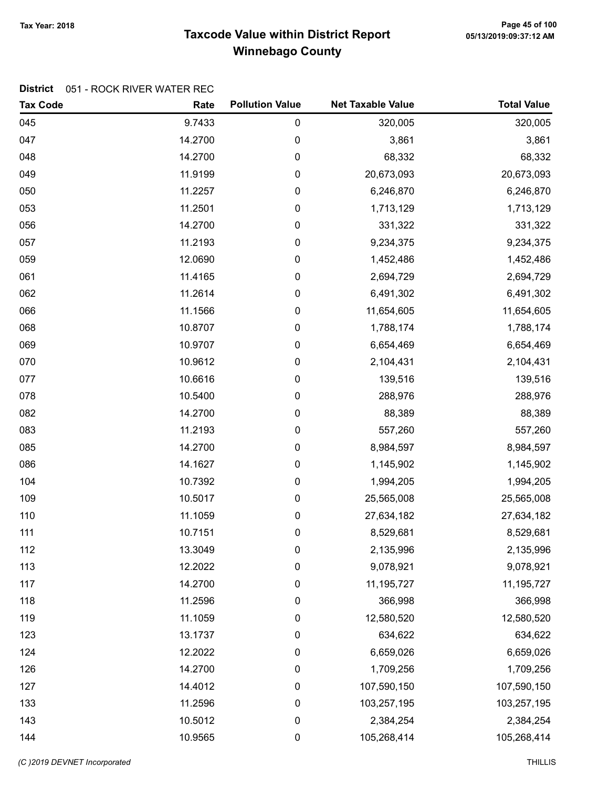# Taxcode Value within District Report Tax Year: 2018 Page 45 of 100 Winnebago County

### District 051 - ROCK RIVER WATER REC

| <b>Tax Code</b> | Rate    | <b>Pollution Value</b> | <b>Net Taxable Value</b> | <b>Total Value</b> |
|-----------------|---------|------------------------|--------------------------|--------------------|
| 045             | 9.7433  | 0                      | 320,005                  | 320,005            |
| 047             | 14.2700 | 0                      | 3,861                    | 3,861              |
| 048             | 14.2700 | 0                      | 68,332                   | 68,332             |
| 049             | 11.9199 | 0                      | 20,673,093               | 20,673,093         |
| 050             | 11.2257 | 0                      | 6,246,870                | 6,246,870          |
| 053             | 11.2501 | 0                      | 1,713,129                | 1,713,129          |
| 056             | 14.2700 | 0                      | 331,322                  | 331,322            |
| 057             | 11.2193 | 0                      | 9,234,375                | 9,234,375          |
| 059             | 12.0690 | 0                      | 1,452,486                | 1,452,486          |
| 061             | 11.4165 | 0                      | 2,694,729                | 2,694,729          |
| 062             | 11.2614 | 0                      | 6,491,302                | 6,491,302          |
| 066             | 11.1566 | 0                      | 11,654,605               | 11,654,605         |
| 068             | 10.8707 | 0                      | 1,788,174                | 1,788,174          |
| 069             | 10.9707 | 0                      | 6,654,469                | 6,654,469          |
| 070             | 10.9612 | 0                      | 2,104,431                | 2,104,431          |
| 077             | 10.6616 | 0                      | 139,516                  | 139,516            |
| 078             | 10.5400 | 0                      | 288,976                  | 288,976            |
| 082             | 14.2700 | 0                      | 88,389                   | 88,389             |
| 083             | 11.2193 | 0                      | 557,260                  | 557,260            |
| 085             | 14.2700 | 0                      | 8,984,597                | 8,984,597          |
| 086             | 14.1627 | 0                      | 1,145,902                | 1,145,902          |
| 104             | 10.7392 | 0                      | 1,994,205                | 1,994,205          |
| 109             | 10.5017 | 0                      | 25,565,008               | 25,565,008         |
| 110             | 11.1059 | 0                      | 27,634,182               | 27,634,182         |
| 111             | 10.7151 | 0                      | 8,529,681                | 8,529,681          |
| 112             | 13.3049 | 0                      | 2,135,996                | 2,135,996          |
| 113             | 12.2022 | 0                      | 9,078,921                | 9,078,921          |
| 117             | 14.2700 | 0                      | 11,195,727               | 11, 195, 727       |
| 118             | 11.2596 | 0                      | 366,998                  | 366,998            |
| 119             | 11.1059 | 0                      | 12,580,520               | 12,580,520         |
| 123             | 13.1737 | 0                      | 634,622                  | 634,622            |
| 124             | 12.2022 | 0                      | 6,659,026                | 6,659,026          |
| 126             | 14.2700 | 0                      | 1,709,256                | 1,709,256          |
| 127             | 14.4012 | 0                      | 107,590,150              | 107,590,150        |
| 133             | 11.2596 | 0                      | 103,257,195              | 103,257,195        |
| 143             | 10.5012 | 0                      | 2,384,254                | 2,384,254          |
| 144             | 10.9565 | 0                      | 105,268,414              | 105,268,414        |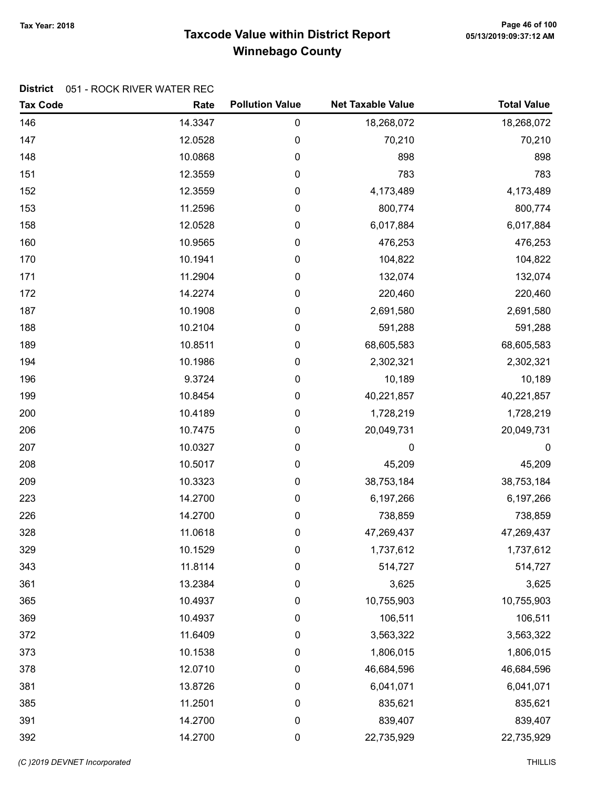# Taxcode Value within District Report Tax Year: 2018 Page 46 of 100 Winnebago County

### District 051 - ROCK RIVER WATER REC

| <b>Tax Code</b> | Rate    | <b>Pollution Value</b> | <b>Net Taxable Value</b> | <b>Total Value</b> |
|-----------------|---------|------------------------|--------------------------|--------------------|
| 146             | 14.3347 | $\pmb{0}$              | 18,268,072               | 18,268,072         |
| 147             | 12.0528 | 0                      | 70,210                   | 70,210             |
| 148             | 10.0868 | $\pmb{0}$              | 898                      | 898                |
| 151             | 12.3559 | $\pmb{0}$              | 783                      | 783                |
| 152             | 12.3559 | 0                      | 4,173,489                | 4,173,489          |
| 153             | 11.2596 | $\pmb{0}$              | 800,774                  | 800,774            |
| 158             | 12.0528 | $\pmb{0}$              | 6,017,884                | 6,017,884          |
| 160             | 10.9565 | $\pmb{0}$              | 476,253                  | 476,253            |
| 170             | 10.1941 | 0                      | 104,822                  | 104,822            |
| 171             | 11.2904 | $\pmb{0}$              | 132,074                  | 132,074            |
| 172             | 14.2274 | $\pmb{0}$              | 220,460                  | 220,460            |
| 187             | 10.1908 | 0                      | 2,691,580                | 2,691,580          |
| 188             | 10.2104 | $\pmb{0}$              | 591,288                  | 591,288            |
| 189             | 10.8511 | $\pmb{0}$              | 68,605,583               | 68,605,583         |
| 194             | 10.1986 | $\pmb{0}$              | 2,302,321                | 2,302,321          |
| 196             | 9.3724  | 0                      | 10,189                   | 10,189             |
| 199             | 10.8454 | $\pmb{0}$              | 40,221,857               | 40,221,857         |
| 200             | 10.4189 | $\pmb{0}$              | 1,728,219                | 1,728,219          |
| 206             | 10.7475 | 0                      | 20,049,731               | 20,049,731         |
| 207             | 10.0327 | $\pmb{0}$              | 0                        | $\mathbf 0$        |
| 208             | 10.5017 | $\pmb{0}$              | 45,209                   | 45,209             |
| 209             | 10.3323 | $\pmb{0}$              | 38,753,184               | 38,753,184         |
| 223             | 14.2700 | 0                      | 6,197,266                | 6,197,266          |
| 226             | 14.2700 | $\pmb{0}$              | 738,859                  | 738,859            |
| 328             | 11.0618 | $\pmb{0}$              | 47,269,437               | 47,269,437         |
| 329             | 10.1529 | 0                      | 1,737,612                | 1,737,612          |
| 343             | 11.8114 | $\pmb{0}$              | 514,727                  | 514,727            |
| 361             | 13.2384 | $\pmb{0}$              | 3,625                    | 3,625              |
| 365             | 10.4937 | $\boldsymbol{0}$       | 10,755,903               | 10,755,903         |
| 369             | 10.4937 | $\mathbf 0$            | 106,511                  | 106,511            |
| 372             | 11.6409 | $\boldsymbol{0}$       | 3,563,322                | 3,563,322          |
| 373             | 10.1538 | $\pmb{0}$              | 1,806,015                | 1,806,015          |
| 378             | 12.0710 | $\pmb{0}$              | 46,684,596               | 46,684,596         |
| 381             | 13.8726 | 0                      | 6,041,071                | 6,041,071          |
| 385             | 11.2501 | $\boldsymbol{0}$       | 835,621                  | 835,621            |
| 391             | 14.2700 | $\pmb{0}$              | 839,407                  | 839,407            |
| 392             | 14.2700 | $\pmb{0}$              | 22,735,929               | 22,735,929         |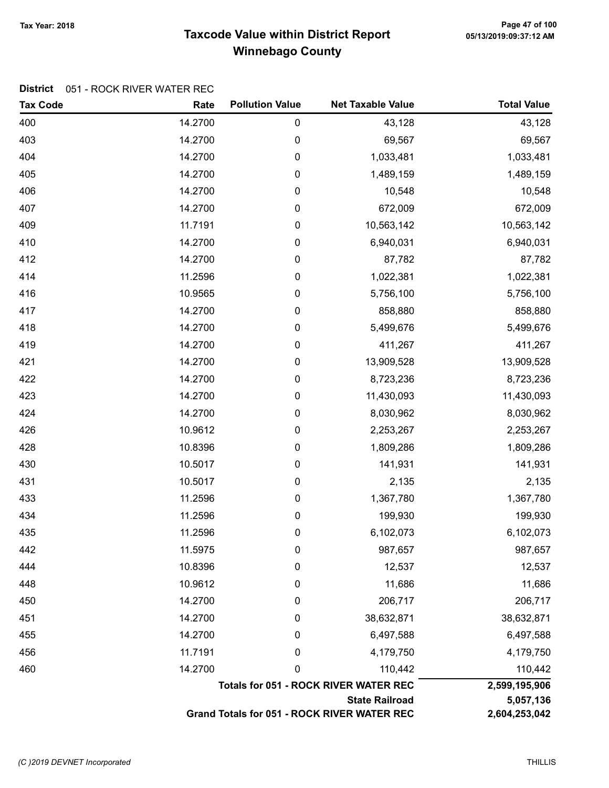# Taxcode Value within District Report Tax Year: 2018 Page 47 of 100 Winnebago County

### District 051 - ROCK RIVER WATER REC

| <b>Tax Code</b> | Rate    | <b>Pollution Value</b> | <b>Net Taxable Value</b>                     | <b>Total Value</b> |
|-----------------|---------|------------------------|----------------------------------------------|--------------------|
| 400             | 14.2700 | $\pmb{0}$              | 43,128                                       | 43,128             |
| 403             | 14.2700 | 0                      | 69,567                                       | 69,567             |
| 404             | 14.2700 | $\pmb{0}$              | 1,033,481                                    | 1,033,481          |
| 405             | 14.2700 | $\pmb{0}$              | 1,489,159                                    | 1,489,159          |
| 406             | 14.2700 | $\pmb{0}$              | 10,548                                       | 10,548             |
| 407             | 14.2700 | 0                      | 672,009                                      | 672,009            |
| 409             | 11.7191 | $\pmb{0}$              | 10,563,142                                   | 10,563,142         |
| 410             | 14.2700 | 0                      | 6,940,031                                    | 6,940,031          |
| 412             | 14.2700 | 0                      | 87,782                                       | 87,782             |
| 414             | 11.2596 | $\pmb{0}$              | 1,022,381                                    | 1,022,381          |
| 416             | 10.9565 | 0                      | 5,756,100                                    | 5,756,100          |
| 417             | 14.2700 | $\pmb{0}$              | 858,880                                      | 858,880            |
| 418             | 14.2700 | 0                      | 5,499,676                                    | 5,499,676          |
| 419             | 14.2700 | $\pmb{0}$              | 411,267                                      | 411,267            |
| 421             | 14.2700 | 0                      | 13,909,528                                   | 13,909,528         |
| 422             | 14.2700 | 0                      | 8,723,236                                    | 8,723,236          |
| 423             | 14.2700 | $\pmb{0}$              | 11,430,093                                   | 11,430,093         |
| 424             | 14.2700 | 0                      | 8,030,962                                    | 8,030,962          |
| 426             | 10.9612 | $\pmb{0}$              | 2,253,267                                    | 2,253,267          |
| 428             | 10.8396 | 0                      | 1,809,286                                    | 1,809,286          |
| 430             | 10.5017 | 0                      | 141,931                                      | 141,931            |
| 431             | 10.5017 | 0                      | 2,135                                        | 2,135              |
| 433             | 11.2596 | 0                      | 1,367,780                                    | 1,367,780          |
| 434             | 11.2596 | 0                      | 199,930                                      | 199,930            |
| 435             | 11.2596 | 0                      | 6,102,073                                    | 6,102,073          |
| 442             | 11.5975 | 0                      | 987,657                                      | 987,657            |
| 444             | 10.8396 | 0                      | 12,537                                       | 12,537             |
| 448             | 10.9612 | 0                      | 11,686                                       | 11,686             |
| 450             | 14.2700 | 0                      | 206,717                                      | 206,717            |
| 451             | 14.2700 | 0                      | 38,632,871                                   | 38,632,871         |
| 455             | 14.2700 | 0                      | 6,497,588                                    | 6,497,588          |
| 456             | 11.7191 | 0                      | 4,179,750                                    | 4,179,750          |
| 460             | 14.2700 | 0                      | 110,442                                      | 110,442            |
|                 |         |                        | <b>Totals for 051 - ROCK RIVER WATER REC</b> | 2,599,195,906      |
|                 |         |                        | <b>State Railroad</b>                        | 5,057,136          |
|                 |         |                        | Grand Totals for 051 - ROCK RIVER WATER REC  | 2,604,253,042      |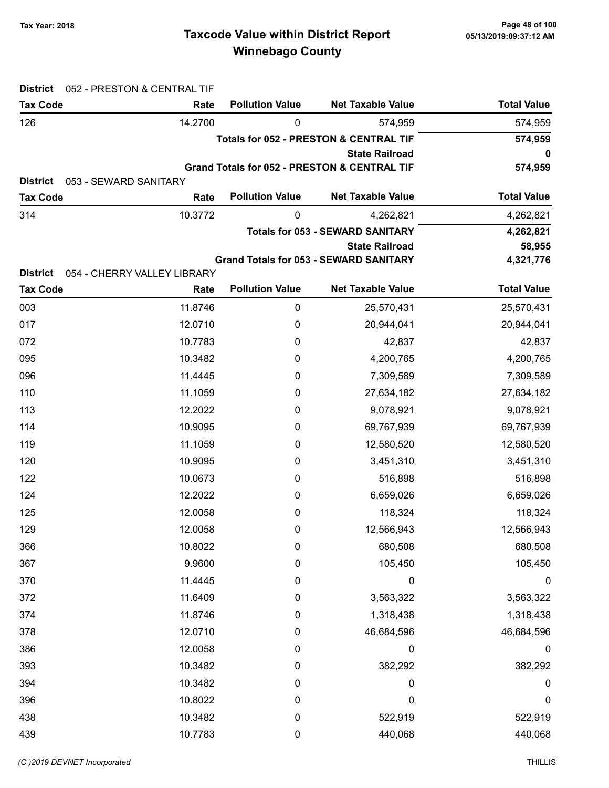# Taxcode Value within District Report Tax Year: 2018 Page 48 of 100 Winnebago County

| <b>District</b><br>052 - PRESTON & CENTRAL TIF |                             |                        |                                                         |                    |
|------------------------------------------------|-----------------------------|------------------------|---------------------------------------------------------|--------------------|
| <b>Tax Code</b>                                | Rate                        | <b>Pollution Value</b> | <b>Net Taxable Value</b>                                | <b>Total Value</b> |
| 126                                            | 14.2700                     | 0                      | 574,959                                                 | 574,959            |
|                                                |                             |                        | <b>Totals for 052 - PRESTON &amp; CENTRAL TIF</b>       | 574,959            |
|                                                |                             |                        | <b>State Railroad</b>                                   | 0                  |
| <b>District</b>                                | 053 - SEWARD SANITARY       |                        | <b>Grand Totals for 052 - PRESTON &amp; CENTRAL TIF</b> | 574,959            |
| <b>Tax Code</b>                                | Rate                        | <b>Pollution Value</b> | <b>Net Taxable Value</b>                                | <b>Total Value</b> |
| 314                                            | 10.3772                     | 0                      | 4,262,821                                               | 4,262,821          |
|                                                |                             |                        | <b>Totals for 053 - SEWARD SANITARY</b>                 | 4,262,821          |
|                                                |                             |                        | <b>State Railroad</b>                                   | 58,955             |
|                                                |                             |                        | <b>Grand Totals for 053 - SEWARD SANITARY</b>           | 4,321,776          |
| <b>District</b>                                | 054 - CHERRY VALLEY LIBRARY |                        |                                                         |                    |
| <b>Tax Code</b>                                | Rate                        | <b>Pollution Value</b> | <b>Net Taxable Value</b>                                | <b>Total Value</b> |
| 003                                            | 11.8746                     | $\pmb{0}$              | 25,570,431                                              | 25,570,431         |
| 017                                            | 12.0710                     | 0                      | 20,944,041                                              | 20,944,041         |
| 072                                            | 10.7783                     | 0                      | 42,837                                                  | 42,837             |
| 095                                            | 10.3482                     | 0                      | 4,200,765                                               | 4,200,765          |
| 096                                            | 11.4445                     | 0                      | 7,309,589                                               | 7,309,589          |
| 110                                            | 11.1059                     | 0                      | 27,634,182                                              | 27,634,182         |
| 113                                            | 12.2022                     | 0                      | 9,078,921                                               | 9,078,921          |
| 114                                            | 10.9095                     | 0                      | 69,767,939                                              | 69,767,939         |
| 119                                            | 11.1059                     | 0                      | 12,580,520                                              | 12,580,520         |
| 120                                            | 10.9095                     | 0                      | 3,451,310                                               | 3,451,310          |
| 122                                            | 10.0673                     | 0                      | 516,898                                                 | 516,898            |
| 124                                            | 12.2022                     | 0                      | 6,659,026                                               | 6,659,026          |
| 125                                            | 12.0058                     | 0                      | 118,324                                                 | 118,324            |
| 129                                            | 12.0058                     | 0                      | 12,566,943                                              | 12,566,943         |
| 366                                            | 10.8022                     | 0                      | 680,508                                                 | 680,508            |
| 367                                            | 9.9600                      | 0                      | 105,450                                                 | 105,450            |
| 370                                            | 11.4445                     | 0                      | 0                                                       | 0                  |
| 372                                            | 11.6409                     | 0                      | 3,563,322                                               | 3,563,322          |
| 374                                            | 11.8746                     | 0                      | 1,318,438                                               | 1,318,438          |
| 378                                            | 12.0710                     | 0                      | 46,684,596                                              | 46,684,596         |
| 386                                            | 12.0058                     | 0                      | 0                                                       | $\boldsymbol{0}$   |
| 393                                            | 10.3482                     | 0                      | 382,292                                                 | 382,292            |
| 394                                            | 10.3482                     | 0                      | 0                                                       | 0                  |
| 396                                            | 10.8022                     | 0                      | 0                                                       | 0                  |
| 438                                            | 10.3482                     | 0                      | 522,919                                                 | 522,919            |
| 439                                            | 10.7783                     | 0                      | 440,068                                                 | 440,068            |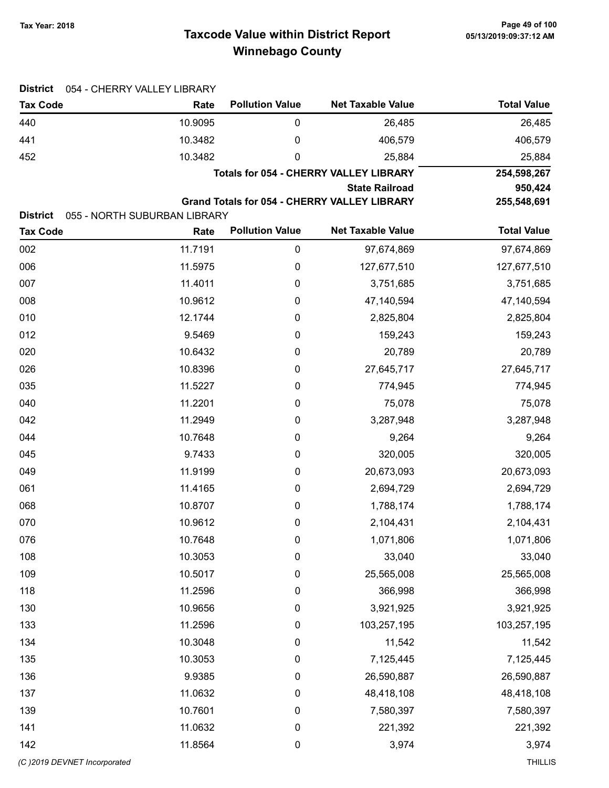# Taxcode Value within District Report Tax Year: 2018 Page 49 of 100 Winnebago County

| <b>District</b><br>054 - CHERRY VALLEY LIBRARY |                              |                        |                                                     |                    |
|------------------------------------------------|------------------------------|------------------------|-----------------------------------------------------|--------------------|
| <b>Tax Code</b>                                | Rate                         | <b>Pollution Value</b> | <b>Net Taxable Value</b>                            | <b>Total Value</b> |
| 440                                            | 10.9095                      | 0                      | 26,485                                              | 26,485             |
| 441                                            | 10.3482                      | 0                      | 406,579                                             | 406,579            |
| 452                                            | 10.3482                      | 0                      | 25,884                                              | 25,884             |
|                                                |                              |                        | <b>Totals for 054 - CHERRY VALLEY LIBRARY</b>       | 254,598,267        |
|                                                |                              |                        | <b>State Railroad</b>                               | 950,424            |
| <b>District</b>                                | 055 - NORTH SUBURBAN LIBRARY |                        | <b>Grand Totals for 054 - CHERRY VALLEY LIBRARY</b> | 255,548,691        |
| <b>Tax Code</b>                                | Rate                         | <b>Pollution Value</b> | <b>Net Taxable Value</b>                            | <b>Total Value</b> |
| 002                                            | 11.7191                      | $\mathbf 0$            | 97,674,869                                          | 97,674,869         |
| 006                                            | 11.5975                      | 0                      | 127,677,510                                         | 127,677,510        |
| 007                                            | 11.4011                      | 0                      | 3,751,685                                           | 3,751,685          |
| 008                                            | 10.9612                      | 0                      | 47,140,594                                          | 47,140,594         |
| 010                                            | 12.1744                      | 0                      | 2,825,804                                           | 2,825,804          |
| 012                                            | 9.5469                       | 0                      | 159,243                                             | 159,243            |
| 020                                            | 10.6432                      | 0                      | 20,789                                              | 20,789             |
| 026                                            | 10.8396                      | $\boldsymbol{0}$       | 27,645,717                                          | 27,645,717         |
| 035                                            | 11.5227                      | 0                      | 774,945                                             | 774,945            |
| 040                                            | 11.2201                      | 0                      | 75,078                                              | 75,078             |
| 042                                            | 11.2949                      | $\boldsymbol{0}$       | 3,287,948                                           | 3,287,948          |
| 044                                            | 10.7648                      | $\boldsymbol{0}$       | 9,264                                               | 9,264              |
| 045                                            | 9.7433                       | $\boldsymbol{0}$       | 320,005                                             | 320,005            |
| 049                                            | 11.9199                      | 0                      | 20,673,093                                          | 20,673,093         |
| 061                                            | 11.4165                      | $\boldsymbol{0}$       | 2,694,729                                           | 2,694,729          |
| 068                                            | 10.8707                      | $\boldsymbol{0}$       | 1,788,174                                           | 1,788,174          |
| 070                                            | 10.9612                      | 0                      | 2,104,431                                           | 2,104,431          |
| 076                                            | 10.7648                      | $\pmb{0}$              | 1,071,806                                           | 1,071,806          |
| 108                                            | 10.3053                      | $\pmb{0}$              | 33,040                                              | 33,040             |
| 109                                            | 10.5017                      | $\boldsymbol{0}$       | 25,565,008                                          | 25,565,008         |
| 118                                            | 11.2596                      | $\boldsymbol{0}$       | 366,998                                             | 366,998            |
| 130                                            | 10.9656                      | $\boldsymbol{0}$       | 3,921,925                                           | 3,921,925          |
| 133                                            | 11.2596                      | $\pmb{0}$              | 103,257,195                                         | 103,257,195        |
| 134                                            | 10.3048                      | $\pmb{0}$              | 11,542                                              | 11,542             |
| 135                                            | 10.3053                      | $\boldsymbol{0}$       | 7,125,445                                           | 7,125,445          |
| 136                                            | 9.9385                       | $\boldsymbol{0}$       | 26,590,887                                          | 26,590,887         |
| 137                                            | 11.0632                      | $\boldsymbol{0}$       | 48,418,108                                          | 48,418,108         |
| 139                                            | 10.7601                      | $\boldsymbol{0}$       | 7,580,397                                           | 7,580,397          |
| 141                                            | 11.0632                      | $\boldsymbol{0}$       | 221,392                                             | 221,392            |
| 142                                            | 11.8564                      | $\boldsymbol{0}$       | 3,974                                               | 3,974              |
| (C)2019 DEVNET Incorporated                    |                              |                        |                                                     | <b>THILLIS</b>     |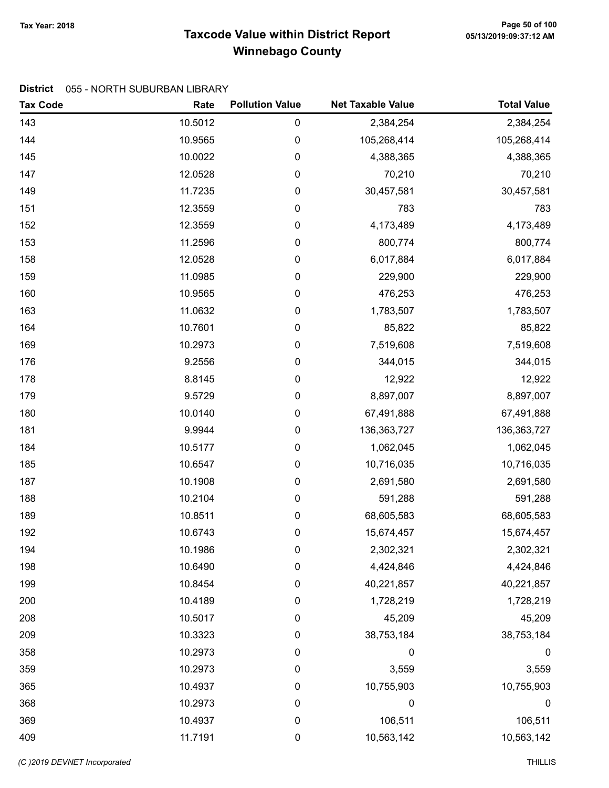# Taxcode Value within District Report Tax Year: 2018 Page 50 of 100 Winnebago County

#### District 055 - NORTH SUBURBAN LIBRARY

| <b>Tax Code</b> | Rate    | <b>Pollution Value</b> | <b>Net Taxable Value</b> | <b>Total Value</b> |
|-----------------|---------|------------------------|--------------------------|--------------------|
| 143             | 10.5012 | 0                      | 2,384,254                | 2,384,254          |
| 144             | 10.9565 | 0                      | 105,268,414              | 105,268,414        |
| 145             | 10.0022 | $\pmb{0}$              | 4,388,365                | 4,388,365          |
| 147             | 12.0528 | 0                      | 70,210                   | 70,210             |
| 149             | 11.7235 | 0                      | 30,457,581               | 30,457,581         |
| 151             | 12.3559 | $\boldsymbol{0}$       | 783                      | 783                |
| 152             | 12.3559 | $\boldsymbol{0}$       | 4,173,489                | 4,173,489          |
| 153             | 11.2596 | $\mathbf 0$            | 800,774                  | 800,774            |
| 158             | 12.0528 | 0                      | 6,017,884                | 6,017,884          |
| 159             | 11.0985 | $\pmb{0}$              | 229,900                  | 229,900            |
| 160             | 10.9565 | $\mathbf 0$            | 476,253                  | 476,253            |
| 163             | 11.0632 | 0                      | 1,783,507                | 1,783,507          |
| 164             | 10.7601 | $\boldsymbol{0}$       | 85,822                   | 85,822             |
| 169             | 10.2973 | $\boldsymbol{0}$       | 7,519,608                | 7,519,608          |
| 176             | 9.2556  | $\boldsymbol{0}$       | 344,015                  | 344,015            |
| 178             | 8.8145  | 0                      | 12,922                   | 12,922             |
| 179             | 9.5729  | $\pmb{0}$              | 8,897,007                | 8,897,007          |
| 180             | 10.0140 | $\mathbf 0$            | 67,491,888               | 67,491,888         |
| 181             | 9.9944  | 0                      | 136,363,727              | 136,363,727        |
| 184             | 10.5177 | 0                      | 1,062,045                | 1,062,045          |
| 185             | 10.6547 | $\boldsymbol{0}$       | 10,716,035               | 10,716,035         |
| 187             | 10.1908 | $\mathbf 0$            | 2,691,580                | 2,691,580          |
| 188             | 10.2104 | 0                      | 591,288                  | 591,288            |
| 189             | 10.8511 | 0                      | 68,605,583               | 68,605,583         |
| 192             | 10.6743 | 0                      | 15,674,457               | 15,674,457         |
| 194             | 10.1986 | 0                      | 2,302,321                | 2,302,321          |
| 198             | 10.6490 | 0                      | 4,424,846                | 4,424,846          |
| 199             | 10.8454 | 0                      | 40,221,857               | 40,221,857         |
| 200             | 10.4189 | 0                      | 1,728,219                | 1,728,219          |
| 208             | 10.5017 | 0                      | 45,209                   | 45,209             |
| 209             | 10.3323 | 0                      | 38,753,184               | 38,753,184         |
| 358             | 10.2973 | 0                      | 0                        | $\boldsymbol{0}$   |
| 359             | 10.2973 | 0                      | 3,559                    | 3,559              |
| 365             | 10.4937 | 0                      | 10,755,903               | 10,755,903         |
| 368             | 10.2973 | $\boldsymbol{0}$       | 0                        | $\boldsymbol{0}$   |
| 369             | 10.4937 | $\boldsymbol{0}$       | 106,511                  | 106,511            |
| 409             | 11.7191 | $\mathbf 0$            | 10,563,142               | 10,563,142         |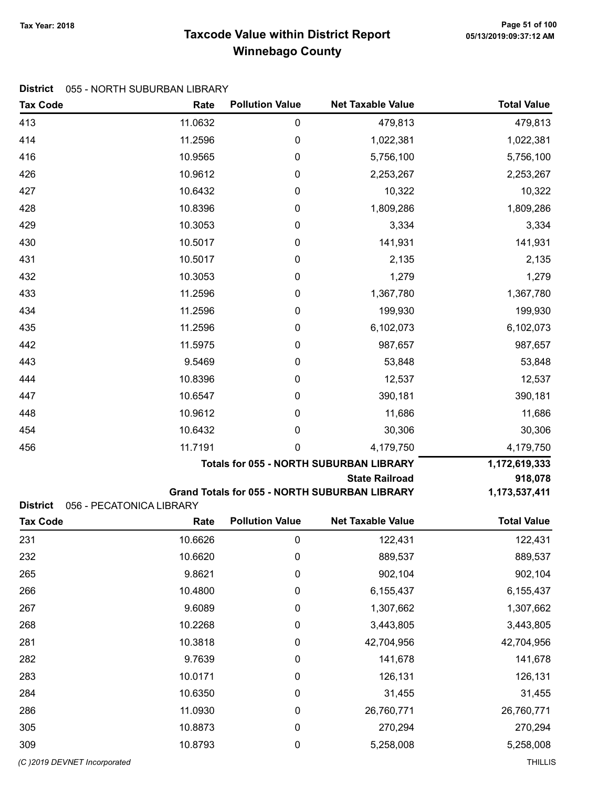# Taxcode Value within District Report Tax Year: 2018 Page 51 of 100 Winnebago County

#### District 055 - NORTH SUBURBAN LIBRARY

| <b>Tax Code</b>                                                | Rate    | <b>Pollution Value</b>                         | <b>Net Taxable Value</b>                             | <b>Total Value</b> |
|----------------------------------------------------------------|---------|------------------------------------------------|------------------------------------------------------|--------------------|
| 413                                                            | 11.0632 | 0                                              | 479,813                                              | 479,813            |
| 414                                                            | 11.2596 | $\boldsymbol{0}$                               | 1,022,381                                            | 1,022,381          |
| 416                                                            | 10.9565 | 0                                              | 5,756,100                                            | 5,756,100          |
| 426                                                            | 10.9612 | 0                                              | 2,253,267                                            | 2,253,267          |
| 427                                                            | 10.6432 | 0                                              | 10,322                                               | 10,322             |
| 428                                                            | 10.8396 | $\boldsymbol{0}$                               | 1,809,286                                            | 1,809,286          |
| 429                                                            | 10.3053 | 0                                              | 3,334                                                | 3,334              |
| 430                                                            | 10.5017 | $\boldsymbol{0}$                               | 141,931                                              | 141,931            |
| 431                                                            | 10.5017 | $\boldsymbol{0}$                               | 2,135                                                | 2,135              |
| 432                                                            | 10.3053 | $\pmb{0}$                                      | 1,279                                                | 1,279              |
| 433                                                            | 11.2596 | $\boldsymbol{0}$                               | 1,367,780                                            | 1,367,780          |
| 434                                                            | 11.2596 | 0                                              | 199,930                                              | 199,930            |
| 435                                                            | 11.2596 | $\boldsymbol{0}$                               | 6,102,073                                            | 6,102,073          |
| 442                                                            | 11.5975 | 0                                              | 987,657                                              | 987,657            |
| 443                                                            | 9.5469  | $\boldsymbol{0}$                               | 53,848                                               | 53,848             |
| 444                                                            | 10.8396 | 0                                              | 12,537                                               | 12,537             |
| 447                                                            | 10.6547 | 0                                              | 390,181                                              | 390,181            |
| 448                                                            | 10.9612 | 0                                              | 11,686                                               | 11,686             |
| 454                                                            | 10.6432 | 0                                              | 30,306                                               | 30,306             |
| 456                                                            | 11.7191 | 0                                              | 4,179,750                                            | 4,179,750          |
|                                                                |         | <b>Totals for 055 - NORTH SUBURBAN LIBRARY</b> | 1,172,619,333                                        |                    |
|                                                                |         |                                                | <b>State Railroad</b>                                | 918,078            |
|                                                                |         |                                                | <b>Grand Totals for 055 - NORTH SUBURBAN LIBRARY</b> | 1,173,537,411      |
| <b>District</b><br>056 - PECATONICA LIBRARY<br><b>Tax Code</b> | Rate    | <b>Pollution Value</b>                         | <b>Net Taxable Value</b>                             | <b>Total Value</b> |
|                                                                |         |                                                |                                                      |                    |
| 231                                                            | 10.6626 | $\pmb{0}$                                      | 122,431                                              | 122,431            |
| 232                                                            | 10.6620 | $\pmb{0}$                                      | 889,537                                              | 889,537            |
| 265                                                            | 9.8621  | $\pmb{0}$                                      | 902,104                                              | 902,104            |
| 266                                                            | 10.4800 | $\boldsymbol{0}$                               | 6,155,437                                            | 6,155,437          |
| 267                                                            | 9.6089  | $\boldsymbol{0}$                               | 1,307,662                                            | 1,307,662          |
| 268                                                            | 10.2268 | $\boldsymbol{0}$                               | 3,443,805                                            | 3,443,805          |
| 281                                                            | 10.3818 | 0                                              | 42,704,956                                           | 42,704,956         |
| 282                                                            | 9.7639  | $\boldsymbol{0}$                               | 141,678                                              | 141,678            |
| 283                                                            | 10.0171 | $\pmb{0}$                                      | 126,131                                              | 126,131            |
| 284                                                            | 10.6350 | $\boldsymbol{0}$                               | 31,455                                               | 31,455             |
| 286                                                            | 11.0930 | $\boldsymbol{0}$                               | 26,760,771                                           | 26,760,771         |
| 305                                                            | 10.8873 | $\boldsymbol{0}$                               | 270,294                                              | 270,294            |
| 309                                                            | 10.8793 | $\boldsymbol{0}$                               | 5,258,008                                            | 5,258,008          |
| (C) 2019 DEVNET Incorporated                                   |         |                                                |                                                      | <b>THILLIS</b>     |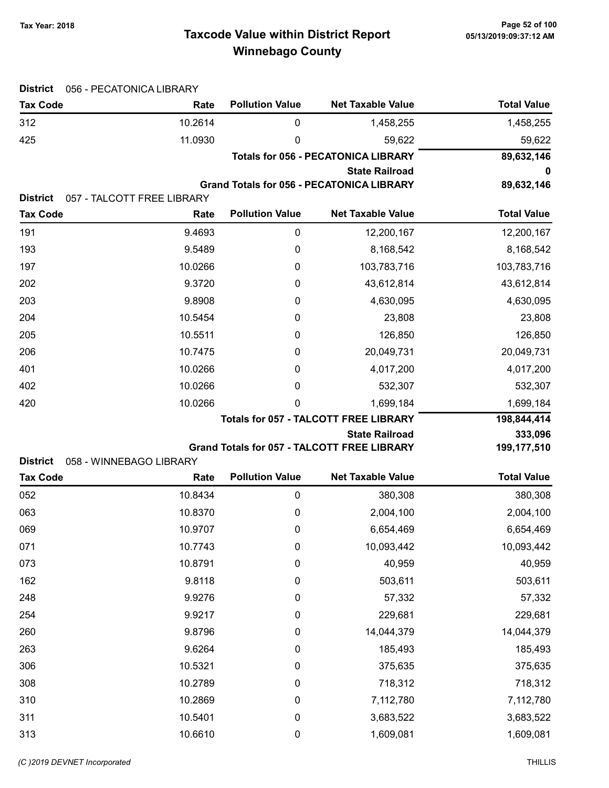# Taxcode Value within District Report Tax Year: 2018 Page 52 of 100 Winnebago County

| <b>District</b> | 056 - PECATONICA LIBRARY   |                                            |                                                    |                    |
|-----------------|----------------------------|--------------------------------------------|----------------------------------------------------|--------------------|
| <b>Tax Code</b> | Rate                       | <b>Pollution Value</b>                     | <b>Net Taxable Value</b>                           | <b>Total Value</b> |
| 312             | 10.2614                    | 0                                          | 1,458,255                                          | 1,458,255          |
| 425             | 11.0930                    | 0                                          | 59,622                                             | 59,622             |
|                 |                            | <b>Totals for 056 - PECATONICA LIBRARY</b> |                                                    | 89,632,146         |
|                 |                            |                                            | <b>State Railroad</b>                              | 0                  |
| <b>District</b> | 057 - TALCOTT FREE LIBRARY |                                            | <b>Grand Totals for 056 - PECATONICA LIBRARY</b>   | 89,632,146         |
| <b>Tax Code</b> | Rate                       | <b>Pollution Value</b>                     | <b>Net Taxable Value</b>                           | <b>Total Value</b> |
| 191             | 9.4693                     | 0                                          | 12,200,167                                         | 12,200,167         |
| 193             | 9.5489                     | $\boldsymbol{0}$                           | 8,168,542                                          | 8,168,542          |
| 197             | 10.0266                    | $\boldsymbol{0}$                           | 103,783,716                                        | 103,783,716        |
| 202             | 9.3720                     | 0                                          | 43,612,814                                         | 43,612,814         |
| 203             | 9.8908                     | 0                                          | 4,630,095                                          | 4,630,095          |
| 204             | 10.5454                    | 0                                          | 23,808                                             | 23,808             |
| 205             | 10.5511                    | 0                                          | 126,850                                            | 126,850            |
| 206             | 10.7475                    | 0                                          | 20,049,731                                         | 20,049,731         |
| 401             | 10.0266                    | 0                                          | 4,017,200                                          | 4,017,200          |
| 402             | 10.0266                    | 0                                          | 532,307                                            | 532,307            |
| 420             | 10.0266                    | 0                                          | 1,699,184                                          | 1,699,184          |
|                 |                            |                                            | <b>Totals for 057 - TALCOTT FREE LIBRARY</b>       | 198,844,414        |
|                 |                            |                                            | <b>State Railroad</b>                              | 333,096            |
| <b>District</b> | 058 - WINNEBAGO LIBRARY    |                                            | <b>Grand Totals for 057 - TALCOTT FREE LIBRARY</b> | 199,177,510        |
| <b>Tax Code</b> | Rate                       | <b>Pollution Value</b>                     | <b>Net Taxable Value</b>                           | <b>Total Value</b> |
| 052             | 10.8434                    | 0                                          | 380,308                                            | 380,308            |
| 063             | 10.8370                    | 0                                          | 2,004,100                                          | 2,004,100          |
| 069             | 10.9707                    | 0                                          | 6,654,469                                          | 6,654,469          |
| 071             | 10.7743                    | 0                                          | 10,093,442                                         | 10,093,442         |
| 073             | 10.8791                    | 0                                          | 40,959                                             | 40,959             |
| 162             | 9.8118                     | 0                                          | 503,611                                            | 503,611            |
| 248             | 9.9276                     | 0                                          | 57,332                                             | 57,332             |
| 254             | 9.9217                     | 0                                          | 229,681                                            | 229,681            |
| 260             | 9.8796                     | 0                                          | 14,044,379                                         | 14,044,379         |
| 263             | 9.6264                     | 0                                          | 185,493                                            | 185,493            |
| 306             | 10.5321                    | 0                                          | 375,635                                            | 375,635            |
| 308             | 10.2789                    | 0                                          | 718,312                                            | 718,312            |
| 310             | 10.2869                    | 0                                          | 7,112,780                                          | 7,112,780          |
| 311             | 10.5401                    | 0                                          | 3,683,522                                          | 3,683,522          |
| 313             | 10.6610                    | $\pmb{0}$                                  | 1,609,081                                          | 1,609,081          |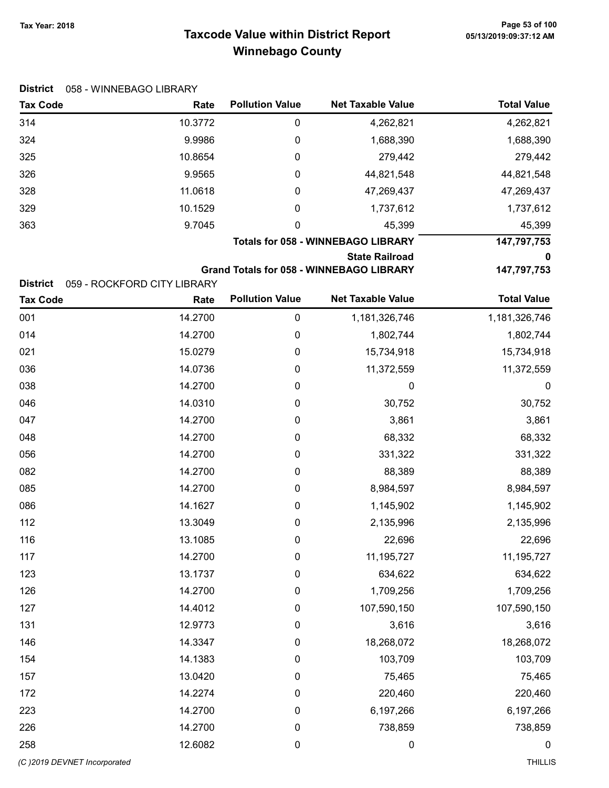# Taxcode Value within District Report Tax Year: 2018 Page 53 of 100 Winnebago County

| District |  | 058 - WINNEBAGO LIBRARY |  |
|----------|--|-------------------------|--|
|----------|--|-------------------------|--|

| <b>Tax Code</b> | Rate    | <b>Pollution Value</b> | <b>Net Taxable Value</b>                  | <b>Total Value</b> |
|-----------------|---------|------------------------|-------------------------------------------|--------------------|
| 314             | 10.3772 | 0                      | 4,262,821                                 | 4,262,821          |
| 324             | 9.9986  | 0                      | 1,688,390                                 | 1,688,390          |
| 325             | 10.8654 | 0                      | 279,442                                   | 279,442            |
| 326             | 9.9565  | 0                      | 44,821,548                                | 44,821,548         |
| 328             | 11.0618 | 0                      | 47,269,437                                | 47,269,437         |
| 329             | 10.1529 | 0                      | 1,737,612                                 | 1,737,612          |
| 363             | 9.7045  | 0                      | 45,399                                    | 45,399             |
|                 |         |                        | <b>Totals for 058 - WINNEBAGO LIBRARY</b> | 147,797,753        |

State Railroad 0

Grand Totals for 058 - WINNEBAGO LIBRARY 147,797,753

District 059 - ROCKFORD CITY LIBRARY

| <b>Tax Code</b>             | Rate    | <b>Pollution Value</b> | <b>Net Taxable Value</b> | <b>Total Value</b> |
|-----------------------------|---------|------------------------|--------------------------|--------------------|
| 001                         | 14.2700 | $\pmb{0}$              | 1,181,326,746            | 1,181,326,746      |
| 014                         | 14.2700 | $\pmb{0}$              | 1,802,744                | 1,802,744          |
| 021                         | 15.0279 | 0                      | 15,734,918               | 15,734,918         |
| 036                         | 14.0736 | 0                      | 11,372,559               | 11,372,559         |
| 038                         | 14.2700 | 0                      | 0                        | 0                  |
| 046                         | 14.0310 | 0                      | 30,752                   | 30,752             |
| 047                         | 14.2700 | 0                      | 3,861                    | 3,861              |
| 048                         | 14.2700 | 0                      | 68,332                   | 68,332             |
| 056                         | 14.2700 | 0                      | 331,322                  | 331,322            |
| 082                         | 14.2700 | 0                      | 88,389                   | 88,389             |
| 085                         | 14.2700 | $\pmb{0}$              | 8,984,597                | 8,984,597          |
| 086                         | 14.1627 | 0                      | 1,145,902                | 1,145,902          |
| 112                         | 13.3049 | 0                      | 2,135,996                | 2,135,996          |
| 116                         | 13.1085 | 0                      | 22,696                   | 22,696             |
| 117                         | 14.2700 | $\pmb{0}$              | 11,195,727               | 11,195,727         |
| 123                         | 13.1737 | 0                      | 634,622                  | 634,622            |
| 126                         | 14.2700 | 0                      | 1,709,256                | 1,709,256          |
| 127                         | 14.4012 | 0                      | 107,590,150              | 107,590,150        |
| 131                         | 12.9773 | 0                      | 3,616                    | 3,616              |
| 146                         | 14.3347 | 0                      | 18,268,072               | 18,268,072         |
| 154                         | 14.1383 | 0                      | 103,709                  | 103,709            |
| 157                         | 13.0420 | 0                      | 75,465                   | 75,465             |
| 172                         | 14.2274 | 0                      | 220,460                  | 220,460            |
| 223                         | 14.2700 | 0                      | 6,197,266                | 6,197,266          |
| 226                         | 14.2700 | 0                      | 738,859                  | 738,859            |
| 258                         | 12.6082 | 0                      | $\mathbf 0$              | 0                  |
| (C)2019 DEVNET Incorporated |         |                        |                          | <b>THILLIS</b>     |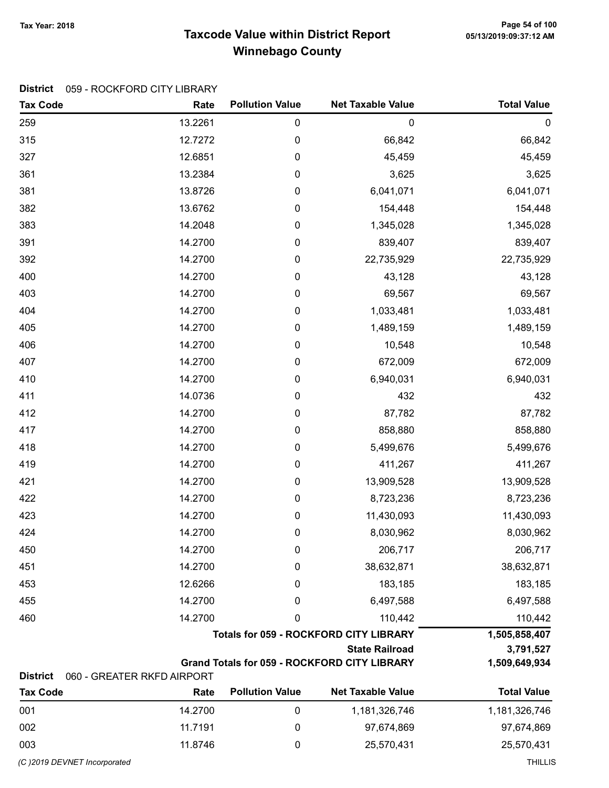# Taxcode Value within District Report Tax Year: 2018 Page 54 of 100 Winnebago County

#### District 059 - ROCKFORD CITY LIBRARY

| <b>Tax Code</b> | Rate                       | <b>Pollution Value</b>                        | <b>Net Taxable Value</b>                            | <b>Total Value</b> |  |
|-----------------|----------------------------|-----------------------------------------------|-----------------------------------------------------|--------------------|--|
| 259             | 13.2261                    | $\pmb{0}$                                     | $\pmb{0}$                                           | $\boldsymbol{0}$   |  |
| 315             | 12.7272                    | 0                                             | 66,842                                              | 66,842             |  |
| 327             | 12.6851                    | $\pmb{0}$                                     | 45,459                                              | 45,459             |  |
| 361             | 13.2384                    | 0                                             | 3,625                                               | 3,625              |  |
| 381             | 13.8726                    | 0                                             | 6,041,071                                           | 6,041,071          |  |
| 382             | 13.6762                    | 0                                             | 154,448                                             | 154,448            |  |
| 383             | 14.2048                    | 0                                             | 1,345,028                                           | 1,345,028          |  |
| 391             | 14.2700                    | 0                                             | 839,407                                             | 839,407            |  |
| 392             | 14.2700                    | $\boldsymbol{0}$                              | 22,735,929                                          | 22,735,929         |  |
| 400             | 14.2700                    | $\pmb{0}$                                     | 43,128                                              | 43,128             |  |
| 403             | 14.2700                    | $\pmb{0}$                                     | 69,567                                              | 69,567             |  |
| 404             | 14.2700                    | 0                                             | 1,033,481                                           | 1,033,481          |  |
| 405             | 14.2700                    | 0                                             | 1,489,159                                           | 1,489,159          |  |
| 406             | 14.2700                    | 0                                             | 10,548                                              | 10,548             |  |
| 407             | 14.2700                    | $\pmb{0}$                                     | 672,009                                             | 672,009            |  |
| 410             | 14.2700                    | $\pmb{0}$                                     | 6,940,031                                           | 6,940,031          |  |
| 411             | 14.0736                    | $\pmb{0}$                                     | 432                                                 | 432                |  |
| 412             | 14.2700                    | $\pmb{0}$                                     | 87,782                                              | 87,782             |  |
| 417             | 14.2700                    | 0                                             | 858,880                                             | 858,880            |  |
| 418             | 14.2700                    | 0                                             | 5,499,676                                           | 5,499,676          |  |
| 419             | 14.2700                    | 0                                             | 411,267                                             | 411,267            |  |
| 421             | 14.2700                    | $\boldsymbol{0}$                              | 13,909,528                                          | 13,909,528         |  |
| 422             | 14.2700                    | $\pmb{0}$                                     | 8,723,236                                           | 8,723,236          |  |
| 423             | 14.2700                    | $\pmb{0}$                                     | 11,430,093                                          | 11,430,093         |  |
| 424             | 14.2700                    | $\boldsymbol{0}$                              | 8,030,962                                           | 8,030,962          |  |
| 450             | 14.2700                    | 0                                             | 206,717                                             | 206,717            |  |
| 451             | 14.2700                    | 0                                             | 38,632,871                                          | 38,632,871         |  |
| 453             | 12.6266                    | 0                                             | 183,185                                             | 183,185            |  |
| 455             | 14.2700                    | 0                                             | 6,497,588                                           | 6,497,588          |  |
| 460             | 14.2700                    | 0                                             | 110,442                                             | 110,442            |  |
|                 |                            | <b>Totals for 059 - ROCKFORD CITY LIBRARY</b> |                                                     |                    |  |
|                 |                            |                                               | <b>State Railroad</b>                               | 3,791,527          |  |
| <b>District</b> | 060 - GREATER RKFD AIRPORT |                                               | <b>Grand Totals for 059 - ROCKFORD CITY LIBRARY</b> | 1,509,649,934      |  |
| <b>Tax Code</b> | Rate                       | <b>Pollution Value</b>                        | <b>Net Taxable Value</b>                            | <b>Total Value</b> |  |
| 001             | 14.2700                    | $\pmb{0}$                                     | 1,181,326,746                                       | 1,181,326,746      |  |

| 001                         | 14.2700 | 1,181,326,746 | 1,181,326,746 |
|-----------------------------|---------|---------------|---------------|
| 002                         | 11.7191 | 97,674,869    | 97,674,869    |
| 003                         | 11.8746 | 25.570.431    | 25.570.431    |
| (C)2019 DEVNET Incorporated |         |               | THILLIS       |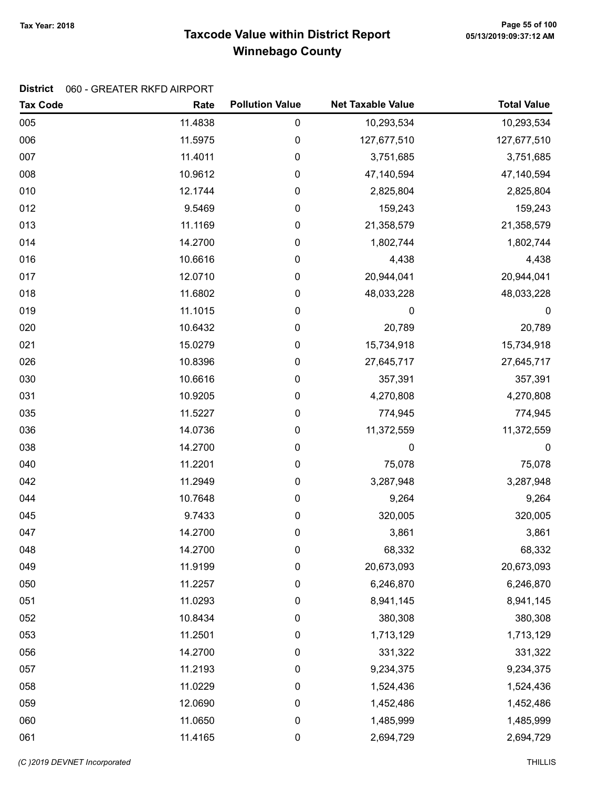# Taxcode Value within District Report Tax Year: 2018 Page 55 of 100 Winnebago County

| <b>Tax Code</b> | Rate    | <b>Pollution Value</b> | <b>Net Taxable Value</b> | <b>Total Value</b> |
|-----------------|---------|------------------------|--------------------------|--------------------|
| 005             | 11.4838 | 0                      | 10,293,534               | 10,293,534         |
| 006             | 11.5975 | 0                      | 127,677,510              | 127,677,510        |
| 007             | 11.4011 | 0                      | 3,751,685                | 3,751,685          |
| 008             | 10.9612 | 0                      | 47,140,594               | 47,140,594         |
| 010             | 12.1744 | 0                      | 2,825,804                | 2,825,804          |
| 012             | 9.5469  | $\pmb{0}$              | 159,243                  | 159,243            |
| 013             | 11.1169 | $\pmb{0}$              | 21,358,579               | 21,358,579         |
| 014             | 14.2700 | 0                      | 1,802,744                | 1,802,744          |
| 016             | 10.6616 | 0                      | 4,438                    | 4,438              |
| 017             | 12.0710 | 0                      | 20,944,041               | 20,944,041         |
| 018             | 11.6802 | 0                      | 48,033,228               | 48,033,228         |
| 019             | 11.1015 | 0                      | 0                        | $\boldsymbol{0}$   |
| 020             | 10.6432 | $\boldsymbol{0}$       | 20,789                   | 20,789             |
| 021             | 15.0279 | $\pmb{0}$              | 15,734,918               | 15,734,918         |
| 026             | 10.8396 | 0                      | 27,645,717               | 27,645,717         |
| 030             | 10.6616 | 0                      | 357,391                  | 357,391            |
| 031             | 10.9205 | 0                      | 4,270,808                | 4,270,808          |
| 035             | 11.5227 | 0                      | 774,945                  | 774,945            |
| 036             | 14.0736 | 0                      | 11,372,559               | 11,372,559         |
| 038             | 14.2700 | 0                      | 0                        | $\mathbf 0$        |
| 040             | 11.2201 | $\pmb{0}$              | 75,078                   | 75,078             |
| 042             | 11.2949 | $\pmb{0}$              | 3,287,948                | 3,287,948          |
| 044             | 10.7648 | 0                      | 9,264                    | 9,264              |
| 045             | 9.7433  | $\pmb{0}$              | 320,005                  | 320,005            |
| 047             | 14.2700 | 0                      | 3,861                    | 3,861              |
| 048             | 14.2700 | 0                      | 68,332                   | 68,332             |
| 049             | 11.9199 | 0                      | 20,673,093               | 20,673,093         |
| 050             | 11.2257 | 0                      | 6,246,870                | 6,246,870          |
| 051             | 11.0293 | 0                      | 8,941,145                | 8,941,145          |
| 052             | 10.8434 | 0                      | 380,308                  | 380,308            |
| 053             | 11.2501 | $\pmb{0}$              | 1,713,129                | 1,713,129          |
| 056             | 14.2700 | 0                      | 331,322                  | 331,322            |
| 057             | 11.2193 | 0                      | 9,234,375                | 9,234,375          |
| 058             | 11.0229 | 0                      | 1,524,436                | 1,524,436          |
| 059             | 12.0690 | 0                      | 1,452,486                | 1,452,486          |
| 060             | 11.0650 | $\pmb{0}$              | 1,485,999                | 1,485,999          |
| 061             | 11.4165 | $\pmb{0}$              | 2,694,729                | 2,694,729          |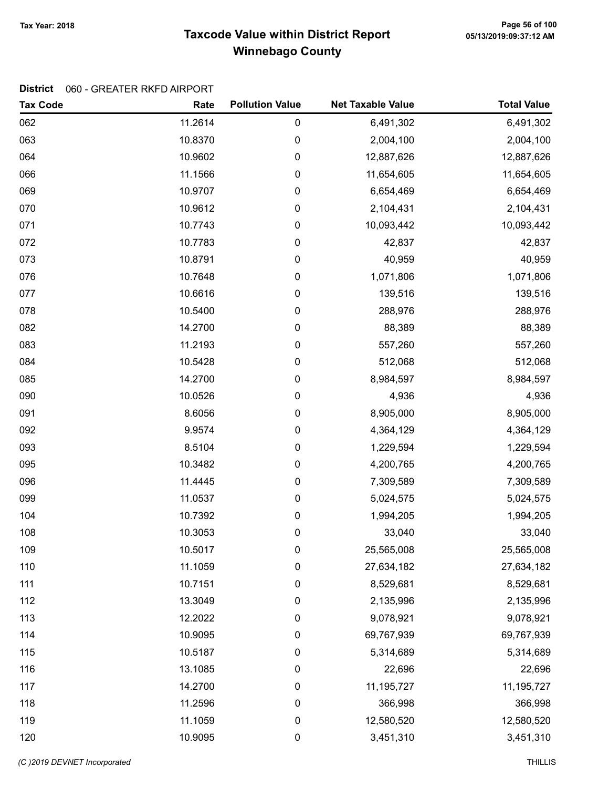# Taxcode Value within District Report Tax Year: 2018 Page 56 of 100 Winnebago County

| <b>Tax Code</b> | Rate    | <b>Pollution Value</b> | <b>Net Taxable Value</b> | <b>Total Value</b> |
|-----------------|---------|------------------------|--------------------------|--------------------|
| 062             | 11.2614 | 0                      | 6,491,302                | 6,491,302          |
| 063             | 10.8370 | 0                      | 2,004,100                | 2,004,100          |
| 064             | 10.9602 | 0                      | 12,887,626               | 12,887,626         |
| 066             | 11.1566 | 0                      | 11,654,605               | 11,654,605         |
| 069             | 10.9707 | 0                      | 6,654,469                | 6,654,469          |
| 070             | 10.9612 | 0                      | 2,104,431                | 2,104,431          |
| 071             | 10.7743 | 0                      | 10,093,442               | 10,093,442         |
| 072             | 10.7783 | 0                      | 42,837                   | 42,837             |
| 073             | 10.8791 | 0                      | 40,959                   | 40,959             |
| 076             | 10.7648 | 0                      | 1,071,806                | 1,071,806          |
| 077             | 10.6616 | 0                      | 139,516                  | 139,516            |
| 078             | 10.5400 | 0                      | 288,976                  | 288,976            |
| 082             | 14.2700 | 0                      | 88,389                   | 88,389             |
| 083             | 11.2193 | 0                      | 557,260                  | 557,260            |
| 084             | 10.5428 | 0                      | 512,068                  | 512,068            |
| 085             | 14.2700 | 0                      | 8,984,597                | 8,984,597          |
| 090             | 10.0526 | 0                      | 4,936                    | 4,936              |
| 091             | 8.6056  | 0                      | 8,905,000                | 8,905,000          |
| 092             | 9.9574  | 0                      | 4,364,129                | 4,364,129          |
| 093             | 8.5104  | 0                      | 1,229,594                | 1,229,594          |
| 095             | 10.3482 | 0                      | 4,200,765                | 4,200,765          |
| 096             | 11.4445 | 0                      | 7,309,589                | 7,309,589          |
| 099             | 11.0537 | 0                      | 5,024,575                | 5,024,575          |
| 104             | 10.7392 | 0                      | 1,994,205                | 1,994,205          |
| 108             | 10.3053 | 0                      | 33,040                   | 33,040             |
| 109             | 10.5017 | 0                      | 25,565,008               | 25,565,008         |
| 110             | 11.1059 | 0                      | 27,634,182               | 27,634,182         |
| 111             | 10.7151 | 0                      | 8,529,681                | 8,529,681          |
| 112             | 13.3049 | 0                      | 2,135,996                | 2,135,996          |
| 113             | 12.2022 | 0                      | 9,078,921                | 9,078,921          |
| 114             | 10.9095 | 0                      | 69,767,939               | 69,767,939         |
| 115             | 10.5187 | 0                      | 5,314,689                | 5,314,689          |
| 116             | 13.1085 | 0                      | 22,696                   | 22,696             |
| 117             | 14.2700 | 0                      | 11,195,727               | 11,195,727         |
| 118             | 11.2596 | 0                      | 366,998                  | 366,998            |
| 119             | 11.1059 | 0                      | 12,580,520               | 12,580,520         |
| 120             | 10.9095 | 0                      | 3,451,310                | 3,451,310          |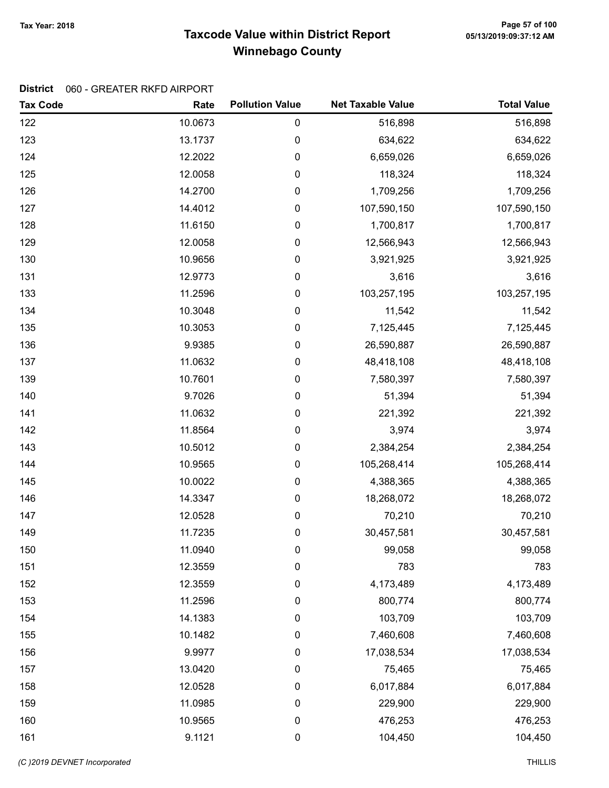# Taxcode Value within District Report Tax Year: 2018 Page 57 of 100 Winnebago County

| <b>Tax Code</b> | Rate    | <b>Pollution Value</b> | <b>Net Taxable Value</b> | <b>Total Value</b> |
|-----------------|---------|------------------------|--------------------------|--------------------|
| 122             | 10.0673 | $\pmb{0}$              | 516,898                  | 516,898            |
| 123             | 13.1737 | 0                      | 634,622                  | 634,622            |
| 124             | 12.2022 | $\pmb{0}$              | 6,659,026                | 6,659,026          |
| 125             | 12.0058 | 0                      | 118,324                  | 118,324            |
| 126             | 14.2700 | $\pmb{0}$              | 1,709,256                | 1,709,256          |
| 127             | 14.4012 | 0                      | 107,590,150              | 107,590,150        |
| 128             | 11.6150 | $\pmb{0}$              | 1,700,817                | 1,700,817          |
| 129             | 12.0058 | 0                      | 12,566,943               | 12,566,943         |
| 130             | 10.9656 | 0                      | 3,921,925                | 3,921,925          |
| 131             | 12.9773 | 0                      | 3,616                    | 3,616              |
| 133             | 11.2596 | $\pmb{0}$              | 103,257,195              | 103,257,195        |
| 134             | 10.3048 | 0                      | 11,542                   | 11,542             |
| 135             | 10.3053 | 0                      | 7,125,445                | 7,125,445          |
| 136             | 9.9385  | 0                      | 26,590,887               | 26,590,887         |
| 137             | 11.0632 | 0                      | 48,418,108               | 48,418,108         |
| 139             | 10.7601 | 0                      | 7,580,397                | 7,580,397          |
| 140             | 9.7026  | 0                      | 51,394                   | 51,394             |
| 141             | 11.0632 | $\pmb{0}$              | 221,392                  | 221,392            |
| 142             | 11.8564 | 0                      | 3,974                    | 3,974              |
| 143             | 10.5012 | $\pmb{0}$              | 2,384,254                | 2,384,254          |
| 144             | 10.9565 | 0                      | 105,268,414              | 105,268,414        |
| 145             | 10.0022 | 0                      | 4,388,365                | 4,388,365          |
| 146             | 14.3347 | 0                      | 18,268,072               | 18,268,072         |
| 147             | 12.0528 | 0                      | 70,210                   | 70,210             |
| 149             | 11.7235 | 0                      | 30,457,581               | 30,457,581         |
| 150             | 11.0940 | 0                      | 99,058                   | 99,058             |
| 151             | 12.3559 | 0                      | 783                      | 783                |
| 152             | 12.3559 | 0                      | 4,173,489                | 4,173,489          |
| 153             | 11.2596 | 0                      | 800,774                  | 800,774            |
| 154             | 14.1383 | 0                      | 103,709                  | 103,709            |
| 155             | 10.1482 | 0                      | 7,460,608                | 7,460,608          |
| 156             | 9.9977  | 0                      | 17,038,534               | 17,038,534         |
| 157             | 13.0420 | 0                      | 75,465                   | 75,465             |
| 158             | 12.0528 | 0                      | 6,017,884                | 6,017,884          |
| 159             | 11.0985 | 0                      | 229,900                  | 229,900            |
| 160             | 10.9565 | 0                      | 476,253                  | 476,253            |
| 161             | 9.1121  | 0                      | 104,450                  | 104,450            |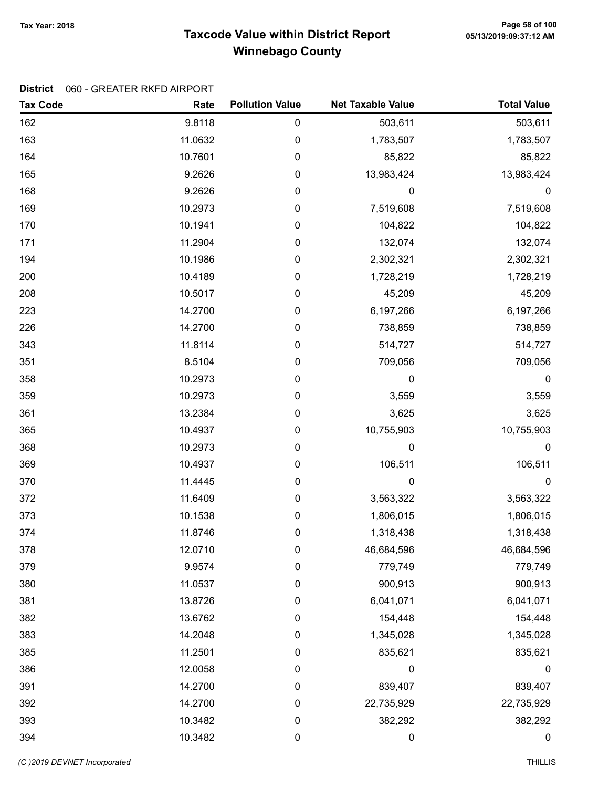# Taxcode Value within District Report Tax Year: 2018 Page 58 of 100 Winnebago County

| <b>Tax Code</b> | Rate    | <b>Pollution Value</b> | <b>Net Taxable Value</b> | <b>Total Value</b> |
|-----------------|---------|------------------------|--------------------------|--------------------|
| 162             | 9.8118  | $\pmb{0}$              | 503,611                  | 503,611            |
| 163             | 11.0632 | $\mathbf 0$            | 1,783,507                | 1,783,507          |
| 164             | 10.7601 | 0                      | 85,822                   | 85,822             |
| 165             | 9.2626  | 0                      | 13,983,424               | 13,983,424         |
| 168             | 9.2626  | 0                      | 0                        | 0                  |
| 169             | 10.2973 | 0                      | 7,519,608                | 7,519,608          |
| 170             | 10.1941 | 0                      | 104,822                  | 104,822            |
| 171             | 11.2904 | 0                      | 132,074                  | 132,074            |
| 194             | 10.1986 | 0                      | 2,302,321                | 2,302,321          |
| 200             | 10.4189 | 0                      | 1,728,219                | 1,728,219          |
| 208             | 10.5017 | 0                      | 45,209                   | 45,209             |
| 223             | 14.2700 | 0                      | 6,197,266                | 6,197,266          |
| 226             | 14.2700 | 0                      | 738,859                  | 738,859            |
| 343             | 11.8114 | 0                      | 514,727                  | 514,727            |
| 351             | 8.5104  | 0                      | 709,056                  | 709,056            |
| 358             | 10.2973 | 0                      | 0                        | $\boldsymbol{0}$   |
| 359             | 10.2973 | 0                      | 3,559                    | 3,559              |
| 361             | 13.2384 | 0                      | 3,625                    | 3,625              |
| 365             | 10.4937 | 0                      | 10,755,903               | 10,755,903         |
| 368             | 10.2973 | 0                      | 0                        | $\mathbf 0$        |
| 369             | 10.4937 | $\pmb{0}$              | 106,511                  | 106,511            |
| 370             | 11.4445 | 0                      | 0                        | $\boldsymbol{0}$   |
| 372             | 11.6409 | 0                      | 3,563,322                | 3,563,322          |
| 373             | 10.1538 | 0                      | 1,806,015                | 1,806,015          |
| 374             | 11.8746 | 0                      | 1,318,438                | 1,318,438          |
| 378             | 12.0710 | 0                      | 46,684,596               | 46,684,596         |
| 379             | 9.9574  | 0                      | 779,749                  | 779,749            |
| 380             | 11.0537 | $\pmb{0}$              | 900,913                  | 900,913            |
| 381             | 13.8726 | 0                      | 6,041,071                | 6,041,071          |
| 382             | 13.6762 | 0                      | 154,448                  | 154,448            |
| 383             | 14.2048 | $\boldsymbol{0}$       | 1,345,028                | 1,345,028          |
| 385             | 11.2501 | 0                      | 835,621                  | 835,621            |
| 386             | 12.0058 | $\boldsymbol{0}$       | 0                        | $\pmb{0}$          |
| 391             | 14.2700 | 0                      | 839,407                  | 839,407            |
| 392             | 14.2700 | $\pmb{0}$              | 22,735,929               | 22,735,929         |
| 393             | 10.3482 | $\pmb{0}$              | 382,292                  | 382,292            |
| 394             | 10.3482 | $\pmb{0}$              | $\boldsymbol{0}$         | $\pmb{0}$          |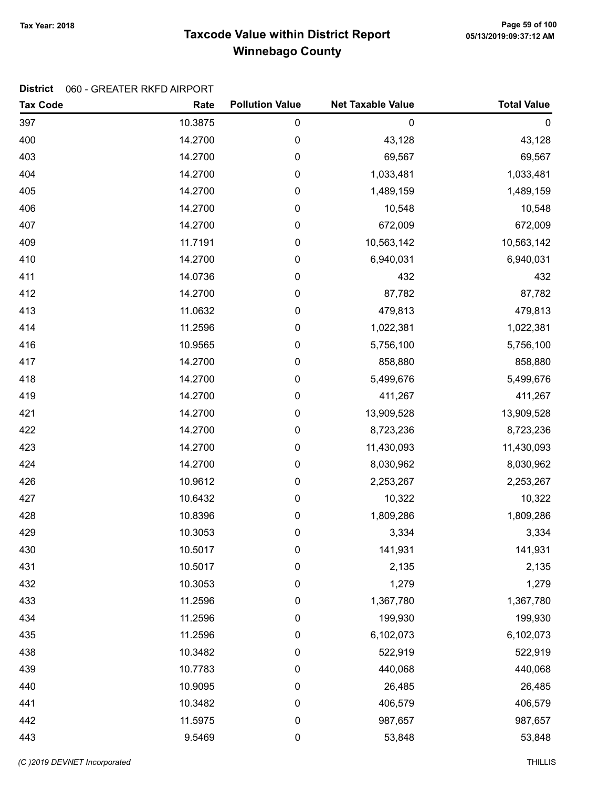# Taxcode Value within District Report Tax Year: 2018 Page 59 of 100 Winnebago County

| <b>Tax Code</b> | Rate    | <b>Pollution Value</b> | <b>Net Taxable Value</b> | <b>Total Value</b> |
|-----------------|---------|------------------------|--------------------------|--------------------|
| 397             | 10.3875 | 0                      | $\mathbf 0$              | $\boldsymbol{0}$   |
| 400             | 14.2700 | 0                      | 43,128                   | 43,128             |
| 403             | 14.2700 | 0                      | 69,567                   | 69,567             |
| 404             | 14.2700 | 0                      | 1,033,481                | 1,033,481          |
| 405             | 14.2700 | 0                      | 1,489,159                | 1,489,159          |
| 406             | 14.2700 | $\pmb{0}$              | 10,548                   | 10,548             |
| 407             | 14.2700 | $\pmb{0}$              | 672,009                  | 672,009            |
| 409             | 11.7191 | 0                      | 10,563,142               | 10,563,142         |
| 410             | 14.2700 | 0                      | 6,940,031                | 6,940,031          |
| 411             | 14.0736 | 0                      | 432                      | 432                |
| 412             | 14.2700 | 0                      | 87,782                   | 87,782             |
| 413             | 11.0632 | 0                      | 479,813                  | 479,813            |
| 414             | 11.2596 | $\pmb{0}$              | 1,022,381                | 1,022,381          |
| 416             | 10.9565 | 0                      | 5,756,100                | 5,756,100          |
| 417             | 14.2700 | $\pmb{0}$              | 858,880                  | 858,880            |
| 418             | 14.2700 | 0                      | 5,499,676                | 5,499,676          |
| 419             | 14.2700 | 0                      | 411,267                  | 411,267            |
| 421             | 14.2700 | 0                      | 13,909,528               | 13,909,528         |
| 422             | 14.2700 | 0                      | 8,723,236                | 8,723,236          |
| 423             | 14.2700 | 0                      | 11,430,093               | 11,430,093         |
| 424             | 14.2700 | 0                      | 8,030,962                | 8,030,962          |
| 426             | 10.9612 | $\pmb{0}$              | 2,253,267                | 2,253,267          |
| 427             | 10.6432 | $\pmb{0}$              | 10,322                   | 10,322             |
| 428             | 10.8396 | $\pmb{0}$              | 1,809,286                | 1,809,286          |
| 429             | 10.3053 | 0                      | 3,334                    | 3,334              |
| 430             | 10.5017 | 0                      | 141,931                  | 141,931            |
| 431             | 10.5017 | 0                      | 2,135                    | 2,135              |
| 432             | 10.3053 | 0                      | 1,279                    | 1,279              |
| 433             | 11.2596 | 0                      | 1,367,780                | 1,367,780          |
| 434             | 11.2596 | 0                      | 199,930                  | 199,930            |
| 435             | 11.2596 | 0                      | 6,102,073                | 6,102,073          |
| 438             | 10.3482 | 0                      | 522,919                  | 522,919            |
| 439             | 10.7783 | 0                      | 440,068                  | 440,068            |
| 440             | 10.9095 | 0                      | 26,485                   | 26,485             |
| 441             | 10.3482 | 0                      | 406,579                  | 406,579            |
| 442             | 11.5975 | $\pmb{0}$              | 987,657                  | 987,657            |
| 443             | 9.5469  | $\pmb{0}$              | 53,848                   | 53,848             |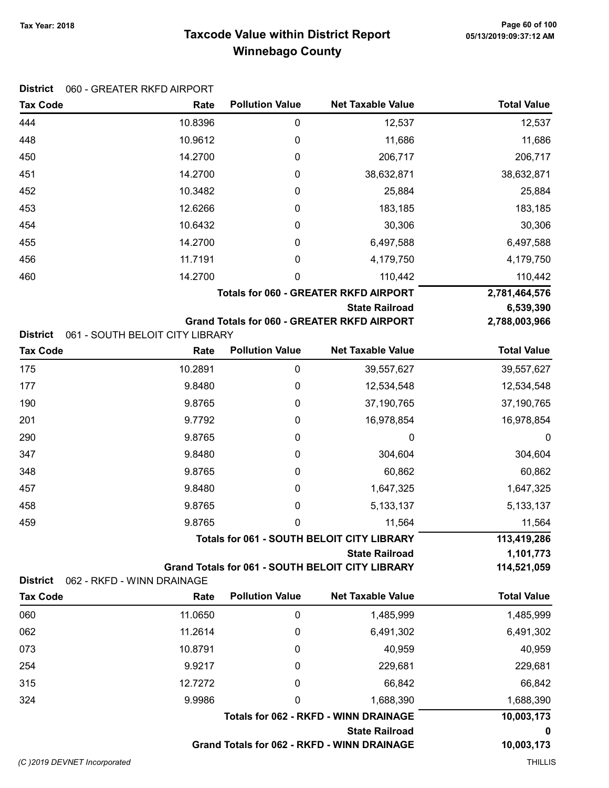District 060 - GREATER RKFD AIRPORT

# Taxcode Value within District Report Tax Year: 2018 Page 60 of 100 Winnebago County

| <b>Tax Code</b>                    | Rate                                    | <b>Pollution Value</b> | <b>Net Taxable Value</b>                                                         | <b>Total Value</b>       |
|------------------------------------|-----------------------------------------|------------------------|----------------------------------------------------------------------------------|--------------------------|
| 444                                | 10.8396                                 | 0                      | 12,537                                                                           | 12,537                   |
| 448                                | 10.9612                                 | 0                      | 11,686                                                                           | 11,686                   |
| 450                                | 14.2700                                 | 0                      | 206,717                                                                          | 206,717                  |
| 451                                | 14.2700                                 | 0                      | 38,632,871                                                                       | 38,632,871               |
| 452                                | 10.3482                                 | 0                      | 25,884                                                                           | 25,884                   |
| 453                                | 12.6266                                 | 0                      | 183,185                                                                          | 183,185                  |
| 454                                | 10.6432                                 | 0                      | 30,306                                                                           | 30,306                   |
| 455                                | 14.2700                                 | 0                      | 6,497,588                                                                        | 6,497,588                |
| 456                                | 11.7191                                 | 0                      | 4,179,750                                                                        | 4,179,750                |
| 460                                | 14.2700                                 | 0                      | 110,442                                                                          | 110,442                  |
|                                    |                                         |                        | <b>Totals for 060 - GREATER RKFD AIRPORT</b>                                     | 2,781,464,576            |
|                                    |                                         |                        | <b>State Railroad</b>                                                            | 6,539,390                |
|                                    |                                         |                        | <b>Grand Totals for 060 - GREATER RKFD AIRPORT</b>                               | 2,788,003,966            |
| <b>District</b><br><b>Tax Code</b> | 061 - SOUTH BELOIT CITY LIBRARY<br>Rate | <b>Pollution Value</b> | <b>Net Taxable Value</b>                                                         | <b>Total Value</b>       |
| 175                                | 10.2891                                 | 0                      |                                                                                  |                          |
| 177                                | 9.8480                                  |                        | 39,557,627<br>12,534,548                                                         | 39,557,627               |
|                                    |                                         | 0                      |                                                                                  | 12,534,548               |
| 190                                | 9.8765                                  | 0                      | 37,190,765                                                                       | 37,190,765               |
| 201                                | 9.7792                                  | 0                      | 16,978,854                                                                       | 16,978,854               |
| 290                                | 9.8765                                  | 0                      | 0                                                                                | 0                        |
| 347                                | 9.8480                                  | 0                      | 304,604                                                                          | 304,604                  |
| 348                                | 9.8765                                  | 0                      | 60,862                                                                           | 60,862                   |
| 457                                | 9.8480                                  | 0                      | 1,647,325                                                                        | 1,647,325                |
| 458                                | 9.8765                                  | 0                      | 5,133,137                                                                        | 5, 133, 137              |
| 459                                | 9.8765                                  | 0                      | 11,564                                                                           | 11,564                   |
|                                    |                                         |                        | <b>Totals for 061 - SOUTH BELOIT CITY LIBRARY</b>                                | 113,419,286              |
|                                    |                                         |                        | <b>State Railroad</b><br><b>Grand Totals for 061 - SOUTH BELOIT CITY LIBRARY</b> | 1,101,773<br>114,521,059 |
| <b>District</b>                    | 062 - RKFD - WINN DRAINAGE              |                        |                                                                                  |                          |
| <b>Tax Code</b>                    | Rate                                    | <b>Pollution Value</b> | <b>Net Taxable Value</b>                                                         | <b>Total Value</b>       |
| 060                                | 11.0650                                 | 0                      | 1,485,999                                                                        | 1,485,999                |
| 062                                | 11.2614                                 | 0                      | 6,491,302                                                                        | 6,491,302                |
| 073                                | 10.8791                                 | 0                      | 40,959                                                                           | 40,959                   |
| 254                                | 9.9217                                  | 0                      | 229,681                                                                          | 229,681                  |
| 315                                | 12.7272                                 | 0                      | 66,842                                                                           | 66,842                   |
| 324                                | 9.9986                                  | 0                      | 1,688,390                                                                        | 1,688,390                |
|                                    |                                         |                        | <b>Totals for 062 - RKFD - WINN DRAINAGE</b>                                     | 10,003,173               |
|                                    |                                         |                        | <b>State Railroad</b>                                                            | 0                        |
|                                    |                                         |                        | Grand Totals for 062 - RKFD - WINN DRAINAGE                                      | 10,003,173               |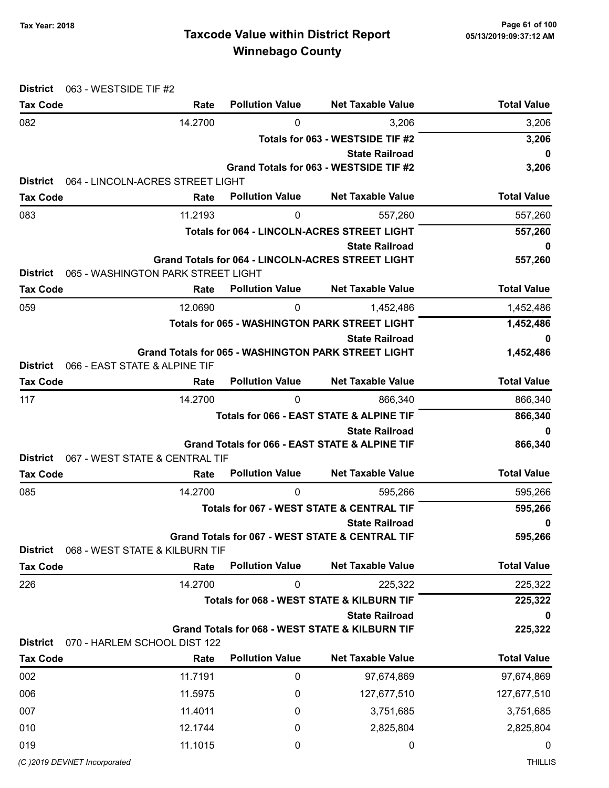# Taxcode Value within District Report Tax Year: 2018 Page 61 of 100 Winnebago County

| 063 - WESTSIDE TIF #2<br><b>District</b> |                                    |                        |                                                            |                    |
|------------------------------------------|------------------------------------|------------------------|------------------------------------------------------------|--------------------|
| <b>Tax Code</b>                          | Rate                               | <b>Pollution Value</b> | <b>Net Taxable Value</b>                                   | <b>Total Value</b> |
| 082                                      | 14.2700                            | 0                      | 3,206                                                      | 3,206              |
|                                          |                                    |                        | Totals for 063 - WESTSIDE TIF #2                           | 3,206              |
|                                          |                                    |                        | <b>State Railroad</b>                                      | 0                  |
| <b>District</b>                          | 064 - LINCOLN-ACRES STREET LIGHT   |                        | Grand Totals for 063 - WESTSIDE TIF #2                     | 3,206              |
| <b>Tax Code</b>                          | Rate                               | <b>Pollution Value</b> | <b>Net Taxable Value</b>                                   | <b>Total Value</b> |
| 083                                      | 11.2193                            | 0                      | 557,260                                                    | 557,260            |
|                                          |                                    |                        | <b>Totals for 064 - LINCOLN-ACRES STREET LIGHT</b>         | 557,260            |
|                                          |                                    |                        | <b>State Railroad</b>                                      | 0                  |
|                                          |                                    |                        | Grand Totals for 064 - LINCOLN-ACRES STREET LIGHT          | 557,260            |
| <b>District</b>                          | 065 - WASHINGTON PARK STREET LIGHT |                        |                                                            |                    |
| <b>Tax Code</b>                          | Rate                               | <b>Pollution Value</b> | <b>Net Taxable Value</b>                                   | <b>Total Value</b> |
| 059                                      | 12.0690                            | 0                      | 1,452,486                                                  | 1,452,486          |
|                                          |                                    |                        | <b>Totals for 065 - WASHINGTON PARK STREET LIGHT</b>       | 1,452,486          |
|                                          |                                    |                        | <b>State Railroad</b>                                      | 0                  |
| <b>District</b>                          | 066 - EAST STATE & ALPINE TIF      |                        | <b>Grand Totals for 065 - WASHINGTON PARK STREET LIGHT</b> | 1,452,486          |
| <b>Tax Code</b>                          | Rate                               | <b>Pollution Value</b> | <b>Net Taxable Value</b>                                   | <b>Total Value</b> |
| 117                                      | 14.2700                            | $\mathbf 0$            | 866,340                                                    | 866,340            |
|                                          |                                    |                        | Totals for 066 - EAST STATE & ALPINE TIF                   | 866,340            |
|                                          |                                    |                        | <b>State Railroad</b>                                      | 0                  |
|                                          |                                    |                        | Grand Totals for 066 - EAST STATE & ALPINE TIF             | 866,340            |
| <b>District</b>                          | 067 - WEST STATE & CENTRAL TIF     |                        |                                                            |                    |
| <b>Tax Code</b>                          | Rate                               | <b>Pollution Value</b> | <b>Net Taxable Value</b>                                   | <b>Total Value</b> |
| 085                                      | 14.2700                            | 0                      | 595,266                                                    | 595,266            |
|                                          |                                    |                        | <b>Totals for 067 - WEST STATE &amp; CENTRAL TIF</b>       | 595,266            |
|                                          |                                    |                        | <b>State Railroad</b>                                      | 0                  |
| <b>District</b>                          | 068 - WEST STATE & KILBURN TIF     |                        | Grand Totals for 067 - WEST STATE & CENTRAL TIF            | 595,266            |
| <b>Tax Code</b>                          | Rate                               | <b>Pollution Value</b> | <b>Net Taxable Value</b>                                   | <b>Total Value</b> |
| 226                                      | 14.2700                            | 0                      | 225,322                                                    | 225,322            |
|                                          |                                    |                        | Totals for 068 - WEST STATE & KILBURN TIF                  | 225,322            |
|                                          |                                    |                        | <b>State Railroad</b>                                      | 0                  |
|                                          |                                    |                        | Grand Totals for 068 - WEST STATE & KILBURN TIF            | 225,322            |
| <b>District</b>                          | 070 - HARLEM SCHOOL DIST 122       |                        |                                                            |                    |
| <b>Tax Code</b>                          | Rate                               | <b>Pollution Value</b> | <b>Net Taxable Value</b>                                   | <b>Total Value</b> |
| 002                                      | 11.7191                            | 0                      | 97,674,869                                                 | 97,674,869         |
| 006                                      | 11.5975                            | 0                      | 127,677,510                                                | 127,677,510        |
| 007                                      | 11.4011                            | 0                      | 3,751,685                                                  | 3,751,685          |
| 010                                      | 12.1744                            | 0                      | 2,825,804                                                  | 2,825,804          |
| 019                                      | 11.1015                            | 0                      | 0                                                          | 0                  |
| (C)2019 DEVNET Incorporated              |                                    |                        |                                                            | <b>THILLIS</b>     |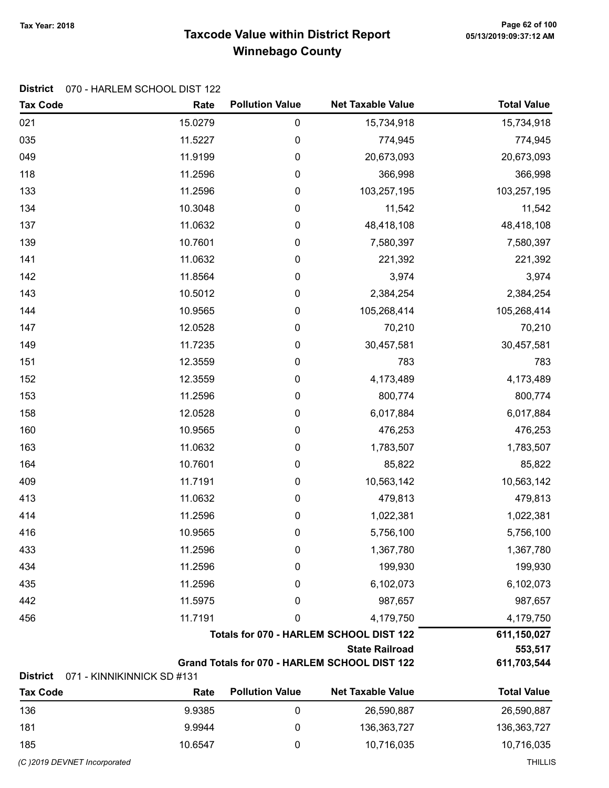# Taxcode Value within District Report Tax Year: 2018 Page 62 of 100 Winnebago County

#### District 070 - HARLEM SCHOOL DIST 122

| <b>Tax Code</b>                    | Rate                                    | <b>Pollution Value</b> | <b>Net Taxable Value</b>                      | <b>Total Value</b> |
|------------------------------------|-----------------------------------------|------------------------|-----------------------------------------------|--------------------|
| 021                                | 15.0279                                 | 0                      | 15,734,918                                    | 15,734,918         |
| 035                                | 11.5227                                 | $\pmb{0}$              | 774,945                                       | 774,945            |
| 049                                | 11.9199                                 | 0                      | 20,673,093                                    | 20,673,093         |
| 118                                | 11.2596                                 | 0                      | 366,998                                       | 366,998            |
| 133                                | 11.2596                                 | $\boldsymbol{0}$       | 103,257,195                                   | 103,257,195        |
| 134                                | 10.3048                                 | $\pmb{0}$              | 11,542                                        | 11,542             |
| 137                                | 11.0632                                 | 0                      | 48,418,108                                    | 48,418,108         |
| 139                                | 10.7601                                 | $\pmb{0}$              | 7,580,397                                     | 7,580,397          |
| 141                                | 11.0632                                 | $\boldsymbol{0}$       | 221,392                                       | 221,392            |
| 142                                | 11.8564                                 | 0                      | 3,974                                         | 3,974              |
| 143                                | 10.5012                                 | 0                      | 2,384,254                                     | 2,384,254          |
| 144                                | 10.9565                                 | $\boldsymbol{0}$       | 105,268,414                                   | 105,268,414        |
| 147                                | 12.0528                                 | $\pmb{0}$              | 70,210                                        | 70,210             |
| 149                                | 11.7235                                 | 0                      | 30,457,581                                    | 30,457,581         |
| 151                                | 12.3559                                 | $\boldsymbol{0}$       | 783                                           | 783                |
| 152                                | 12.3559                                 | $\boldsymbol{0}$       | 4,173,489                                     | 4,173,489          |
| 153                                | 11.2596                                 | 0                      | 800,774                                       | 800,774            |
| 158                                | 12.0528                                 | 0                      | 6,017,884                                     | 6,017,884          |
| 160                                | 10.9565                                 | $\pmb{0}$              | 476,253                                       | 476,253            |
| 163                                | 11.0632                                 | $\pmb{0}$              | 1,783,507                                     | 1,783,507          |
| 164                                | 10.7601                                 | 0                      | 85,822                                        | 85,822             |
| 409                                | 11.7191                                 | 0                      | 10,563,142                                    | 10,563,142         |
| 413                                | 11.0632                                 | 0                      | 479,813                                       | 479,813            |
| 414                                | 11.2596                                 | 0                      | 1,022,381                                     | 1,022,381          |
| 416                                | 10.9565                                 | 0                      | 5,756,100                                     | 5,756,100          |
| 433                                | 11.2596                                 | 0                      | 1,367,780                                     | 1,367,780          |
| 434                                | 11.2596                                 | 0                      | 199,930                                       | 199,930            |
| 435                                | 11.2596                                 | 0                      | 6,102,073                                     | 6,102,073          |
| 442                                | 11.5975                                 | 0                      | 987,657                                       | 987,657            |
| 456                                | 11.7191                                 | 0                      | 4,179,750                                     | 4,179,750          |
|                                    | Totals for 070 - HARLEM SCHOOL DIST 122 | 611,150,027            |                                               |                    |
|                                    |                                         |                        | <b>State Railroad</b>                         | 553,517            |
|                                    |                                         |                        | Grand Totals for 070 - HARLEM SCHOOL DIST 122 | 611,703,544        |
| <b>District</b><br><b>Tax Code</b> | 071 - KINNIKINNICK SD #131<br>Rate      | <b>Pollution Value</b> | <b>Net Taxable Value</b>                      | <b>Total Value</b> |
| 136                                | 99385                                   | 0                      | 26,590,887                                    | 26.590.887         |

| Tax Code                     | rale    | <b>FUILLIUII VAIUU</b> | <b>INGL TAXADIG VAIUG</b> | TULAI VAIUU |
|------------------------------|---------|------------------------|---------------------------|-------------|
| 136                          | 9.9385  |                        | 26,590,887                | 26,590,887  |
| 181                          | 9.9944  |                        | 136,363,727               | 136,363,727 |
| 185                          | 10.6547 |                        | 10,716,035                | 10,716,035  |
| (C) 2019 DEVNET Incorporated |         |                        | THILLIS                   |             |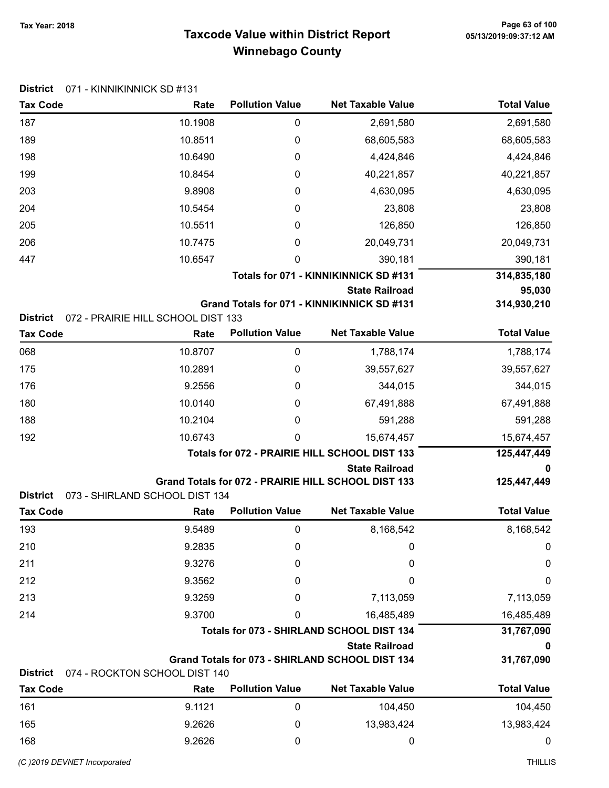# Taxcode Value within District Report Tax Year: 2018 Page 63 of 100 Winnebago County

| <b>District</b>                    | 071 - KINNIKINNICK SD #131                 |                        |                                                                        |                    |
|------------------------------------|--------------------------------------------|------------------------|------------------------------------------------------------------------|--------------------|
| <b>Tax Code</b>                    | Rate                                       | <b>Pollution Value</b> | <b>Net Taxable Value</b>                                               | <b>Total Value</b> |
| 187                                | 10.1908                                    | 0                      | 2,691,580                                                              | 2,691,580          |
| 189                                | 10.8511                                    | 0                      | 68,605,583                                                             | 68,605,583         |
| 198                                | 10.6490                                    | 0                      | 4,424,846                                                              | 4,424,846          |
| 199                                | 10.8454                                    | 0                      | 40,221,857                                                             | 40,221,857         |
| 203                                | 9.8908                                     | 0                      | 4,630,095                                                              | 4,630,095          |
| 204                                | 10.5454                                    | 0                      | 23,808                                                                 | 23,808             |
| 205                                | 10.5511                                    | 0                      | 126,850                                                                | 126,850            |
| 206                                | 10.7475                                    | 0                      | 20,049,731                                                             | 20,049,731         |
| 447                                | 10.6547                                    | 0                      | 390,181                                                                | 390,181            |
|                                    |                                            |                        | Totals for 071 - KINNIKINNICK SD #131                                  | 314,835,180        |
|                                    |                                            |                        | <b>State Railroad</b>                                                  | 95,030             |
|                                    |                                            |                        | Grand Totals for 071 - KINNIKINNICK SD #131                            | 314,930,210        |
| <b>District</b><br><b>Tax Code</b> | 072 - PRAIRIE HILL SCHOOL DIST 133<br>Rate | <b>Pollution Value</b> | <b>Net Taxable Value</b>                                               | <b>Total Value</b> |
|                                    |                                            |                        |                                                                        |                    |
| 068                                | 10.8707                                    | 0                      | 1,788,174                                                              | 1,788,174          |
| 175                                | 10.2891                                    | 0                      | 39,557,627                                                             | 39,557,627         |
| 176                                | 9.2556                                     | 0                      | 344,015                                                                | 344,015            |
| 180                                | 10.0140                                    | 0                      | 67,491,888                                                             | 67,491,888         |
| 188                                | 10.2104                                    | 0                      | 591,288                                                                | 591,288            |
| 192                                | 10.6743                                    | 0                      | 15,674,457                                                             | 15,674,457         |
|                                    |                                            |                        | Totals for 072 - PRAIRIE HILL SCHOOL DIST 133<br><b>State Railroad</b> | 125,447,449<br>0   |
|                                    |                                            |                        | Grand Totals for 072 - PRAIRIE HILL SCHOOL DIST 133                    | 125,447,449        |
| <b>District</b>                    | 073 - SHIRLAND SCHOOL DIST 134             |                        |                                                                        |                    |
| <b>Tax Code</b>                    | Rate                                       | <b>Pollution Value</b> | <b>Net Taxable Value</b>                                               | <b>Total Value</b> |
| 193                                | 9.5489                                     |                        | 8,168,542                                                              | 8,168,542          |
| 210                                | 9.2835                                     | 0                      | 0                                                                      | 0                  |
| 211                                | 9.3276                                     | 0                      | 0                                                                      | 0                  |
| 212                                | 9.3562                                     | 0                      | 0                                                                      | 0                  |
| 213                                | 9.3259                                     | 0                      | 7,113,059                                                              | 7,113,059          |
| 214                                | 9.3700                                     | 0                      | 16,485,489                                                             | 16,485,489         |
|                                    |                                            |                        | Totals for 073 - SHIRLAND SCHOOL DIST 134                              | 31,767,090         |
|                                    |                                            |                        | <b>State Railroad</b>                                                  |                    |
|                                    |                                            |                        | Grand Totals for 073 - SHIRLAND SCHOOL DIST 134                        | 31,767,090         |
| <b>District</b>                    | 074 - ROCKTON SCHOOL DIST 140              | <b>Pollution Value</b> | <b>Net Taxable Value</b>                                               | <b>Total Value</b> |
| <b>Tax Code</b>                    | Rate                                       |                        |                                                                        |                    |
| 161                                | 9.1121                                     | 0                      | 104,450                                                                | 104,450            |
| 165                                | 9.2626                                     | 0                      | 13,983,424                                                             | 13,983,424         |
| 168                                | 9.2626                                     | 0                      | 0                                                                      | 0                  |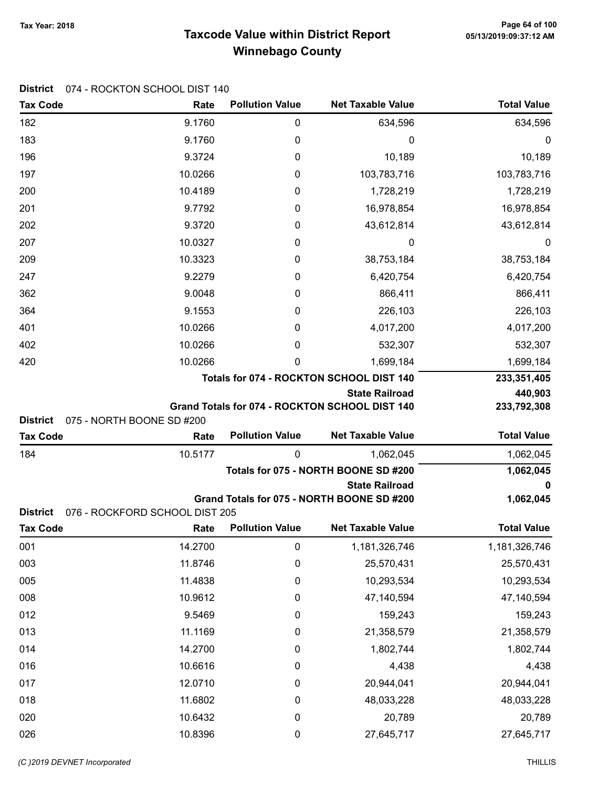### Taxcode Value within District Report Winnebago County

Tax Code **Rate Pollution Value** Net Taxable Value Total Value

012 0 159,243 159,243 013 11.1169 0 21,358,579 21,358,579 0 14 14.2700 0 1,802,744 1,802,744 016 10.6616 0 4,438 4,438 0 20,944,041 12.0710 0 20,944,041 20,944,041 018 11.6802 0 48,033,228 48,033,228 020 10.6432 0 20,789 20,789 026 10.8396 0 27,645,717 27,645,717

| 182             | 9.1760                         | 0                      | 634,596                                        | 634,596            |
|-----------------|--------------------------------|------------------------|------------------------------------------------|--------------------|
| 183             | 9.1760                         | 0                      | 0                                              | 0                  |
| 196             | 9.3724                         | 0                      | 10,189                                         | 10,189             |
| 197             | 10.0266                        | 0                      | 103,783,716                                    | 103,783,716        |
| 200             | 10.4189                        | 0                      | 1,728,219                                      | 1,728,219          |
| 201             | 9.7792                         | 0                      | 16,978,854                                     | 16,978,854         |
| 202             | 9.3720                         | 0                      | 43,612,814                                     | 43,612,814         |
| 207             | 10.0327                        | 0                      | 0                                              | 0                  |
| 209             | 10.3323                        | 0                      | 38,753,184                                     | 38,753,184         |
| 247             | 9.2279                         | 0                      | 6,420,754                                      | 6,420,754          |
| 362             | 9.0048                         | 0                      | 866,411                                        | 866,411            |
| 364             | 9.1553                         | 0                      | 226,103                                        | 226,103            |
| 401             | 10.0266                        | 0                      | 4,017,200                                      | 4,017,200          |
| 402             | 10.0266                        | 0                      | 532,307                                        | 532,307            |
| 420             | 10.0266                        | 0                      | 1,699,184                                      | 1,699,184          |
|                 |                                |                        | Totals for 074 - ROCKTON SCHOOL DIST 140       | 233,351,405        |
|                 |                                |                        | <b>State Railroad</b>                          | 440,903            |
| District        | 075 - NORTH BOONE SD #200      |                        | Grand Totals for 074 - ROCKTON SCHOOL DIST 140 | 233,792,308        |
| <b>Tax Code</b> | Rate                           | <b>Pollution Value</b> | <b>Net Taxable Value</b>                       | <b>Total Value</b> |
| 184             | 10.5177                        | 0                      | 1,062,045                                      | 1,062,045          |
|                 |                                |                        | Totals for 075 - NORTH BOONE SD #200           | 1,062,045          |
|                 |                                |                        | <b>State Railroad</b>                          | 0                  |
|                 |                                |                        | Grand Totals for 075 - NORTH BOONE SD #200     | 1,062,045          |
| <b>District</b> | 076 - ROCKFORD SCHOOL DIST 205 |                        |                                                |                    |
| <b>Tax Code</b> | Rate                           | <b>Pollution Value</b> | <b>Net Taxable Value</b>                       | <b>Total Value</b> |
| 001             | 14.2700                        | 0                      | 1,181,326,746                                  | 1,181,326,746      |
| 003             | 11.8746                        | 0                      | 25,570,431                                     | 25,570,431         |
| 005             | 11.4838                        | 0                      | 10,293,534                                     | 10,293,534         |
| 008             | 10.9612                        | 0                      | 47,140,594                                     | 47,140,594         |

#### District 074 - ROCKTON SCHOOL DIST 140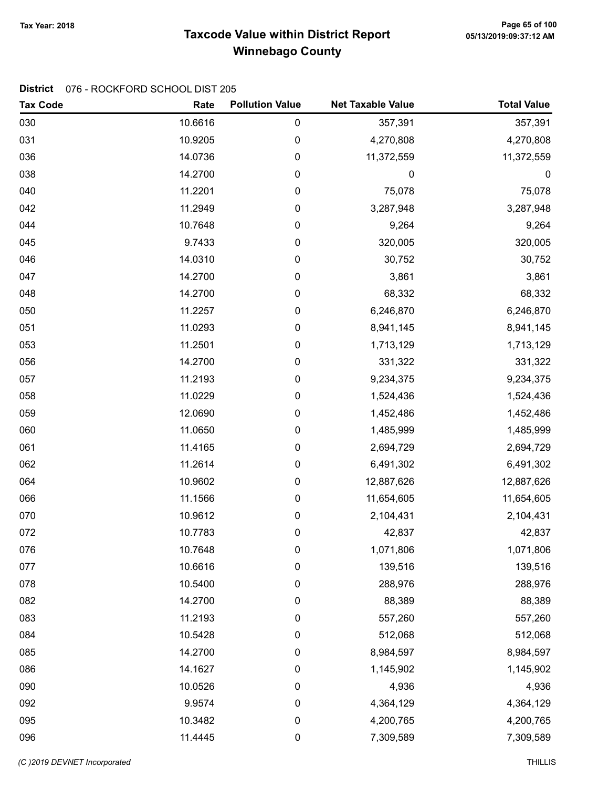# Taxcode Value within District Report Tax Year: 2018 Page 65 of 100 Winnebago County

### District 076 - ROCKFORD SCHOOL DIST 205

| <b>Tax Code</b> | Rate    | <b>Pollution Value</b> | <b>Net Taxable Value</b> | <b>Total Value</b> |
|-----------------|---------|------------------------|--------------------------|--------------------|
| 030             | 10.6616 | 0                      | 357,391                  | 357,391            |
| 031             | 10.9205 | 0                      | 4,270,808                | 4,270,808          |
| 036             | 14.0736 | 0                      | 11,372,559               | 11,372,559         |
| 038             | 14.2700 | 0                      | 0                        | $\mathbf 0$        |
| 040             | 11.2201 | 0                      | 75,078                   | 75,078             |
| 042             | 11.2949 | 0                      | 3,287,948                | 3,287,948          |
| 044             | 10.7648 | 0                      | 9,264                    | 9,264              |
| 045             | 9.7433  | 0                      | 320,005                  | 320,005            |
| 046             | 14.0310 | 0                      | 30,752                   | 30,752             |
| 047             | 14.2700 | 0                      | 3,861                    | 3,861              |
| 048             | 14.2700 | 0                      | 68,332                   | 68,332             |
| 050             | 11.2257 | 0                      | 6,246,870                | 6,246,870          |
| 051             | 11.0293 | 0                      | 8,941,145                | 8,941,145          |
| 053             | 11.2501 | 0                      | 1,713,129                | 1,713,129          |
| 056             | 14.2700 | 0                      | 331,322                  | 331,322            |
| 057             | 11.2193 | 0                      | 9,234,375                | 9,234,375          |
| 058             | 11.0229 | 0                      | 1,524,436                | 1,524,436          |
| 059             | 12.0690 | 0                      | 1,452,486                | 1,452,486          |
| 060             | 11.0650 | 0                      | 1,485,999                | 1,485,999          |
| 061             | 11.4165 | 0                      | 2,694,729                | 2,694,729          |
| 062             | 11.2614 | 0                      | 6,491,302                | 6,491,302          |
| 064             | 10.9602 | 0                      | 12,887,626               | 12,887,626         |
| 066             | 11.1566 | 0                      | 11,654,605               | 11,654,605         |
| 070             | 10.9612 | 0                      | 2,104,431                | 2,104,431          |
| 072             | 10.7783 | 0                      | 42,837                   | 42,837             |
| 076             | 10.7648 | 0                      | 1,071,806                | 1,071,806          |
| 077             | 10.6616 | 0                      | 139,516                  | 139,516            |
| 078             | 10.5400 | 0                      | 288,976                  | 288,976            |
| 082             | 14.2700 | 0                      | 88,389                   | 88,389             |
| 083             | 11.2193 | 0                      | 557,260                  | 557,260            |
| 084             | 10.5428 | 0                      | 512,068                  | 512,068            |
| 085             | 14.2700 | 0                      | 8,984,597                | 8,984,597          |
| 086             | 14.1627 | 0                      | 1,145,902                | 1,145,902          |
| 090             | 10.0526 | 0                      | 4,936                    | 4,936              |
| 092             | 9.9574  | 0                      | 4,364,129                | 4,364,129          |
| 095             | 10.3482 | 0                      | 4,200,765                | 4,200,765          |
| 096             | 11.4445 | 0                      | 7,309,589                | 7,309,589          |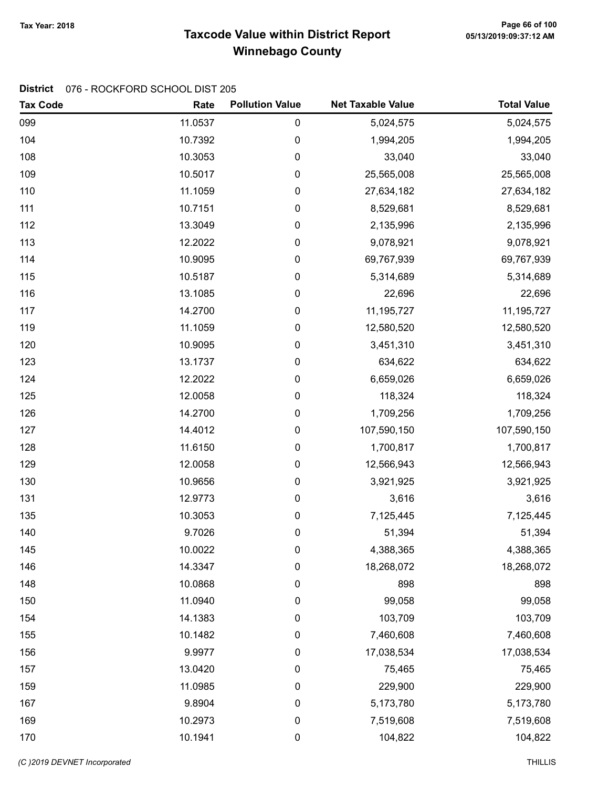# Taxcode Value within District Report Tax Year: 2018 Page 66 of 100 Winnebago County

### District 076 - ROCKFORD SCHOOL DIST 205

| <b>Tax Code</b> | Rate    | <b>Pollution Value</b> | <b>Net Taxable Value</b> | <b>Total Value</b> |
|-----------------|---------|------------------------|--------------------------|--------------------|
| 099             | 11.0537 | $\pmb{0}$              | 5,024,575                | 5,024,575          |
| 104             | 10.7392 | 0                      | 1,994,205                | 1,994,205          |
| 108             | 10.3053 | $\pmb{0}$              | 33,040                   | 33,040             |
| 109             | 10.5017 | 0                      | 25,565,008               | 25,565,008         |
| 110             | 11.1059 | $\pmb{0}$              | 27,634,182               | 27,634,182         |
| 111             | 10.7151 | 0                      | 8,529,681                | 8,529,681          |
| 112             | 13.3049 | $\pmb{0}$              | 2,135,996                | 2,135,996          |
| 113             | 12.2022 | 0                      | 9,078,921                | 9,078,921          |
| 114             | 10.9095 | 0                      | 69,767,939               | 69,767,939         |
| 115             | 10.5187 | 0                      | 5,314,689                | 5,314,689          |
| 116             | 13.1085 | 0                      | 22,696                   | 22,696             |
| 117             | 14.2700 | 0                      | 11,195,727               | 11,195,727         |
| 119             | 11.1059 | 0                      | 12,580,520               | 12,580,520         |
| 120             | 10.9095 | 0                      | 3,451,310                | 3,451,310          |
| 123             | 13.1737 | 0                      | 634,622                  | 634,622            |
| 124             | 12.2022 | 0                      | 6,659,026                | 6,659,026          |
| 125             | 12.0058 | 0                      | 118,324                  | 118,324            |
| 126             | 14.2700 | $\pmb{0}$              | 1,709,256                | 1,709,256          |
| 127             | 14.4012 | 0                      | 107,590,150              | 107,590,150        |
| 128             | 11.6150 | $\pmb{0}$              | 1,700,817                | 1,700,817          |
| 129             | 12.0058 | 0                      | 12,566,943               | 12,566,943         |
| 130             | 10.9656 | 0                      | 3,921,925                | 3,921,925          |
| 131             | 12.9773 | 0                      | 3,616                    | 3,616              |
| 135             | 10.3053 | 0                      | 7,125,445                | 7,125,445          |
| 140             | 9.7026  | 0                      | 51,394                   | 51,394             |
| 145             | 10.0022 | 0                      | 4,388,365                | 4,388,365          |
| 146             | 14.3347 | 0                      | 18,268,072               | 18,268,072         |
| 148             | 10.0868 | 0                      | 898                      | 898                |
| 150             | 11.0940 | 0                      | 99,058                   | 99,058             |
| 154             | 14.1383 | 0                      | 103,709                  | 103,709            |
| 155             | 10.1482 | 0                      | 7,460,608                | 7,460,608          |
| 156             | 9.9977  | 0                      | 17,038,534               | 17,038,534         |
| 157             | 13.0420 | 0                      | 75,465                   | 75,465             |
| 159             | 11.0985 | 0                      | 229,900                  | 229,900            |
| 167             | 9.8904  | 0                      | 5,173,780                | 5,173,780          |
| 169             | 10.2973 | 0                      | 7,519,608                | 7,519,608          |
| 170             | 10.1941 | 0                      | 104,822                  | 104,822            |

(C)2019 DEVNET incorporated THILLIS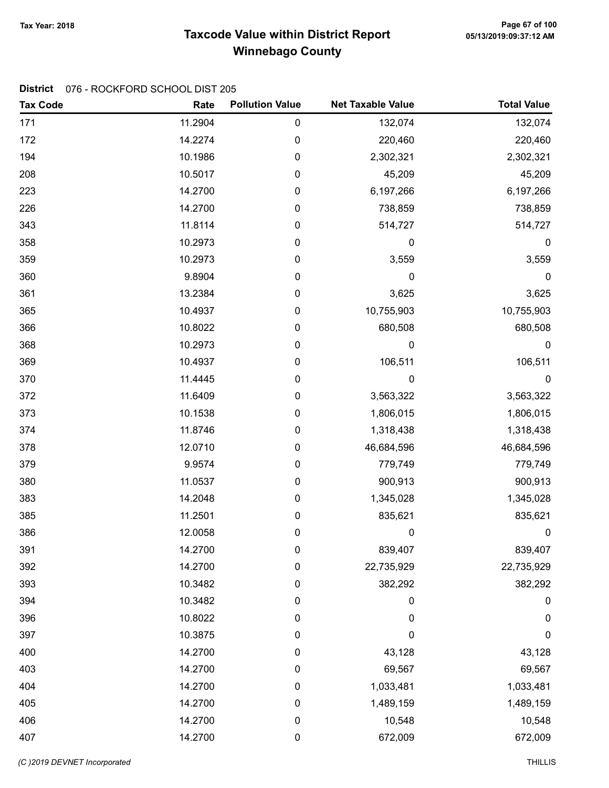# Taxcode Value within District Report Tax Year: 2018 Page 67 of 100 Winnebago County

### District 076 - ROCKFORD SCHOOL DIST 205

| <b>Tax Code</b> | Rate    | <b>Pollution Value</b> | <b>Net Taxable Value</b> | <b>Total Value</b> |
|-----------------|---------|------------------------|--------------------------|--------------------|
| 171             | 11.2904 | 0                      | 132,074                  | 132,074            |
| 172             | 14.2274 | 0                      | 220,460                  | 220,460            |
| 194             | 10.1986 | 0                      | 2,302,321                | 2,302,321          |
| 208             | 10.5017 | 0                      | 45,209                   | 45,209             |
| 223             | 14.2700 | 0                      | 6,197,266                | 6,197,266          |
| 226             | 14.2700 | 0                      | 738,859                  | 738,859            |
| 343             | 11.8114 | 0                      | 514,727                  | 514,727            |
| 358             | 10.2973 | 0                      | 0                        | $\boldsymbol{0}$   |
| 359             | 10.2973 | 0                      | 3,559                    | 3,559              |
| 360             | 9.8904  | 0                      | 0                        | $\pmb{0}$          |
| 361             | 13.2384 | 0                      | 3,625                    | 3,625              |
| 365             | 10.4937 | 0                      | 10,755,903               | 10,755,903         |
| 366             | 10.8022 | 0                      | 680,508                  | 680,508            |
| 368             | 10.2973 | 0                      | 0                        | $\boldsymbol{0}$   |
| 369             | 10.4937 | 0                      | 106,511                  | 106,511            |
| 370             | 11.4445 | 0                      | 0                        | $\boldsymbol{0}$   |
| 372             | 11.6409 | 0                      | 3,563,322                | 3,563,322          |
| 373             | 10.1538 | 0                      | 1,806,015                | 1,806,015          |
| 374             | 11.8746 | 0                      | 1,318,438                | 1,318,438          |
| 378             | 12.0710 | 0                      | 46,684,596               | 46,684,596         |
| 379             | 9.9574  | 0                      | 779,749                  | 779,749            |
| 380             | 11.0537 | 0                      | 900,913                  | 900,913            |
| 383             | 14.2048 | 0                      | 1,345,028                | 1,345,028          |
| 385             | 11.2501 | 0                      | 835,621                  | 835,621            |
| 386             | 12.0058 | 0                      | 0                        | 0                  |
| 391             | 14.2700 | 0                      | 839,407                  | 839,407            |
| 392             | 14.2700 | 0                      | 22,735,929               | 22,735,929         |
| 393             | 10.3482 | 0                      | 382,292                  | 382,292            |
| 394             | 10.3482 | 0                      | 0                        | 0                  |
| 396             | 10.8022 | 0                      | 0                        | $\boldsymbol{0}$   |
| 397             | 10.3875 | $\boldsymbol{0}$       | $\mathbf 0$              | $\mathbf 0$        |
| 400             | 14.2700 | 0                      | 43,128                   | 43,128             |
| 403             | 14.2700 | 0                      | 69,567                   | 69,567             |
| 404             | 14.2700 | 0                      | 1,033,481                | 1,033,481          |
| 405             | 14.2700 | 0                      | 1,489,159                | 1,489,159          |
| 406             | 14.2700 | $\pmb{0}$              | 10,548                   | 10,548             |
| 407             | 14.2700 | 0                      | 672,009                  | 672,009            |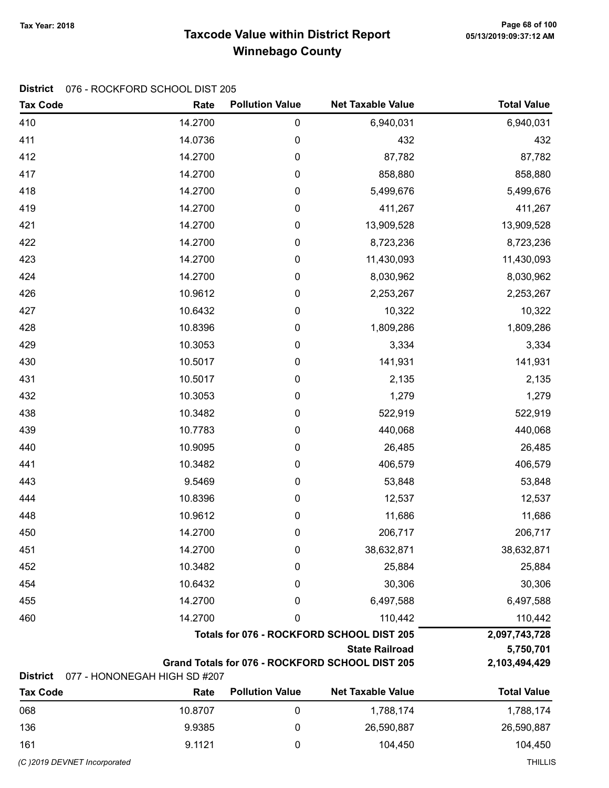### Taxcode Value within District Report Tax Year: 2018 Page 68 of 100 Winnebago County

### District 076 - ROCKFORD SCHOOL DIST 205

| <b>Tax Code</b> | Rate                         | <b>Pollution Value</b> | <b>Net Taxable Value</b>                        | <b>Total Value</b> |
|-----------------|------------------------------|------------------------|-------------------------------------------------|--------------------|
| 410             | 14.2700                      | 0                      | 6,940,031                                       | 6,940,031          |
| 411             | 14.0736                      | 0                      | 432                                             | 432                |
| 412             | 14.2700                      | 0                      | 87,782                                          | 87,782             |
| 417             | 14.2700                      | 0                      | 858,880                                         | 858,880            |
| 418             | 14.2700                      | 0                      | 5,499,676                                       | 5,499,676          |
| 419             | 14.2700                      | 0                      | 411,267                                         | 411,267            |
| 421             | 14.2700                      | 0                      | 13,909,528                                      | 13,909,528         |
| 422             | 14.2700                      | 0                      | 8,723,236                                       | 8,723,236          |
| 423             | 14.2700                      | 0                      | 11,430,093                                      | 11,430,093         |
| 424             | 14.2700                      | 0                      | 8,030,962                                       | 8,030,962          |
| 426             | 10.9612                      | 0                      | 2,253,267                                       | 2,253,267          |
| 427             | 10.6432                      | 0                      | 10,322                                          | 10,322             |
| 428             | 10.8396                      | 0                      | 1,809,286                                       | 1,809,286          |
| 429             | 10.3053                      | 0                      | 3,334                                           | 3,334              |
| 430             | 10.5017                      | 0                      | 141,931                                         | 141,931            |
| 431             | 10.5017                      | 0                      | 2,135                                           | 2,135              |
| 432             | 10.3053                      | 0                      | 1,279                                           | 1,279              |
| 438             | 10.3482                      | 0                      | 522,919                                         | 522,919            |
| 439             | 10.7783                      | 0                      | 440,068                                         | 440,068            |
| 440             | 10.9095                      | 0                      | 26,485                                          | 26,485             |
| 441             | 10.3482                      | 0                      | 406,579                                         | 406,579            |
| 443             | 9.5469                       | 0                      | 53,848                                          | 53,848             |
| 444             | 10.8396                      | 0                      | 12,537                                          | 12,537             |
| 448             | 10.9612                      | 0                      | 11,686                                          | 11,686             |
| 450             | 14.2700                      | 0                      | 206,717                                         | 206,717            |
| 451             | 14.2700                      | 0                      | 38,632,871                                      | 38,632,871         |
| 452             | 10.3482                      | 0                      | 25,884                                          | 25,884             |
| 454             | 10.6432                      | 0                      | 30,306                                          | 30,306             |
| 455             | 14.2700                      | 0                      | 6,497,588                                       | 6,497,588          |
| 460             | 14.2700                      | 0                      | 110,442                                         | 110,442            |
|                 |                              |                        | Totals for 076 - ROCKFORD SCHOOL DIST 205       | 2,097,743,728      |
|                 |                              |                        | <b>State Railroad</b>                           | 5,750,701          |
| <b>District</b> | 077 - HONONEGAH HIGH SD #207 |                        | Grand Totals for 076 - ROCKFORD SCHOOL DIST 205 | 2,103,494,429      |
| <b>Tax Code</b> | Rate                         | <b>Pollution Value</b> | <b>Net Taxable Value</b>                        | <b>Total Value</b> |
| 068             | 10.8707                      | 0                      | 1,788,174                                       | 1,788,174          |
| 136             | 9.9385                       | 0                      | 26,590,887                                      | 26,590,887         |

161 9.1121 0 104,450 104,450

(C )2019 DEVNET Incorporated THILLIS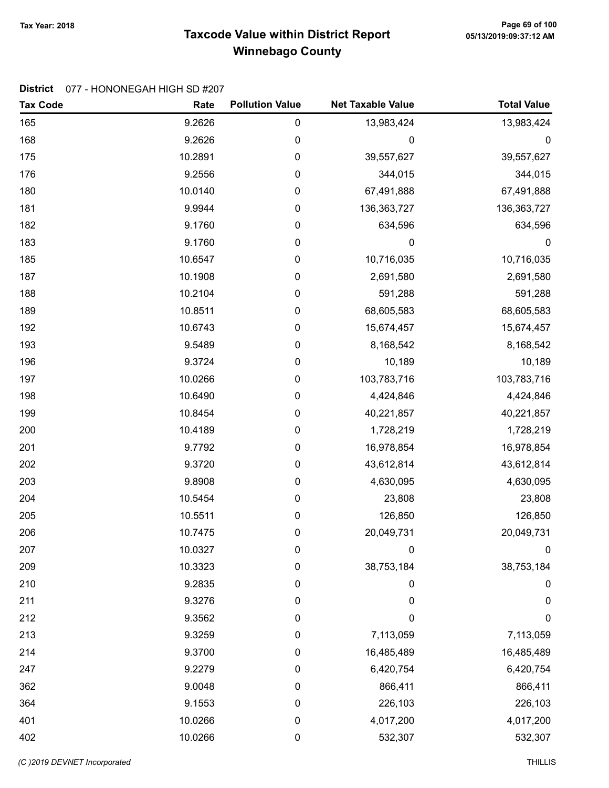# Taxcode Value within District Report Tax Year: 2018 Page 69 of 100 Winnebago County

#### District 077 - HONONEGAH HIGH SD #207

| <b>Tax Code</b> | Rate    | <b>Pollution Value</b> | <b>Net Taxable Value</b> | <b>Total Value</b> |
|-----------------|---------|------------------------|--------------------------|--------------------|
| 165             | 9.2626  | $\pmb{0}$              | 13,983,424               | 13,983,424         |
| 168             | 9.2626  | 0                      | 0                        | 0                  |
| 175             | 10.2891 | $\pmb{0}$              | 39,557,627               | 39,557,627         |
| 176             | 9.2556  | $\pmb{0}$              | 344,015                  | 344,015            |
| 180             | 10.0140 | 0                      | 67,491,888               | 67,491,888         |
| 181             | 9.9944  | $\pmb{0}$              | 136, 363, 727            | 136, 363, 727      |
| 182             | 9.1760  | $\pmb{0}$              | 634,596                  | 634,596            |
| 183             | 9.1760  | $\pmb{0}$              | 0                        | $\boldsymbol{0}$   |
| 185             | 10.6547 | $\pmb{0}$              | 10,716,035               | 10,716,035         |
| 187             | 10.1908 | $\pmb{0}$              | 2,691,580                | 2,691,580          |
| 188             | 10.2104 | $\pmb{0}$              | 591,288                  | 591,288            |
| 189             | 10.8511 | 0                      | 68,605,583               | 68,605,583         |
| 192             | 10.6743 | $\pmb{0}$              | 15,674,457               | 15,674,457         |
| 193             | 9.5489  | $\pmb{0}$              | 8,168,542                | 8,168,542          |
| 196             | 9.3724  | $\pmb{0}$              | 10,189                   | 10,189             |
| 197             | 10.0266 | 0                      | 103,783,716              | 103,783,716        |
| 198             | 10.6490 | $\pmb{0}$              | 4,424,846                | 4,424,846          |
| 199             | 10.8454 | $\pmb{0}$              | 40,221,857               | 40,221,857         |
| 200             | 10.4189 | 0                      | 1,728,219                | 1,728,219          |
| 201             | 9.7792  | $\pmb{0}$              | 16,978,854               | 16,978,854         |
| 202             | 9.3720  | $\pmb{0}$              | 43,612,814               | 43,612,814         |
| 203             | 9.8908  | $\pmb{0}$              | 4,630,095                | 4,630,095          |
| 204             | 10.5454 | $\pmb{0}$              | 23,808                   | 23,808             |
| 205             | 10.5511 | $\pmb{0}$              | 126,850                  | 126,850            |
| 206             | 10.7475 | $\pmb{0}$              | 20,049,731               | 20,049,731         |
| 207             | 10.0327 | 0                      | 0                        | $\mathbf 0$        |
| 209             | 10.3323 | 0                      | 38,753,184               | 38,753,184         |
| 210             | 9.2835  | 0                      | 0                        | $\pmb{0}$          |
| 211             | 9.3276  | 0                      | 0                        | 0                  |
| 212             | 9.3562  | 0                      | 0                        | $\boldsymbol{0}$   |
| 213             | 9.3259  | $\boldsymbol{0}$       | 7,113,059                | 7,113,059          |
| 214             | 9.3700  | 0                      | 16,485,489               | 16,485,489         |
| 247             | 9.2279  | 0                      | 6,420,754                | 6,420,754          |
| 362             | 9.0048  | 0                      | 866,411                  | 866,411            |
| 364             | 9.1553  | $\boldsymbol{0}$       | 226,103                  | 226,103            |
| 401             | 10.0266 | $\mathbf 0$            | 4,017,200                | 4,017,200          |
| 402             | 10.0266 | $\pmb{0}$              | 532,307                  | 532,307            |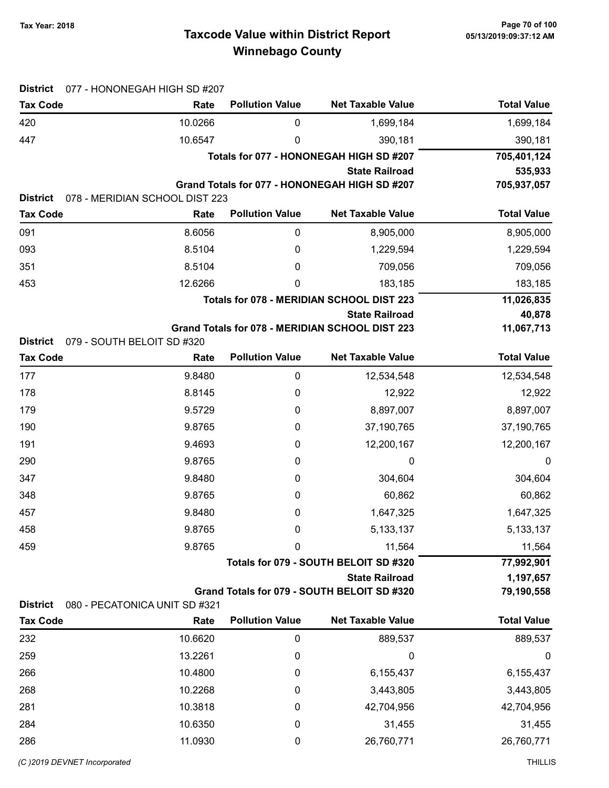# Taxcode Value within District Report Tax Year: 2018 Page 70 of 100 Winnebago County

| <b>District</b> | 077 - HONONEGAH HIGH SD #207   |                        |                                                 |                    |
|-----------------|--------------------------------|------------------------|-------------------------------------------------|--------------------|
| <b>Tax Code</b> | Rate                           | <b>Pollution Value</b> | <b>Net Taxable Value</b>                        | <b>Total Value</b> |
| 420             | 10.0266                        | 0                      | 1,699,184                                       | 1,699,184          |
| 447             | 10.6547                        | 0                      | 390,181                                         | 390,181            |
|                 |                                |                        | Totals for 077 - HONONEGAH HIGH SD #207         | 705,401,124        |
|                 |                                |                        | <b>State Railroad</b>                           | 535,933            |
| <b>District</b> | 078 - MERIDIAN SCHOOL DIST 223 |                        | Grand Totals for 077 - HONONEGAH HIGH SD #207   | 705,937,057        |
| <b>Tax Code</b> | Rate                           | <b>Pollution Value</b> | <b>Net Taxable Value</b>                        | <b>Total Value</b> |
| 091             | 8.6056                         | 0                      | 8,905,000                                       | 8,905,000          |
| 093             | 8.5104                         | 0                      | 1,229,594                                       | 1,229,594          |
| 351             | 8.5104                         | 0                      | 709,056                                         | 709,056            |
| 453             | 12.6266                        | 0                      | 183,185                                         | 183,185            |
|                 |                                |                        | Totals for 078 - MERIDIAN SCHOOL DIST 223       | 11,026,835         |
|                 |                                |                        | <b>State Railroad</b>                           | 40,878             |
|                 |                                |                        | Grand Totals for 078 - MERIDIAN SCHOOL DIST 223 | 11,067,713         |
| <b>District</b> | 079 - SOUTH BELOIT SD #320     |                        |                                                 |                    |
| <b>Tax Code</b> | Rate                           | <b>Pollution Value</b> | <b>Net Taxable Value</b>                        | <b>Total Value</b> |
| 177             | 9.8480                         | $\boldsymbol{0}$       | 12,534,548                                      | 12,534,548         |
| 178             | 8.8145                         | 0                      | 12,922                                          | 12,922             |
| 179             | 9.5729                         | 0                      | 8,897,007                                       | 8,897,007          |
| 190             | 9.8765                         | 0                      | 37,190,765                                      | 37,190,765         |
| 191             | 9.4693                         | 0                      | 12,200,167                                      | 12,200,167         |
| 290             | 9.8765                         | 0                      | 0                                               | 0                  |
| 347             | 9.8480                         | 0                      | 304,604                                         | 304,604            |
| 348             | 9.8765                         | 0                      | 60,862                                          | 60,862             |
| 457             | 9.8480                         | 0                      | 1,647,325                                       | 1,647,325          |
| 458             | 9.8765                         | 0                      | 5, 133, 137                                     | 5, 133, 137        |
| 459             | 9.8765                         | 0                      | 11,564                                          | 11,564             |
|                 |                                |                        | Totals for 079 - SOUTH BELOIT SD #320           | 77,992,901         |
|                 |                                |                        | <b>State Railroad</b>                           | 1,197,657          |
| <b>District</b> | 080 - PECATONICA UNIT SD #321  |                        | Grand Totals for 079 - SOUTH BELOIT SD #320     | 79,190,558         |
| <b>Tax Code</b> | Rate                           | <b>Pollution Value</b> | <b>Net Taxable Value</b>                        | <b>Total Value</b> |
| 232             | 10.6620                        | $\boldsymbol{0}$       | 889,537                                         | 889,537            |
| 259             | 13.2261                        | 0                      | 0                                               | 0                  |
| 266             | 10.4800                        | 0                      | 6,155,437                                       | 6,155,437          |
| 268             | 10.2268                        | 0                      | 3,443,805                                       | 3,443,805          |
| 281             | 10.3818                        | 0                      | 42,704,956                                      | 42,704,956         |
| 284             | 10.6350                        | 0                      | 31,455                                          | 31,455             |
| 286             | 11.0930                        | 0                      | 26,760,771                                      | 26,760,771         |
|                 |                                |                        |                                                 |                    |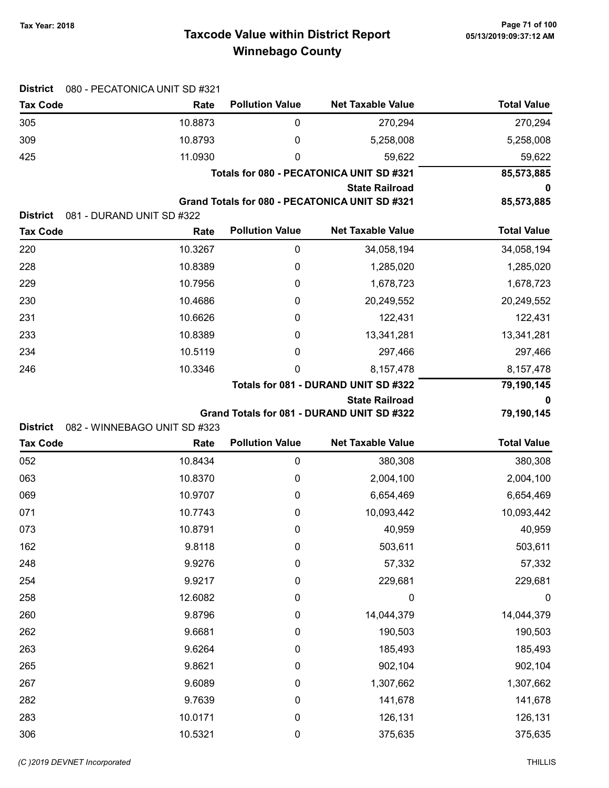# Taxcode Value within District Report Tax Year: 2018 Page 71 of 100 Winnebago County

| <b>District</b> | 080 - PECATONICA UNIT SD #321 |                        |                                                                         |                    |
|-----------------|-------------------------------|------------------------|-------------------------------------------------------------------------|--------------------|
| <b>Tax Code</b> | Rate                          | <b>Pollution Value</b> | <b>Net Taxable Value</b>                                                | <b>Total Value</b> |
| 305             | 10.8873                       | 0                      | 270,294                                                                 | 270,294            |
| 309             | 10.8793                       | 0                      | 5,258,008                                                               | 5,258,008          |
| 425             | 11.0930                       | 0                      | 59,622                                                                  | 59,622             |
|                 |                               |                        | Totals for 080 - PECATONICA UNIT SD #321                                | 85,573,885         |
|                 |                               |                        | <b>State Railroad</b><br>Grand Totals for 080 - PECATONICA UNIT SD #321 | 85,573,885         |
| <b>District</b> | 081 - DURAND UNIT SD #322     |                        |                                                                         |                    |
| <b>Tax Code</b> | Rate                          | <b>Pollution Value</b> | <b>Net Taxable Value</b>                                                | <b>Total Value</b> |
| 220             | 10.3267                       | 0                      | 34,058,194                                                              | 34,058,194         |
| 228             | 10.8389                       | 0                      | 1,285,020                                                               | 1,285,020          |
| 229             | 10.7956                       | 0                      | 1,678,723                                                               | 1,678,723          |
| 230             | 10.4686                       | 0                      | 20,249,552                                                              | 20,249,552         |
| 231             | 10.6626                       | 0                      | 122,431                                                                 | 122,431            |
| 233             | 10.8389                       | 0                      | 13,341,281                                                              | 13,341,281         |
| 234             | 10.5119                       | 0                      | 297,466                                                                 | 297,466            |
| 246             | 10.3346                       | 0                      | 8,157,478                                                               | 8,157,478          |
|                 |                               |                        | Totals for 081 - DURAND UNIT SD #322                                    | 79,190,145         |
|                 |                               |                        | <b>State Railroad</b>                                                   | 0                  |
|                 |                               |                        | Grand Totals for 081 - DURAND UNIT SD #322                              | 79,190,145         |
| <b>District</b> | 082 - WINNEBAGO UNIT SD #323  |                        |                                                                         |                    |
| <b>Tax Code</b> | Rate                          | <b>Pollution Value</b> | <b>Net Taxable Value</b>                                                | <b>Total Value</b> |
| 052             | 10.8434                       | $\pmb{0}$              | 380,308                                                                 | 380,308            |
| 063             | 10.8370                       | 0                      | 2,004,100                                                               | 2,004,100          |
| 069             | 10.9707                       | 0                      | 6,654,469                                                               | 6,654,469          |
| 071             | 10.7743                       | 0                      | 10,093,442                                                              | 10,093,442         |
| 073             | 10.8791                       | 0                      | 40,959                                                                  | 40,959             |
| 162             | 9.8118                        | 0                      | 503,611                                                                 | 503,611            |
| 248             | 9.9276                        | 0                      | 57,332                                                                  | 57,332             |
| 254             | 9.9217                        | 0                      | 229,681                                                                 | 229,681            |
| 258             | 12.6082                       | 0                      | 0                                                                       | $\boldsymbol{0}$   |
| 260             | 9.8796                        | 0                      | 14,044,379                                                              | 14,044,379         |
| 262             | 9.6681                        | 0                      | 190,503                                                                 | 190,503            |
| 263             | 9.6264                        | 0                      | 185,493                                                                 | 185,493            |
| 265             | 9.8621                        | 0                      | 902,104                                                                 | 902,104            |
| 267             | 9.6089                        | 0                      | 1,307,662                                                               | 1,307,662          |
| 282             | 9.7639                        | 0                      | 141,678                                                                 | 141,678            |
| 283             | 10.0171                       | $\boldsymbol{0}$       | 126,131                                                                 | 126,131            |
| 306             | 10.5321                       | $\pmb{0}$              | 375,635                                                                 | 375,635            |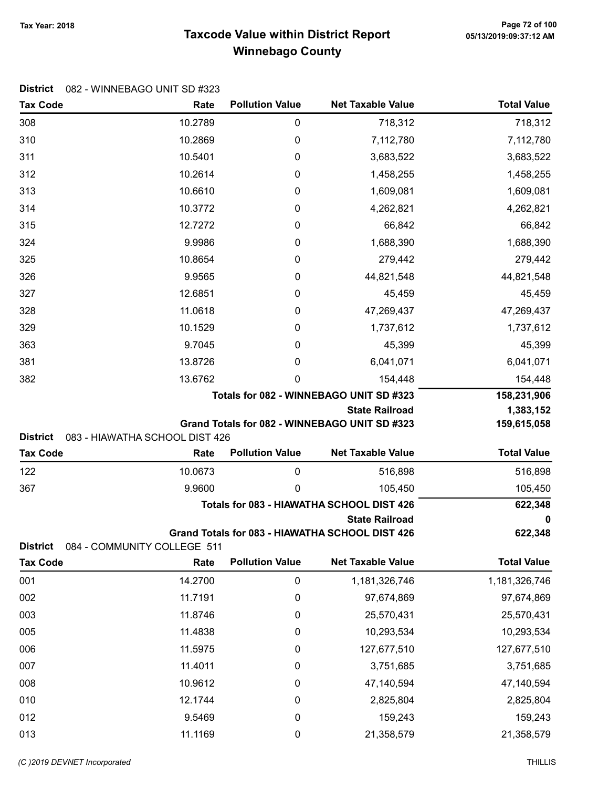# Taxcode Value within District Report Tax Year: 2018 Page 72 of 100 Winnebago County

| <b>Tax Code</b> | Rate                           | <b>Pollution Value</b> | <b>Net Taxable Value</b>                             | <b>Total Value</b>    |
|-----------------|--------------------------------|------------------------|------------------------------------------------------|-----------------------|
| 308             | 10.2789                        | 0                      | 718,312                                              | 718,312               |
| 310             | 10.2869                        | 0                      | 7,112,780                                            | 7,112,780             |
| 311             | 10.5401                        | 0                      | 3,683,522                                            | 3,683,522             |
| 312             | 10.2614                        | 0                      | 1,458,255                                            | 1,458,255             |
| 313             | 10.6610                        | 0                      | 1,609,081                                            | 1,609,081             |
| 314             | 10.3772                        | 0                      | 4,262,821                                            | 4,262,821             |
| 315             | 12.7272                        | 0                      | 66,842                                               | 66,842                |
| 324             | 9.9986                         | 0                      | 1,688,390                                            | 1,688,390             |
| 325             | 10.8654                        | 0                      | 279,442                                              | 279,442               |
| 326             | 9.9565                         | 0                      | 44,821,548                                           | 44,821,548            |
| 327             | 12.6851                        | 0                      | 45,459                                               | 45,459                |
| 328             | 11.0618                        | 0                      | 47,269,437                                           | 47,269,437            |
| 329             | 10.1529                        | 0                      | 1,737,612                                            | 1,737,612             |
| 363             | 9.7045                         | 0                      | 45,399                                               | 45,399                |
| 381             | 13.8726                        | 0                      | 6,041,071                                            | 6,041,071             |
| 382             | 13.6762                        | 0                      | 154,448                                              | 154,448               |
|                 |                                |                        | Totals for 082 - WINNEBAGO UNIT SD #323              | 158,231,906           |
|                 |                                |                        | <b>State Railroad</b>                                | 1,383,152             |
| <b>District</b> | 083 - HIAWATHA SCHOOL DIST 426 |                        | Grand Totals for 082 - WINNEBAGO UNIT SD #323        | 159,615,058           |
|                 |                                |                        |                                                      |                       |
|                 |                                | <b>Pollution Value</b> | <b>Net Taxable Value</b>                             |                       |
| <b>Tax Code</b> | Rate                           |                        |                                                      | <b>Total Value</b>    |
| 122             | 10.0673                        | 0<br>0                 | 516,898                                              | 516,898               |
| 367             | 9.9600                         |                        | 105,450<br>Totals for 083 - HIAWATHA SCHOOL DIST 426 | 105,450               |
|                 |                                |                        | <b>State Railroad</b>                                | 622,348<br>0          |
|                 |                                |                        | Grand Totals for 083 - HIAWATHA SCHOOL DIST 426      | 622,348               |
| <b>District</b> | 084 - COMMUNITY COLLEGE 511    |                        |                                                      |                       |
| <b>Tax Code</b> | Rate                           | <b>Pollution Value</b> | <b>Net Taxable Value</b>                             | <b>Total Value</b>    |
| 001             | 14.2700                        | $\pmb{0}$              | 1,181,326,746                                        | 1,181,326,746         |
| 002             | 11.7191                        | 0                      | 97,674,869                                           | 97,674,869            |
| 003             | 11.8746                        | 0                      | 25,570,431                                           | 25,570,431            |
| 005             | 11.4838                        | 0                      | 10,293,534                                           | 10,293,534            |
| 006             | 11.5975                        | 0                      | 127,677,510                                          | 127,677,510           |
| 007             | 11.4011                        | 0                      | 3,751,685                                            | 3,751,685             |
| 008             | 10.9612                        | 0                      | 47,140,594                                           | 47,140,594            |
| 010             | 12.1744                        | 0                      | 2,825,804                                            | 2,825,804             |
| 012<br>013      | 9.5469<br>11.1169              | 0<br>0                 | 159,243<br>21,358,579                                | 159,243<br>21,358,579 |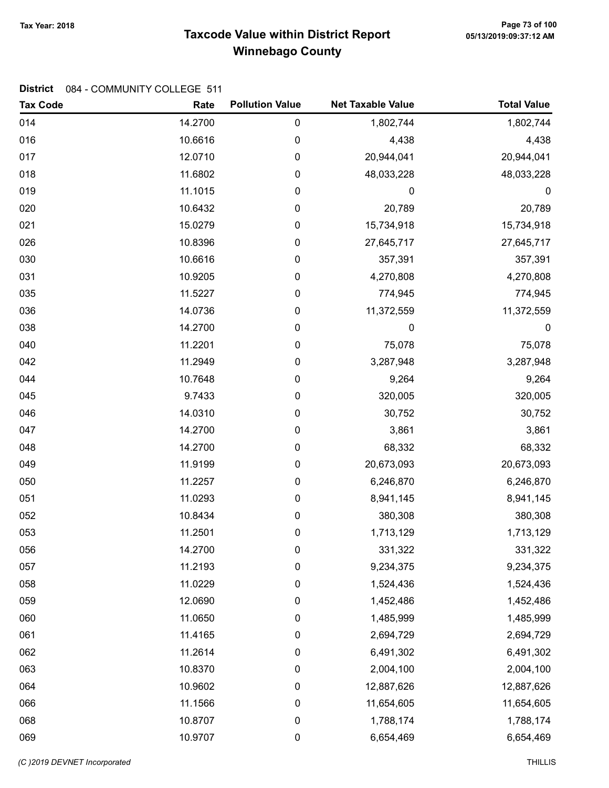## Taxcode Value within District Report Tax Year: 2018 Page 73 of 100 Winnebago County

#### District 084 - COMMUNITY COLLEGE 511

| <b>Tax Code</b> | Rate    | <b>Pollution Value</b> | <b>Net Taxable Value</b> | <b>Total Value</b> |
|-----------------|---------|------------------------|--------------------------|--------------------|
| 014             | 14.2700 | $\pmb{0}$              | 1,802,744                | 1,802,744          |
| 016             | 10.6616 | $\boldsymbol{0}$       | 4,438                    | 4,438              |
| 017             | 12.0710 | $\mathbf 0$            | 20,944,041               | 20,944,041         |
| 018             | 11.6802 | $\mathbf 0$            | 48,033,228               | 48,033,228         |
| 019             | 11.1015 | $\mathbf 0$            | $\mathbf 0$              | 0                  |
| 020             | 10.6432 | 0                      | 20,789                   | 20,789             |
| 021             | 15.0279 | $\mathbf 0$            | 15,734,918               | 15,734,918         |
| 026             | 10.8396 | $\mathbf 0$            | 27,645,717               | 27,645,717         |
| 030             | 10.6616 | 0                      | 357,391                  | 357,391            |
| 031             | 10.9205 | $\mathbf 0$            | 4,270,808                | 4,270,808          |
| 035             | 11.5227 | $\mathbf 0$            | 774,945                  | 774,945            |
| 036             | 14.0736 | $\boldsymbol{0}$       | 11,372,559               | 11,372,559         |
| 038             | 14.2700 | 0                      | 0                        | $\boldsymbol{0}$   |
| 040             | 11.2201 | $\boldsymbol{0}$       | 75,078                   | 75,078             |
| 042             | 11.2949 | $\mathbf 0$            | 3,287,948                | 3,287,948          |
| 044             | 10.7648 | $\mathbf 0$            | 9,264                    | 9,264              |
| 045             | 9.7433  | $\mathbf 0$            | 320,005                  | 320,005            |
| 046             | 14.0310 | $\mathbf 0$            | 30,752                   | 30,752             |
| 047             | 14.2700 | $\pmb{0}$              | 3,861                    | 3,861              |
| 048             | 14.2700 | $\mathbf 0$            | 68,332                   | 68,332             |
| 049             | 11.9199 | $\mathbf 0$            | 20,673,093               | 20,673,093         |
| 050             | 11.2257 | $\mathbf 0$            | 6,246,870                | 6,246,870          |
| 051             | 11.0293 | $\mathbf 0$            | 8,941,145                | 8,941,145          |
| 052             | 10.8434 | $\boldsymbol{0}$       | 380,308                  | 380,308            |
| 053             | 11.2501 | $\boldsymbol{0}$       | 1,713,129                | 1,713,129          |
| 056             | 14.2700 | 0                      | 331,322                  | 331,322            |
| 057             | 11.2193 | $\boldsymbol{0}$       | 9,234,375                | 9,234,375          |
| 058             | 11.0229 | $\mathbf 0$            | 1,524,436                | 1,524,436          |
| 059             | 12.0690 | 0                      | 1,452,486                | 1,452,486          |
| 060             | 11.0650 | 0                      | 1,485,999                | 1,485,999          |
| 061             | 11.4165 | 0                      | 2,694,729                | 2,694,729          |
| 062             | 11.2614 | $\mathbf 0$            | 6,491,302                | 6,491,302          |
| 063             | 10.8370 | $\mathbf 0$            | 2,004,100                | 2,004,100          |
| 064             | 10.9602 | 0                      | 12,887,626               | 12,887,626         |
| 066             | 11.1566 | 0                      | 11,654,605               | 11,654,605         |
| 068             | 10.8707 | 0                      | 1,788,174                | 1,788,174          |
| 069             | 10.9707 | $\pmb{0}$              | 6,654,469                | 6,654,469          |

(C)2019 DEVNET incorporated THILLIS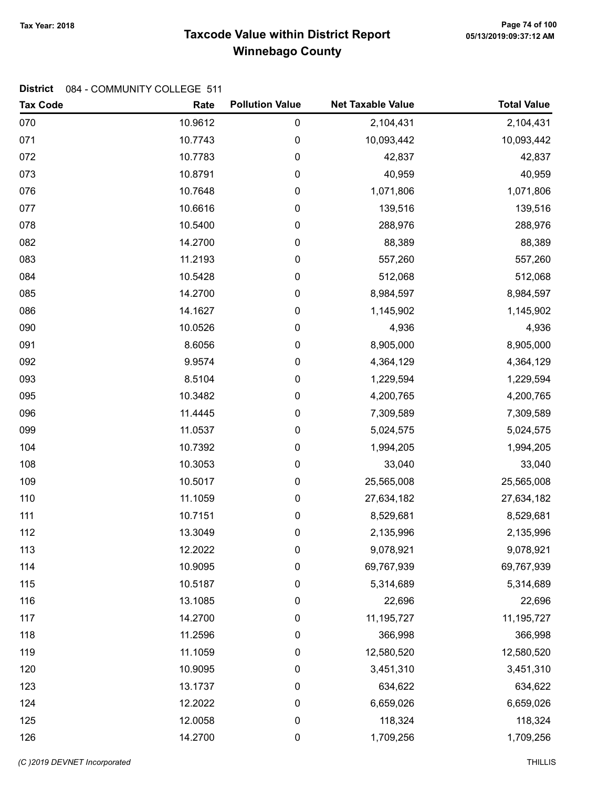## Taxcode Value within District Report Tax Year: 2018 Page 74 of 100 Winnebago County

| <b>Tax Code</b> | Rate    | <b>Pollution Value</b> | <b>Net Taxable Value</b> | <b>Total Value</b> |
|-----------------|---------|------------------------|--------------------------|--------------------|
| 070             | 10.9612 | 0                      | 2,104,431                | 2,104,431          |
| 071             | 10.7743 | 0                      | 10,093,442               | 10,093,442         |
| 072             | 10.7783 | 0                      | 42,837                   | 42,837             |
| 073             | 10.8791 | 0                      | 40,959                   | 40,959             |
| 076             | 10.7648 | 0                      | 1,071,806                | 1,071,806          |
| 077             | 10.6616 | 0                      | 139,516                  | 139,516            |
| 078             | 10.5400 | 0                      | 288,976                  | 288,976            |
| 082             | 14.2700 | 0                      | 88,389                   | 88,389             |
| 083             | 11.2193 | 0                      | 557,260                  | 557,260            |
| 084             | 10.5428 | 0                      | 512,068                  | 512,068            |
| 085             | 14.2700 | 0                      | 8,984,597                | 8,984,597          |
| 086             | 14.1627 | 0                      | 1,145,902                | 1,145,902          |
| 090             | 10.0526 | 0                      | 4,936                    | 4,936              |
| 091             | 8.6056  | 0                      | 8,905,000                | 8,905,000          |
| 092             | 9.9574  | 0                      | 4,364,129                | 4,364,129          |
| 093             | 8.5104  | 0                      | 1,229,594                | 1,229,594          |
| 095             | 10.3482 | 0                      | 4,200,765                | 4,200,765          |
| 096             | 11.4445 | 0                      | 7,309,589                | 7,309,589          |
| 099             | 11.0537 | 0                      | 5,024,575                | 5,024,575          |
| 104             | 10.7392 | 0                      | 1,994,205                | 1,994,205          |
| 108             | 10.3053 | 0                      | 33,040                   | 33,040             |
| 109             | 10.5017 | 0                      | 25,565,008               | 25,565,008         |
| 110             | 11.1059 | 0                      | 27,634,182               | 27,634,182         |
| 111             | 10.7151 | 0                      | 8,529,681                | 8,529,681          |
| 112             | 13.3049 | 0                      | 2,135,996                | 2,135,996          |
| 113             | 12.2022 | 0                      | 9,078,921                | 9,078,921          |
| 114             | 10.9095 | 0                      | 69,767,939               | 69,767,939         |
| 115             | 10.5187 | 0                      | 5,314,689                | 5,314,689          |
| 116             | 13.1085 | 0                      | 22,696                   | 22,696             |
| 117             | 14.2700 | 0                      | 11,195,727               | 11, 195, 727       |
| 118             | 11.2596 | 0                      | 366,998                  | 366,998            |
| 119             | 11.1059 | 0                      | 12,580,520               | 12,580,520         |
| 120             | 10.9095 | 0                      | 3,451,310                | 3,451,310          |
| 123             | 13.1737 | 0                      | 634,622                  | 634,622            |
| 124             | 12.2022 | 0                      | 6,659,026                | 6,659,026          |
| 125             | 12.0058 | 0                      | 118,324                  | 118,324            |
| 126             | 14.2700 | $\pmb{0}$              | 1,709,256                | 1,709,256          |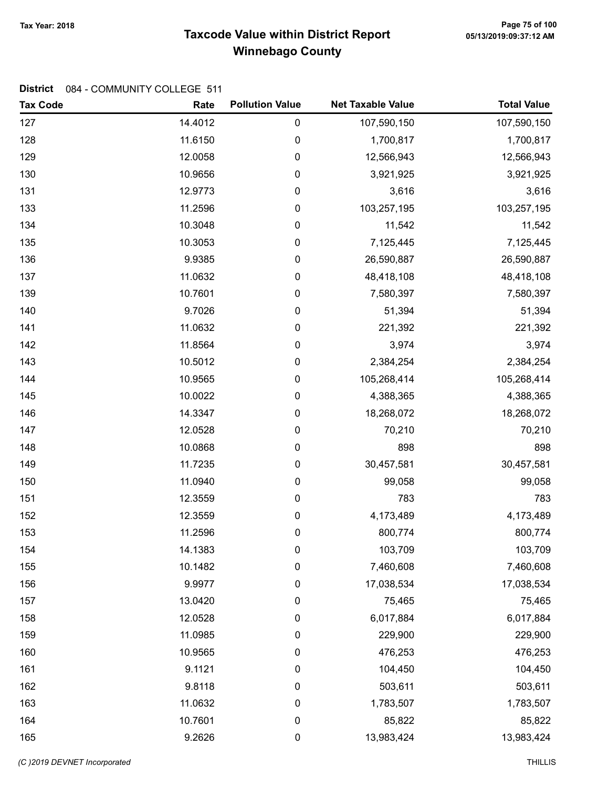## Taxcode Value within District Report Tax Year: 2018 Page 75 of 100 Winnebago County

| <b>Tax Code</b> | Rate    | <b>Pollution Value</b> | <b>Net Taxable Value</b> | <b>Total Value</b> |
|-----------------|---------|------------------------|--------------------------|--------------------|
| 127             | 14.4012 | $\pmb{0}$              | 107,590,150              | 107,590,150        |
| 128             | 11.6150 | $\pmb{0}$              | 1,700,817                | 1,700,817          |
| 129             | 12.0058 | $\pmb{0}$              | 12,566,943               | 12,566,943         |
| 130             | 10.9656 | 0                      | 3,921,925                | 3,921,925          |
| 131             | 12.9773 | 0                      | 3,616                    | 3,616              |
| 133             | 11.2596 | 0                      | 103,257,195              | 103,257,195        |
| 134             | 10.3048 | 0                      | 11,542                   | 11,542             |
| 135             | 10.3053 | 0                      | 7,125,445                | 7,125,445          |
| 136             | 9.9385  | 0                      | 26,590,887               | 26,590,887         |
| 137             | 11.0632 | 0                      | 48,418,108               | 48,418,108         |
| 139             | 10.7601 | $\pmb{0}$              | 7,580,397                | 7,580,397          |
| 140             | 9.7026  | 0                      | 51,394                   | 51,394             |
| 141             | 11.0632 | 0                      | 221,392                  | 221,392            |
| 142             | 11.8564 | 0                      | 3,974                    | 3,974              |
| 143             | 10.5012 | 0                      | 2,384,254                | 2,384,254          |
| 144             | 10.9565 | 0                      | 105,268,414              | 105,268,414        |
| 145             | 10.0022 | 0                      | 4,388,365                | 4,388,365          |
| 146             | 14.3347 | $\pmb{0}$              | 18,268,072               | 18,268,072         |
| 147             | 12.0528 | 0                      | 70,210                   | 70,210             |
| 148             | 10.0868 | 0                      | 898                      | 898                |
| 149             | 11.7235 | 0                      | 30,457,581               | 30,457,581         |
| 150             | 11.0940 | 0                      | 99,058                   | 99,058             |
| 151             | 12.3559 | 0                      | 783                      | 783                |
| 152             | 12.3559 | 0                      | 4,173,489                | 4,173,489          |
| 153             | 11.2596 | 0                      | 800,774                  | 800,774            |
| 154             | 14.1383 | 0                      | 103,709                  | 103,709            |
| 155             | 10.1482 | 0                      | 7,460,608                | 7,460,608          |
| 156             | 9.9977  | 0                      | 17,038,534               | 17,038,534         |
| 157             | 13.0420 | 0                      | 75,465                   | 75,465             |
| 158             | 12.0528 | 0                      | 6,017,884                | 6,017,884          |
| 159             | 11.0985 | 0                      | 229,900                  | 229,900            |
| 160             | 10.9565 | 0                      | 476,253                  | 476,253            |
| 161             | 9.1121  | 0                      | 104,450                  | 104,450            |
| 162             | 9.8118  | 0                      | 503,611                  | 503,611            |
| 163             | 11.0632 | 0                      | 1,783,507                | 1,783,507          |
| 164             | 10.7601 | 0                      | 85,822                   | 85,822             |
| 165             | 9.2626  | $\pmb{0}$              | 13,983,424               | 13,983,424         |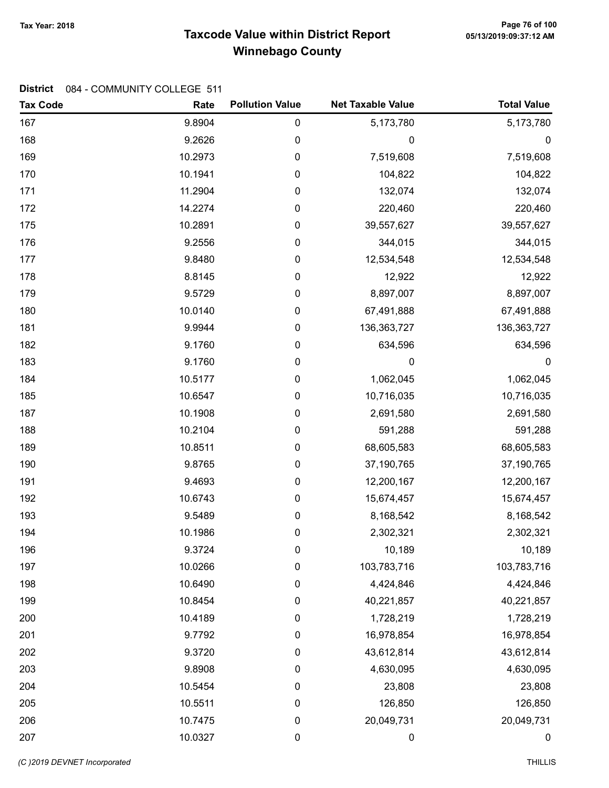## Taxcode Value within District Report Tax Year: 2018 Page 76 of 100 Winnebago County

| <b>Tax Code</b> | Rate    | <b>Pollution Value</b> | <b>Net Taxable Value</b> | <b>Total Value</b> |
|-----------------|---------|------------------------|--------------------------|--------------------|
| 167             | 9.8904  | $\pmb{0}$              | 5,173,780                | 5,173,780          |
| 168             | 9.2626  | 0                      | 0                        | 0                  |
| 169             | 10.2973 | $\pmb{0}$              | 7,519,608                | 7,519,608          |
| 170             | 10.1941 | 0                      | 104,822                  | 104,822            |
| 171             | 11.2904 | 0                      | 132,074                  | 132,074            |
| 172             | 14.2274 | $\pmb{0}$              | 220,460                  | 220,460            |
| 175             | 10.2891 | $\pmb{0}$              | 39,557,627               | 39,557,627         |
| 176             | 9.2556  | $\pmb{0}$              | 344,015                  | 344,015            |
| 177             | 9.8480  | 0                      | 12,534,548               | 12,534,548         |
| 178             | 8.8145  | $\pmb{0}$              | 12,922                   | 12,922             |
| 179             | 9.5729  | $\pmb{0}$              | 8,897,007                | 8,897,007          |
| 180             | 10.0140 | 0                      | 67,491,888               | 67,491,888         |
| 181             | 9.9944  | $\pmb{0}$              | 136, 363, 727            | 136, 363, 727      |
| 182             | 9.1760  | $\pmb{0}$              | 634,596                  | 634,596            |
| 183             | 9.1760  | $\pmb{0}$              | 0                        | $\mathbf 0$        |
| 184             | 10.5177 | 0                      | 1,062,045                | 1,062,045          |
| 185             | 10.6547 | $\pmb{0}$              | 10,716,035               | 10,716,035         |
| 187             | 10.1908 | $\pmb{0}$              | 2,691,580                | 2,691,580          |
| 188             | 10.2104 | 0                      | 591,288                  | 591,288            |
| 189             | 10.8511 | $\pmb{0}$              | 68,605,583               | 68,605,583         |
| 190             | 9.8765  | $\pmb{0}$              | 37,190,765               | 37,190,765         |
| 191             | 9.4693  | $\pmb{0}$              | 12,200,167               | 12,200,167         |
| 192             | 10.6743 | 0                      | 15,674,457               | 15,674,457         |
| 193             | 9.5489  | $\pmb{0}$              | 8,168,542                | 8,168,542          |
| 194             | 10.1986 | $\pmb{0}$              | 2,302,321                | 2,302,321          |
| 196             | 9.3724  | 0                      | 10,189                   | 10,189             |
| 197             | 10.0266 | 0                      | 103,783,716              | 103,783,716        |
| 198             | 10.6490 | 0                      | 4,424,846                | 4,424,846          |
| 199             | 10.8454 | 0                      | 40,221,857               | 40,221,857         |
| 200             | 10.4189 | 0                      | 1,728,219                | 1,728,219          |
| 201             | 9.7792  | $\boldsymbol{0}$       | 16,978,854               | 16,978,854         |
| 202             | 9.3720  | $\pmb{0}$              | 43,612,814               | 43,612,814         |
| 203             | 9.8908  | 0                      | 4,630,095                | 4,630,095          |
| 204             | 10.5454 | 0                      | 23,808                   | 23,808             |
| 205             | 10.5511 | $\boldsymbol{0}$       | 126,850                  | 126,850            |
| 206             | 10.7475 | $\pmb{0}$              | 20,049,731               | 20,049,731         |
| 207             | 10.0327 | $\pmb{0}$              | 0                        | $\boldsymbol{0}$   |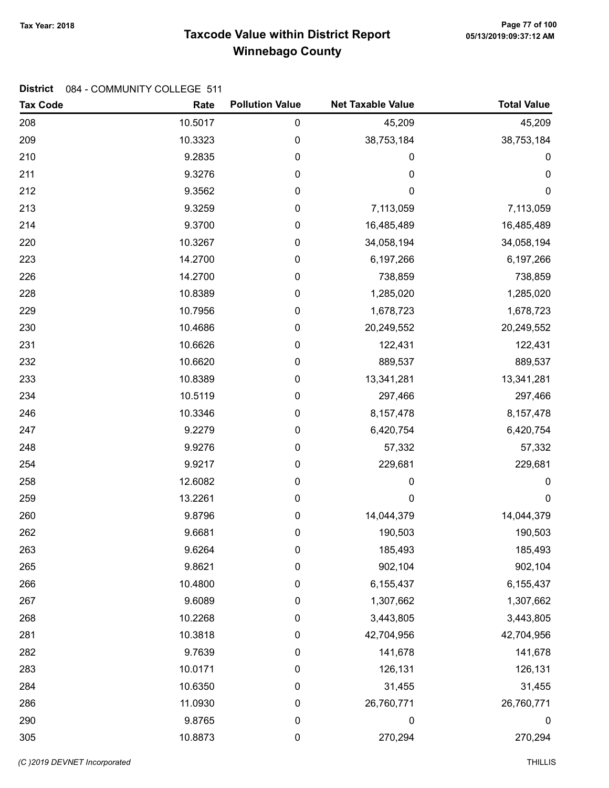## Taxcode Value within District Report Tax Year: 2018 Page 77 of 100 Winnebago County

| <b>Tax Code</b> | Rate    | <b>Pollution Value</b> | <b>Net Taxable Value</b> | <b>Total Value</b> |
|-----------------|---------|------------------------|--------------------------|--------------------|
| 208             | 10.5017 | $\pmb{0}$              | 45,209                   | 45,209             |
| 209             | 10.3323 | 0                      | 38,753,184               | 38,753,184         |
| 210             | 9.2835  | 0                      | 0                        | $\pmb{0}$          |
| 211             | 9.3276  | 0                      | 0                        | $\mathbf 0$        |
| 212             | 9.3562  | 0                      | $\pmb{0}$                | $\mathbf 0$        |
| 213             | 9.3259  | 0                      | 7,113,059                | 7,113,059          |
| 214             | 9.3700  | $\pmb{0}$              | 16,485,489               | 16,485,489         |
| 220             | 10.3267 | 0                      | 34,058,194               | 34,058,194         |
| 223             | 14.2700 | 0                      | 6,197,266                | 6,197,266          |
| 226             | 14.2700 | 0                      | 738,859                  | 738,859            |
| 228             | 10.8389 | 0                      | 1,285,020                | 1,285,020          |
| 229             | 10.7956 | 0                      | 1,678,723                | 1,678,723          |
| 230             | 10.4686 | 0                      | 20,249,552               | 20,249,552         |
| 231             | 10.6626 | $\pmb{0}$              | 122,431                  | 122,431            |
| 232             | 10.6620 | $\boldsymbol{0}$       | 889,537                  | 889,537            |
| 233             | 10.8389 | 0                      | 13,341,281               | 13,341,281         |
| 234             | 10.5119 | 0                      | 297,466                  | 297,466            |
| 246             | 10.3346 | 0                      | 8,157,478                | 8,157,478          |
| 247             | 9.2279  | 0                      | 6,420,754                | 6,420,754          |
| 248             | 9.9276  | 0                      | 57,332                   | 57,332             |
| 254             | 9.9217  | 0                      | 229,681                  | 229,681            |
| 258             | 12.6082 | $\boldsymbol{0}$       | 0                        | $\boldsymbol{0}$   |
| 259             | 13.2261 | $\boldsymbol{0}$       | 0                        | $\boldsymbol{0}$   |
| 260             | 9.8796  | $\boldsymbol{0}$       | 14,044,379               | 14,044,379         |
| 262             | 9.6681  | 0                      | 190,503                  | 190,503            |
| 263             | 9.6264  | 0                      | 185,493                  | 185,493            |
| 265             | 9.8621  | 0                      | 902,104                  | 902,104            |
| 266             | 10.4800 | 0                      | 6,155,437                | 6,155,437          |
| 267             | 9.6089  | $\boldsymbol{0}$       | 1,307,662                | 1,307,662          |
| 268             | 10.2268 | $\boldsymbol{0}$       | 3,443,805                | 3,443,805          |
| 281             | 10.3818 | 0                      | 42,704,956               | 42,704,956         |
| 282             | 9.7639  | $\pmb{0}$              | 141,678                  | 141,678            |
| 283             | 10.0171 | $\boldsymbol{0}$       | 126,131                  | 126,131            |
| 284             | 10.6350 | 0                      | 31,455                   | 31,455             |
| 286             | 11.0930 | $\boldsymbol{0}$       | 26,760,771               | 26,760,771         |
| 290             | 9.8765  | $\boldsymbol{0}$       | 0                        | 0                  |
| 305             | 10.8873 | $\pmb{0}$              | 270,294                  | 270,294            |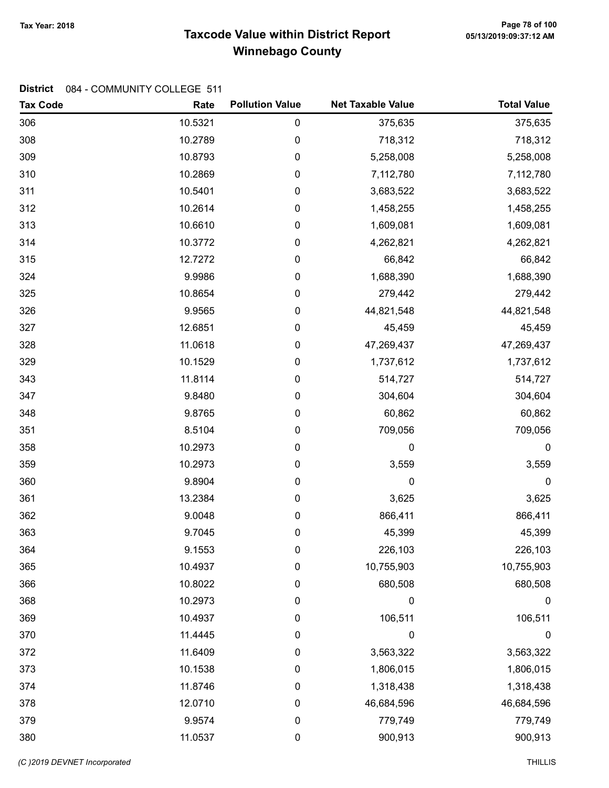## Taxcode Value within District Report Tax Year: 2018 Page 78 of 100 Winnebago County

| <b>Tax Code</b> | Rate    | <b>Pollution Value</b> | <b>Net Taxable Value</b> | <b>Total Value</b> |
|-----------------|---------|------------------------|--------------------------|--------------------|
| 306             | 10.5321 | $\pmb{0}$              | 375,635                  | 375,635            |
| 308             | 10.2789 | $\pmb{0}$              | 718,312                  | 718,312            |
| 309             | 10.8793 | $\pmb{0}$              | 5,258,008                | 5,258,008          |
| 310             | 10.2869 | $\mathbf 0$            | 7,112,780                | 7,112,780          |
| 311             | 10.5401 | $\boldsymbol{0}$       | 3,683,522                | 3,683,522          |
| 312             | 10.2614 | $\pmb{0}$              | 1,458,255                | 1,458,255          |
| 313             | 10.6610 | $\mathbf 0$            | 1,609,081                | 1,609,081          |
| 314             | 10.3772 | $\mathbf 0$            | 4,262,821                | 4,262,821          |
| 315             | 12.7272 | $\mathbf 0$            | 66,842                   | 66,842             |
| 324             | 9.9986  | $\pmb{0}$              | 1,688,390                | 1,688,390          |
| 325             | 10.8654 | $\mathbf 0$            | 279,442                  | 279,442            |
| 326             | 9.9565  | $\boldsymbol{0}$       | 44,821,548               | 44,821,548         |
| 327             | 12.6851 | $\pmb{0}$              | 45,459                   | 45,459             |
| 328             | 11.0618 | $\pmb{0}$              | 47,269,437               | 47,269,437         |
| 329             | 10.1529 | $\mathbf 0$            | 1,737,612                | 1,737,612          |
| 343             | 11.8114 | $\mathbf 0$            | 514,727                  | 514,727            |
| 347             | 9.8480  | $\pmb{0}$              | 304,604                  | 304,604            |
| 348             | 9.8765  | $\boldsymbol{0}$       | 60,862                   | 60,862             |
| 351             | 8.5104  | $\boldsymbol{0}$       | 709,056                  | 709,056            |
| 358             | 10.2973 | $\boldsymbol{0}$       | 0                        | $\pmb{0}$          |
| 359             | 10.2973 | $\pmb{0}$              | 3,559                    | 3,559              |
| 360             | 9.8904  | $\mathbf 0$            | 0                        | $\boldsymbol{0}$   |
| 361             | 13.2384 | $\mathbf 0$            | 3,625                    | 3,625              |
| 362             | 9.0048  | $\pmb{0}$              | 866,411                  | 866,411            |
| 363             | 9.7045  | $\boldsymbol{0}$       | 45,399                   | 45,399             |
| 364             | 9.1553  | 0                      | 226,103                  | 226,103            |
| 365             | 10.4937 | $\boldsymbol{0}$       | 10,755,903               | 10,755,903         |
| 366             | 10.8022 | $\mathbf 0$            | 680,508                  | 680,508            |
| 368             | 10.2973 | 0                      | 0                        | 0                  |
| 369             | 10.4937 | 0                      | 106,511                  | 106,511            |
| 370             | 11.4445 | $\mathbf 0$            | $\boldsymbol{0}$         | $\boldsymbol{0}$   |
| 372             | 11.6409 | $\mathbf 0$            | 3,563,322                | 3,563,322          |
| 373             | 10.1538 | $\mathbf 0$            | 1,806,015                | 1,806,015          |
| 374             | 11.8746 | 0                      | 1,318,438                | 1,318,438          |
| 378             | 12.0710 | 0                      | 46,684,596               | 46,684,596         |
| 379             | 9.9574  | 0                      | 779,749                  | 779,749            |
| 380             | 11.0537 | $\pmb{0}$              | 900,913                  | 900,913            |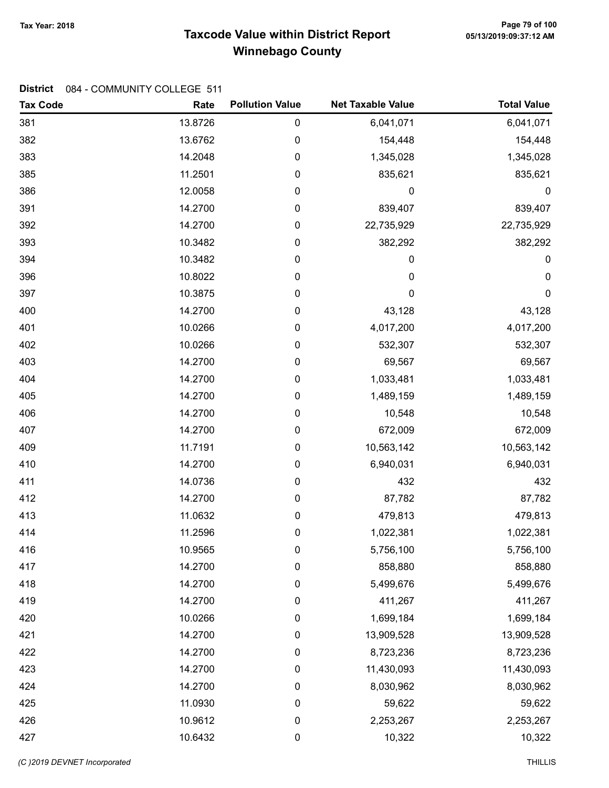## Taxcode Value within District Report Tax Year: 2018 Page 79 of 100 Winnebago County

| <b>Tax Code</b> | Rate    | <b>Pollution Value</b> | <b>Net Taxable Value</b> | <b>Total Value</b> |
|-----------------|---------|------------------------|--------------------------|--------------------|
| 381             | 13.8726 | $\mathbf 0$            | 6,041,071                | 6,041,071          |
| 382             | 13.6762 | $\boldsymbol{0}$       | 154,448                  | 154,448            |
| 383             | 14.2048 | $\mathbf 0$            | 1,345,028                | 1,345,028          |
| 385             | 11.2501 | $\mathbf 0$            | 835,621                  | 835,621            |
| 386             | 12.0058 | $\mathbf 0$            | $\boldsymbol{0}$         | $\mathbf 0$        |
| 391             | 14.2700 | $\pmb{0}$              | 839,407                  | 839,407            |
| 392             | 14.2700 | $\mathbf 0$            | 22,735,929               | 22,735,929         |
| 393             | 10.3482 | $\mathbf 0$            | 382,292                  | 382,292            |
| 394             | 10.3482 | $\mathbf 0$            | 0                        | 0                  |
| 396             | 10.8022 | $\pmb{0}$              | $\mathbf 0$              | $\mathbf 0$        |
| 397             | 10.3875 | $\mathbf 0$            | 0                        | $\pmb{0}$          |
| 400             | 14.2700 | $\mathbf 0$            | 43,128                   | 43,128             |
| 401             | 10.0266 | $\boldsymbol{0}$       | 4,017,200                | 4,017,200          |
| 402             | 10.0266 | $\mathbf 0$            | 532,307                  | 532,307            |
| 403             | 14.2700 | $\mathbf 0$            | 69,567                   | 69,567             |
| 404             | 14.2700 | $\mathbf 0$            | 1,033,481                | 1,033,481          |
| 405             | 14.2700 | $\mathbf 0$            | 1,489,159                | 1,489,159          |
| 406             | 14.2700 | $\mathbf 0$            | 10,548                   | 10,548             |
| 407             | 14.2700 | $\mathbf 0$            | 672,009                  | 672,009            |
| 409             | 11.7191 | 0                      | 10,563,142               | 10,563,142         |
| 410             | 14.2700 | $\mathbf 0$            | 6,940,031                | 6,940,031          |
| 411             | 14.0736 | $\mathbf 0$            | 432                      | 432                |
| 412             | 14.2700 | $\mathbf 0$            | 87,782                   | 87,782             |
| 413             | 11.0632 | $\boldsymbol{0}$       | 479,813                  | 479,813            |
| 414             | 11.2596 | $\boldsymbol{0}$       | 1,022,381                | 1,022,381          |
| 416             | 10.9565 | 0                      | 5,756,100                | 5,756,100          |
| 417             | 14.2700 | $\boldsymbol{0}$       | 858,880                  | 858,880            |
| 418             | 14.2700 | $\mathbf 0$            | 5,499,676                | 5,499,676          |
| 419             | 14.2700 | 0                      | 411,267                  | 411,267            |
| 420             | 10.0266 | $\boldsymbol{0}$       | 1,699,184                | 1,699,184          |
| 421             | 14.2700 | $\mathbf 0$            | 13,909,528               | 13,909,528         |
| 422             | 14.2700 | $\mathbf 0$            | 8,723,236                | 8,723,236          |
| 423             | 14.2700 | $\mathbf 0$            | 11,430,093               | 11,430,093         |
| 424             | 14.2700 | 0                      | 8,030,962                | 8,030,962          |
| 425             | 11.0930 | 0                      | 59,622                   | 59,622             |
| 426             | 10.9612 | 0                      | 2,253,267                | 2,253,267          |
| 427             | 10.6432 | $\pmb{0}$              | 10,322                   | 10,322             |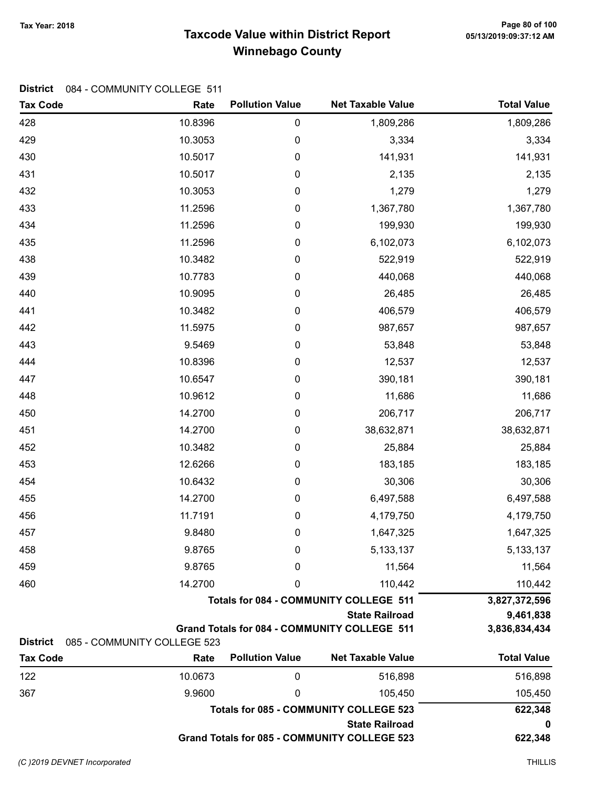## Taxcode Value within District Report Tax Year: 2018 Page 80 of 100 Winnebago County

| <b>Tax Code</b> | Rate                        | <b>Pollution Value</b> | <b>Net Taxable Value</b>                            | <b>Total Value</b> |
|-----------------|-----------------------------|------------------------|-----------------------------------------------------|--------------------|
| 428             | 10.8396                     | 0                      | 1,809,286                                           | 1,809,286          |
| 429             | 10.3053                     | 0                      | 3,334                                               | 3,334              |
| 430             | 10.5017                     | 0                      | 141,931                                             | 141,931            |
| 431             | 10.5017                     | 0                      | 2,135                                               | 2,135              |
| 432             | 10.3053                     | 0                      | 1,279                                               | 1,279              |
| 433             | 11.2596                     | 0                      | 1,367,780                                           | 1,367,780          |
| 434             | 11.2596                     | 0                      | 199,930                                             | 199,930            |
| 435             | 11.2596                     | 0                      | 6,102,073                                           | 6,102,073          |
| 438             | 10.3482                     | 0                      | 522,919                                             | 522,919            |
| 439             | 10.7783                     | 0                      | 440,068                                             | 440,068            |
| 440             | 10.9095                     | 0                      | 26,485                                              | 26,485             |
| 441             | 10.3482                     | 0                      | 406,579                                             | 406,579            |
| 442             | 11.5975                     | 0                      | 987,657                                             | 987,657            |
| 443             | 9.5469                      | 0                      | 53,848                                              | 53,848             |
| 444             | 10.8396                     | 0                      | 12,537                                              | 12,537             |
| 447             | 10.6547                     | 0                      | 390,181                                             | 390,181            |
| 448             | 10.9612                     | 0                      | 11,686                                              | 11,686             |
| 450             | 14.2700                     | 0                      | 206,717                                             | 206,717            |
| 451             | 14.2700                     | 0                      | 38,632,871                                          | 38,632,871         |
| 452             | 10.3482                     | 0                      | 25,884                                              | 25,884             |
| 453             | 12.6266                     | 0                      | 183,185                                             | 183,185            |
| 454             | 10.6432                     | $\pmb{0}$              | 30,306                                              | 30,306             |
| 455             | 14.2700                     | 0                      | 6,497,588                                           | 6,497,588          |
| 456             | 11.7191                     | 0                      | 4,179,750                                           | 4,179,750          |
| 457             | 9.8480                      | 0                      | 1,647,325                                           | 1,647,325          |
| 458             | 9.8765                      | 0                      | 5, 133, 137                                         | 5, 133, 137        |
| 459             | 9.8765                      | 0                      | 11,564                                              | 11,564             |
| 460             | 14.2700                     | 0                      | 110,442                                             | 110,442            |
|                 |                             |                        | <b>Totals for 084 - COMMUNITY COLLEGE 511</b>       | 3,827,372,596      |
|                 |                             |                        | <b>State Railroad</b>                               | 9,461,838          |
| <b>District</b> | 085 - COMMUNITY COLLEGE 523 |                        | Grand Totals for 084 - COMMUNITY COLLEGE 511        | 3,836,834,434      |
| <b>Tax Code</b> | Rate                        | <b>Pollution Value</b> | <b>Net Taxable Value</b>                            | <b>Total Value</b> |
| 122             | 10.0673                     | $\mathbf 0$            | 516,898                                             | 516,898            |
| 367             | 9.9600                      | 0                      | 105,450                                             | 105,450            |
|                 |                             |                        | <b>Totals for 085 - COMMUNITY COLLEGE 523</b>       | 622,348            |
|                 |                             | <b>State Railroad</b>  |                                                     |                    |
|                 |                             |                        | <b>Grand Totals for 085 - COMMUNITY COLLEGE 523</b> | 622,348            |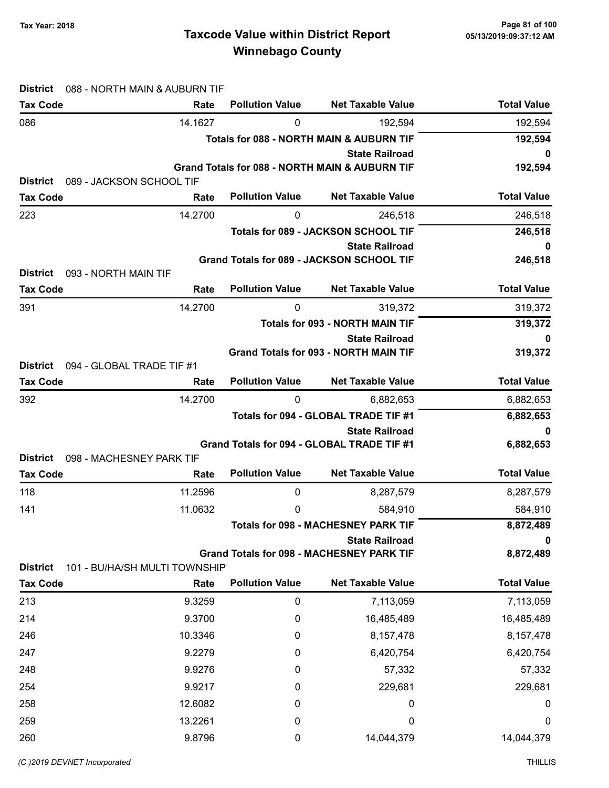## Taxcode Value within District Report Tax Year: 2018 Page 81 of 100 Winnebago County

| <b>District</b><br>088 - NORTH MAIN & AUBURN TIF |         |                        |                                                                                    |                    |
|--------------------------------------------------|---------|------------------------|------------------------------------------------------------------------------------|--------------------|
| <b>Tax Code</b>                                  | Rate    | <b>Pollution Value</b> | <b>Net Taxable Value</b>                                                           | <b>Total Value</b> |
| 086                                              | 14.1627 | 0                      | 192,594                                                                            | 192,594            |
|                                                  |         |                        | <b>Totals for 088 - NORTH MAIN &amp; AUBURN TIF</b>                                | 192,594            |
|                                                  |         |                        | <b>State Railroad</b><br><b>Grand Totals for 088 - NORTH MAIN &amp; AUBURN TIF</b> | 0                  |
| <b>District</b><br>089 - JACKSON SCHOOL TIF      |         |                        |                                                                                    | 192,594            |
| <b>Tax Code</b>                                  | Rate    | <b>Pollution Value</b> | <b>Net Taxable Value</b>                                                           | <b>Total Value</b> |
| 223                                              | 14.2700 | 0                      | 246,518                                                                            | 246,518            |
|                                                  |         |                        | Totals for 089 - JACKSON SCHOOL TIF                                                | 246,518            |
|                                                  |         |                        | <b>State Railroad</b>                                                              | 0                  |
|                                                  |         |                        | Grand Totals for 089 - JACKSON SCHOOL TIF                                          | 246,518            |
| 093 - NORTH MAIN TIF<br><b>District</b>          |         |                        |                                                                                    |                    |
| <b>Tax Code</b>                                  | Rate    | <b>Pollution Value</b> | <b>Net Taxable Value</b>                                                           | <b>Total Value</b> |
| 391                                              | 14.2700 | 0                      | 319,372                                                                            | 319,372            |
|                                                  |         |                        | <b>Totals for 093 - NORTH MAIN TIF</b>                                             | 319,372            |
|                                                  |         |                        | <b>State Railroad</b><br><b>Grand Totals for 093 - NORTH MAIN TIF</b>              | 0<br>319,372       |
| <b>District</b><br>094 - GLOBAL TRADE TIF #1     |         |                        |                                                                                    |                    |
| <b>Tax Code</b>                                  | Rate    | <b>Pollution Value</b> | <b>Net Taxable Value</b>                                                           | <b>Total Value</b> |
| 392                                              | 14.2700 | $\mathbf{0}$           | 6,882,653                                                                          | 6,882,653          |
|                                                  |         |                        | Totals for 094 - GLOBAL TRADE TIF #1                                               | 6,882,653          |
|                                                  |         |                        | <b>State Railroad</b>                                                              | 0                  |
|                                                  |         |                        | Grand Totals for 094 - GLOBAL TRADE TIF #1                                         | 6,882,653          |
| 098 - MACHESNEY PARK TIF<br><b>District</b>      |         | <b>Pollution Value</b> | <b>Net Taxable Value</b>                                                           | <b>Total Value</b> |
| <b>Tax Code</b>                                  | Rate    |                        |                                                                                    |                    |
| 118                                              | 11.2596 | 0                      | 8,287,579                                                                          | 8,287,579          |
| 141                                              | 11.0632 | 0                      | 584,910                                                                            | 584,910            |
|                                                  |         |                        | <b>Totals for 098 - MACHESNEY PARK TIF</b>                                         | 8,872,489          |
|                                                  |         |                        | <b>State Railroad</b><br><b>Grand Totals for 098 - MACHESNEY PARK TIF</b>          | 0<br>8,872,489     |
| 101 - BU/HA/SH MULTI TOWNSHIP<br><b>District</b> |         |                        |                                                                                    |                    |
| <b>Tax Code</b>                                  | Rate    | <b>Pollution Value</b> | <b>Net Taxable Value</b>                                                           | <b>Total Value</b> |
| 213                                              | 9.3259  | 0                      | 7,113,059                                                                          | 7,113,059          |
| 214                                              | 9.3700  | 0                      | 16,485,489                                                                         | 16,485,489         |
| 246                                              | 10.3346 | 0                      | 8,157,478                                                                          | 8, 157, 478        |
| 247                                              | 9.2279  | 0                      | 6,420,754                                                                          | 6,420,754          |
| 248                                              | 9.9276  | 0                      | 57,332                                                                             | 57,332             |
| 254                                              | 9.9217  | 0                      | 229,681                                                                            | 229,681            |
| 258                                              | 12.6082 | 0                      | 0                                                                                  | $\boldsymbol{0}$   |
| 259                                              | 13.2261 | 0                      | 0                                                                                  | 0                  |
| 260                                              | 9.8796  | 0                      | 14,044,379                                                                         | 14,044,379         |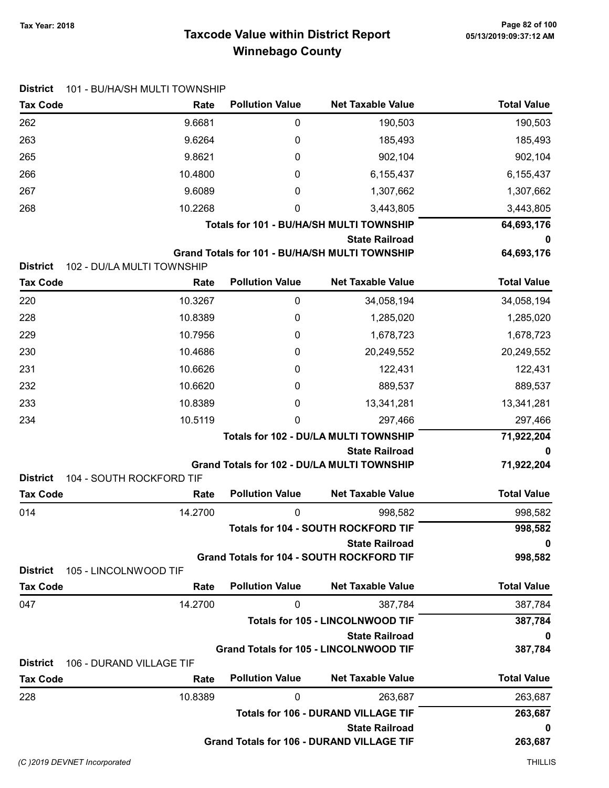## Taxcode Value within District Report Tax Year: 2018 Page 82 of 100 Winnebago County

| <b>District</b>                          | 101 - BU/HA/SH MULTI TOWNSHIP |                        |                                                                           |                    |
|------------------------------------------|-------------------------------|------------------------|---------------------------------------------------------------------------|--------------------|
| <b>Tax Code</b>                          | Rate                          | <b>Pollution Value</b> | <b>Net Taxable Value</b>                                                  | <b>Total Value</b> |
| 262                                      | 9.6681                        | 0                      | 190,503                                                                   | 190,503            |
| 263                                      | 9.6264                        | 0                      | 185,493                                                                   | 185,493            |
| 265                                      | 9.8621                        | 0                      | 902,104                                                                   | 902,104            |
| 266                                      | 10.4800                       | 0                      | 6,155,437                                                                 | 6,155,437          |
| 267                                      | 9.6089                        | 0                      | 1,307,662                                                                 | 1,307,662          |
| 268                                      | 10.2268                       | 0                      | 3,443,805                                                                 | 3,443,805          |
|                                          |                               |                        | Totals for 101 - BU/HA/SH MULTI TOWNSHIP                                  | 64,693,176         |
|                                          |                               |                        | <b>State Railroad</b>                                                     | 0                  |
| <b>District</b>                          | 102 - DU/LA MULTI TOWNSHIP    |                        | Grand Totals for 101 - BU/HA/SH MULTI TOWNSHIP                            | 64,693,176         |
| <b>Tax Code</b>                          | Rate                          | <b>Pollution Value</b> | <b>Net Taxable Value</b>                                                  | <b>Total Value</b> |
| 220                                      | 10.3267                       | 0                      | 34,058,194                                                                | 34,058,194         |
| 228                                      | 10.8389                       | 0                      | 1,285,020                                                                 | 1,285,020          |
| 229                                      | 10.7956                       | 0                      | 1,678,723                                                                 | 1,678,723          |
| 230                                      | 10.4686                       | 0                      | 20,249,552                                                                | 20,249,552         |
| 231                                      | 10.6626                       | 0                      | 122,431                                                                   | 122,431            |
| 232                                      | 10.6620                       | 0                      | 889,537                                                                   | 889,537            |
| 233                                      | 10.8389                       | 0                      | 13,341,281                                                                | 13,341,281         |
| 234                                      | 10.5119                       | 0                      | 297,466                                                                   | 297,466            |
|                                          |                               |                        | Totals for 102 - DU/LA MULTI TOWNSHIP                                     | 71,922,204         |
|                                          |                               |                        | <b>State Railroad</b>                                                     | 0                  |
|                                          |                               |                        | Grand Totals for 102 - DU/LA MULTI TOWNSHIP                               | 71,922,204         |
| <b>District</b>                          | 104 - SOUTH ROCKFORD TIF      |                        |                                                                           |                    |
| <b>Tax Code</b>                          | Rate                          | <b>Pollution Value</b> | <b>Net Taxable Value</b>                                                  | <b>Total Value</b> |
| 014                                      | 14.2700                       | 0                      | 998,582                                                                   | 998,582            |
|                                          |                               |                        | Totals for 104 - SOUTH ROCKFORD TIF                                       | 998,582            |
|                                          |                               |                        | <b>State Railroad</b><br><b>Grand Totals for 104 - SOUTH ROCKFORD TIF</b> | 0<br>998,582       |
| <b>District</b><br>105 - LINCOLNWOOD TIF |                               |                        |                                                                           |                    |
| <b>Tax Code</b>                          | Rate                          | <b>Pollution Value</b> | <b>Net Taxable Value</b>                                                  | <b>Total Value</b> |
| 047                                      | 14.2700                       | 0                      | 387,784                                                                   | 387,784            |
|                                          |                               |                        | <b>Totals for 105 - LINCOLNWOOD TIF</b>                                   | 387,784            |
|                                          |                               |                        | <b>State Railroad</b>                                                     | 0                  |
| <b>District</b>                          | 106 - DURAND VILLAGE TIF      |                        | Grand Totals for 105 - LINCOLNWOOD TIF                                    | 387,784            |
| <b>Tax Code</b>                          | Rate                          | <b>Pollution Value</b> | <b>Net Taxable Value</b>                                                  | <b>Total Value</b> |
| 228                                      | 10.8389                       | 0                      | 263,687                                                                   | 263,687            |
|                                          |                               |                        | <b>Totals for 106 - DURAND VILLAGE TIF</b>                                | 263,687            |
|                                          |                               |                        | <b>State Railroad</b>                                                     | 0                  |
|                                          |                               |                        | <b>Grand Totals for 106 - DURAND VILLAGE TIF</b>                          | 263,687            |
|                                          |                               |                        |                                                                           |                    |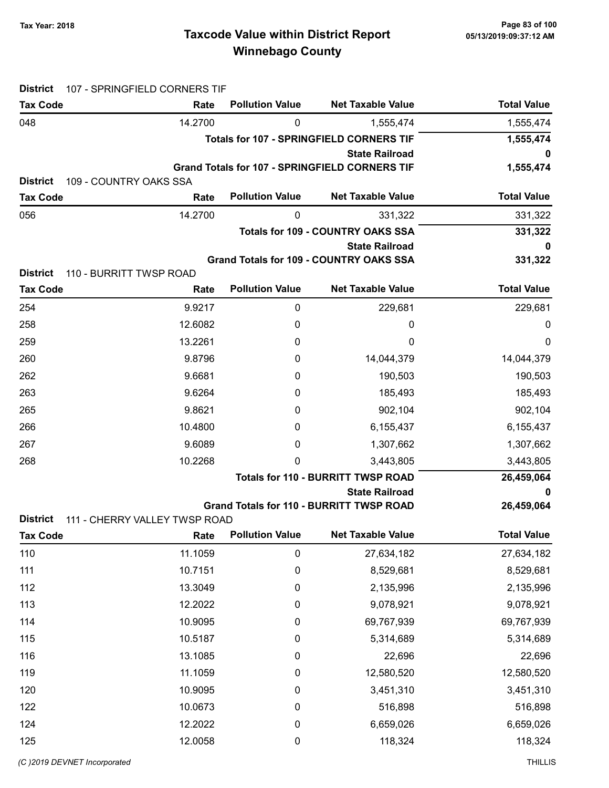## Taxcode Value within District Report Tax Year: 2018 Page 83 of 100 Winnebago County

| <b>District</b>                    | 107 - SPRINGFIELD CORNERS TIF  |                        |                                                       |                    |
|------------------------------------|--------------------------------|------------------------|-------------------------------------------------------|--------------------|
| <b>Tax Code</b>                    | Rate                           | <b>Pollution Value</b> | <b>Net Taxable Value</b>                              | <b>Total Value</b> |
| 048                                | 14.2700                        | 0                      | 1,555,474                                             | 1,555,474          |
|                                    |                                |                        | <b>Totals for 107 - SPRINGFIELD CORNERS TIF</b>       | 1,555,474          |
|                                    |                                |                        | <b>State Railroad</b>                                 |                    |
|                                    |                                |                        | <b>Grand Totals for 107 - SPRINGFIELD CORNERS TIF</b> | 1,555,474          |
| <b>District</b><br><b>Tax Code</b> | 109 - COUNTRY OAKS SSA<br>Rate | <b>Pollution Value</b> | <b>Net Taxable Value</b>                              | <b>Total Value</b> |
|                                    | 14.2700                        | 0                      |                                                       | 331,322            |
| 056                                |                                |                        | 331,322<br><b>Totals for 109 - COUNTRY OAKS SSA</b>   | 331,322            |
|                                    |                                |                        | <b>State Railroad</b>                                 | 0                  |
|                                    |                                |                        | <b>Grand Totals for 109 - COUNTRY OAKS SSA</b>        | 331,322            |
| <b>District</b>                    | 110 - BURRITT TWSP ROAD        |                        |                                                       |                    |
| <b>Tax Code</b>                    | Rate                           | <b>Pollution Value</b> | <b>Net Taxable Value</b>                              | <b>Total Value</b> |
| 254                                | 9.9217                         | 0                      | 229,681                                               | 229,681            |
| 258                                | 12.6082                        | 0                      | 0                                                     | 0                  |
| 259                                | 13.2261                        | 0                      | 0                                                     | 0                  |
| 260                                | 9.8796                         | 0                      | 14,044,379                                            | 14,044,379         |
| 262                                | 9.6681                         | 0                      | 190,503                                               | 190,503            |
| 263                                | 9.6264                         | 0                      | 185,493                                               | 185,493            |
| 265                                | 9.8621                         | 0                      | 902,104                                               | 902,104            |
| 266                                | 10.4800                        | 0                      | 6,155,437                                             | 6,155,437          |
| 267                                | 9.6089                         | 0                      | 1,307,662                                             | 1,307,662          |
| 268                                | 10.2268                        | 0                      | 3,443,805                                             | 3,443,805          |
|                                    |                                |                        | <b>Totals for 110 - BURRITT TWSP ROAD</b>             | 26,459,064         |
|                                    |                                |                        | <b>State Railroad</b>                                 | 0                  |
|                                    |                                |                        | <b>Grand Totals for 110 - BURRITT TWSP ROAD</b>       | 26,459,064         |
| <b>District</b>                    | 111 - CHERRY VALLEY TWSP ROAD  |                        |                                                       |                    |
| <b>Tax Code</b>                    | Rate                           | <b>Pollution Value</b> | <b>Net Taxable Value</b>                              | <b>Total Value</b> |
| 110                                | 11.1059                        | $\pmb{0}$              | 27,634,182                                            | 27,634,182         |
| 111                                | 10.7151                        | $\mathbf 0$            | 8,529,681                                             | 8,529,681          |
| 112                                | 13.3049                        | 0                      | 2,135,996                                             | 2,135,996          |
| 113                                | 12.2022                        | 0                      | 9,078,921                                             | 9,078,921          |
| 114                                | 10.9095                        | 0                      | 69,767,939                                            | 69,767,939         |
| 115                                | 10.5187                        | 0                      | 5,314,689                                             | 5,314,689          |
| 116                                | 13.1085                        | 0                      | 22,696                                                | 22,696             |
| 119                                | 11.1059                        | 0                      | 12,580,520                                            | 12,580,520         |
| 120                                | 10.9095                        | $\boldsymbol{0}$       | 3,451,310                                             | 3,451,310          |
| 122                                | 10.0673                        | 0                      | 516,898                                               | 516,898            |
| 124                                | 12.2022                        | 0                      | 6,659,026                                             | 6,659,026          |
| 125                                | 12.0058                        | 0                      | 118,324                                               | 118,324            |
|                                    |                                |                        |                                                       |                    |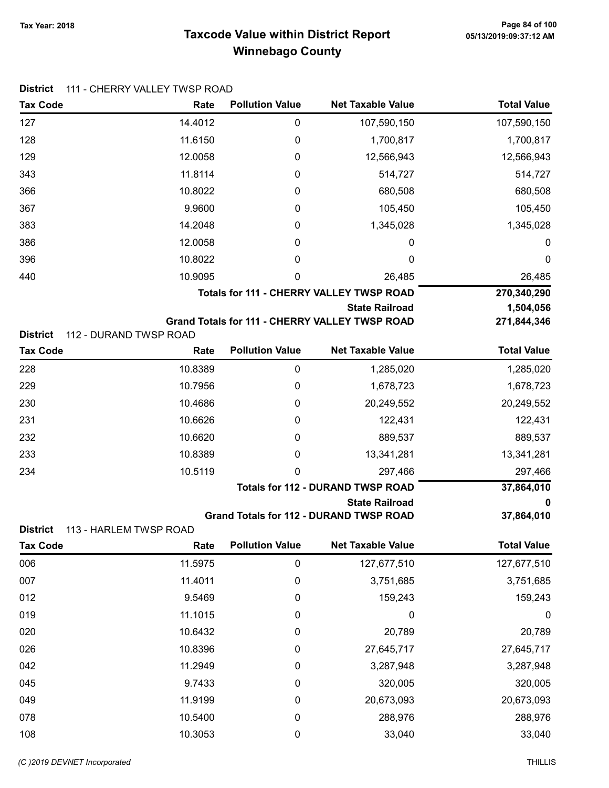## Taxcode Value within District Report Tax Year: 2018 Page 84 of 100 Winnebago County

| <b>Tax Code</b>                                              | Rate    | <b>Pollution Value</b> | <b>Net Taxable Value</b>                              | <b>Total Value</b> |
|--------------------------------------------------------------|---------|------------------------|-------------------------------------------------------|--------------------|
| 127                                                          | 14.4012 | $\pmb{0}$              | 107,590,150                                           | 107,590,150        |
| 128                                                          | 11.6150 | 0                      | 1,700,817                                             | 1,700,817          |
| 129                                                          | 12.0058 | 0                      | 12,566,943                                            | 12,566,943         |
| 343                                                          | 11.8114 | 0                      | 514,727                                               | 514,727            |
| 366                                                          | 10.8022 | 0                      | 680,508                                               | 680,508            |
| 367                                                          | 9.9600  | 0                      | 105,450                                               | 105,450            |
| 383                                                          | 14.2048 | 0                      | 1,345,028                                             | 1,345,028          |
| 386                                                          | 12.0058 | 0                      | 0                                                     | $\boldsymbol{0}$   |
| 396                                                          | 10.8022 | 0                      | 0                                                     | $\boldsymbol{0}$   |
| 440                                                          | 10.9095 | 0                      | 26,485                                                | 26,485             |
|                                                              |         |                        | <b>Totals for 111 - CHERRY VALLEY TWSP ROAD</b>       | 270,340,290        |
|                                                              |         |                        | <b>State Railroad</b>                                 | 1,504,056          |
| <b>District</b><br>112 - DURAND TWSP ROAD                    |         |                        | <b>Grand Totals for 111 - CHERRY VALLEY TWSP ROAD</b> | 271,844,346        |
| <b>Tax Code</b>                                              | Rate    | <b>Pollution Value</b> | <b>Net Taxable Value</b>                              | <b>Total Value</b> |
| 228                                                          | 10.8389 | $\mathbf 0$            | 1,285,020                                             | 1,285,020          |
| 229                                                          | 10.7956 | 0                      | 1,678,723                                             | 1,678,723          |
| 230                                                          | 10.4686 | 0                      | 20,249,552                                            | 20,249,552         |
| 231                                                          | 10.6626 | 0                      | 122,431                                               | 122,431            |
| 232                                                          | 10.6620 | 0                      | 889,537                                               | 889,537            |
| 233                                                          | 10.8389 | 0                      | 13,341,281                                            | 13,341,281         |
| 234                                                          | 10.5119 | 0                      | 297,466                                               | 297,466            |
|                                                              |         |                        | <b>Totals for 112 - DURAND TWSP ROAD</b>              | 37,864,010         |
|                                                              |         |                        | <b>State Railroad</b>                                 | 0                  |
|                                                              |         |                        | <b>Grand Totals for 112 - DURAND TWSP ROAD</b>        | 37,864,010         |
| <b>District</b><br>113 - HARLEM TWSP ROAD<br><b>Tax Code</b> | Rate    | <b>Pollution Value</b> | <b>Net Taxable Value</b>                              | Total Value        |
| 006                                                          | 11.5975 | $\mathbf 0$            | 127,677,510                                           | 127,677,510        |
| 007                                                          | 11.4011 | $\mathbf 0$            | 3,751,685                                             | 3,751,685          |
| 012                                                          | 9.5469  | 0                      | 159,243                                               | 159,243            |
| 019                                                          | 11.1015 | 0                      | $\boldsymbol{0}$                                      | $\boldsymbol{0}$   |
| 020                                                          | 10.6432 | 0                      | 20,789                                                | 20,789             |
| 026                                                          | 10.8396 | 0                      | 27,645,717                                            | 27,645,717         |
| 042                                                          | 11.2949 | 0                      | 3,287,948                                             | 3,287,948          |
| 045                                                          | 9.7433  | 0                      | 320,005                                               | 320,005            |
| 049                                                          | 11.9199 | 0                      | 20,673,093                                            | 20,673,093         |
| 078                                                          | 10.5400 | $\boldsymbol{0}$       | 288,976                                               | 288,976            |
| 108                                                          | 10.3053 | $\pmb{0}$              | 33,040                                                | 33,040             |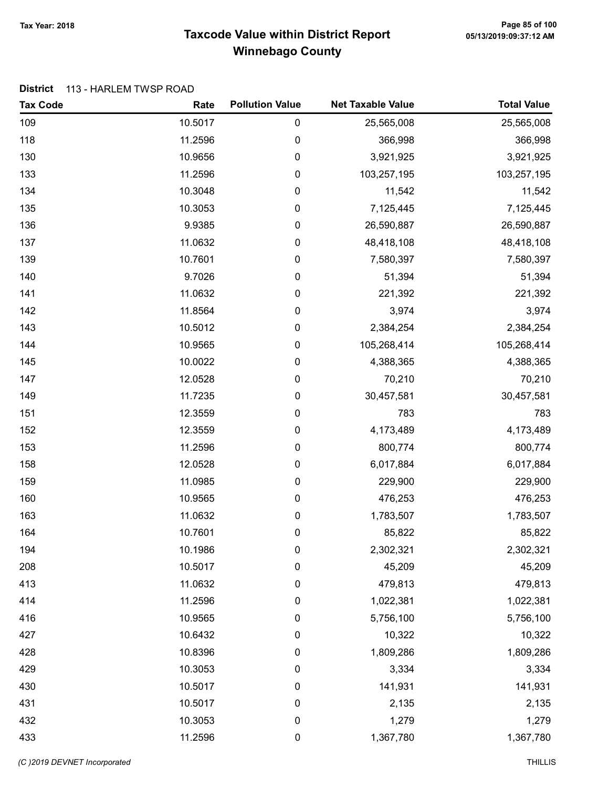## Taxcode Value within District Report Tax Year: 2018 Page 85 of 100 Winnebago County

#### District 113 - HARLEM TWSP ROAD

| <b>Tax Code</b> | Rate    | <b>Pollution Value</b> | <b>Net Taxable Value</b> | <b>Total Value</b> |
|-----------------|---------|------------------------|--------------------------|--------------------|
| 109             | 10.5017 | 0                      | 25,565,008               | 25,565,008         |
| 118             | 11.2596 | 0                      | 366,998                  | 366,998            |
| 130             | 10.9656 | 0                      | 3,921,925                | 3,921,925          |
| 133             | 11.2596 | 0                      | 103,257,195              | 103,257,195        |
| 134             | 10.3048 | 0                      | 11,542                   | 11,542             |
| 135             | 10.3053 | 0                      | 7,125,445                | 7,125,445          |
| 136             | 9.9385  | 0                      | 26,590,887               | 26,590,887         |
| 137             | 11.0632 | $\boldsymbol{0}$       | 48,418,108               | 48,418,108         |
| 139             | 10.7601 | 0                      | 7,580,397                | 7,580,397          |
| 140             | 9.7026  | 0                      | 51,394                   | 51,394             |
| 141             | 11.0632 | 0                      | 221,392                  | 221,392            |
| 142             | 11.8564 | 0                      | 3,974                    | 3,974              |
| 143             | 10.5012 | 0                      | 2,384,254                | 2,384,254          |
| 144             | 10.9565 | 0                      | 105,268,414              | 105,268,414        |
| 145             | 10.0022 | $\boldsymbol{0}$       | 4,388,365                | 4,388,365          |
| 147             | 12.0528 | 0                      | 70,210                   | 70,210             |
| 149             | 11.7235 | 0                      | 30,457,581               | 30,457,581         |
| 151             | 12.3559 | 0                      | 783                      | 783                |
| 152             | 12.3559 | 0                      | 4,173,489                | 4,173,489          |
| 153             | 11.2596 | 0                      | 800,774                  | 800,774            |
| 158             | 12.0528 | 0                      | 6,017,884                | 6,017,884          |
| 159             | 11.0985 | $\boldsymbol{0}$       | 229,900                  | 229,900            |
| 160             | 10.9565 | 0                      | 476,253                  | 476,253            |
| 163             | 11.0632 | 0                      | 1,783,507                | 1,783,507          |
| 164             | 10.7601 | 0                      | 85,822                   | 85,822             |
| 194             | 10.1986 | 0                      | 2,302,321                | 2,302,321          |
| 208             | 10.5017 | 0                      | 45,209                   | 45,209             |
| 413             | 11.0632 | $\boldsymbol{0}$       | 479,813                  | 479,813            |
| 414             | 11.2596 | $\boldsymbol{0}$       | 1,022,381                | 1,022,381          |
| 416             | 10.9565 | 0                      | 5,756,100                | 5,756,100          |
| 427             | 10.6432 | 0                      | 10,322                   | 10,322             |
| 428             | 10.8396 | 0                      | 1,809,286                | 1,809,286          |
| 429             | 10.3053 | 0                      | 3,334                    | 3,334              |
| 430             | 10.5017 | 0                      | 141,931                  | 141,931            |
| 431             | 10.5017 | $\boldsymbol{0}$       | 2,135                    | 2,135              |
| 432             | 10.3053 | $\boldsymbol{0}$       | 1,279                    | 1,279              |
| 433             | 11.2596 | $\pmb{0}$              | 1,367,780                | 1,367,780          |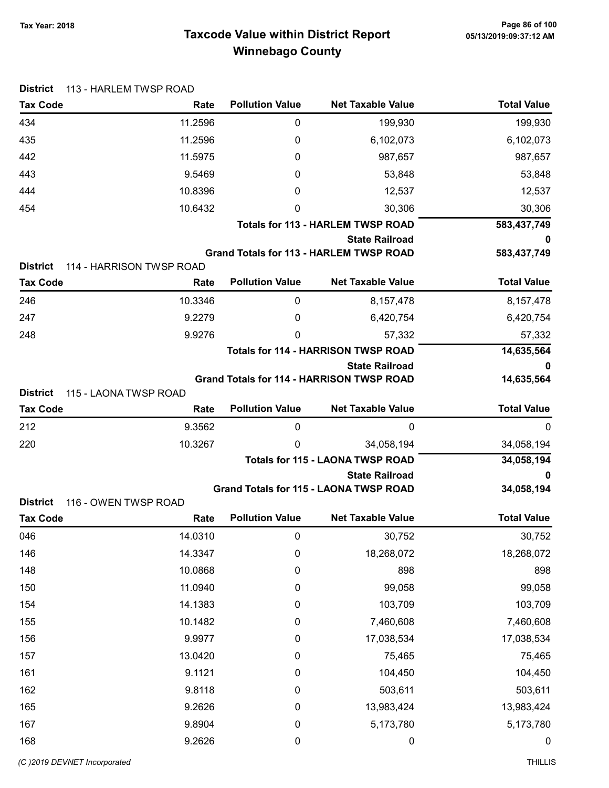## Taxcode Value within District Report Tax Year: 2018 Page 86 of 100 Winnebago County

| Tax Year: 2018 |  |
|----------------|--|
|                |  |

| <b>District</b>                    | 113 - HARLEM TWSP ROAD           |                        |                                                                     |                    |
|------------------------------------|----------------------------------|------------------------|---------------------------------------------------------------------|--------------------|
| <b>Tax Code</b>                    | Rate                             | <b>Pollution Value</b> | <b>Net Taxable Value</b>                                            | <b>Total Value</b> |
| 434                                | 11.2596                          | 0                      | 199,930                                                             | 199,930            |
| 435                                | 11.2596                          | 0                      | 6,102,073                                                           | 6,102,073          |
| 442                                | 11.5975                          | 0                      | 987,657                                                             | 987,657            |
| 443                                | 9.5469                           | 0                      | 53,848                                                              | 53,848             |
| 444                                | 10.8396                          | 0                      | 12,537                                                              | 12,537             |
| 454                                | 10.6432                          | 0                      | 30,306                                                              | 30,306             |
|                                    |                                  |                        | <b>Totals for 113 - HARLEM TWSP ROAD</b>                            | 583,437,749        |
|                                    |                                  |                        | <b>State Railroad</b>                                               | 0                  |
|                                    |                                  |                        | <b>Grand Totals for 113 - HARLEM TWSP ROAD</b>                      | 583,437,749        |
| <b>District</b><br><b>Tax Code</b> | 114 - HARRISON TWSP ROAD<br>Rate | <b>Pollution Value</b> | <b>Net Taxable Value</b>                                            | <b>Total Value</b> |
|                                    |                                  |                        |                                                                     |                    |
| 246                                | 10.3346                          | 0                      | 8,157,478                                                           | 8,157,478          |
| 247                                | 9.2279                           | 0                      | 6,420,754                                                           | 6,420,754          |
| 248                                | 9.9276                           | 0                      | 57,332                                                              | 57,332             |
|                                    |                                  |                        | <b>Totals for 114 - HARRISON TWSP ROAD</b><br><b>State Railroad</b> | 14,635,564<br>0    |
|                                    |                                  |                        | <b>Grand Totals for 114 - HARRISON TWSP ROAD</b>                    | 14,635,564         |
| <b>District</b>                    | 115 - LAONA TWSP ROAD            |                        |                                                                     |                    |
| <b>Tax Code</b>                    | Rate                             | <b>Pollution Value</b> | <b>Net Taxable Value</b>                                            | <b>Total Value</b> |
| 212                                | 9.3562                           | $\mathbf 0$            | $\mathbf 0$                                                         | 0                  |
| 220                                | 10.3267                          | 0                      | 34,058,194                                                          | 34,058,194         |
|                                    |                                  |                        | <b>Totals for 115 - LAONA TWSP ROAD</b>                             | 34,058,194         |
|                                    |                                  |                        | <b>State Railroad</b>                                               | 0                  |
| <b>District</b>                    |                                  |                        | <b>Grand Totals for 115 - LAONA TWSP ROAD</b>                       | 34,058,194         |
| <b>Tax Code</b>                    | 116 - OWEN TWSP ROAD<br>Rate     | <b>Pollution Value</b> | <b>Net Taxable Value</b>                                            | <b>Total Value</b> |
| 046                                | 14.0310                          | 0                      | 30,752                                                              | 30,752             |
| 146                                | 14.3347                          | 0                      | 18,268,072                                                          | 18,268,072         |
| 148                                | 10.0868                          | 0                      | 898                                                                 | 898                |
| 150                                | 11.0940                          | 0                      | 99,058                                                              | 99,058             |
| 154                                | 14.1383                          | 0                      | 103,709                                                             | 103,709            |
| 155                                | 10.1482                          | $\boldsymbol{0}$       | 7,460,608                                                           | 7,460,608          |
| 156                                | 9.9977                           | $\boldsymbol{0}$       | 17,038,534                                                          | 17,038,534         |
| 157                                | 13.0420                          | 0                      | 75,465                                                              | 75,465             |
| 161                                | 9.1121                           | 0                      | 104,450                                                             | 104,450            |
| 162                                | 9.8118                           | 0                      | 503,611                                                             | 503,611            |
| 165                                |                                  |                        |                                                                     |                    |
|                                    | 9.2626                           | 0                      | 13,983,424                                                          | 13,983,424         |
| 167                                | 9.8904                           | 0                      | 5,173,780                                                           | 5,173,780          |
| 168                                | 9.2626                           | $\pmb{0}$              | $\pmb{0}$                                                           | $\pmb{0}$          |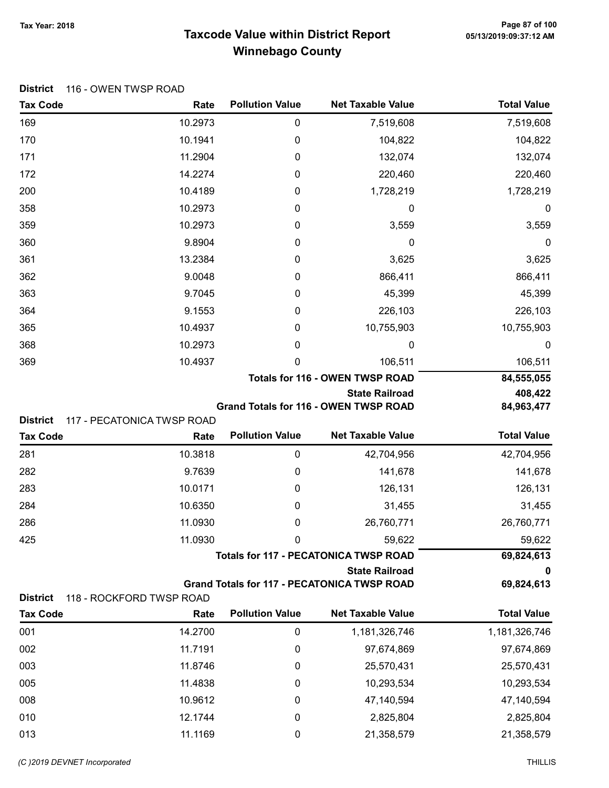## Taxcode Value within District Report Tax Year: 2018 Page 87 of 100 Winnebago County

| District 116 - OWEN TWSP ROAD |  |
|-------------------------------|--|
|-------------------------------|--|

| <b>Tax Code</b>                    | Rate                               | <b>Pollution Value</b> | <b>Net Taxable Value</b>                                              | <b>Total Value</b> |
|------------------------------------|------------------------------------|------------------------|-----------------------------------------------------------------------|--------------------|
| 169                                | 10.2973                            | 0                      | 7,519,608                                                             | 7,519,608          |
| 170                                | 10.1941                            | 0                      | 104,822                                                               | 104,822            |
| 171                                | 11.2904                            | 0                      | 132,074                                                               | 132,074            |
| 172                                | 14.2274                            | 0                      | 220,460                                                               | 220,460            |
| 200                                | 10.4189                            | 0                      | 1,728,219                                                             | 1,728,219          |
| 358                                | 10.2973                            | $\boldsymbol{0}$       | 0                                                                     | $\boldsymbol{0}$   |
| 359                                | 10.2973                            | 0                      | 3,559                                                                 | 3,559              |
| 360                                | 9.8904                             | 0                      | 0                                                                     | $\boldsymbol{0}$   |
| 361                                | 13.2384                            | 0                      | 3,625                                                                 | 3,625              |
| 362                                | 9.0048                             | 0                      | 866,411                                                               | 866,411            |
| 363                                | 9.7045                             | 0                      | 45,399                                                                | 45,399             |
| 364                                | 9.1553                             | 0                      | 226,103                                                               | 226,103            |
| 365                                | 10.4937                            | 0                      | 10,755,903                                                            | 10,755,903         |
| 368                                | 10.2973                            | 0                      | 0                                                                     | 0                  |
| 369                                | 10.4937                            | 0                      | 106,511                                                               | 106,511            |
|                                    |                                    |                        | <b>Totals for 116 - OWEN TWSP ROAD</b>                                | 84,555,055         |
|                                    |                                    |                        | <b>State Railroad</b>                                                 | 408,422            |
|                                    |                                    |                        | <b>Grand Totals for 116 - OWEN TWSP ROAD</b>                          | 84,963,477         |
| <b>District</b><br><b>Tax Code</b> | 117 - PECATONICA TWSP ROAD<br>Rate | <b>Pollution Value</b> | <b>Net Taxable Value</b>                                              | <b>Total Value</b> |
| 281                                | 10.3818                            | $\pmb{0}$              | 42,704,956                                                            |                    |
|                                    |                                    |                        |                                                                       | 42,704,956         |
| 282                                | 9.7639                             | 0                      | 141,678                                                               | 141,678            |
| 283                                | 10.0171<br>10.6350                 | 0                      | 126,131                                                               | 126,131<br>31,455  |
| 284                                | 11.0930                            | 0                      | 31,455<br>26,760,771                                                  |                    |
| 286                                |                                    | 0                      |                                                                       | 26,760,771         |
| 425                                | 11.0930                            | 0                      | 59,622                                                                | 59,622             |
|                                    |                                    |                        | <b>Totals for 117 - PECATONICA TWSP ROAD</b><br><b>State Railroad</b> | 69,824,613<br>0    |
|                                    |                                    |                        | <b>Grand Totals for 117 - PECATONICA TWSP ROAD</b>                    | 69,824,613         |
| <b>District</b>                    | 118 - ROCKFORD TWSP ROAD           |                        |                                                                       |                    |
| <b>Tax Code</b>                    | Rate                               | <b>Pollution Value</b> | <b>Net Taxable Value</b>                                              | <b>Total Value</b> |
| 001                                | 14.2700                            | 0                      | 1,181,326,746                                                         | 1,181,326,746      |
| 002                                | 11.7191                            | 0                      | 97,674,869                                                            | 97,674,869         |

| 001 | 14.2700 |   | 1,181,326,746 | 1,181,326,746 |
|-----|---------|---|---------------|---------------|
| 002 | 11.7191 | 0 | 97,674,869    | 97,674,869    |
| 003 | 11.8746 |   | 25,570,431    | 25,570,431    |
| 005 | 11.4838 |   | 10,293,534    | 10,293,534    |
| 008 | 10.9612 |   | 47,140,594    | 47,140,594    |
| 010 | 12.1744 |   | 2,825,804     | 2,825,804     |
| 013 | 11.1169 |   | 21,358,579    | 21,358,579    |
|     |         |   |               |               |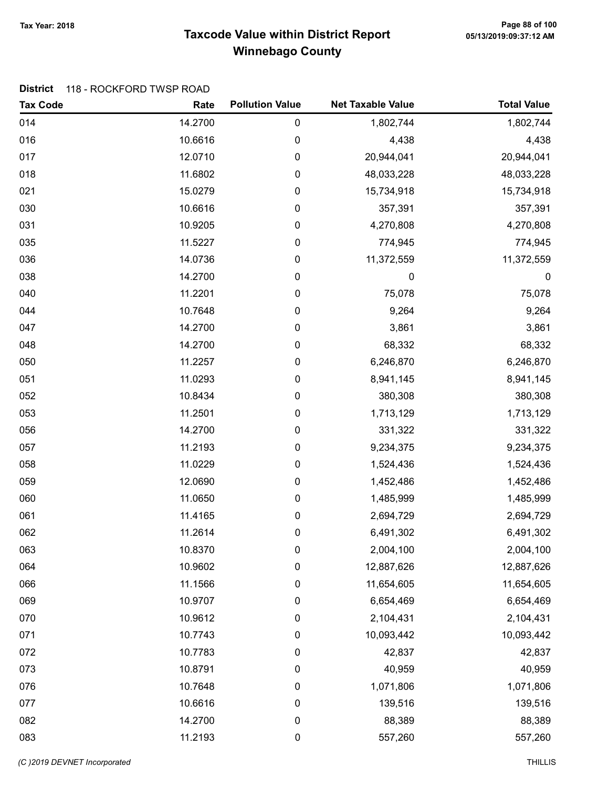## Taxcode Value within District Report Tax Year: 2018 Page 88 of 100 Winnebago County

#### District 118 - ROCKFORD TWSP ROAD

| <b>Tax Code</b> | Rate    | <b>Pollution Value</b> | <b>Net Taxable Value</b> | <b>Total Value</b> |
|-----------------|---------|------------------------|--------------------------|--------------------|
| 014             | 14.2700 | 0                      | 1,802,744                | 1,802,744          |
| 016             | 10.6616 | 0                      | 4,438                    | 4,438              |
| 017             | 12.0710 | 0                      | 20,944,041               | 20,944,041         |
| 018             | 11.6802 | 0                      | 48,033,228               | 48,033,228         |
| 021             | 15.0279 | 0                      | 15,734,918               | 15,734,918         |
| 030             | 10.6616 | 0                      | 357,391                  | 357,391            |
| 031             | 10.9205 | 0                      | 4,270,808                | 4,270,808          |
| 035             | 11.5227 | 0                      | 774,945                  | 774,945            |
| 036             | 14.0736 | 0                      | 11,372,559               | 11,372,559         |
| 038             | 14.2700 | 0                      | 0                        | $\boldsymbol{0}$   |
| 040             | 11.2201 | 0                      | 75,078                   | 75,078             |
| 044             | 10.7648 | 0                      | 9,264                    | 9,264              |
| 047             | 14.2700 | 0                      | 3,861                    | 3,861              |
| 048             | 14.2700 | 0                      | 68,332                   | 68,332             |
| 050             | 11.2257 | 0                      | 6,246,870                | 6,246,870          |
| 051             | 11.0293 | 0                      | 8,941,145                | 8,941,145          |
| 052             | 10.8434 | 0                      | 380,308                  | 380,308            |
| 053             | 11.2501 | 0                      | 1,713,129                | 1,713,129          |
| 056             | 14.2700 | 0                      | 331,322                  | 331,322            |
| 057             | 11.2193 | 0                      | 9,234,375                | 9,234,375          |
| 058             | 11.0229 | 0                      | 1,524,436                | 1,524,436          |
| 059             | 12.0690 | 0                      | 1,452,486                | 1,452,486          |
| 060             | 11.0650 | 0                      | 1,485,999                | 1,485,999          |
| 061             | 11.4165 | 0                      | 2,694,729                | 2,694,729          |
| 062             | 11.2614 | 0                      | 6,491,302                | 6,491,302          |
| 063             | 10.8370 | 0                      | 2,004,100                | 2,004,100          |
| 064             | 10.9602 | 0                      | 12,887,626               | 12,887,626         |
| 066             | 11.1566 | 0                      | 11,654,605               | 11,654,605         |
| 069             | 10.9707 | 0                      | 6,654,469                | 6,654,469          |
| 070             | 10.9612 | 0                      | 2,104,431                | 2,104,431          |
| 071             | 10.7743 | $\pmb{0}$              | 10,093,442               | 10,093,442         |
| 072             | 10.7783 | 0                      | 42,837                   | 42,837             |
| 073             | 10.8791 | 0                      | 40,959                   | 40,959             |
| 076             | 10.7648 | 0                      | 1,071,806                | 1,071,806          |
| 077             | 10.6616 | 0                      | 139,516                  | 139,516            |
| 082             | 14.2700 | $\boldsymbol{0}$       | 88,389                   | 88,389             |
| 083             | 11.2193 | $\pmb{0}$              | 557,260                  | 557,260            |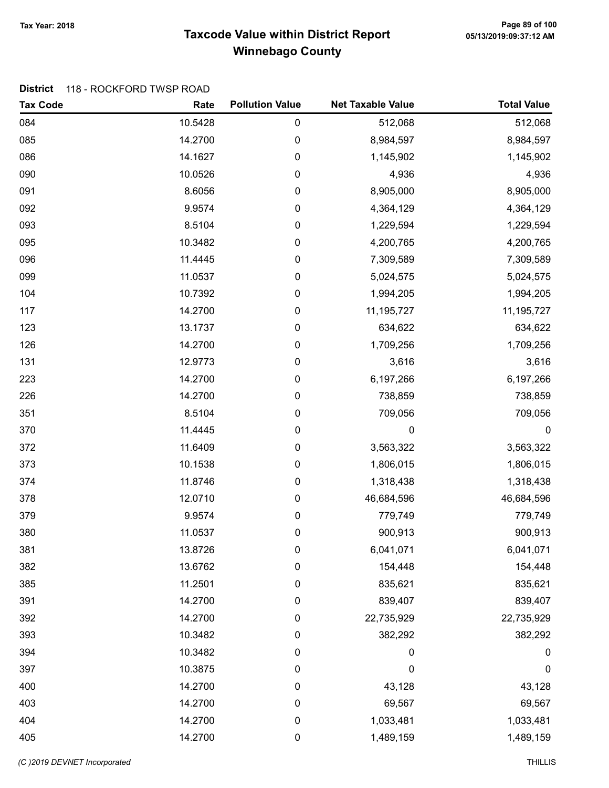## Taxcode Value within District Report Tax Year: 2018 Page 89 of 100 Winnebago County

#### District 118 - ROCKFORD TWSP ROAD

| <b>Tax Code</b> | Rate    | <b>Pollution Value</b> | <b>Net Taxable Value</b> | <b>Total Value</b> |
|-----------------|---------|------------------------|--------------------------|--------------------|
| 084             | 10.5428 | $\pmb{0}$              | 512,068                  | 512,068            |
| 085             | 14.2700 | 0                      | 8,984,597                | 8,984,597          |
| 086             | 14.1627 | $\pmb{0}$              | 1,145,902                | 1,145,902          |
| 090             | 10.0526 | 0                      | 4,936                    | 4,936              |
| 091             | 8.6056  | 0                      | 8,905,000                | 8,905,000          |
| 092             | 9.9574  | $\pmb{0}$              | 4,364,129                | 4,364,129          |
| 093             | 8.5104  | 0                      | 1,229,594                | 1,229,594          |
| 095             | 10.3482 | $\pmb{0}$              | 4,200,765                | 4,200,765          |
| 096             | 11.4445 | 0                      | 7,309,589                | 7,309,589          |
| 099             | 11.0537 | $\pmb{0}$              | 5,024,575                | 5,024,575          |
| 104             | 10.7392 | 0                      | 1,994,205                | 1,994,205          |
| 117             | 14.2700 | 0                      | 11,195,727               | 11,195,727         |
| 123             | 13.1737 | $\boldsymbol{0}$       | 634,622                  | 634,622            |
| 126             | 14.2700 | 0                      | 1,709,256                | 1,709,256          |
| 131             | 12.9773 | $\pmb{0}$              | 3,616                    | 3,616              |
| 223             | 14.2700 | 0                      | 6,197,266                | 6,197,266          |
| 226             | 14.2700 | $\pmb{0}$              | 738,859                  | 738,859            |
| 351             | 8.5104  | 0                      | 709,056                  | 709,056            |
| 370             | 11.4445 | 0                      | $\mathbf 0$              | $\boldsymbol{0}$   |
| 372             | 11.6409 | 0                      | 3,563,322                | 3,563,322          |
| 373             | 10.1538 | 0                      | 1,806,015                | 1,806,015          |
| 374             | 11.8746 | $\pmb{0}$              | 1,318,438                | 1,318,438          |
| 378             | 12.0710 | 0                      | 46,684,596               | 46,684,596         |
| 379             | 9.9574  | $\pmb{0}$              | 779,749                  | 779,749            |
| 380             | 11.0537 | 0                      | 900,913                  | 900,913            |
| 381             | 13.8726 | 0                      | 6,041,071                | 6,041,071          |
| 382             | 13.6762 | 0                      | 154,448                  | 154,448            |
| 385             | 11.2501 | 0                      | 835,621                  | 835,621            |
| 391             | 14.2700 | 0                      | 839,407                  | 839,407            |
| 392             | 14.2700 | 0                      | 22,735,929               | 22,735,929         |
| 393             | 10.3482 | 0                      | 382,292                  | 382,292            |
| 394             | 10.3482 | 0                      | 0                        | 0                  |
| 397             | 10.3875 | 0                      | $\mathbf 0$              | 0                  |
| 400             | 14.2700 | 0                      | 43,128                   | 43,128             |
| 403             | 14.2700 | 0                      | 69,567                   | 69,567             |
| 404             | 14.2700 | $\mathbf 0$            | 1,033,481                | 1,033,481          |
| 405             | 14.2700 | 0                      | 1,489,159                | 1,489,159          |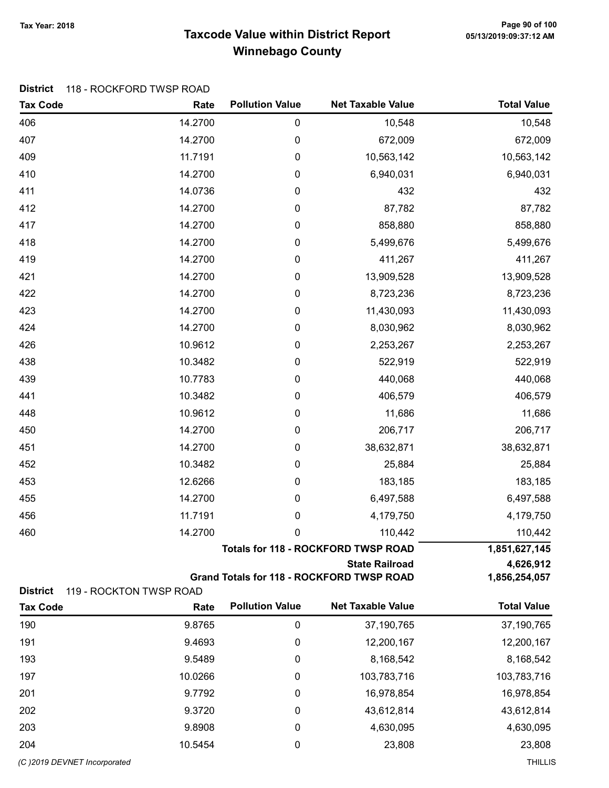## Taxcode Value within District Report Tax Year: 2018 Page 90 of 100 Winnebago County

|  | District 118 - ROCKFORD TWSP ROAD |
|--|-----------------------------------|
|--|-----------------------------------|

| <b>Tax Code</b> | Rate                    | <b>Pollution Value</b> | <b>Net Taxable Value</b>                         | <b>Total Value</b> |
|-----------------|-------------------------|------------------------|--------------------------------------------------|--------------------|
| 406             | 14.2700                 | $\pmb{0}$              | 10,548                                           | 10,548             |
| 407             | 14.2700                 | 0                      | 672,009                                          | 672,009            |
| 409             | 11.7191                 | 0                      | 10,563,142                                       | 10,563,142         |
| 410             | 14.2700                 | 0                      | 6,940,031                                        | 6,940,031          |
| 411             | 14.0736                 | 0                      | 432                                              | 432                |
| 412             | 14.2700                 | 0                      | 87,782                                           | 87,782             |
| 417             | 14.2700                 | 0                      | 858,880                                          | 858,880            |
| 418             | 14.2700                 | 0                      | 5,499,676                                        | 5,499,676          |
| 419             | 14.2700                 | 0                      | 411,267                                          | 411,267            |
| 421             | 14.2700                 | 0                      | 13,909,528                                       | 13,909,528         |
| 422             | 14.2700                 | 0                      | 8,723,236                                        | 8,723,236          |
| 423             | 14.2700                 | 0                      | 11,430,093                                       | 11,430,093         |
| 424             | 14.2700                 | 0                      | 8,030,962                                        | 8,030,962          |
| 426             | 10.9612                 | 0                      | 2,253,267                                        | 2,253,267          |
| 438             | 10.3482                 | 0                      | 522,919                                          | 522,919            |
| 439             | 10.7783                 | 0                      | 440,068                                          | 440,068            |
| 441             | 10.3482                 | 0                      | 406,579                                          | 406,579            |
| 448             | 10.9612                 | 0                      | 11,686                                           | 11,686             |
| 450             | 14.2700                 | 0                      | 206,717                                          | 206,717            |
| 451             | 14.2700                 | 0                      | 38,632,871                                       | 38,632,871         |
| 452             | 10.3482                 | 0                      | 25,884                                           | 25,884             |
| 453             | 12.6266                 | 0                      | 183,185                                          | 183,185            |
| 455             | 14.2700                 | 0                      | 6,497,588                                        | 6,497,588          |
| 456             | 11.7191                 | 0                      | 4,179,750                                        | 4,179,750          |
| 460             | 14.2700                 | 0                      | 110,442                                          | 110,442            |
|                 |                         |                        | <b>Totals for 118 - ROCKFORD TWSP ROAD</b>       | 1,851,627,145      |
|                 |                         |                        | <b>State Railroad</b>                            | 4,626,912          |
| <b>District</b> | 119 - ROCKTON TWSP ROAD |                        | <b>Grand Totals for 118 - ROCKFORD TWSP ROAD</b> | 1,856,254,057      |
| <b>Tax Code</b> | Rate                    | <b>Pollution Value</b> | <b>Net Taxable Value</b>                         | <b>Total Value</b> |
| 190             | 9.8765                  | 0                      | 37,190,765                                       | 37,190,765         |
| 191             | 9.4693                  | 0                      | 12,200,167                                       | 12,200,167         |
| 193             | 9.5489                  | 0                      | 8,168,542                                        | 8,168,542          |
| 197             | 10.0266                 | 0                      | 103,783,716                                      | 103,783,716        |

201 9.7792 0 16,978,854 16,978,854 202 9.3720 0 43,612,814 43,612,814 203 9.8908 0 4,630,095 4,630,095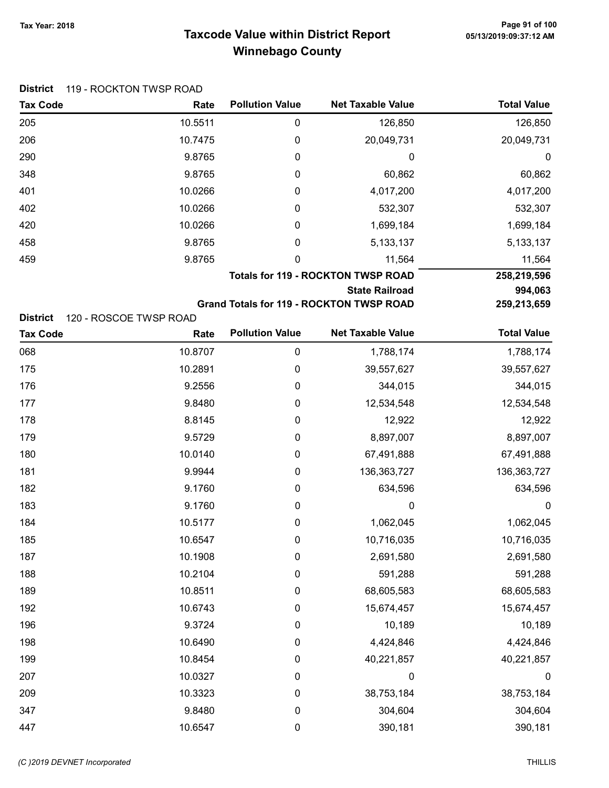# Taxcode Value within District Report Tax Year: 2018 Page 91 of 100 Winnebago County

|                      | <b>District</b> 119 - ROCKTON TWSP ROAD |   |  |  |  |
|----------------------|-----------------------------------------|---|--|--|--|
| <b>Tax Code</b>      | Rate                                    | F |  |  |  |
| $\sim$ $\sim$ $\sim$ | $10 F - 11$                             |   |  |  |  |

| <b>Tax Code</b>                                              | Rate    | <b>Pollution Value</b> | <b>Net Taxable Value</b>                        | <b>Total Value</b> |
|--------------------------------------------------------------|---------|------------------------|-------------------------------------------------|--------------------|
| 205                                                          | 10.5511 | $\boldsymbol{0}$       | 126,850                                         | 126,850            |
| 206                                                          | 10.7475 | 0                      | 20,049,731                                      | 20,049,731         |
| 290                                                          | 9.8765  | 0                      | 0                                               | 0                  |
| 348                                                          | 9.8765  | 0                      | 60,862                                          | 60,862             |
| 401                                                          | 10.0266 | 0                      | 4,017,200                                       | 4,017,200          |
| 402                                                          | 10.0266 | 0                      | 532,307                                         | 532,307            |
| 420                                                          | 10.0266 | 0                      | 1,699,184                                       | 1,699,184          |
| 458                                                          | 9.8765  | 0                      | 5, 133, 137                                     | 5, 133, 137        |
| 459                                                          | 9.8765  | 0                      | 11,564                                          | 11,564             |
|                                                              |         |                        | <b>Totals for 119 - ROCKTON TWSP ROAD</b>       | 258,219,596        |
|                                                              |         |                        | <b>State Railroad</b>                           | 994,063            |
|                                                              |         |                        | <b>Grand Totals for 119 - ROCKTON TWSP ROAD</b> | 259,213,659        |
| <b>District</b><br>120 - ROSCOE TWSP ROAD<br><b>Tax Code</b> | Rate    | <b>Pollution Value</b> | <b>Net Taxable Value</b>                        | <b>Total Value</b> |
| 068                                                          | 10.8707 | $\pmb{0}$              | 1,788,174                                       | 1,788,174          |
| 175                                                          | 10.2891 | 0                      | 39,557,627                                      | 39,557,627         |
| 176                                                          | 9.2556  | $\boldsymbol{0}$       | 344,015                                         | 344,015            |
| 177                                                          | 9.8480  | 0                      | 12,534,548                                      | 12,534,548         |
| 178                                                          | 8.8145  | 0                      | 12,922                                          | 12,922             |
| 179                                                          | 9.5729  | 0                      | 8,897,007                                       | 8,897,007          |
| 180                                                          | 10.0140 | 0                      | 67,491,888                                      | 67,491,888         |
| 181                                                          | 9.9944  | $\boldsymbol{0}$       | 136, 363, 727                                   | 136,363,727        |
| 182                                                          | 9.1760  | 0                      | 634,596                                         | 634,596            |
| 183                                                          | 9.1760  | 0                      | 0                                               | $\boldsymbol{0}$   |
| 184                                                          | 10.5177 | 0                      | 1,062,045                                       | 1,062,045          |
| 185                                                          | 10.6547 | 0                      | 10,716,035                                      | 10,716,035         |
| 187                                                          | 10.1908 | 0                      | 2,691,580                                       | 2,691,580          |
| 188                                                          | 10.2104 | 0                      | 591,288                                         | 591,288            |
| 189                                                          | 10.8511 | 0                      | 68,605,583                                      | 68,605,583         |
| 192                                                          | 10.6743 | 0                      | 15,674,457                                      | 15,674,457         |
| 196                                                          | 9.3724  | 0                      | 10,189                                          | 10,189             |
| 198                                                          | 10.6490 | 0                      | 4,424,846                                       | 4,424,846          |

199 10.8454 0 40,221,857 40,221,857 207 10.0327 0 0 0 209 10.3323 0 38,753,184 38,753,184 347 9.8480 0 304,604 304,604 447 10.6547 0 390,181 390,181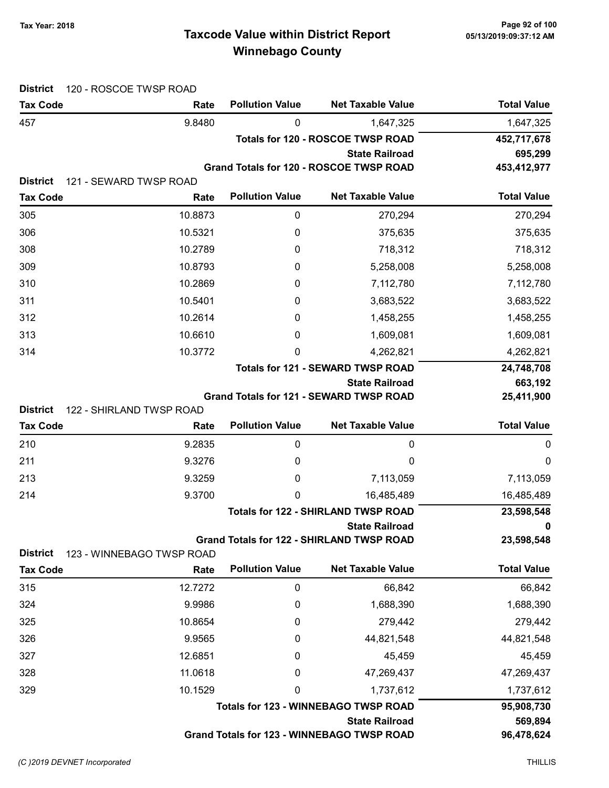## Taxcode Value within District Report Tax Year: 2018 Page 92 of 100 Winnebago County

| <b>District</b>                    | 120 - ROSCOE TWSP ROAD         |                        |                                                                    |                    |
|------------------------------------|--------------------------------|------------------------|--------------------------------------------------------------------|--------------------|
| <b>Tax Code</b>                    | Rate                           | <b>Pollution Value</b> | <b>Net Taxable Value</b>                                           | <b>Total Value</b> |
| 457                                | 9.8480                         | 0                      | 1,647,325                                                          | 1,647,325          |
|                                    |                                |                        | <b>Totals for 120 - ROSCOE TWSP ROAD</b>                           | 452,717,678        |
|                                    |                                |                        | <b>State Railroad</b>                                              | 695,299            |
|                                    |                                |                        | Grand Totals for 120 - ROSCOE TWSP ROAD                            | 453,412,977        |
| <b>District</b><br><b>Tax Code</b> | 121 - SEWARD TWSP ROAD<br>Rate | <b>Pollution Value</b> | <b>Net Taxable Value</b>                                           | <b>Total Value</b> |
| 305                                | 10.8873                        | 0                      | 270,294                                                            | 270,294            |
| 306                                | 10.5321                        | 0                      | 375,635                                                            | 375,635            |
| 308                                | 10.2789                        | 0                      | 718,312                                                            | 718,312            |
| 309                                | 10.8793                        | 0                      | 5,258,008                                                          | 5,258,008          |
| 310                                | 10.2869                        | 0                      | 7,112,780                                                          | 7,112,780          |
| 311                                | 10.5401                        | 0                      | 3,683,522                                                          | 3,683,522          |
| 312                                | 10.2614                        | 0                      | 1,458,255                                                          | 1,458,255          |
| 313                                | 10.6610                        | 0                      | 1,609,081                                                          | 1,609,081          |
| 314                                | 10.3772                        | 0                      | 4,262,821                                                          | 4,262,821          |
|                                    |                                |                        | <b>Totals for 121 - SEWARD TWSP ROAD</b>                           | 24,748,708         |
|                                    |                                |                        | <b>State Railroad</b>                                              | 663,192            |
|                                    |                                |                        | Grand Totals for 121 - SEWARD TWSP ROAD                            | 25,411,900         |
| <b>District</b>                    | 122 - SHIRLAND TWSP ROAD       |                        |                                                                    |                    |
| <b>Tax Code</b>                    | Rate                           | <b>Pollution Value</b> | <b>Net Taxable Value</b>                                           | <b>Total Value</b> |
| 210                                | 9.2835                         | 0                      | 0                                                                  | 0                  |
| 211                                | 9.3276                         | 0                      | 0                                                                  | 0                  |
| 213                                | 9.3259                         | 0                      | 7,113,059                                                          | 7,113,059          |
| 214                                | 9.3700                         | 0                      | 16,485,489                                                         | 16,485,489         |
|                                    |                                |                        | <b>Totals for 122 - SHIRLAND TWSP ROAD</b>                         | 23,598,548         |
|                                    |                                |                        | State Railroad<br><b>Grand Totals for 122 - SHIRLAND TWSP ROAD</b> | 0<br>23,598,548    |
| <b>District</b>                    | 123 - WINNEBAGO TWSP ROAD      |                        |                                                                    |                    |
| <b>Tax Code</b>                    | Rate                           | <b>Pollution Value</b> | <b>Net Taxable Value</b>                                           | <b>Total Value</b> |
| 315                                | 12.7272                        | $\mathbf 0$            | 66,842                                                             | 66,842             |
| 324                                | 9.9986                         | 0                      | 1,688,390                                                          | 1,688,390          |
| 325                                | 10.8654                        | 0                      | 279,442                                                            | 279,442            |
| 326                                | 9.9565                         | 0                      | 44,821,548                                                         | 44,821,548         |
| 327                                | 12.6851                        | 0                      | 45,459                                                             | 45,459             |
| 328                                | 11.0618                        | 0                      | 47,269,437                                                         | 47,269,437         |
| 329                                | 10.1529                        | 0                      | 1,737,612                                                          | 1,737,612          |
|                                    |                                |                        | <b>Totals for 123 - WINNEBAGO TWSP ROAD</b>                        | 95,908,730         |
|                                    |                                |                        | <b>State Railroad</b>                                              | 569,894            |
|                                    |                                |                        | Grand Totals for 123 - WINNEBAGO TWSP ROAD                         | 96,478,624         |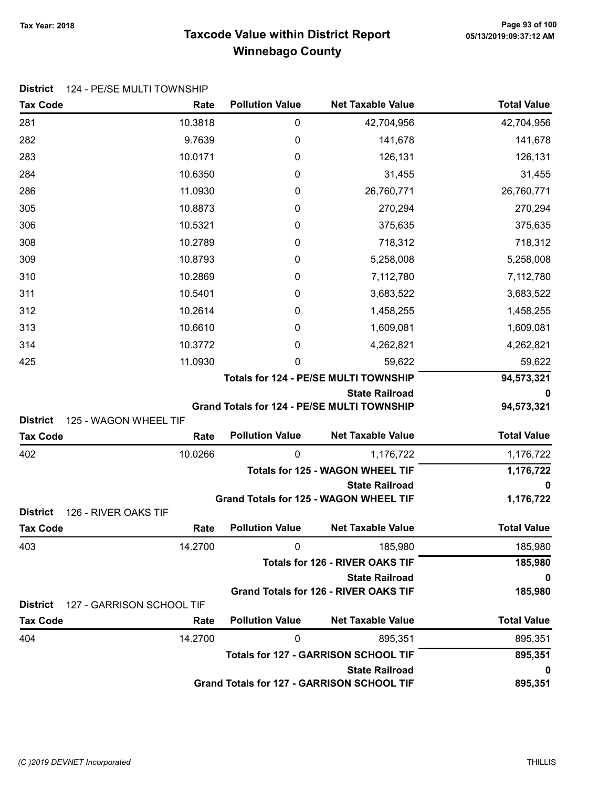## Taxcode Value within District Report Tax Year: 2018 Page 93 of 100 Winnebago County

| DISINGI<br><b>Tax Code</b>              | 124 - PE/SE MULIT TOWNSHIP<br>Rate | <b>Pollution Value</b> | <b>Net Taxable Value</b>                                                    | <b>Total Value</b>     |
|-----------------------------------------|------------------------------------|------------------------|-----------------------------------------------------------------------------|------------------------|
| 281                                     | 10.3818                            | 0                      | 42,704,956                                                                  | 42,704,956             |
| 282                                     | 9.7639                             | 0                      | 141,678                                                                     | 141,678                |
| 283                                     | 10.0171                            | 0                      | 126,131                                                                     | 126,131                |
| 284                                     | 10.6350                            | 0                      | 31,455                                                                      | 31,455                 |
| 286                                     | 11.0930                            | 0                      | 26,760,771                                                                  | 26,760,771             |
| 305                                     | 10.8873                            | 0                      | 270,294                                                                     | 270,294                |
| 306                                     | 10.5321                            | 0                      | 375,635                                                                     | 375,635                |
| 308                                     | 10.2789                            | 0                      | 718,312                                                                     | 718,312                |
| 309                                     | 10.8793                            | 0                      | 5,258,008                                                                   | 5,258,008              |
| 310                                     | 10.2869                            | 0                      | 7,112,780                                                                   | 7,112,780              |
| 311                                     | 10.5401                            | 0                      | 3,683,522                                                                   | 3,683,522              |
| 312                                     | 10.2614                            | 0                      | 1,458,255                                                                   | 1,458,255              |
| 313                                     | 10.6610                            | 0                      | 1,609,081                                                                   | 1,609,081              |
| 314                                     | 10.3772                            | 0                      | 4,262,821                                                                   | 4,262,821              |
| 425                                     | 11.0930                            | 0                      | 59,622                                                                      | 59,622                 |
|                                         |                                    |                        | Totals for 124 - PE/SE MULTI TOWNSHIP                                       | 94,573,321             |
|                                         |                                    |                        | <b>State Railroad</b><br><b>Grand Totals for 124 - PE/SE MULTI TOWNSHIP</b> | 0<br>94,573,321        |
| <b>District</b>                         | 125 - WAGON WHEEL TIF              |                        |                                                                             |                        |
| <b>Tax Code</b>                         | Rate                               | <b>Pollution Value</b> | <b>Net Taxable Value</b>                                                    | <b>Total Value</b>     |
| 402                                     | 10.0266                            | 0                      | 1,176,722                                                                   | 1,176,722              |
|                                         |                                    |                        | <b>Totals for 125 - WAGON WHEEL TIF</b>                                     | 1,176,722              |
|                                         |                                    |                        | <b>State Railroad</b>                                                       | 0                      |
|                                         |                                    |                        | Grand Totals for 125 - WAGON WHEEL TIF                                      | 1,176,722              |
| <b>District</b><br>126 - RIVER OAKS TIF |                                    |                        |                                                                             |                        |
| <b>Tax Code</b>                         | Rate                               | <b>Pollution Value</b> | <b>Net Taxable Value</b>                                                    | <b>Total Value</b>     |
| 403                                     | 14.2700                            | 0                      | 185,980                                                                     | 185,980                |
|                                         |                                    |                        | <b>Totals for 126 - RIVER OAKS TIF</b><br><b>State Railroad</b>             | 185,980                |
|                                         |                                    |                        | <b>Grand Totals for 126 - RIVER OAKS TIF</b>                                | $\mathbf 0$<br>185,980 |
| <b>District</b>                         | 127 - GARRISON SCHOOL TIF          |                        |                                                                             |                        |
| <b>Tax Code</b>                         | Rate                               | <b>Pollution Value</b> | <b>Net Taxable Value</b>                                                    | <b>Total Value</b>     |
| 404                                     | 14.2700                            | 0                      | 895,351                                                                     | 895,351                |
|                                         |                                    |                        | <b>Totals for 127 - GARRISON SCHOOL TIF</b>                                 | 895,351                |
|                                         |                                    |                        | <b>State Railroad</b>                                                       | 0                      |
|                                         |                                    |                        | Grand Totals for 127 - GARRISON SCHOOL TIF                                  | 895,351                |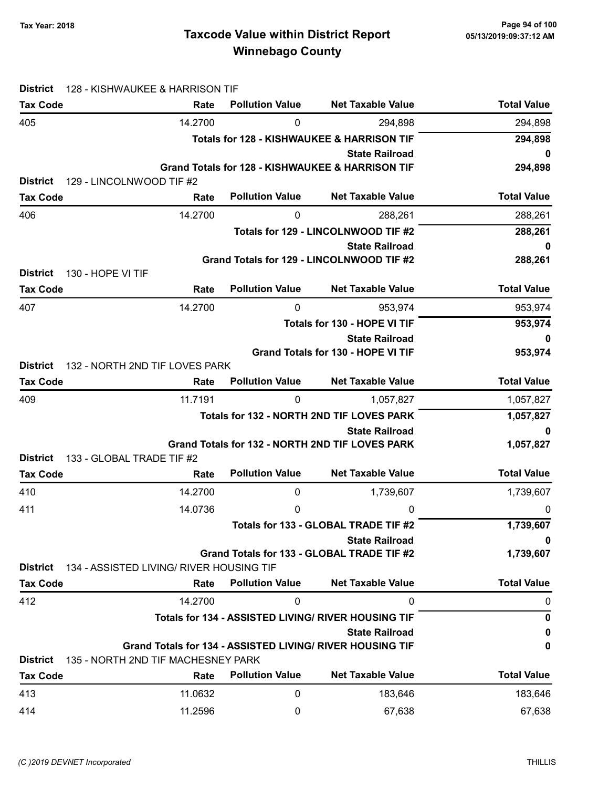## Taxcode Value within District Report Tax Year: 2018 Page 94 of 100 Winnebago County

| <b>District</b> | 128 - KISHWAUKEE & HARRISON TIF                           |                        |                                                                    |                    |
|-----------------|-----------------------------------------------------------|------------------------|--------------------------------------------------------------------|--------------------|
| <b>Tax Code</b> | Rate                                                      | <b>Pollution Value</b> | <b>Net Taxable Value</b>                                           | <b>Total Value</b> |
| 405             | 14.2700                                                   | 0                      | 294,898                                                            | 294,898            |
|                 |                                                           |                        | <b>Totals for 128 - KISHWAUKEE &amp; HARRISON TIF</b>              | 294,898            |
|                 |                                                           |                        | <b>State Railroad</b>                                              | 0                  |
|                 |                                                           |                        | Grand Totals for 128 - KISHWAUKEE & HARRISON TIF                   | 294,898            |
| <b>District</b> | 129 - LINCOLNWOOD TIF #2                                  | <b>Pollution Value</b> | <b>Net Taxable Value</b>                                           | <b>Total Value</b> |
| <b>Tax Code</b> | Rate                                                      |                        |                                                                    |                    |
| 406             | 14.2700                                                   | 0                      | 288,261                                                            | 288,261            |
|                 |                                                           |                        | Totals for 129 - LINCOLNWOOD TIF #2                                | 288,261            |
|                 |                                                           |                        | <b>State Railroad</b><br>Grand Totals for 129 - LINCOLNWOOD TIF #2 | 0<br>288,261       |
| <b>District</b> | 130 - HOPE VI TIF                                         |                        |                                                                    |                    |
| <b>Tax Code</b> | Rate                                                      | <b>Pollution Value</b> | <b>Net Taxable Value</b>                                           | <b>Total Value</b> |
| 407             | 14.2700                                                   | 0                      | 953,974                                                            | 953,974            |
|                 |                                                           |                        | Totals for 130 - HOPE VI TIF                                       | 953,974            |
|                 |                                                           |                        | <b>State Railroad</b>                                              | 0                  |
|                 |                                                           |                        | <b>Grand Totals for 130 - HOPE VI TIF</b>                          | 953,974            |
| <b>District</b> | 132 - NORTH 2ND TIF LOVES PARK                            |                        |                                                                    |                    |
| <b>Tax Code</b> | Rate                                                      | <b>Pollution Value</b> | <b>Net Taxable Value</b>                                           | <b>Total Value</b> |
| 409             | 11.7191                                                   | 0                      | 1,057,827                                                          | 1,057,827          |
|                 |                                                           |                        | Totals for 132 - NORTH 2ND TIF LOVES PARK                          | 1,057,827          |
|                 |                                                           |                        | <b>State Railroad</b>                                              | 0                  |
| <b>District</b> | 133 - GLOBAL TRADE TIF #2                                 |                        | Grand Totals for 132 - NORTH 2ND TIF LOVES PARK                    | 1,057,827          |
| <b>Tax Code</b> | Rate                                                      | <b>Pollution Value</b> | <b>Net Taxable Value</b>                                           | <b>Total Value</b> |
| 410             | 14.2700                                                   | 0                      | 1,739,607                                                          | 1,739,607          |
| 411             | 14.0736                                                   | 0                      | 0                                                                  | 0                  |
|                 |                                                           |                        | Totals for 133 - GLOBAL TRADE TIF #2                               | 1,739,607          |
|                 |                                                           |                        | <b>State Railroad</b>                                              | 0                  |
|                 |                                                           |                        | Grand Totals for 133 - GLOBAL TRADE TIF #2                         | 1,739,607          |
| <b>District</b> | 134 - ASSISTED LIVING/ RIVER HOUSING TIF                  |                        |                                                                    |                    |
| <b>Tax Code</b> | Rate                                                      | <b>Pollution Value</b> | <b>Net Taxable Value</b>                                           | <b>Total Value</b> |
| 412             | 14.2700                                                   | 0                      | 0                                                                  | 0                  |
|                 |                                                           |                        | Totals for 134 - ASSISTED LIVING/ RIVER HOUSING TIF                | 0                  |
|                 |                                                           |                        | <b>State Railroad</b>                                              | 0                  |
|                 | Grand Totals for 134 - ASSISTED LIVING/ RIVER HOUSING TIF |                        |                                                                    | 0                  |
| <b>District</b> | 135 - NORTH 2ND TIF MACHESNEY PARK                        |                        |                                                                    |                    |
| <b>Tax Code</b> | Rate                                                      | <b>Pollution Value</b> | <b>Net Taxable Value</b>                                           | <b>Total Value</b> |
| 413             | 11.0632                                                   | 0                      | 183,646                                                            | 183,646            |
| 414             | 11.2596                                                   | 0                      | 67,638                                                             | 67,638             |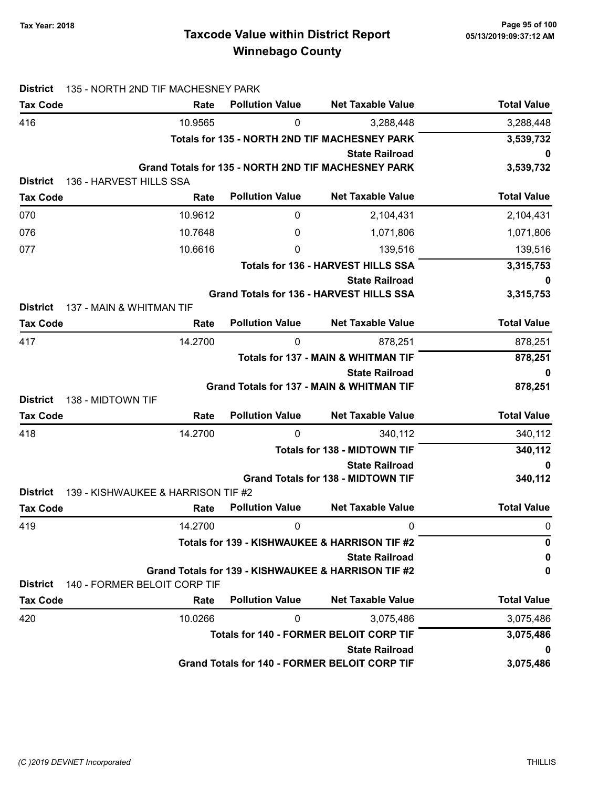## Taxcode Value within District Report Tax Year: 2018 Page 95 of 100 Winnebago County

| <b>District</b>                      | 135 - NORTH 2ND TIF MACHESNEY PARK |                                               |                                                                          |                    |
|--------------------------------------|------------------------------------|-----------------------------------------------|--------------------------------------------------------------------------|--------------------|
| <b>Tax Code</b>                      | Rate                               | <b>Pollution Value</b>                        | <b>Net Taxable Value</b>                                                 | <b>Total Value</b> |
| 416                                  | 10.9565                            | 0                                             | 3,288,448                                                                | 3,288,448          |
|                                      |                                    |                                               | Totals for 135 - NORTH 2ND TIF MACHESNEY PARK                            | 3,539,732          |
|                                      |                                    |                                               | <b>State Railroad</b>                                                    | 0                  |
|                                      |                                    |                                               | Grand Totals for 135 - NORTH 2ND TIF MACHESNEY PARK                      | 3,539,732          |
| <b>District</b><br><b>Tax Code</b>   | 136 - HARVEST HILLS SSA<br>Rate    | <b>Pollution Value</b>                        | <b>Net Taxable Value</b>                                                 | <b>Total Value</b> |
|                                      |                                    |                                               |                                                                          |                    |
| 070                                  | 10.9612                            | 0                                             | 2,104,431                                                                | 2,104,431          |
| 076                                  | 10.7648                            | 0                                             | 1,071,806                                                                | 1,071,806          |
| 077                                  | 10.6616                            | 0                                             | 139,516                                                                  | 139,516            |
|                                      |                                    |                                               | <b>Totals for 136 - HARVEST HILLS SSA</b>                                | 3,315,753          |
|                                      |                                    |                                               | <b>State Railroad</b><br><b>Grand Totals for 136 - HARVEST HILLS SSA</b> | 0<br>3,315,753     |
| <b>District</b>                      | 137 - MAIN & WHITMAN TIF           |                                               |                                                                          |                    |
| <b>Tax Code</b>                      | Rate                               | <b>Pollution Value</b>                        | <b>Net Taxable Value</b>                                                 | <b>Total Value</b> |
| 417                                  | 14.2700                            | 0                                             | 878,251                                                                  | 878,251            |
|                                      |                                    |                                               | <b>Totals for 137 - MAIN &amp; WHITMAN TIF</b>                           | 878,251            |
|                                      |                                    |                                               | <b>State Railroad</b>                                                    | 0                  |
|                                      |                                    |                                               | <b>Grand Totals for 137 - MAIN &amp; WHITMAN TIF</b>                     | 878,251            |
| 138 - MIDTOWN TIF<br><b>District</b> |                                    |                                               |                                                                          |                    |
| <b>Tax Code</b>                      | Rate                               | <b>Pollution Value</b>                        | <b>Net Taxable Value</b>                                                 | <b>Total Value</b> |
| 418                                  | 14.2700                            | 0                                             | 340,112                                                                  | 340,112            |
|                                      |                                    |                                               | <b>Totals for 138 - MIDTOWN TIF</b>                                      | 340,112            |
|                                      |                                    |                                               | <b>State Railroad</b><br><b>Grand Totals for 138 - MIDTOWN TIF</b>       | 0<br>340,112       |
| <b>District</b>                      | 139 - KISHWAUKEE & HARRISON TIF #2 |                                               |                                                                          |                    |
| <b>Tax Code</b>                      | Rate                               | <b>Pollution Value</b>                        | <b>Net Taxable Value</b>                                                 | <b>Total Value</b> |
| 419                                  | 14.2700                            | 0                                             | <sup>n</sup>                                                             | 0                  |
|                                      |                                    | Totals for 139 - KISHWAUKEE & HARRISON TIF #2 | 0                                                                        |                    |
|                                      |                                    |                                               | <b>State Railroad</b>                                                    | 0                  |
|                                      |                                    |                                               | Grand Totals for 139 - KISHWAUKEE & HARRISON TIF #2                      | 0                  |
| <b>District</b>                      | 140 - FORMER BELOIT CORP TIF       |                                               |                                                                          |                    |
| <b>Tax Code</b>                      | Rate                               | <b>Pollution Value</b>                        | <b>Net Taxable Value</b>                                                 | <b>Total Value</b> |
| 420                                  | 10.0266                            | 0                                             | 3,075,486                                                                | 3,075,486          |
|                                      |                                    |                                               | <b>Totals for 140 - FORMER BELOIT CORP TIF</b>                           | 3,075,486          |
|                                      |                                    |                                               | <b>State Railroad</b>                                                    | 0                  |
|                                      |                                    |                                               | Grand Totals for 140 - FORMER BELOIT CORP TIF                            | 3,075,486          |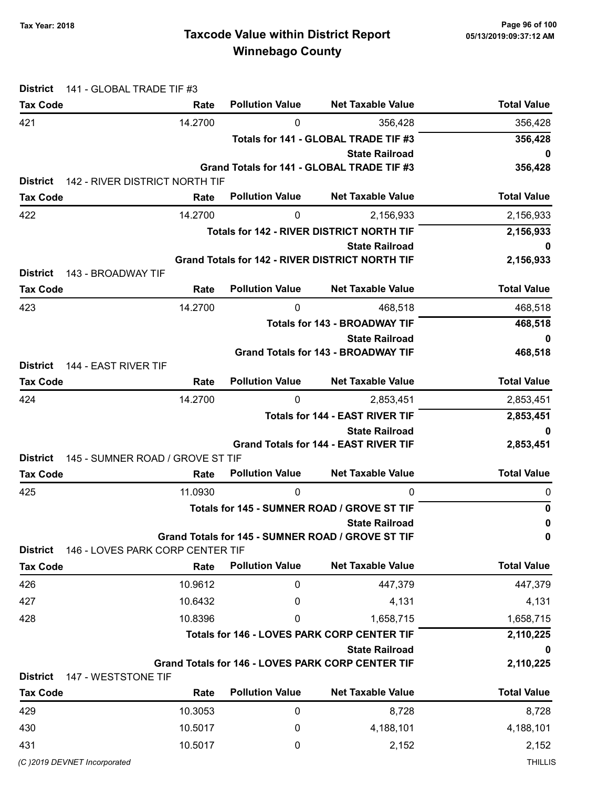## Taxcode Value within District Report Tax Year: 2018 Page 96 of 100 Winnebago County

| <b>District</b><br><b>Tax Code</b>      | 141 - GLOBAL TRADE TIF #3<br>Rate      | <b>Pollution Value</b> | <b>Net Taxable Value</b>                                                   | <b>Total Value</b> |
|-----------------------------------------|----------------------------------------|------------------------|----------------------------------------------------------------------------|--------------------|
| 421                                     | 14.2700                                | 0                      | 356,428                                                                    | 356,428            |
|                                         |                                        |                        | Totals for 141 - GLOBAL TRADE TIF #3                                       | 356,428            |
|                                         |                                        |                        | <b>State Railroad</b>                                                      | 0                  |
|                                         |                                        |                        | Grand Totals for 141 - GLOBAL TRADE TIF #3                                 | 356,428            |
| <b>District</b><br><b>Tax Code</b>      | 142 - RIVER DISTRICT NORTH TIF<br>Rate | <b>Pollution Value</b> | <b>Net Taxable Value</b>                                                   | <b>Total Value</b> |
| 422                                     | 14.2700                                | 0                      | 2,156,933                                                                  | 2,156,933          |
|                                         |                                        |                        | <b>Totals for 142 - RIVER DISTRICT NORTH TIF</b>                           | 2,156,933          |
|                                         |                                        |                        | <b>State Railroad</b>                                                      | 0                  |
|                                         |                                        |                        | <b>Grand Totals for 142 - RIVER DISTRICT NORTH TIF</b>                     | 2,156,933          |
| <b>District</b><br>143 - BROADWAY TIF   |                                        |                        |                                                                            |                    |
| <b>Tax Code</b>                         | Rate                                   | <b>Pollution Value</b> | <b>Net Taxable Value</b>                                                   | <b>Total Value</b> |
| 423                                     | 14.2700                                | 0                      | 468,518                                                                    | 468,518            |
|                                         |                                        |                        | <b>Totals for 143 - BROADWAY TIF</b>                                       | 468,518            |
|                                         |                                        |                        | <b>State Railroad</b>                                                      | 0                  |
| <b>District</b><br>144 - EAST RIVER TIF |                                        |                        | <b>Grand Totals for 143 - BROADWAY TIF</b>                                 | 468,518            |
| <b>Tax Code</b>                         | Rate                                   | <b>Pollution Value</b> | <b>Net Taxable Value</b>                                                   | <b>Total Value</b> |
| 424                                     | 14.2700                                | $\mathbf{0}$           | 2,853,451                                                                  | 2,853,451          |
|                                         |                                        |                        | <b>Totals for 144 - EAST RIVER TIF</b>                                     | 2,853,451          |
|                                         |                                        |                        | <b>State Railroad</b>                                                      | 0                  |
|                                         |                                        |                        | <b>Grand Totals for 144 - EAST RIVER TIF</b>                               | 2,853,451          |
| <b>District</b>                         | 145 - SUMNER ROAD / GROVE ST TIF       |                        |                                                                            |                    |
| <b>Tax Code</b>                         | Rate                                   | <b>Pollution Value</b> | <b>Net Taxable Value</b>                                                   | <b>Total Value</b> |
| 425                                     | 11.0930                                | 0                      | 0                                                                          | 0                  |
|                                         |                                        |                        | Totals for 145 - SUMNER ROAD / GROVE ST TIF                                | 0                  |
|                                         |                                        |                        | <b>State Railroad</b><br>Grand Totals for 145 - SUMNER ROAD / GROVE ST TIF | 0<br>0             |
| <b>District</b>                         | 146 - LOVES PARK CORP CENTER TIF       |                        |                                                                            |                    |
| <b>Tax Code</b>                         | Rate                                   | <b>Pollution Value</b> | <b>Net Taxable Value</b>                                                   | <b>Total Value</b> |
| 426                                     | 10.9612                                | 0                      | 447,379                                                                    | 447,379            |
| 427                                     | 10.6432                                | 0                      | 4,131                                                                      | 4,131              |
| 428                                     | 10.8396                                | 0                      | 1,658,715                                                                  | 1,658,715          |
|                                         |                                        |                        | <b>Totals for 146 - LOVES PARK CORP CENTER TIF</b>                         | 2,110,225          |
|                                         |                                        |                        | <b>State Railroad</b>                                                      |                    |
| <b>District</b><br>147 - WESTSTONE TIF  |                                        |                        | <b>Grand Totals for 146 - LOVES PARK CORP CENTER TIF</b>                   | 2,110,225          |
| <b>Tax Code</b>                         | Rate                                   | <b>Pollution Value</b> | <b>Net Taxable Value</b>                                                   | <b>Total Value</b> |
| 429                                     | 10.3053                                | 0                      | 8,728                                                                      | 8,728              |
| 430                                     | 10.5017                                | 0                      | 4,188,101                                                                  | 4,188,101          |
| 431                                     | 10.5017                                | 0                      | 2,152                                                                      | 2,152              |
| (C)2019 DEVNET Incorporated             |                                        |                        |                                                                            | <b>THILLIS</b>     |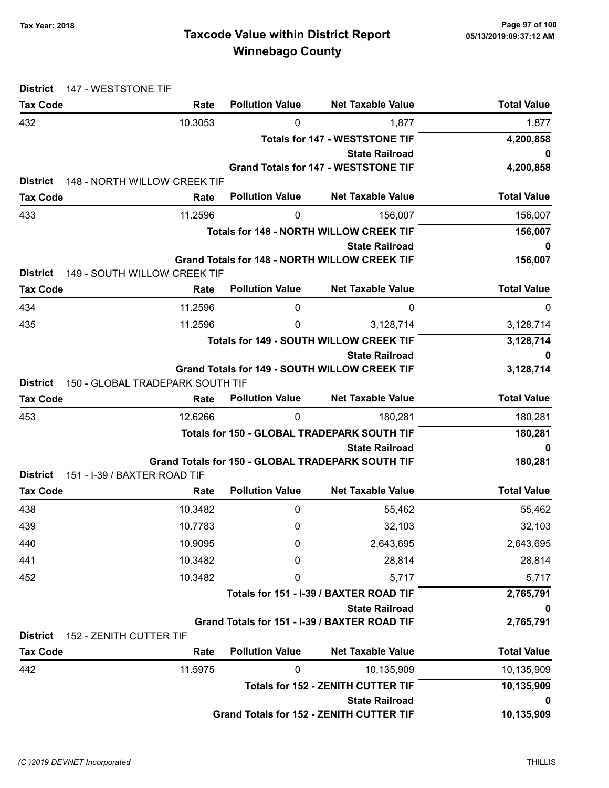| 147 - WESTSTONE TIF<br><b>District</b>     |                                  |                                                |                                                                    |                    |
|--------------------------------------------|----------------------------------|------------------------------------------------|--------------------------------------------------------------------|--------------------|
| <b>Tax Code</b>                            | Rate                             | <b>Pollution Value</b>                         | <b>Net Taxable Value</b>                                           | <b>Total Value</b> |
| 432                                        | 10.3053                          | 0                                              | 1,877                                                              | 1,877              |
|                                            |                                  |                                                | <b>Totals for 147 - WESTSTONE TIF</b>                              | 4,200,858          |
|                                            |                                  |                                                | <b>State Railroad</b>                                              | 0                  |
| <b>District</b>                            | 148 - NORTH WILLOW CREEK TIF     |                                                | <b>Grand Totals for 147 - WESTSTONE TIF</b>                        | 4,200,858          |
| <b>Tax Code</b>                            | Rate                             | <b>Pollution Value</b>                         | <b>Net Taxable Value</b>                                           | <b>Total Value</b> |
| 433                                        | 11.2596                          | 0                                              | 156,007                                                            | 156,007            |
|                                            |                                  |                                                | <b>Totals for 148 - NORTH WILLOW CREEK TIF</b>                     | 156,007            |
|                                            |                                  |                                                | <b>State Railroad</b>                                              | 0                  |
|                                            |                                  |                                                | <b>Grand Totals for 148 - NORTH WILLOW CREEK TIF</b>               | 156,007            |
| <b>District</b>                            | 149 - SOUTH WILLOW CREEK TIF     |                                                |                                                                    |                    |
| <b>Tax Code</b>                            | Rate                             | <b>Pollution Value</b>                         | <b>Net Taxable Value</b>                                           | <b>Total Value</b> |
| 434                                        | 11.2596                          | 0                                              | 0                                                                  | 0                  |
| 435                                        | 11.2596                          | 0                                              | 3,128,714                                                          | 3,128,714          |
|                                            |                                  | <b>Totals for 149 - SOUTH WILLOW CREEK TIF</b> | 3,128,714                                                          |                    |
|                                            |                                  |                                                | <b>State Railroad</b>                                              |                    |
| <b>District</b>                            | 150 - GLOBAL TRADEPARK SOUTH TIF |                                                | <b>Grand Totals for 149 - SOUTH WILLOW CREEK TIF</b>               | 3,128,714          |
| <b>Tax Code</b>                            | Rate                             | <b>Pollution Value</b>                         | <b>Net Taxable Value</b>                                           | <b>Total Value</b> |
| 453                                        | 12.6266                          | 0                                              | 180,281                                                            | 180,281            |
|                                            |                                  |                                                | Totals for 150 - GLOBAL TRADEPARK SOUTH TIF                        | 180,281            |
|                                            |                                  |                                                | <b>State Railroad</b>                                              | 0                  |
|                                            |                                  |                                                | Grand Totals for 150 - GLOBAL TRADEPARK SOUTH TIF                  | 180,281            |
| <b>District</b>                            | 151 - I-39 / BAXTER ROAD TIF     |                                                |                                                                    |                    |
| <b>Tax Code</b>                            | Rate                             | <b>Pollution Value</b>                         | <b>Net Taxable Value</b>                                           | <b>Total Value</b> |
| 438                                        | 10.3482                          | 0                                              | 55,462                                                             | 55,462             |
| 439                                        | 10.7783                          | 0                                              | 32,103                                                             | 32,103             |
| 440                                        | 10.9095                          | 0                                              | 2,643,695                                                          | 2,643,695          |
| 441                                        | 10.3482                          | 0                                              | 28,814                                                             | 28,814             |
| 452                                        | 10.3482                          | 0                                              | 5,717                                                              | 5,717              |
|                                            |                                  | Totals for 151 - I-39 / BAXTER ROAD TIF        | 2,765,791                                                          |                    |
|                                            |                                  |                                                | <b>State Railroad</b>                                              | 0                  |
|                                            |                                  |                                                | Grand Totals for 151 - I-39 / BAXTER ROAD TIF                      | 2,765,791          |
| <b>District</b><br>152 - ZENITH CUTTER TIF |                                  | <b>Pollution Value</b>                         | <b>Net Taxable Value</b>                                           | <b>Total Value</b> |
| <b>Tax Code</b>                            | Rate                             |                                                |                                                                    |                    |
| 442                                        | 11.5975                          | 0                                              | 10,135,909                                                         | 10,135,909         |
|                                            |                                  |                                                | <b>Totals for 152 - ZENITH CUTTER TIF</b><br><b>State Railroad</b> | 10,135,909<br>0    |
|                                            |                                  |                                                | <b>Grand Totals for 152 - ZENITH CUTTER TIF</b>                    | 10,135,909         |
|                                            |                                  |                                                |                                                                    |                    |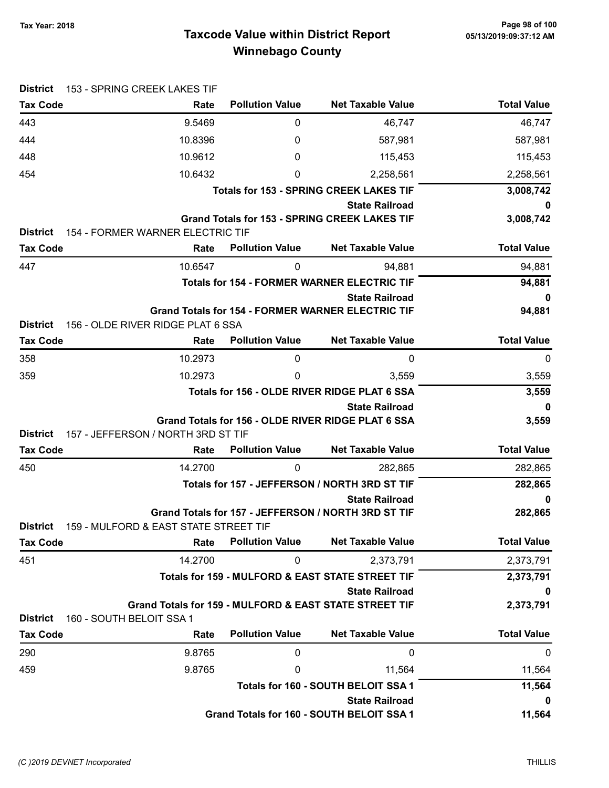## Taxcode Value within District Report Tax Year: 2018 Page 98 of 100 Winnebago County

| <b>District</b> | 153 - SPRING CREEK LAKES TIF          |                        |                                                                                   |                    |
|-----------------|---------------------------------------|------------------------|-----------------------------------------------------------------------------------|--------------------|
| <b>Tax Code</b> | Rate                                  | <b>Pollution Value</b> | <b>Net Taxable Value</b>                                                          | <b>Total Value</b> |
| 443             | 9.5469                                | 0                      | 46,747                                                                            | 46,747             |
| 444             | 10.8396                               | 0                      | 587,981                                                                           | 587,981            |
| 448             | 10.9612                               | 0                      | 115,453                                                                           | 115,453            |
| 454             | 10.6432                               | 0                      | 2,258,561                                                                         | 2,258,561          |
|                 |                                       |                        | <b>Totals for 153 - SPRING CREEK LAKES TIF</b>                                    | 3,008,742          |
|                 |                                       |                        | <b>State Railroad</b>                                                             | 0                  |
|                 |                                       |                        | <b>Grand Totals for 153 - SPRING CREEK LAKES TIF</b>                              | 3,008,742          |
| <b>District</b> | 154 - FORMER WARNER ELECTRIC TIF      |                        |                                                                                   |                    |
| <b>Tax Code</b> | Rate                                  | <b>Pollution Value</b> | <b>Net Taxable Value</b>                                                          | <b>Total Value</b> |
| 447             | 10.6547                               | 0                      | 94,881                                                                            | 94,881             |
|                 |                                       |                        | <b>Totals for 154 - FORMER WARNER ELECTRIC TIF</b>                                | 94,881             |
|                 |                                       |                        | <b>State Railroad</b><br><b>Grand Totals for 154 - FORMER WARNER ELECTRIC TIF</b> | 0<br>94,881        |
| <b>District</b> | 156 - OLDE RIVER RIDGE PLAT 6 SSA     |                        |                                                                                   |                    |
| <b>Tax Code</b> | Rate                                  | <b>Pollution Value</b> | <b>Net Taxable Value</b>                                                          | <b>Total Value</b> |
| 358             | 10.2973                               | 0                      | 0                                                                                 | 0                  |
| 359             | 10.2973                               | 0                      | 3,559                                                                             | 3,559              |
|                 |                                       |                        | Totals for 156 - OLDE RIVER RIDGE PLAT 6 SSA                                      | 3,559              |
|                 |                                       |                        | <b>State Railroad</b>                                                             | 0                  |
|                 |                                       |                        | Grand Totals for 156 - OLDE RIVER RIDGE PLAT 6 SSA                                | 3,559              |
| <b>District</b> | 157 - JEFFERSON / NORTH 3RD ST TIF    |                        |                                                                                   |                    |
| <b>Tax Code</b> | Rate                                  | <b>Pollution Value</b> | <b>Net Taxable Value</b>                                                          | <b>Total Value</b> |
| 450             | 14.2700                               | 0                      | 282,865                                                                           | 282,865            |
|                 |                                       |                        | Totals for 157 - JEFFERSON / NORTH 3RD ST TIF                                     | 282,865            |
|                 |                                       |                        | <b>State Railroad</b><br>Grand Totals for 157 - JEFFERSON / NORTH 3RD ST TIF      | 0<br>282,865       |
| <b>District</b> | 159 - MULFORD & EAST STATE STREET TIF |                        |                                                                                   |                    |
| <b>Tax Code</b> | Rate                                  | <b>Pollution Value</b> | <b>Net Taxable Value</b>                                                          | <b>Total Value</b> |
| 451             | 14.2700                               | 0                      | 2,373,791                                                                         | 2,373,791          |
|                 |                                       |                        | Totals for 159 - MULFORD & EAST STATE STREET TIF                                  | 2,373,791          |
|                 |                                       |                        | <b>State Railroad</b>                                                             | 0                  |
|                 |                                       |                        | Grand Totals for 159 - MULFORD & EAST STATE STREET TIF                            | 2,373,791          |
| <b>District</b> | 160 - SOUTH BELOIT SSA 1              |                        |                                                                                   |                    |
| <b>Tax Code</b> | Rate                                  | <b>Pollution Value</b> | <b>Net Taxable Value</b>                                                          | <b>Total Value</b> |
| 290             | 9.8765                                | 0                      | 0                                                                                 | $\mathbf 0$        |
| 459             | 9.8765                                | 0                      | 11,564                                                                            | 11,564             |
|                 |                                       |                        | Totals for 160 - SOUTH BELOIT SSA 1                                               | 11,564             |
|                 |                                       |                        | <b>State Railroad</b>                                                             | 0                  |
|                 |                                       |                        | Grand Totals for 160 - SOUTH BELOIT SSA 1                                         | 11,564             |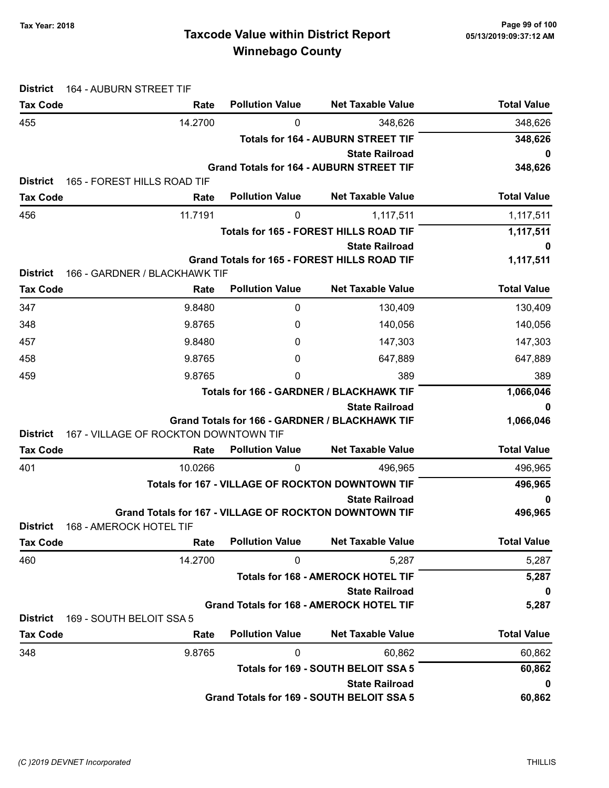| <b>District</b> | 164 - AUBURN STREET TIF                                       |                                           |                                                     |                    |  |
|-----------------|---------------------------------------------------------------|-------------------------------------------|-----------------------------------------------------|--------------------|--|
| <b>Tax Code</b> | Rate                                                          | <b>Pollution Value</b>                    | <b>Net Taxable Value</b>                            | <b>Total Value</b> |  |
| 455             | 14.2700                                                       | 0                                         | 348,626                                             | 348,626            |  |
|                 |                                                               | <b>Totals for 164 - AUBURN STREET TIF</b> |                                                     |                    |  |
|                 |                                                               |                                           | <b>State Railroad</b>                               | 0                  |  |
| <b>District</b> | 165 - FOREST HILLS ROAD TIF                                   |                                           | <b>Grand Totals for 164 - AUBURN STREET TIF</b>     | 348,626            |  |
| <b>Tax Code</b> | Rate                                                          | <b>Pollution Value</b>                    | <b>Net Taxable Value</b>                            | <b>Total Value</b> |  |
| 456             | 11.7191                                                       | 0                                         | 1,117,511                                           | 1,117,511          |  |
|                 |                                                               |                                           | Totals for 165 - FOREST HILLS ROAD TIF              | 1,117,511          |  |
|                 |                                                               |                                           | <b>State Railroad</b>                               | 0                  |  |
|                 |                                                               |                                           | <b>Grand Totals for 165 - FOREST HILLS ROAD TIF</b> | 1,117,511          |  |
| <b>District</b> | 166 - GARDNER / BLACKHAWK TIF                                 |                                           |                                                     |                    |  |
| <b>Tax Code</b> | Rate                                                          | <b>Pollution Value</b>                    | <b>Net Taxable Value</b>                            | <b>Total Value</b> |  |
| 347             | 9.8480                                                        | 0                                         | 130,409                                             | 130,409            |  |
| 348             | 9.8765                                                        | 0                                         | 140,056                                             | 140,056            |  |
| 457             | 9.8480                                                        | 0                                         | 147,303                                             | 147,303            |  |
| 458             | 9.8765                                                        | 0                                         | 647,889                                             | 647,889            |  |
| 459             | 9.8765                                                        | 0                                         | 389                                                 | 389                |  |
|                 |                                                               |                                           | <b>Totals for 166 - GARDNER / BLACKHAWK TIF</b>     | 1,066,046          |  |
|                 |                                                               |                                           | <b>State Railroad</b>                               | 0                  |  |
|                 |                                                               |                                           | Grand Totals for 166 - GARDNER / BLACKHAWK TIF      | 1,066,046          |  |
| <b>District</b> | 167 - VILLAGE OF ROCKTON DOWNTOWN TIF                         |                                           |                                                     |                    |  |
| <b>Tax Code</b> | Rate                                                          | <b>Pollution Value</b>                    | <b>Net Taxable Value</b>                            | <b>Total Value</b> |  |
| 401             | 10.0266                                                       | 0                                         | 496,965                                             | 496,965            |  |
|                 |                                                               |                                           | Totals for 167 - VILLAGE OF ROCKTON DOWNTOWN TIF    | 496,965            |  |
|                 | <b>Grand Totals for 167 - VILLAGE OF ROCKTON DOWNTOWN TIF</b> |                                           | <b>State Railroad</b>                               | 0<br>496,965       |  |
| <b>District</b> | 168 - AMEROCK HOTEL TIF                                       |                                           |                                                     |                    |  |
| <b>Tax Code</b> | Rate                                                          | <b>Pollution Value</b>                    | <b>Net Taxable Value</b>                            | <b>Total Value</b> |  |
| 460             | 14.2700                                                       | 0                                         | 5,287                                               | 5,287              |  |
|                 |                                                               |                                           | <b>Totals for 168 - AMEROCK HOTEL TIF</b>           | 5,287              |  |
|                 |                                                               |                                           | <b>State Railroad</b>                               | 0                  |  |
|                 |                                                               |                                           | <b>Grand Totals for 168 - AMEROCK HOTEL TIF</b>     | 5,287              |  |
| <b>District</b> | 169 - SOUTH BELOIT SSA 5                                      |                                           |                                                     |                    |  |
| <b>Tax Code</b> | Rate                                                          | <b>Pollution Value</b>                    | <b>Net Taxable Value</b>                            | <b>Total Value</b> |  |
| 348             | 9.8765                                                        | 0                                         | 60,862                                              | 60,862             |  |
|                 |                                                               |                                           | Totals for 169 - SOUTH BELOIT SSA 5                 | 60,862             |  |
|                 |                                                               |                                           | <b>State Railroad</b>                               | 0                  |  |
|                 |                                                               |                                           | Grand Totals for 169 - SOUTH BELOIT SSA 5           | 60,862             |  |